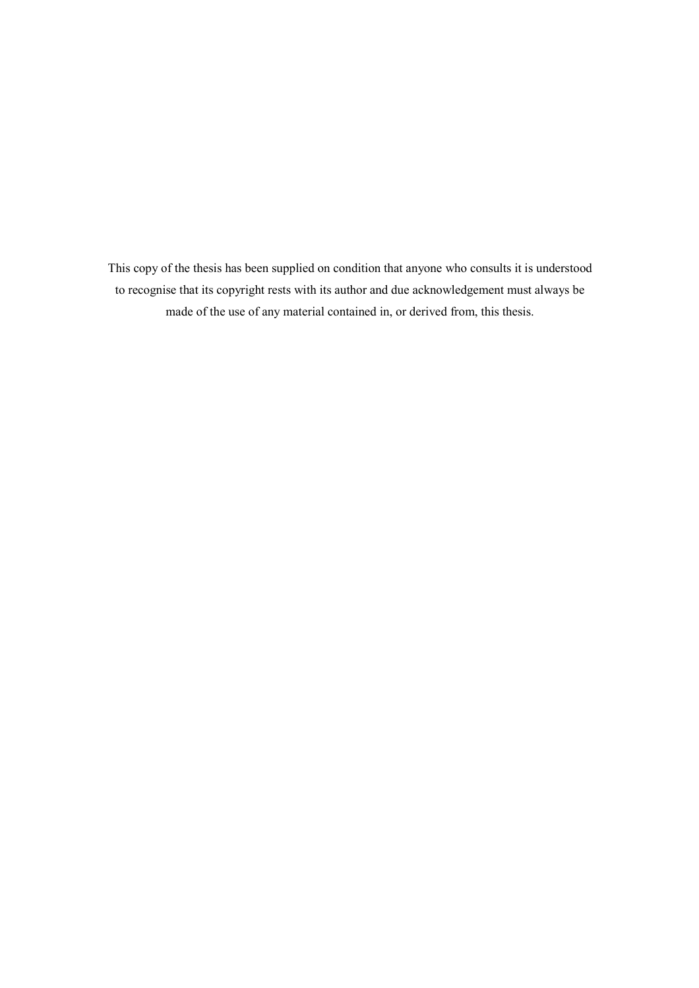This copy of the thesis has been supplied on condition that anyone who consults it is understood to recognise that its copyright rests with its author and due acknowledgement must always be made of the use of any material contained in, or derived from, this thesis.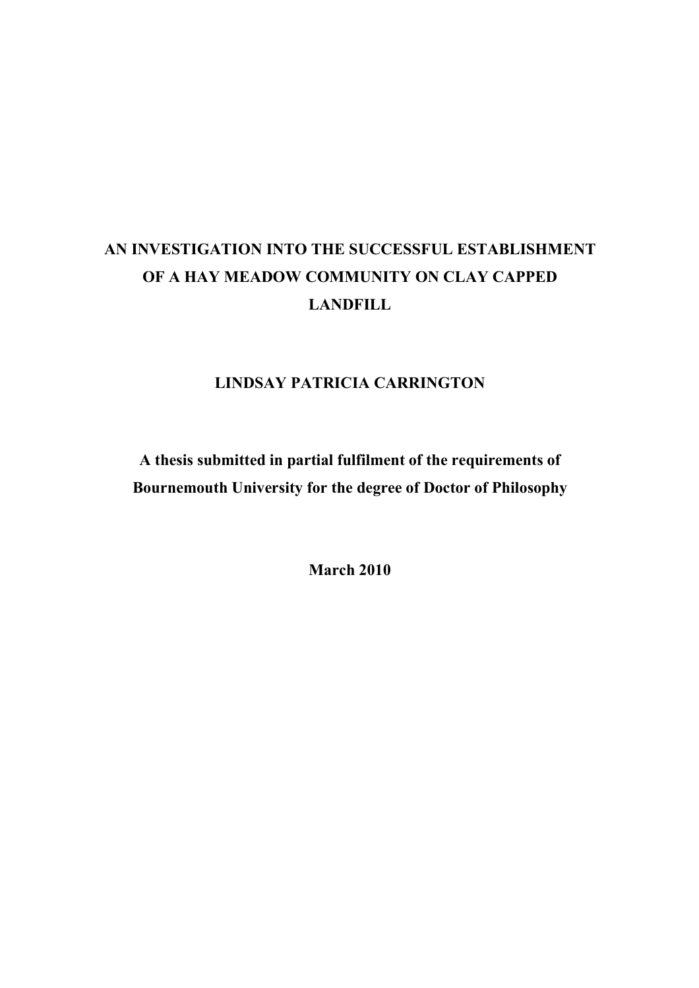# AN INVESTIGATION INTO THE SUCCESSFUL ESTABLISHMENT OF A HAY MEADOW COMMUNITY ON CLAY CAPPED **LANDFILL**

## LINDSAY PATRICIA CARRINGTON

A thesis submitted in partial fulfilment of the requirements of Bournemouth University for the degree of Doctor of Philosophy

March 2010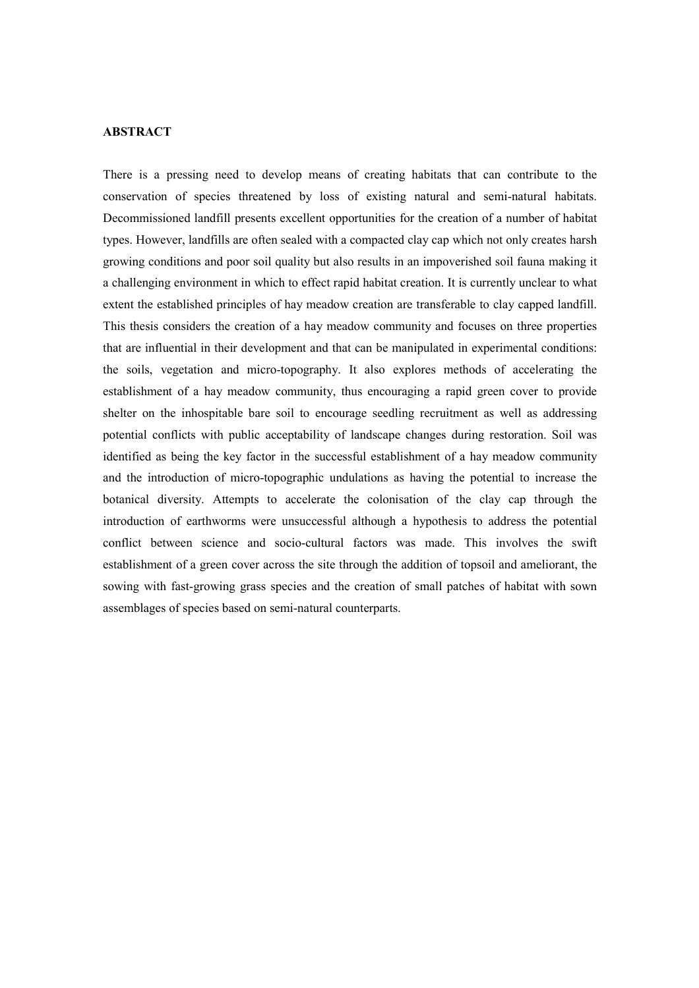#### ABSTRACT

There is a pressing need to develop means of creating habitats that can contribute to the conservation of species threatened by loss of existing natural and semi-natural habitats. Decommissioned landfill presents excellent opportunities for the creation of a number of habitat types. However, landfills are often sealed with a compacted clay cap which not only creates harsh growing conditions and poor soil quality but also results in an impoverished soil fauna making it a challenging environment in which to effect rapid habitat creation. It is currently unclear to what extent the established principles of hay meadow creation are transferable to clay capped landfill. This thesis considers the creation of a hay meadow community and focuses on three properties that are influential in their development and that can be manipulated in experimental conditions: the soils, vegetation and micro-topography. It also explores methods of accelerating the establishment of a hay meadow community, thus encouraging a rapid green cover to provide shelter on the inhospitable bare soil to encourage seedling recruitment as well as addressing potential conflicts with public acceptability of landscape changes during restoration. Soil was identified as being the key factor in the successful establishment of a hay meadow community and the introduction of micro-topographic undulations as having the potential to increase the botanical diversity. Attempts to accelerate the colonisation of the clay cap through the introduction of earthworms were unsuccessful although a hypothesis to address the potential conflict between science and socio-cultural factors was made. This involves the swift establishment of a green cover across the site through the addition of topsoil and ameliorant, the sowing with fast-growing grass species and the creation of small patches of habitat with sown assemblages of species based on semi-natural counterparts.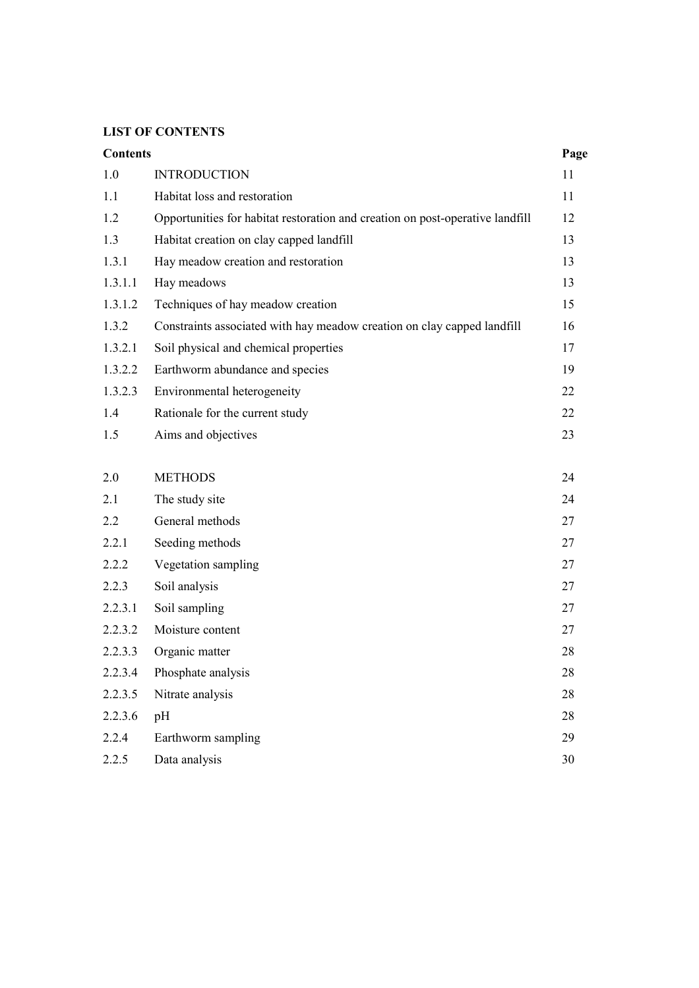## **LIST OF CONTENTS**

| <b>Contents</b> |                                                                               | Page |
|-----------------|-------------------------------------------------------------------------------|------|
| 1.0             | <b>INTRODUCTION</b>                                                           | 11   |
| 1.1             | Habitat loss and restoration                                                  | 11   |
| 1.2             | Opportunities for habitat restoration and creation on post-operative landfill | 12   |
| 1.3             | Habitat creation on clay capped landfill                                      | 13   |
| 1.3.1           | Hay meadow creation and restoration                                           | 13   |
| 1.3.1.1         | Hay meadows                                                                   | 13   |
| 1.3.1.2         | Techniques of hay meadow creation                                             | 15   |
| 1.3.2           | Constraints associated with hay meadow creation on clay capped landfill       | 16   |
| 1.3.2.1         | Soil physical and chemical properties                                         | 17   |
| 1.3.2.2         | Earthworm abundance and species                                               | 19   |
| 1.3.2.3         | Environmental heterogeneity                                                   | 22   |
| 1.4             | Rationale for the current study                                               | 22   |
| 1.5             | Aims and objectives                                                           | 23   |
|                 |                                                                               |      |
| 2.0             | <b>METHODS</b>                                                                | 24   |
| 2.1             | The study site                                                                | 24   |
| 2.2             | General methods                                                               | 27   |
| 2.2.1           | Seeding methods                                                               | 27   |
| 2.2.2           | Vegetation sampling                                                           | 27   |
| 2.2.3           | Soil analysis                                                                 | 27   |
| 2.2.3.1         | Soil sampling                                                                 | 27   |
| 2.2.3.2         | Moisture content                                                              | 27   |
| 2.2.3.3         | Organic matter                                                                | 28   |
| 2.2.3.4         | Phosphate analysis                                                            | 28   |
| 2.2.3.5         | Nitrate analysis                                                              | 28   |
| 2.2.3.6         | pH                                                                            | 28   |
| 2.2.4           | Earthworm sampling                                                            | 29   |
| 2.2.5           | Data analysis                                                                 | 30   |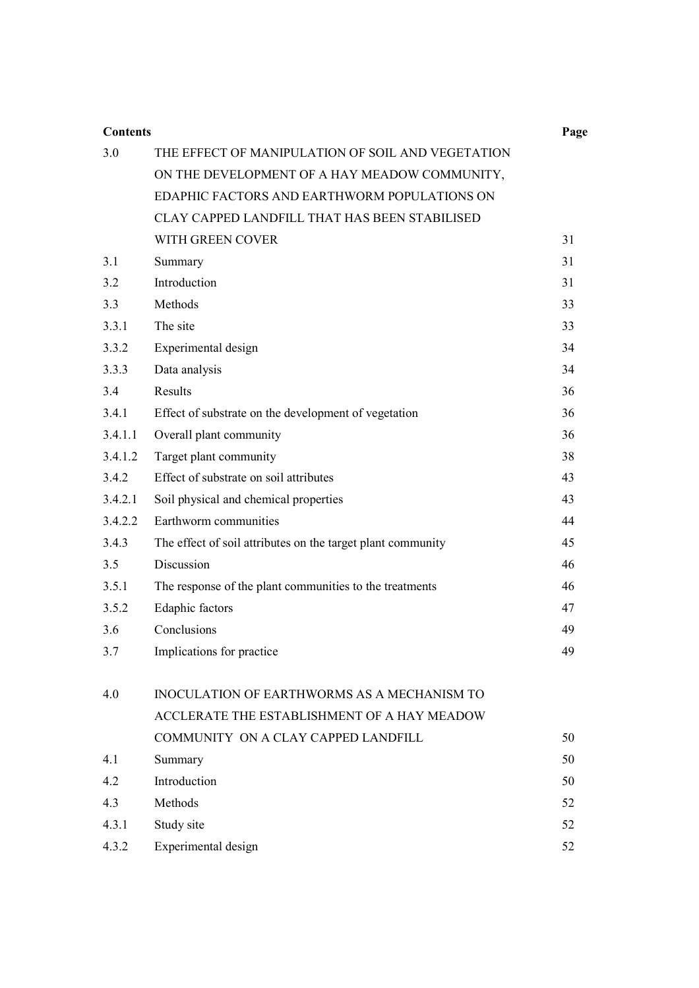| <b>Contents</b> |                                                             | Page |  |  |  |
|-----------------|-------------------------------------------------------------|------|--|--|--|
| 3.0             | THE EFFECT OF MANIPULATION OF SOIL AND VEGETATION           |      |  |  |  |
|                 | ON THE DEVELOPMENT OF A HAY MEADOW COMMUNITY,               |      |  |  |  |
|                 | EDAPHIC FACTORS AND EARTHWORM POPULATIONS ON                |      |  |  |  |
|                 | CLAY CAPPED LANDFILL THAT HAS BEEN STABILISED               |      |  |  |  |
|                 | WITH GREEN COVER                                            | 31   |  |  |  |
| 3.1             | Summary                                                     | 31   |  |  |  |
| 3.2             | Introduction                                                | 31   |  |  |  |
| 3.3             | Methods                                                     | 33   |  |  |  |
| 3.3.1           | The site                                                    | 33   |  |  |  |
| 3.3.2           | Experimental design                                         | 34   |  |  |  |
| 3.3.3           | Data analysis                                               | 34   |  |  |  |
| 3.4             | Results                                                     | 36   |  |  |  |
| 3.4.1           | Effect of substrate on the development of vegetation        | 36   |  |  |  |
| 3.4.1.1         | Overall plant community                                     | 36   |  |  |  |
| 3.4.1.2         | Target plant community                                      | 38   |  |  |  |
| 3.4.2           | Effect of substrate on soil attributes<br>43                |      |  |  |  |
| 3.4.2.1         | Soil physical and chemical properties                       | 43   |  |  |  |
| 3.4.2.2         | Earthworm communities                                       | 44   |  |  |  |
| 3.4.3           | The effect of soil attributes on the target plant community | 45   |  |  |  |
| 3.5             | Discussion                                                  | 46   |  |  |  |
| 3.5.1           | The response of the plant communities to the treatments     | 46   |  |  |  |
| 3.5.2           | Edaphic factors                                             | 47   |  |  |  |
| 3.6             | Conclusions                                                 | 49   |  |  |  |
| 3.7             | Implications for practice                                   | 49   |  |  |  |
| 4.0             | INOCULATION OF EARTHWORMS AS A MECHANISM TO                 |      |  |  |  |
|                 | ACCLERATE THE ESTABLISHMENT OF A HAY MEADOW                 |      |  |  |  |
|                 | COMMUNITY ON A CLAY CAPPED LANDFILL                         | 50   |  |  |  |
| 4.1             | Summary                                                     | 50   |  |  |  |
| 4.2             | Introduction                                                | 50   |  |  |  |
| 4.3             | Methods                                                     | 52   |  |  |  |
| 4.3.1           | Study site                                                  | 52   |  |  |  |
| 4.3.2           | Experimental design                                         | 52   |  |  |  |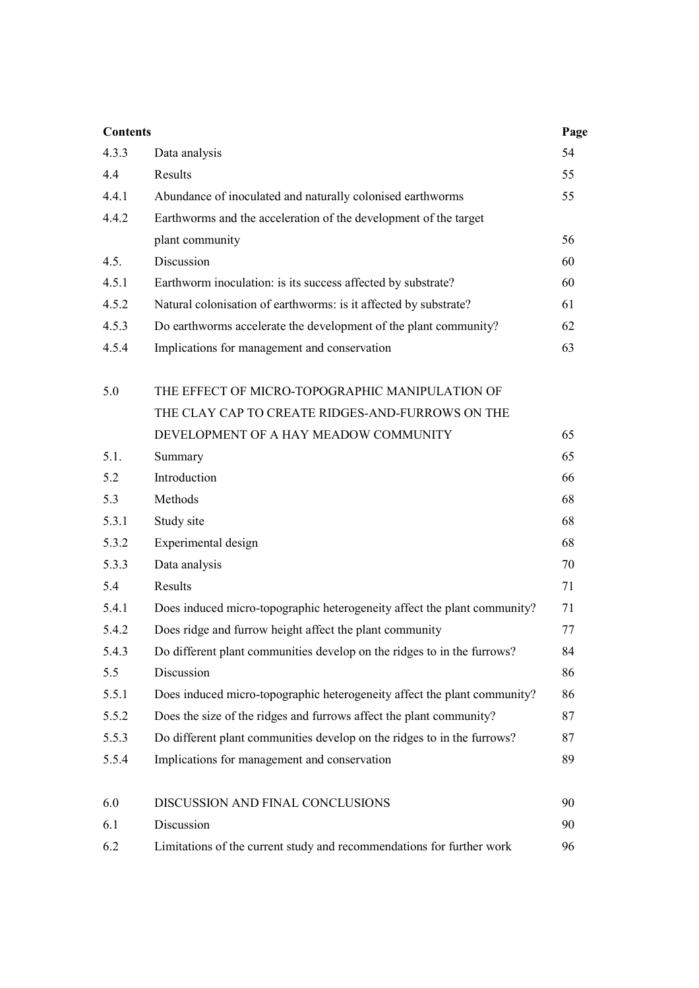| <b>Contents</b> |                                                                          | Page |
|-----------------|--------------------------------------------------------------------------|------|
| 4.3.3           | Data analysis                                                            | 54   |
| 4.4             | Results                                                                  | 55   |
| 4.4.1           | Abundance of inoculated and naturally colonised earthworms               | 55   |
| 4.4.2           | Earthworms and the acceleration of the development of the target         |      |
|                 | plant community                                                          | 56   |
| 4.5.            | Discussion                                                               | 60   |
| 4.5.1           | Earthworm inoculation: is its success affected by substrate?             | 60   |
| 4.5.2           | Natural colonisation of earthworms: is it affected by substrate?         | 61   |
| 4.5.3           | Do earthworms accelerate the development of the plant community?         | 62   |
| 4.5.4           | Implications for management and conservation                             | 63   |
|                 |                                                                          |      |
| 5.0             | THE EFFECT OF MICRO-TOPOGRAPHIC MANIPULATION OF                          |      |
|                 | THE CLAY CAP TO CREATE RIDGES-AND-FURROWS ON THE                         |      |
|                 | DEVELOPMENT OF A HAY MEADOW COMMUNITY                                    | 65   |
| 5.1.            | Summary                                                                  | 65   |
| 5.2             | Introduction                                                             | 66   |
| 5.3             | Methods                                                                  | 68   |
| 5.3.1           | Study site                                                               | 68   |
| 5.3.2           | Experimental design                                                      | 68   |
| 5.3.3           | Data analysis                                                            | 70   |
| 5.4             | Results                                                                  | 71   |
| 5.4.1           | Does induced micro-topographic heterogeneity affect the plant community? | 71   |
| 5.4.2           | Does ridge and furrow height affect the plant community                  | 77   |
| 5.4.3           | Do different plant communities develop on the ridges to in the furrows?  | 84   |
| 5.5             | Discussion                                                               | 86   |
| 5.5.1           | Does induced micro-topographic heterogeneity affect the plant community? | 86   |
| 5.5.2           | Does the size of the ridges and furrows affect the plant community?      | 87   |
| 5.5.3           | Do different plant communities develop on the ridges to in the furrows?  | 87   |
| 5.5.4           | Implications for management and conservation                             | 89   |
| 6.0             | DISCUSSION AND FINAL CONCLUSIONS                                         | 90   |
| 6.1             | Discussion                                                               | 90   |
| 6.2             | Limitations of the current study and recommendations for further work    | 96   |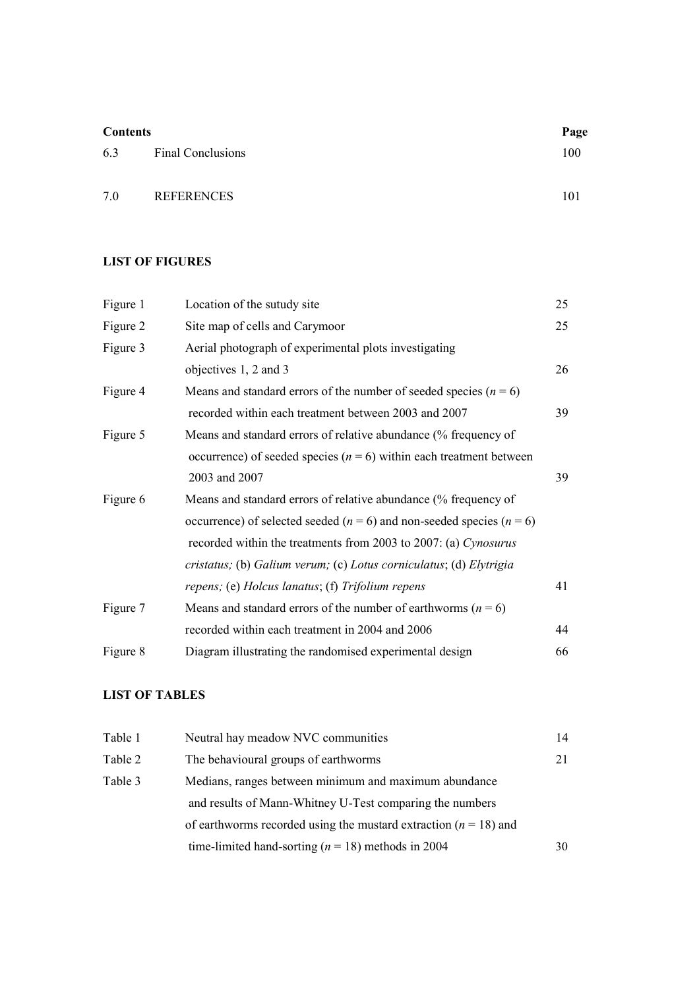| <b>Contents</b> |                          | Page |  |
|-----------------|--------------------------|------|--|
| 6.3             | <b>Final Conclusions</b> | 100  |  |
| 7.0             | <b>REFERENCES</b>        | 101  |  |

## LIST OF FIGURES

| Figure 1 | Location of the sutudy site                                                   | 25 |
|----------|-------------------------------------------------------------------------------|----|
| Figure 2 | Site map of cells and Carymoor                                                | 25 |
| Figure 3 | Aerial photograph of experimental plots investigating                         |    |
|          | objectives 1, 2 and 3                                                         | 26 |
| Figure 4 | Means and standard errors of the number of seeded species ( $n = 6$ )         |    |
|          | recorded within each treatment between 2003 and 2007                          | 39 |
| Figure 5 | Means and standard errors of relative abundance (% frequency of               |    |
|          | occurrence) of seeded species ( $n = 6$ ) within each treatment between       |    |
|          | 2003 and 2007                                                                 | 39 |
| Figure 6 | Means and standard errors of relative abundance (% frequency of               |    |
|          | occurrence) of selected seeded ( $n = 6$ ) and non-seeded species ( $n = 6$ ) |    |
|          | recorded within the treatments from 2003 to 2007: (a) Cynosurus               |    |
|          | cristatus; (b) Galium verum; (c) Lotus corniculatus; (d) Elytrigia            |    |
|          | repens; (e) Holcus lanatus; (f) Trifolium repens                              | 41 |
| Figure 7 | Means and standard errors of the number of earthworms ( $n = 6$ )             |    |
|          | recorded within each treatment in 2004 and 2006                               | 44 |
| Figure 8 | Diagram illustrating the randomised experimental design                       | 66 |

## LIST OF TABLES

| Table 1 | Neutral hay meadow NVC communities                                 |    |
|---------|--------------------------------------------------------------------|----|
| Table 2 | The behavioural groups of earthworms                               | 21 |
| Table 3 | Medians, ranges between minimum and maximum abundance              |    |
|         | and results of Mann-Whitney U-Test comparing the numbers           |    |
|         | of earthworms recorded using the mustard extraction $(n = 18)$ and |    |
|         | time-limited hand-sorting ( $n = 18$ ) methods in 2004             | 30 |
|         |                                                                    |    |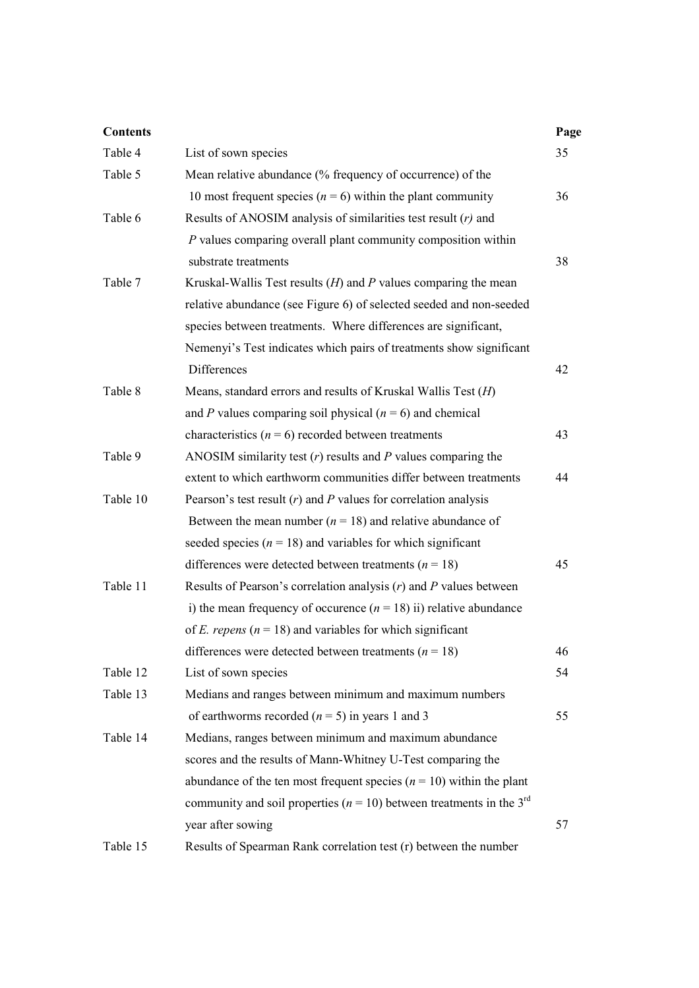| <b>Contents</b> |                                                                                      | Page |
|-----------------|--------------------------------------------------------------------------------------|------|
| Table 4         | List of sown species                                                                 | 35   |
| Table 5         | Mean relative abundance (% frequency of occurrence) of the                           |      |
|                 | 10 most frequent species ( $n = 6$ ) within the plant community                      | 36   |
| Table 6         | Results of ANOSIM analysis of similarities test result $(r)$ and                     |      |
|                 | P values comparing overall plant community composition within                        |      |
|                 | substrate treatments                                                                 | 38   |
| Table 7         | Kruskal-Wallis Test results $(H)$ and P values comparing the mean                    |      |
|                 | relative abundance (see Figure 6) of selected seeded and non-seeded                  |      |
|                 | species between treatments. Where differences are significant,                       |      |
|                 | Nemenyi's Test indicates which pairs of treatments show significant                  |      |
|                 | <b>Differences</b>                                                                   | 42   |
| Table 8         | Means, standard errors and results of Kruskal Wallis Test (H)                        |      |
|                 | and P values comparing soil physical $(n = 6)$ and chemical                          |      |
|                 | characteristics ( $n = 6$ ) recorded between treatments                              | 43   |
| Table 9         | ANOSIM similarity test $(r)$ results and $P$ values comparing the                    |      |
|                 | extent to which earthworm communities differ between treatments                      | 44   |
| Table 10        | Pearson's test result $(r)$ and P values for correlation analysis                    |      |
|                 | Between the mean number ( $n = 18$ ) and relative abundance of                       |      |
|                 | seeded species ( $n = 18$ ) and variables for which significant                      |      |
|                 | differences were detected between treatments ( $n = 18$ )                            | 45   |
| Table 11        | Results of Pearson's correlation analysis $(r)$ and P values between                 |      |
|                 | i) the mean frequency of occurence $(n = 18)$ ii) relative abundance                 |      |
|                 | of <i>E. repens</i> ( $n = 18$ ) and variables for which significant                 |      |
|                 | differences were detected between treatments ( $n = 18$ )                            | 46   |
| Table 12        | List of sown species                                                                 | 54   |
| Table 13        | Medians and ranges between minimum and maximum numbers                               |      |
|                 | of earthworms recorded $(n = 5)$ in years 1 and 3                                    | 55   |
| Table 14        | Medians, ranges between minimum and maximum abundance                                |      |
|                 | scores and the results of Mann-Whitney U-Test comparing the                          |      |
|                 | abundance of the ten most frequent species ( $n = 10$ ) within the plant             |      |
|                 | community and soil properties ( $n = 10$ ) between treatments in the 3 <sup>rd</sup> |      |
|                 | year after sowing                                                                    | 57   |
| Table 15        | Results of Spearman Rank correlation test (r) between the number                     |      |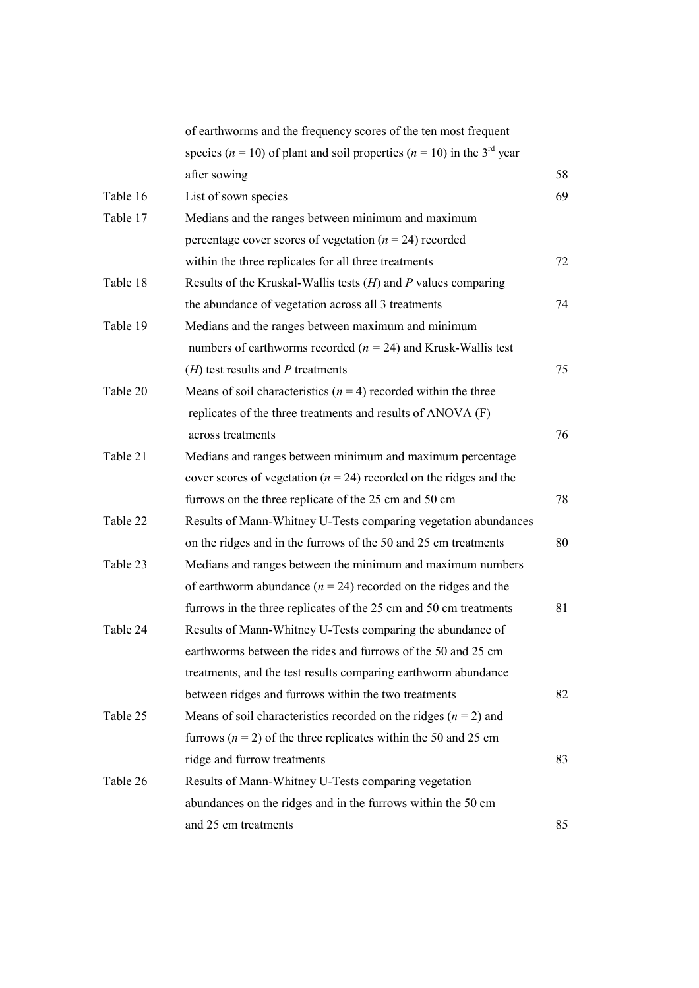|          | of earthworms and the frequency scores of the ten most frequent                            |    |
|----------|--------------------------------------------------------------------------------------------|----|
|          | species ( $n = 10$ ) of plant and soil properties ( $n = 10$ ) in the 3 <sup>rd</sup> year |    |
|          | after sowing                                                                               | 58 |
| Table 16 | List of sown species                                                                       | 69 |
| Table 17 | Medians and the ranges between minimum and maximum                                         |    |
|          | percentage cover scores of vegetation ( $n = 24$ ) recorded                                |    |
|          | within the three replicates for all three treatments                                       | 72 |
| Table 18 | Results of the Kruskal-Wallis tests $(H)$ and P values comparing                           |    |
|          | the abundance of vegetation across all 3 treatments                                        | 74 |
| Table 19 | Medians and the ranges between maximum and minimum                                         |    |
|          | numbers of earthworms recorded ( $n = 24$ ) and Krusk-Wallis test                          |    |
|          | $(H)$ test results and P treatments                                                        | 75 |
| Table 20 | Means of soil characteristics $(n = 4)$ recorded within the three                          |    |
|          | replicates of the three treatments and results of ANOVA (F)                                |    |
|          | across treatments                                                                          | 76 |
| Table 21 | Medians and ranges between minimum and maximum percentage                                  |    |
|          | cover scores of vegetation ( $n = 24$ ) recorded on the ridges and the                     |    |
|          | furrows on the three replicate of the 25 cm and 50 cm                                      | 78 |
| Table 22 | Results of Mann-Whitney U-Tests comparing vegetation abundances                            |    |
|          | on the ridges and in the furrows of the 50 and 25 cm treatments                            | 80 |
| Table 23 | Medians and ranges between the minimum and maximum numbers                                 |    |
|          | of earthworm abundance ( $n = 24$ ) recorded on the ridges and the                         |    |
|          | furrows in the three replicates of the 25 cm and 50 cm treatments                          | 81 |
| Table 24 | Results of Mann-Whitney U-Tests comparing the abundance of                                 |    |
|          | earthworms between the rides and furrows of the 50 and 25 cm                               |    |
|          | treatments, and the test results comparing earthworm abundance                             |    |
|          | between ridges and furrows within the two treatments                                       | 82 |
| Table 25 | Means of soil characteristics recorded on the ridges $(n = 2)$ and                         |    |
|          | furrows ( $n = 2$ ) of the three replicates within the 50 and 25 cm                        |    |
|          | ridge and furrow treatments                                                                | 83 |
| Table 26 | Results of Mann-Whitney U-Tests comparing vegetation                                       |    |
|          | abundances on the ridges and in the furrows within the 50 cm                               |    |
|          | and 25 cm treatments                                                                       | 85 |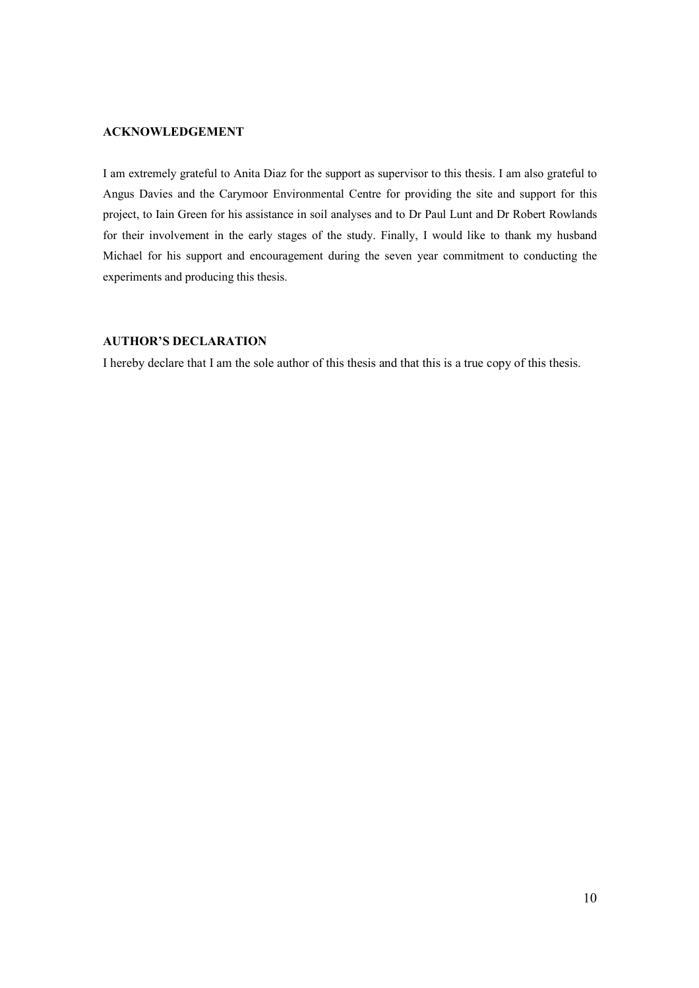#### **ACKNOWLEDGEMENT**

I am extremely grateful to Anita Diaz for the support as supervisor to this thesis. I am also grateful to Angus Davies and the Carymoor Environmental Centre for providing the site and support for this project, to Iain Green for his assistance in soil analyses and to Dr Paul Lunt and Dr Robert Rowlands for their involvement in the early stages of the study. Finally, I would like to thank my husband Michael for his support and encouragement during the seven year commitment to conducting the experiments and producing this thesis.

## AUTHOR'S DECLARATIO

I hereby declare that I am the sole author of this thesis and that this is a true copy of this thesis.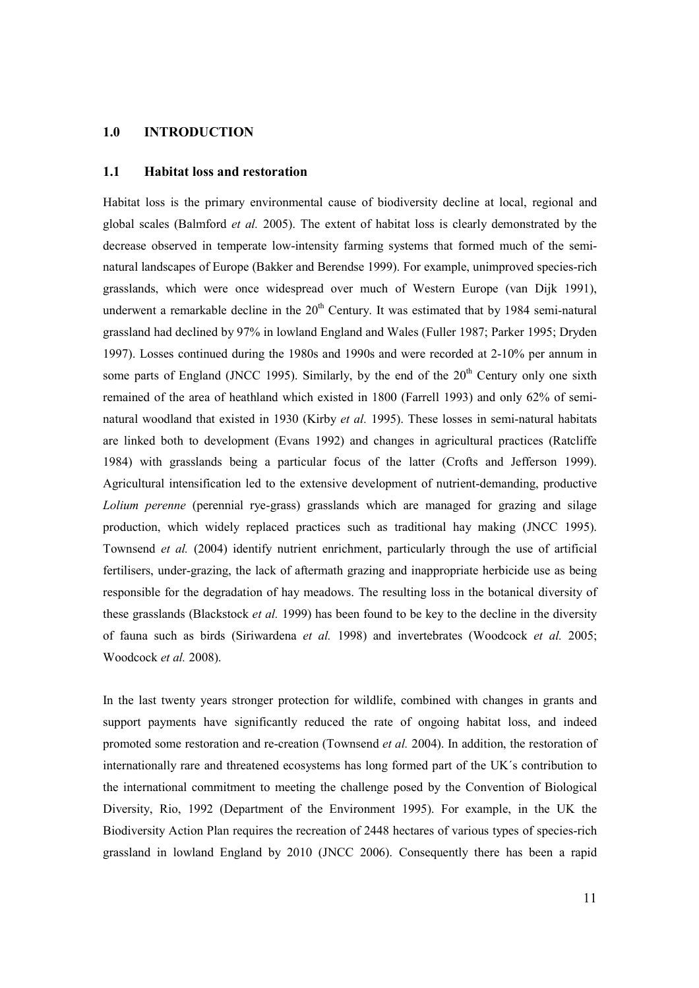## 1.0 INTRODUCTION

#### 1.1 Habitat loss and restoration

Habitat loss is the primary environmental cause of biodiversity decline at local, regional and global scales (Balmford et al. 2005). The extent of habitat loss is clearly demonstrated by the decrease observed in temperate low-intensity farming systems that formed much of the seminatural landscapes of Europe (Bakker and Berendse 1999). For example, unimproved species-rich grasslands, which were once widespread over much of Western Europe (van Dijk 1991), underwent a remarkable decline in the  $20<sup>th</sup>$  Century. It was estimated that by 1984 semi-natural grassland had declined by 97% in lowland England and Wales (Fuller 1987; Parker 1995; Dryden 1997). Losses continued during the 1980s and 1990s and were recorded at 2-10% per annum in some parts of England (JNCC 1995). Similarly, by the end of the  $20<sup>th</sup>$  Century only one sixth remained of the area of heathland which existed in 1800 (Farrell 1993) and only 62% of seminatural woodland that existed in 1930 (Kirby *et al.* 1995). These losses in semi-natural habitats are linked both to development (Evans 1992) and changes in agricultural practices (Ratcliffe 1984) with grasslands being a particular focus of the latter (Crofts and Jefferson 1999). Agricultural intensification led to the extensive development of nutrient-demanding, productive Lolium perenne (perennial rye-grass) grasslands which are managed for grazing and silage production, which widely replaced practices such as traditional hay making (JNCC 1995). Townsend et al. (2004) identify nutrient enrichment, particularly through the use of artificial fertilisers, under-grazing, the lack of aftermath grazing and inappropriate herbicide use as being responsible for the degradation of hay meadows. The resulting loss in the botanical diversity of these grasslands (Blackstock *et al.* 1999) has been found to be key to the decline in the diversity of fauna such as birds (Siriwardena et al. 1998) and invertebrates (Woodcock et al. 2005; Woodcock et al. 2008).

In the last twenty years stronger protection for wildlife, combined with changes in grants and support payments have significantly reduced the rate of ongoing habitat loss, and indeed promoted some restoration and re-creation (Townsend et al. 2004). In addition, the restoration of internationally rare and threatened ecosystems has long formed part of the UK´s contribution to the international commitment to meeting the challenge posed by the Convention of Biological Diversity, Rio, 1992 (Department of the Environment 1995). For example, in the UK the Biodiversity Action Plan requires the recreation of 2448 hectares of various types of species-rich grassland in lowland England by 2010 (JNCC 2006). Consequently there has been a rapid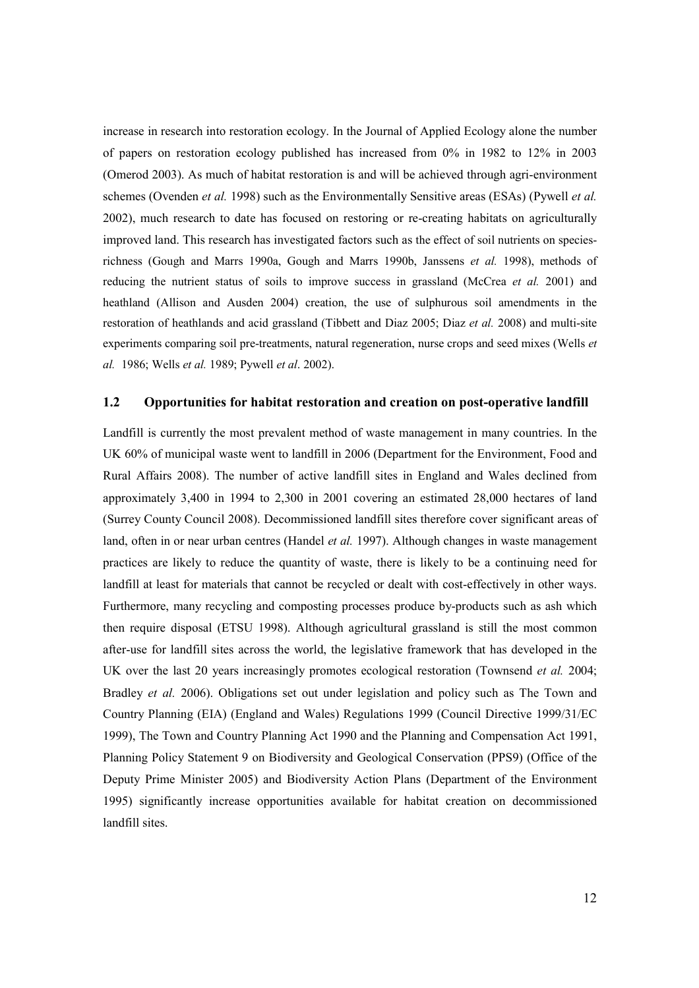increase in research into restoration ecology. In the Journal of Applied Ecology alone the number of papers on restoration ecology published has increased from 0% in 1982 to 12% in 2003 (Omerod 2003). As much of habitat restoration is and will be achieved through agri-environment schemes (Ovenden et al. 1998) such as the Environmentally Sensitive areas (ESAs) (Pywell et al. 2002), much research to date has focused on restoring or re-creating habitats on agriculturally improved land. This research has investigated factors such as the effect of soil nutrients on speciesrichness (Gough and Marrs 1990a, Gough and Marrs 1990b, Janssens et al. 1998), methods of reducing the nutrient status of soils to improve success in grassland (McCrea et al. 2001) and heathland (Allison and Ausden 2004) creation, the use of sulphurous soil amendments in the restoration of heathlands and acid grassland (Tibbett and Diaz 2005; Diaz et al. 2008) and multi-site experiments comparing soil pre-treatments, natural regeneration, nurse crops and seed mixes (Wells et al. 1986; Wells et al. 1989; Pywell et al. 2002).

#### 1.2 Opportunities for habitat restoration and creation on post-operative landfill

Landfill is currently the most prevalent method of waste management in many countries. In the UK 60% of municipal waste went to landfill in 2006 (Department for the Environment, Food and Rural Affairs 2008). The number of active landfill sites in England and Wales declined from approximately 3,400 in 1994 to 2,300 in 2001 covering an estimated 28,000 hectares of land (Surrey County Council 2008). Decommissioned landfill sites therefore cover significant areas of land, often in or near urban centres (Handel et al. 1997). Although changes in waste management practices are likely to reduce the quantity of waste, there is likely to be a continuing need for landfill at least for materials that cannot be recycled or dealt with cost-effectively in other ways. Furthermore, many recycling and composting processes produce by-products such as ash which then require disposal (ETSU 1998). Although agricultural grassland is still the most common after-use for landfill sites across the world, the legislative framework that has developed in the UK over the last 20 years increasingly promotes ecological restoration (Townsend *et al.* 2004; Bradley et al. 2006). Obligations set out under legislation and policy such as The Town and Country Planning (EIA) (England and Wales) Regulations 1999 (Council Directive 1999/31/EC 1999), The Town and Country Planning Act 1990 and the Planning and Compensation Act 1991, Planning Policy Statement 9 on Biodiversity and Geological Conservation (PPS9) (Office of the Deputy Prime Minister 2005) and Biodiversity Action Plans (Department of the Environment 1995) significantly increase opportunities available for habitat creation on decommissioned landfill sites.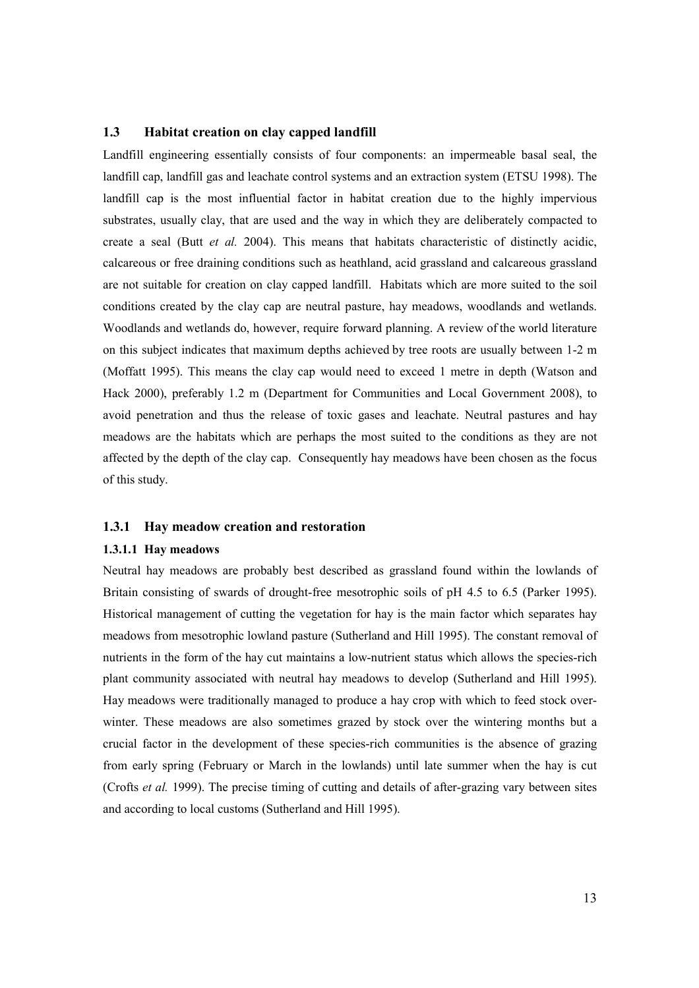## 1.3 Habitat creation on clay capped landfill

Landfill engineering essentially consists of four components: an impermeable basal seal, the landfill cap, landfill gas and leachate control systems and an extraction system (ETSU 1998). The landfill cap is the most influential factor in habitat creation due to the highly impervious substrates, usually clay, that are used and the way in which they are deliberately compacted to create a seal (Butt et al. 2004). This means that habitats characteristic of distinctly acidic, calcareous or free draining conditions such as heathland, acid grassland and calcareous grassland are not suitable for creation on clay capped landfill. Habitats which are more suited to the soil conditions created by the clay cap are neutral pasture, hay meadows, woodlands and wetlands. Woodlands and wetlands do, however, require forward planning. A review of the world literature on this subject indicates that maximum depths achieved by tree roots are usually between 1-2 m (Moffatt 1995). This means the clay cap would need to exceed 1 metre in depth (Watson and Hack 2000), preferably 1.2 m (Department for Communities and Local Government 2008), to avoid penetration and thus the release of toxic gases and leachate. Neutral pastures and hay meadows are the habitats which are perhaps the most suited to the conditions as they are not affected by the depth of the clay cap. Consequently hay meadows have been chosen as the focus of this study.

#### 1.3.1 Hay meadow creation and restoration

#### 1.3.1.1 Hay meadows

Neutral hay meadows are probably best described as grassland found within the lowlands of Britain consisting of swards of drought-free mesotrophic soils of pH 4.5 to 6.5 (Parker 1995). Historical management of cutting the vegetation for hay is the main factor which separates hay meadows from mesotrophic lowland pasture (Sutherland and Hill 1995). The constant removal of nutrients in the form of the hay cut maintains a low-nutrient status which allows the species-rich plant community associated with neutral hay meadows to develop (Sutherland and Hill 1995). Hay meadows were traditionally managed to produce a hay crop with which to feed stock overwinter. These meadows are also sometimes grazed by stock over the wintering months but a crucial factor in the development of these species-rich communities is the absence of grazing from early spring (February or March in the lowlands) until late summer when the hay is cut (Crofts et al. 1999). The precise timing of cutting and details of after-grazing vary between sites and according to local customs (Sutherland and Hill 1995).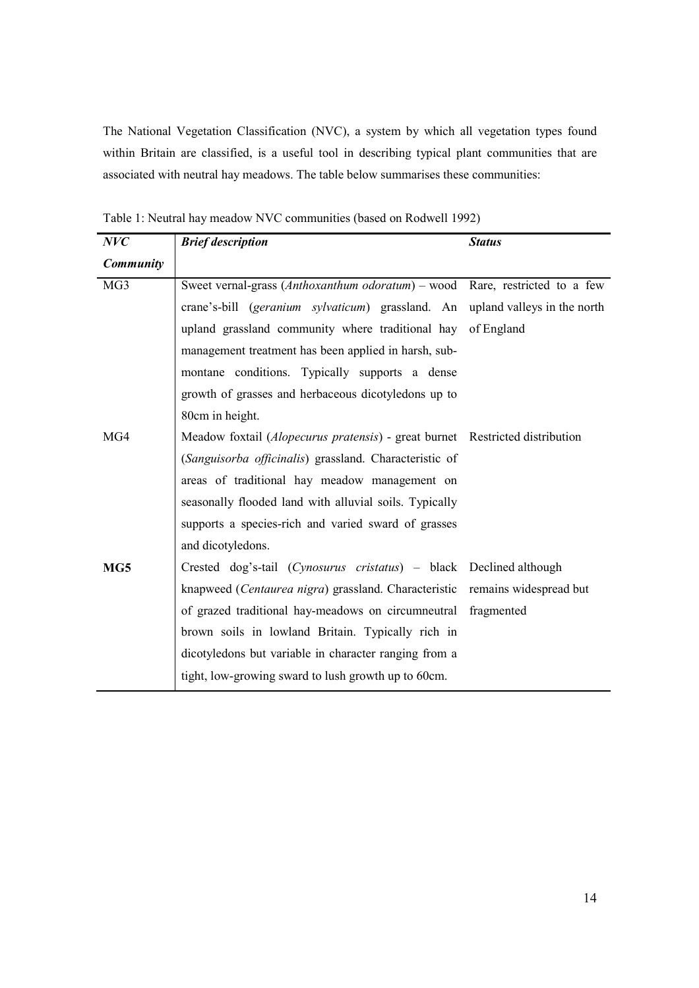The National Vegetation Classification (NVC), a system by which all vegetation types found within Britain are classified, is a useful tool in describing typical plant communities that are associated with neutral hay meadows. The table below summarises these communities:

| NVC              | <b>Brief description</b>                                                     | <b>Status</b> |
|------------------|------------------------------------------------------------------------------|---------------|
| <b>Community</b> |                                                                              |               |
| MG3              | Sweet vernal-grass (Anthoxanthum odoratum) – wood Rare, restricted to a few  |               |
|                  | crane's-bill (geranium sylvaticum) grassland. An upland valleys in the north |               |
|                  | upland grassland community where traditional hay of England                  |               |
|                  | management treatment has been applied in harsh, sub-                         |               |
|                  | montane conditions. Typically supports a dense                               |               |
|                  | growth of grasses and herbaceous dicotyledons up to                          |               |
|                  | 80cm in height.                                                              |               |
| MG4              | Meadow foxtail (Alopecurus pratensis) - great burnet Restricted distribution |               |
|                  | (Sanguisorba officinalis) grassland. Characteristic of                       |               |
|                  | areas of traditional hay meadow management on                                |               |
|                  | seasonally flooded land with alluvial soils. Typically                       |               |
|                  | supports a species-rich and varied sward of grasses                          |               |
|                  | and dicotyledons.                                                            |               |
| MG5              | Crested dog's-tail (Cynosurus cristatus) – black Declined although           |               |
|                  | knapweed (Centaurea nigra) grassland. Characteristic remains widespread but  |               |
|                  | of grazed traditional hay-meadows on circumneutral fragmented                |               |
|                  | brown soils in lowland Britain. Typically rich in                            |               |
|                  | dicotyledons but variable in character ranging from a                        |               |
|                  | tight, low-growing sward to lush growth up to 60cm.                          |               |

Table 1: Neutral hay meadow NVC communities (based on Rodwell 1992)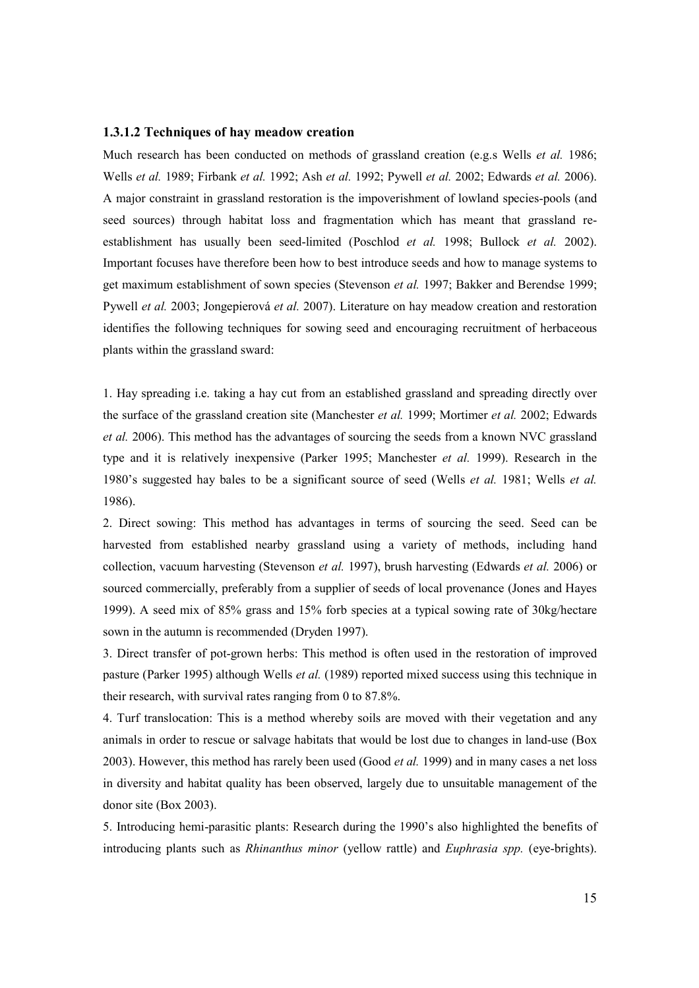#### 1.3.1.2 Techniques of hay meadow creation

Much research has been conducted on methods of grassland creation (e.g.s Wells *et al.* 1986; Wells et al. 1989; Firbank et al. 1992; Ash et al. 1992; Pywell et al. 2002; Edwards et al. 2006). A major constraint in grassland restoration is the impoverishment of lowland species-pools (and seed sources) through habitat loss and fragmentation which has meant that grassland reestablishment has usually been seed-limited (Poschlod *et al.* 1998; Bullock *et al.* 2002). Important focuses have therefore been how to best introduce seeds and how to manage systems to get maximum establishment of sown species (Stevenson et al. 1997; Bakker and Berendse 1999; Pywell et al. 2003; Jongepierová et al. 2007). Literature on hay meadow creation and restoration identifies the following techniques for sowing seed and encouraging recruitment of herbaceous plants within the grassland sward:

1. Hay spreading i.e. taking a hay cut from an established grassland and spreading directly over the surface of the grassland creation site (Manchester et al. 1999; Mortimer et al. 2002; Edwards et al. 2006). This method has the advantages of sourcing the seeds from a known NVC grassland type and it is relatively inexpensive (Parker 1995; Manchester et al. 1999). Research in the 1980's suggested hay bales to be a significant source of seed (Wells et al. 1981; Wells et al. 1986).

2. Direct sowing: This method has advantages in terms of sourcing the seed. Seed can be harvested from established nearby grassland using a variety of methods, including hand collection, vacuum harvesting (Stevenson et al. 1997), brush harvesting (Edwards et al. 2006) or sourced commercially, preferably from a supplier of seeds of local provenance (Jones and Hayes 1999). A seed mix of 85% grass and 15% forb species at a typical sowing rate of 30kg/hectare sown in the autumn is recommended (Dryden 1997).

3. Direct transfer of pot-grown herbs: This method is often used in the restoration of improved pasture (Parker 1995) although Wells et al. (1989) reported mixed success using this technique in their research, with survival rates ranging from 0 to 87.8%.

4. Turf translocation: This is a method whereby soils are moved with their vegetation and any animals in order to rescue or salvage habitats that would be lost due to changes in land-use (Box 2003). However, this method has rarely been used (Good et al. 1999) and in many cases a net loss in diversity and habitat quality has been observed, largely due to unsuitable management of the donor site (Box 2003).

5. Introducing hemi-parasitic plants: Research during the 1990's also highlighted the benefits of introducing plants such as Rhinanthus minor (yellow rattle) and Euphrasia spp. (eye-brights).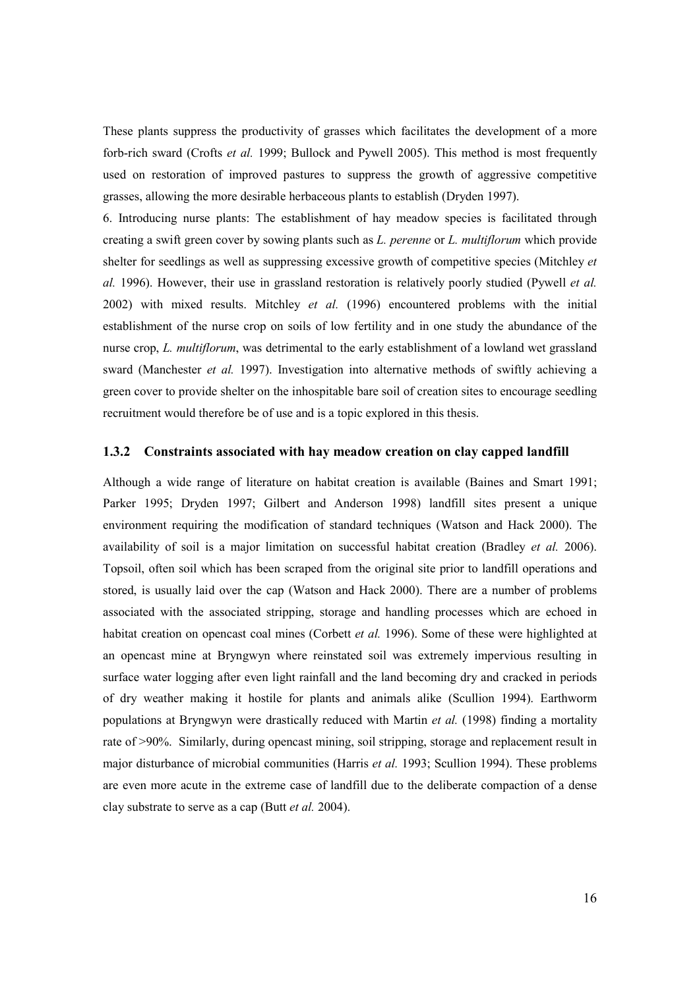These plants suppress the productivity of grasses which facilitates the development of a more forb-rich sward (Crofts *et al.* 1999; Bullock and Pywell 2005). This method is most frequently used on restoration of improved pastures to suppress the growth of aggressive competitive grasses, allowing the more desirable herbaceous plants to establish (Dryden 1997).

6. Introducing nurse plants: The establishment of hay meadow species is facilitated through creating a swift green cover by sowing plants such as L. perenne or L. multiflorum which provide shelter for seedlings as well as suppressing excessive growth of competitive species (Mitchley et al. 1996). However, their use in grassland restoration is relatively poorly studied (Pywell et al. 2002) with mixed results. Mitchley et al. (1996) encountered problems with the initial establishment of the nurse crop on soils of low fertility and in one study the abundance of the nurse crop, L. multiflorum, was detrimental to the early establishment of a lowland wet grassland sward (Manchester et al. 1997). Investigation into alternative methods of swiftly achieving a green cover to provide shelter on the inhospitable bare soil of creation sites to encourage seedling recruitment would therefore be of use and is a topic explored in this thesis.

#### 1.3.2 Constraints associated with hay meadow creation on clay capped landfill

Although a wide range of literature on habitat creation is available (Baines and Smart 1991; Parker 1995; Dryden 1997; Gilbert and Anderson 1998) landfill sites present a unique environment requiring the modification of standard techniques (Watson and Hack 2000). The availability of soil is a major limitation on successful habitat creation (Bradley et al. 2006). Topsoil, often soil which has been scraped from the original site prior to landfill operations and stored, is usually laid over the cap (Watson and Hack 2000). There are a number of problems associated with the associated stripping, storage and handling processes which are echoed in habitat creation on opencast coal mines (Corbett *et al.* 1996). Some of these were highlighted at an opencast mine at Bryngwyn where reinstated soil was extremely impervious resulting in surface water logging after even light rainfall and the land becoming dry and cracked in periods of dry weather making it hostile for plants and animals alike (Scullion 1994). Earthworm populations at Bryngwyn were drastically reduced with Martin et al. (1998) finding a mortality rate of >90%. Similarly, during opencast mining, soil stripping, storage and replacement result in major disturbance of microbial communities (Harris et al. 1993; Scullion 1994). These problems are even more acute in the extreme case of landfill due to the deliberate compaction of a dense clay substrate to serve as a cap (Butt et al. 2004).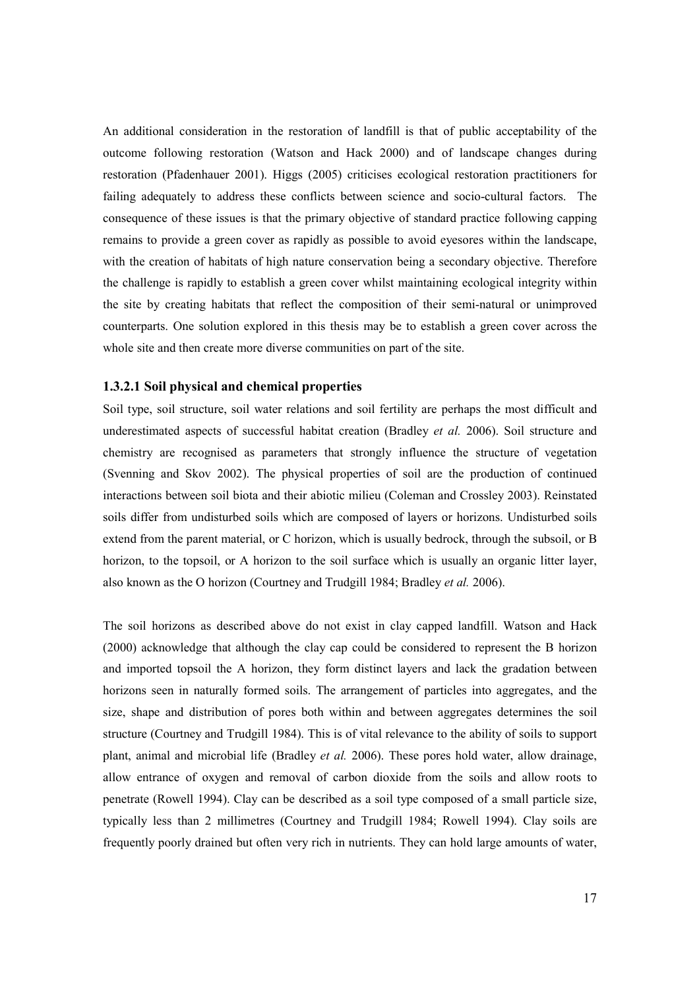An additional consideration in the restoration of landfill is that of public acceptability of the outcome following restoration (Watson and Hack 2000) and of landscape changes during restoration (Pfadenhauer 2001). Higgs (2005) criticises ecological restoration practitioners for failing adequately to address these conflicts between science and socio-cultural factors. The consequence of these issues is that the primary objective of standard practice following capping remains to provide a green cover as rapidly as possible to avoid eyesores within the landscape, with the creation of habitats of high nature conservation being a secondary objective. Therefore the challenge is rapidly to establish a green cover whilst maintaining ecological integrity within the site by creating habitats that reflect the composition of their semi-natural or unimproved counterparts. One solution explored in this thesis may be to establish a green cover across the whole site and then create more diverse communities on part of the site.

#### 1.3.2.1 Soil physical and chemical properties

Soil type, soil structure, soil water relations and soil fertility are perhaps the most difficult and underestimated aspects of successful habitat creation (Bradley *et al.* 2006). Soil structure and chemistry are recognised as parameters that strongly influence the structure of vegetation (Svenning and Skov 2002). The physical properties of soil are the production of continued interactions between soil biota and their abiotic milieu (Coleman and Crossley 2003). Reinstated soils differ from undisturbed soils which are composed of layers or horizons. Undisturbed soils extend from the parent material, or C horizon, which is usually bedrock, through the subsoil, or B horizon, to the topsoil, or A horizon to the soil surface which is usually an organic litter layer, also known as the O horizon (Courtney and Trudgill 1984; Bradley et al. 2006).

The soil horizons as described above do not exist in clay capped landfill. Watson and Hack (2000) acknowledge that although the clay cap could be considered to represent the B horizon and imported topsoil the A horizon, they form distinct layers and lack the gradation between horizons seen in naturally formed soils. The arrangement of particles into aggregates, and the size, shape and distribution of pores both within and between aggregates determines the soil structure (Courtney and Trudgill 1984). This is of vital relevance to the ability of soils to support plant, animal and microbial life (Bradley et al. 2006). These pores hold water, allow drainage, allow entrance of oxygen and removal of carbon dioxide from the soils and allow roots to penetrate (Rowell 1994). Clay can be described as a soil type composed of a small particle size, typically less than 2 millimetres (Courtney and Trudgill 1984; Rowell 1994). Clay soils are frequently poorly drained but often very rich in nutrients. They can hold large amounts of water,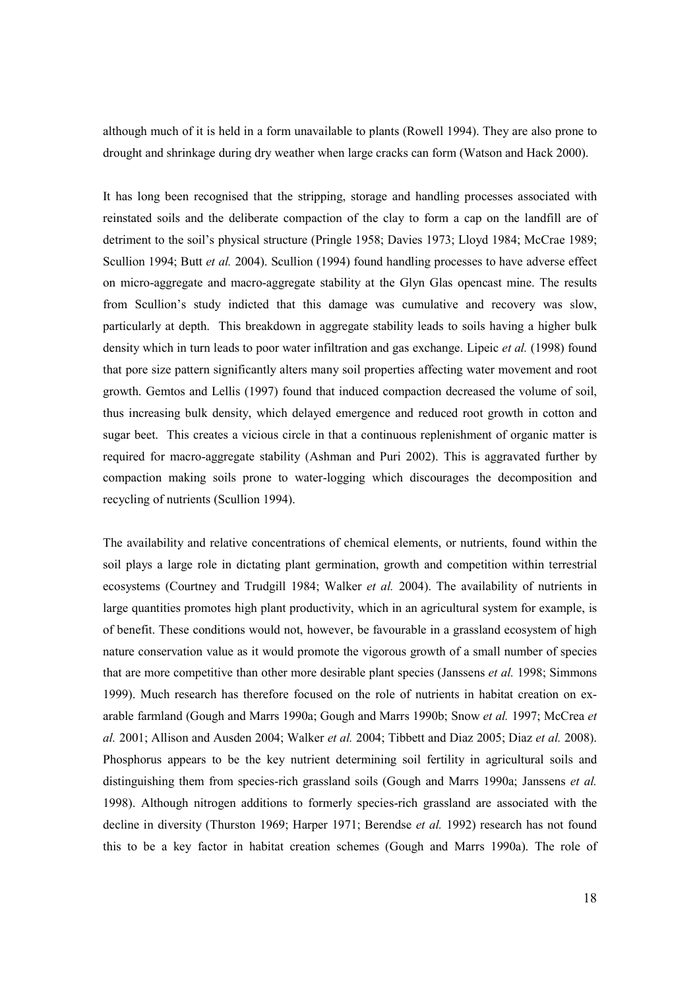although much of it is held in a form unavailable to plants (Rowell 1994). They are also prone to drought and shrinkage during dry weather when large cracks can form (Watson and Hack 2000).

It has long been recognised that the stripping, storage and handling processes associated with reinstated soils and the deliberate compaction of the clay to form a cap on the landfill are of detriment to the soil's physical structure (Pringle 1958; Davies 1973; Lloyd 1984; McCrae 1989; Scullion 1994; Butt *et al.* 2004). Scullion (1994) found handling processes to have adverse effect on micro-aggregate and macro-aggregate stability at the Glyn Glas opencast mine. The results from Scullion's study indicted that this damage was cumulative and recovery was slow, particularly at depth. This breakdown in aggregate stability leads to soils having a higher bulk density which in turn leads to poor water infiltration and gas exchange. Lipeic *et al.* (1998) found that pore size pattern significantly alters many soil properties affecting water movement and root growth. Gemtos and Lellis (1997) found that induced compaction decreased the volume of soil, thus increasing bulk density, which delayed emergence and reduced root growth in cotton and sugar beet. This creates a vicious circle in that a continuous replenishment of organic matter is required for macro-aggregate stability (Ashman and Puri 2002). This is aggravated further by compaction making soils prone to water-logging which discourages the decomposition and recycling of nutrients (Scullion 1994).

The availability and relative concentrations of chemical elements, or nutrients, found within the soil plays a large role in dictating plant germination, growth and competition within terrestrial ecosystems (Courtney and Trudgill 1984; Walker et al. 2004). The availability of nutrients in large quantities promotes high plant productivity, which in an agricultural system for example, is of benefit. These conditions would not, however, be favourable in a grassland ecosystem of high nature conservation value as it would promote the vigorous growth of a small number of species that are more competitive than other more desirable plant species (Janssens et al. 1998; Simmons 1999). Much research has therefore focused on the role of nutrients in habitat creation on exarable farmland (Gough and Marrs 1990a; Gough and Marrs 1990b; Snow et al. 1997; McCrea et al. 2001; Allison and Ausden 2004; Walker *et al.* 2004; Tibbett and Diaz 2005; Diaz *et al.* 2008). Phosphorus appears to be the key nutrient determining soil fertility in agricultural soils and distinguishing them from species-rich grassland soils (Gough and Marrs 1990a; Janssens *et al.*) 1998). Although nitrogen additions to formerly species-rich grassland are associated with the decline in diversity (Thurston 1969; Harper 1971; Berendse *et al.* 1992) research has not found this to be a key factor in habitat creation schemes (Gough and Marrs 1990a). The role of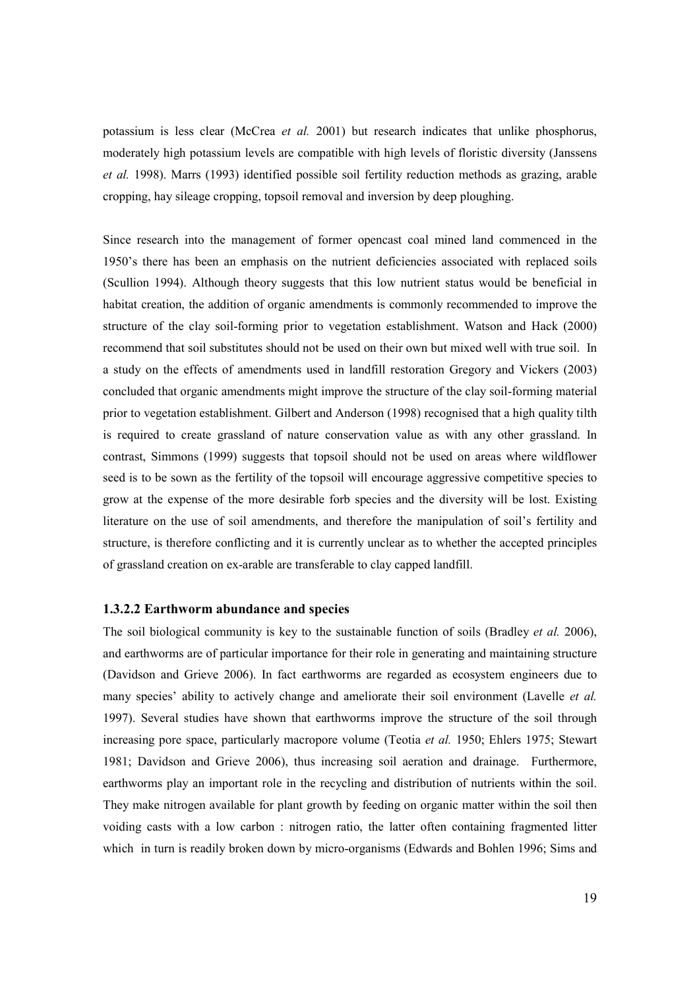potassium is less clear (McCrea et al. 2001) but research indicates that unlike phosphorus, moderately high potassium levels are compatible with high levels of floristic diversity (Janssens et al. 1998). Marrs (1993) identified possible soil fertility reduction methods as grazing, arable cropping, hay sileage cropping, topsoil removal and inversion by deep ploughing.

Since research into the management of former opencast coal mined land commenced in the 1950's there has been an emphasis on the nutrient deficiencies associated with replaced soils (Scullion 1994). Although theory suggests that this low nutrient status would be beneficial in habitat creation, the addition of organic amendments is commonly recommended to improve the structure of the clay soil-forming prior to vegetation establishment. Watson and Hack (2000) recommend that soil substitutes should not be used on their own but mixed well with true soil. In a study on the effects of amendments used in landfill restoration Gregory and Vickers (2003) concluded that organic amendments might improve the structure of the clay soil-forming material prior to vegetation establishment. Gilbert and Anderson (1998) recognised that a high quality tilth is required to create grassland of nature conservation value as with any other grassland. In contrast, Simmons (1999) suggests that topsoil should not be used on areas where wildflower seed is to be sown as the fertility of the topsoil will encourage aggressive competitive species to grow at the expense of the more desirable forb species and the diversity will be lost. Existing literature on the use of soil amendments, and therefore the manipulation of soil's fertility and structure, is therefore conflicting and it is currently unclear as to whether the accepted principles of grassland creation on ex-arable are transferable to clay capped landfill.

## 1.3.2.2 Earthworm abundance and species

The soil biological community is key to the sustainable function of soils (Bradley *et al.* 2006), and earthworms are of particular importance for their role in generating and maintaining structure (Davidson and Grieve 2006). In fact earthworms are regarded as ecosystem engineers due to many species' ability to actively change and ameliorate their soil environment (Lavelle *et al.*) 1997). Several studies have shown that earthworms improve the structure of the soil through increasing pore space, particularly macropore volume (Teotia *et al.* 1950; Ehlers 1975; Stewart 1981; Davidson and Grieve 2006), thus increasing soil aeration and drainage. Furthermore, earthworms play an important role in the recycling and distribution of nutrients within the soil. They make nitrogen available for plant growth by feeding on organic matter within the soil then voiding casts with a low carbon : nitrogen ratio, the latter often containing fragmented litter which in turn is readily broken down by micro-organisms (Edwards and Bohlen 1996; Sims and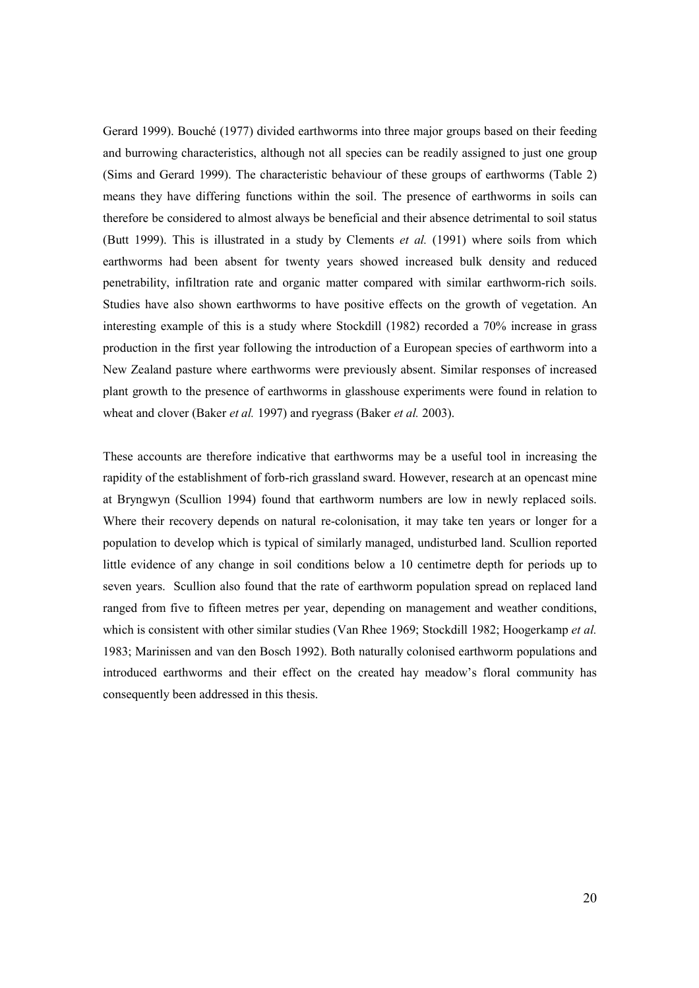Gerard 1999). Bouché (1977) divided earthworms into three major groups based on their feeding and burrowing characteristics, although not all species can be readily assigned to just one group (Sims and Gerard 1999). The characteristic behaviour of these groups of earthworms (Table 2) means they have differing functions within the soil. The presence of earthworms in soils can therefore be considered to almost always be beneficial and their absence detrimental to soil status (Butt 1999). This is illustrated in a study by Clements *et al.* (1991) where soils from which earthworms had been absent for twenty years showed increased bulk density and reduced penetrability, infiltration rate and organic matter compared with similar earthworm-rich soils. Studies have also shown earthworms to have positive effects on the growth of vegetation. An interesting example of this is a study where Stockdill (1982) recorded a 70% increase in grass production in the first year following the introduction of a European species of earthworm into a New Zealand pasture where earthworms were previously absent. Similar responses of increased plant growth to the presence of earthworms in glasshouse experiments were found in relation to wheat and clover (Baker *et al.* 1997) and ryegrass (Baker *et al.* 2003).

These accounts are therefore indicative that earthworms may be a useful tool in increasing the rapidity of the establishment of forb-rich grassland sward. However, research at an opencast mine at Bryngwyn (Scullion 1994) found that earthworm numbers are low in newly replaced soils. Where their recovery depends on natural re-colonisation, it may take ten years or longer for a population to develop which is typical of similarly managed, undisturbed land. Scullion reported little evidence of any change in soil conditions below a 10 centimetre depth for periods up to seven years. Scullion also found that the rate of earthworm population spread on replaced land ranged from five to fifteen metres per year, depending on management and weather conditions, which is consistent with other similar studies (Van Rhee 1969; Stockdill 1982; Hoogerkamp et al. 1983; Marinissen and van den Bosch 1992). Both naturally colonised earthworm populations and introduced earthworms and their effect on the created hay meadow's floral community has consequently been addressed in this thesis.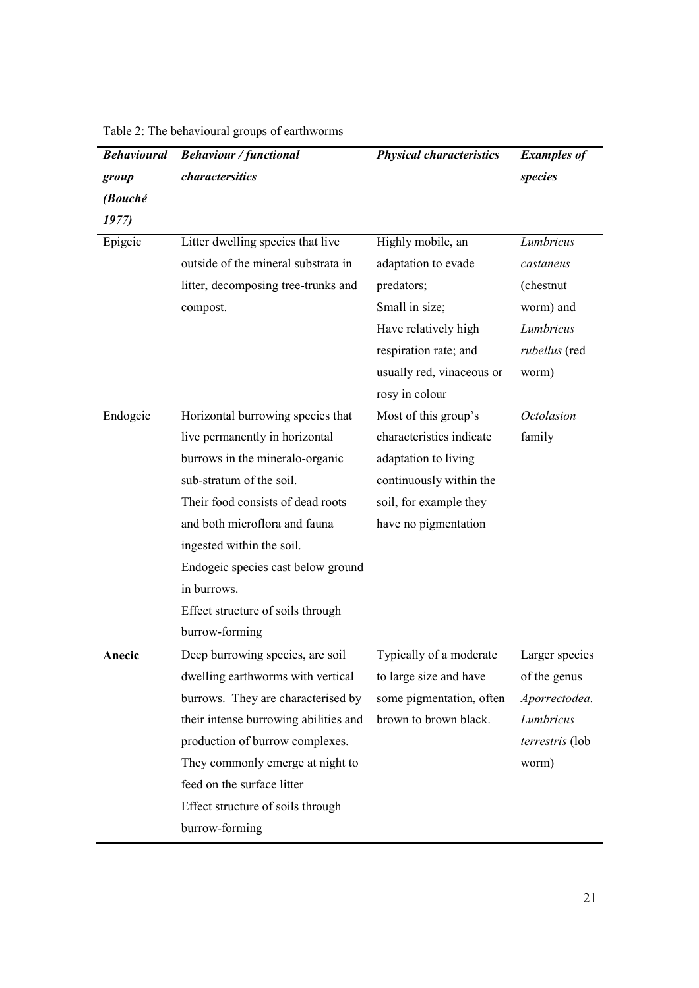| <b>Behavioural</b><br><b>Behaviour / functional</b> |                                       | <b>Physical characteristics</b> | <b>Examples of</b>   |  |
|-----------------------------------------------------|---------------------------------------|---------------------------------|----------------------|--|
| group                                               | charactersitics                       |                                 | species              |  |
| (Bouché                                             |                                       |                                 |                      |  |
| 1977)                                               |                                       |                                 |                      |  |
| Epigeic                                             | Litter dwelling species that live     | Highly mobile, an               | Lumbricus            |  |
|                                                     | outside of the mineral substrata in   | adaptation to evade             | castaneus            |  |
|                                                     | litter, decomposing tree-trunks and   | predators;                      | (chestnut)           |  |
|                                                     | compost.                              | Small in size;                  | worm) and            |  |
|                                                     |                                       | Have relatively high            | Lumbricus            |  |
|                                                     |                                       | respiration rate; and           | <i>rubellus</i> (red |  |
|                                                     |                                       | usually red, vinaceous or       | worm)                |  |
|                                                     |                                       | rosy in colour                  |                      |  |
| Endogeic                                            | Horizontal burrowing species that     | Most of this group's            | <b>Octolasion</b>    |  |
|                                                     | live permanently in horizontal        | characteristics indicate        | family               |  |
|                                                     | burrows in the mineralo-organic       | adaptation to living            |                      |  |
|                                                     | sub-stratum of the soil.              | continuously within the         |                      |  |
|                                                     | Their food consists of dead roots     | soil, for example they          |                      |  |
|                                                     | and both microflora and fauna         | have no pigmentation            |                      |  |
|                                                     | ingested within the soil.             |                                 |                      |  |
|                                                     | Endogeic species cast below ground    |                                 |                      |  |
|                                                     | in burrows.                           |                                 |                      |  |
|                                                     | Effect structure of soils through     |                                 |                      |  |
|                                                     | burrow-forming                        |                                 |                      |  |
| Anecic                                              | Deep burrowing species, are soil      | Typically of a moderate         | Larger species       |  |
|                                                     | dwelling earthworms with vertical     | to large size and have          | of the genus         |  |
|                                                     | burrows. They are characterised by    | some pigmentation, often        | Aporrectodea.        |  |
|                                                     | their intense burrowing abilities and | brown to brown black.           | Lumbricus            |  |
|                                                     | production of burrow complexes.       |                                 | terrestris (lob      |  |
|                                                     | They commonly emerge at night to      |                                 | worm)                |  |
|                                                     | feed on the surface litter            |                                 |                      |  |
|                                                     | Effect structure of soils through     |                                 |                      |  |
|                                                     | burrow-forming                        |                                 |                      |  |

Table 2: The behavioural groups of earthworms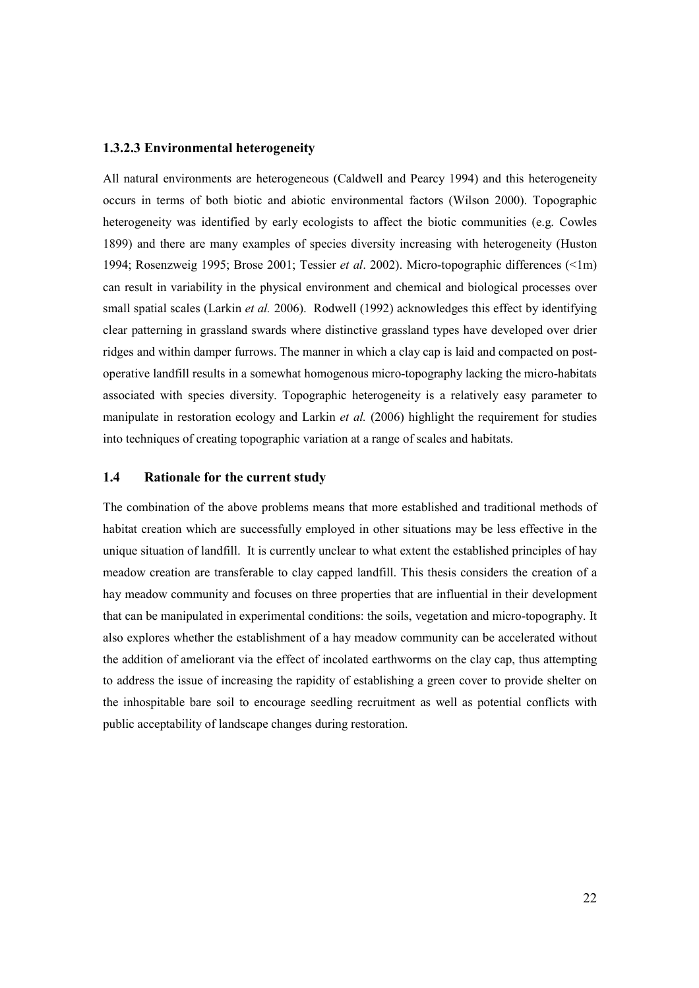## 1.3.2.3 Environmental heterogeneity

All natural environments are heterogeneous (Caldwell and Pearcy 1994) and this heterogeneity occurs in terms of both biotic and abiotic environmental factors (Wilson 2000). Topographic heterogeneity was identified by early ecologists to affect the biotic communities (e.g. Cowles 1899) and there are many examples of species diversity increasing with heterogeneity (Huston 1994; Rosenzweig 1995; Brose 2001; Tessier et al. 2002). Micro-topographic differences (<1m) can result in variability in the physical environment and chemical and biological processes over small spatial scales (Larkin *et al.* 2006). Rodwell (1992) acknowledges this effect by identifying clear patterning in grassland swards where distinctive grassland types have developed over drier ridges and within damper furrows. The manner in which a clay cap is laid and compacted on postoperative landfill results in a somewhat homogenous micro-topography lacking the micro-habitats associated with species diversity. Topographic heterogeneity is a relatively easy parameter to manipulate in restoration ecology and Larkin et al. (2006) highlight the requirement for studies into techniques of creating topographic variation at a range of scales and habitats.

#### 1.4 Rationale for the current study

The combination of the above problems means that more established and traditional methods of habitat creation which are successfully employed in other situations may be less effective in the unique situation of landfill. It is currently unclear to what extent the established principles of hay meadow creation are transferable to clay capped landfill. This thesis considers the creation of a hay meadow community and focuses on three properties that are influential in their development that can be manipulated in experimental conditions: the soils, vegetation and micro-topography. It also explores whether the establishment of a hay meadow community can be accelerated without the addition of ameliorant via the effect of incolated earthworms on the clay cap, thus attempting to address the issue of increasing the rapidity of establishing a green cover to provide shelter on the inhospitable bare soil to encourage seedling recruitment as well as potential conflicts with public acceptability of landscape changes during restoration.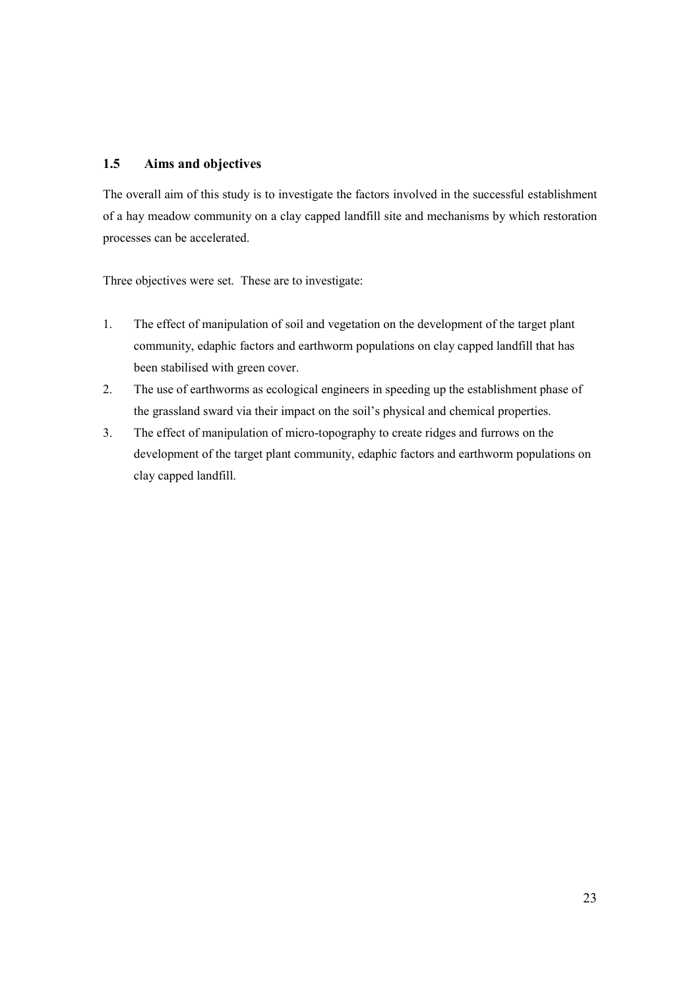## 1.5 Aims and objectives

The overall aim of this study is to investigate the factors involved in the successful establishment of a hay meadow community on a clay capped landfill site and mechanisms by which restoration processes can be accelerated.

Three objectives were set. These are to investigate:

- 1. The effect of manipulation of soil and vegetation on the development of the target plant community, edaphic factors and earthworm populations on clay capped landfill that has been stabilised with green cover.
- 2. The use of earthworms as ecological engineers in speeding up the establishment phase of the grassland sward via their impact on the soil's physical and chemical properties.
- 3. The effect of manipulation of micro-topography to create ridges and furrows on the development of the target plant community, edaphic factors and earthworm populations on clay capped landfill.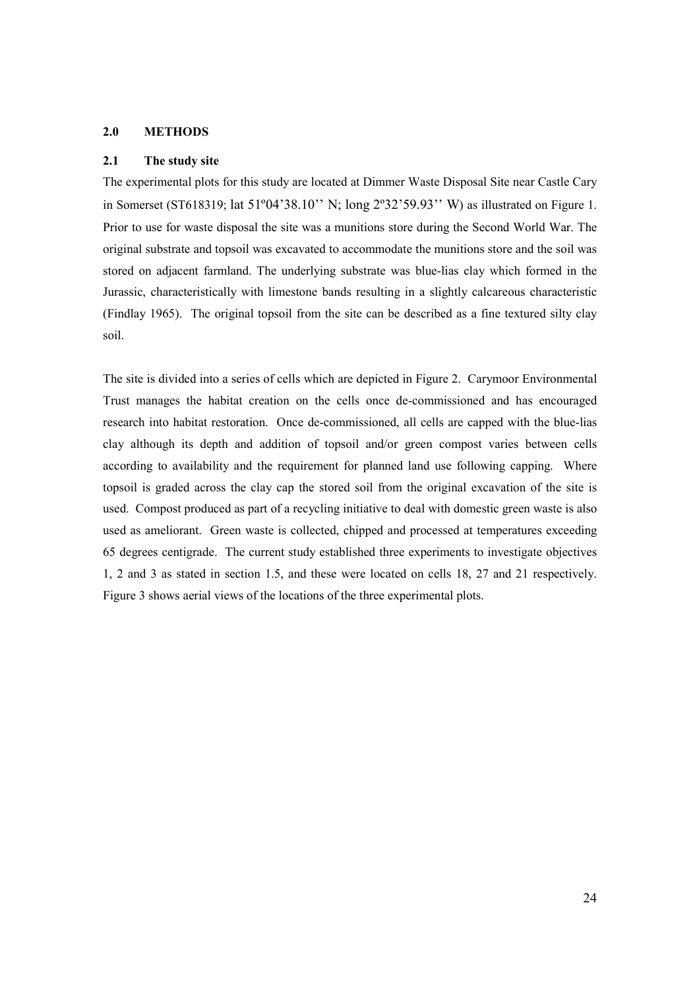#### 2.0 METHODS

#### 2.1 The study site

The experimental plots for this study are located at Dimmer Waste Disposal Site near Castle Cary in Somerset (ST618319; lat 51º04'38.10'' N; long 2º32'59.93'' W) as illustrated on Figure 1. Prior to use for waste disposal the site was a munitions store during the Second World War. The original substrate and topsoil was excavated to accommodate the munitions store and the soil was stored on adjacent farmland. The underlying substrate was blue-lias clay which formed in the Jurassic, characteristically with limestone bands resulting in a slightly calcareous characteristic (Findlay 1965). The original topsoil from the site can be described as a fine textured silty clay soil.

The site is divided into a series of cells which are depicted in Figure 2. Carymoor Environmental Trust manages the habitat creation on the cells once de-commissioned and has encouraged research into habitat restoration. Once de-commissioned, all cells are capped with the blue-lias clay although its depth and addition of topsoil and/or green compost varies between cells according to availability and the requirement for planned land use following capping. Where topsoil is graded across the clay cap the stored soil from the original excavation of the site is used. Compost produced as part of a recycling initiative to deal with domestic green waste is also used as ameliorant. Green waste is collected, chipped and processed at temperatures exceeding 65 degrees centigrade. The current study established three experiments to investigate objectives 1, 2 and 3 as stated in section 1.5, and these were located on cells 18, 27 and 21 respectively. Figure 3 shows aerial views of the locations of the three experimental plots.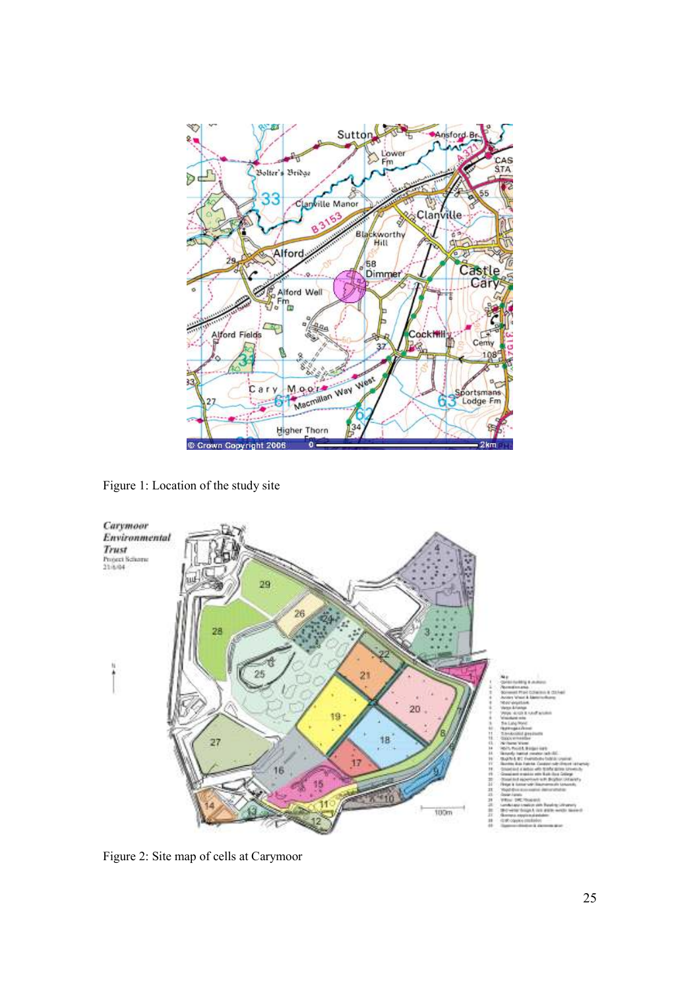

Figure 1: Location of the study site



Figure 2: Site map of cells at Carymoor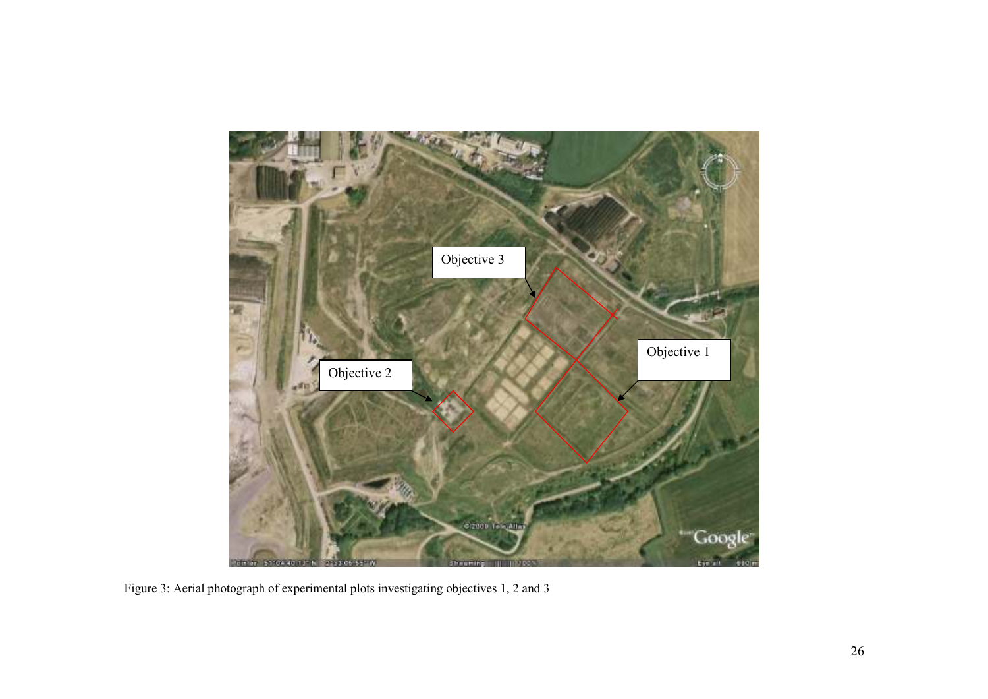

Figure 3: Aerial photograph of experimental plots investigating objectives 1, 2 and 3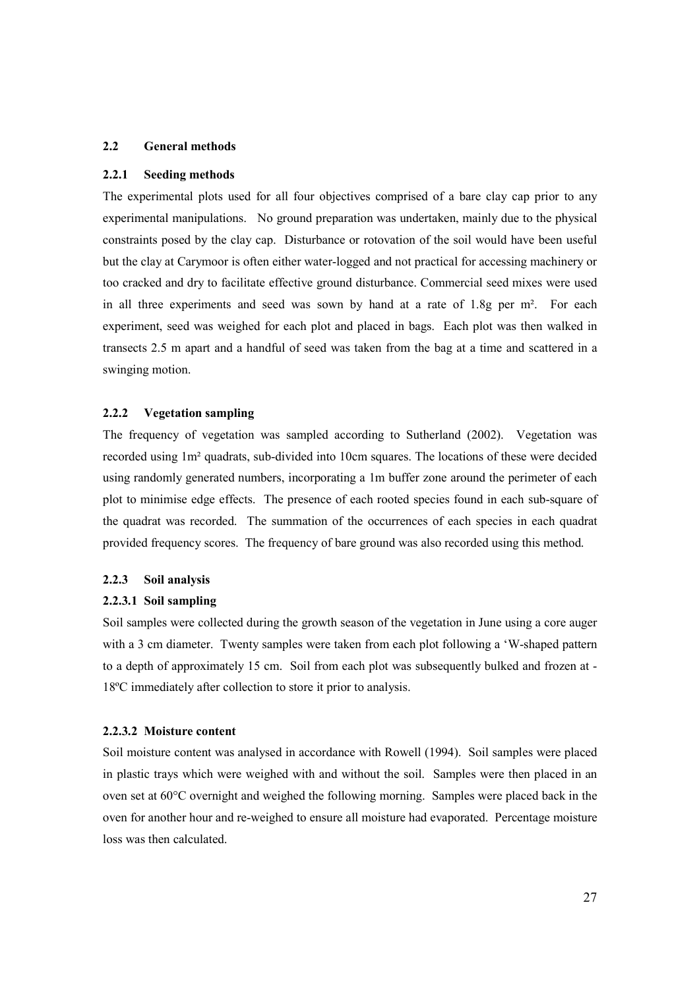#### 2.2 General methods

#### 2.2.1 Seeding methods

The experimental plots used for all four objectives comprised of a bare clay cap prior to any experimental manipulations. No ground preparation was undertaken, mainly due to the physical constraints posed by the clay cap. Disturbance or rotovation of the soil would have been useful but the clay at Carymoor is often either water-logged and not practical for accessing machinery or too cracked and dry to facilitate effective ground disturbance. Commercial seed mixes were used in all three experiments and seed was sown by hand at a rate of 1.8g per m². For each experiment, seed was weighed for each plot and placed in bags. Each plot was then walked in transects 2.5 m apart and a handful of seed was taken from the bag at a time and scattered in a swinging motion.

#### 2.2.2 Vegetation sampling

The frequency of vegetation was sampled according to Sutherland (2002). Vegetation was recorded using 1m² quadrats, sub-divided into 10cm squares. The locations of these were decided using randomly generated numbers, incorporating a 1m buffer zone around the perimeter of each plot to minimise edge effects. The presence of each rooted species found in each sub-square of the quadrat was recorded. The summation of the occurrences of each species in each quadrat provided frequency scores. The frequency of bare ground was also recorded using this method.

#### 2.2.3 Soil analysis

#### 2.2.3.1 Soil sampling

Soil samples were collected during the growth season of the vegetation in June using a core auger with a 3 cm diameter. Twenty samples were taken from each plot following a 'W-shaped pattern to a depth of approximately 15 cm. Soil from each plot was subsequently bulked and frozen at - 18ºC immediately after collection to store it prior to analysis.

#### 2.2.3.2 Moisture content

Soil moisture content was analysed in accordance with Rowell (1994). Soil samples were placed in plastic trays which were weighed with and without the soil. Samples were then placed in an oven set at 60°C overnight and weighed the following morning. Samples were placed back in the oven for another hour and re-weighed to ensure all moisture had evaporated. Percentage moisture loss was then calculated.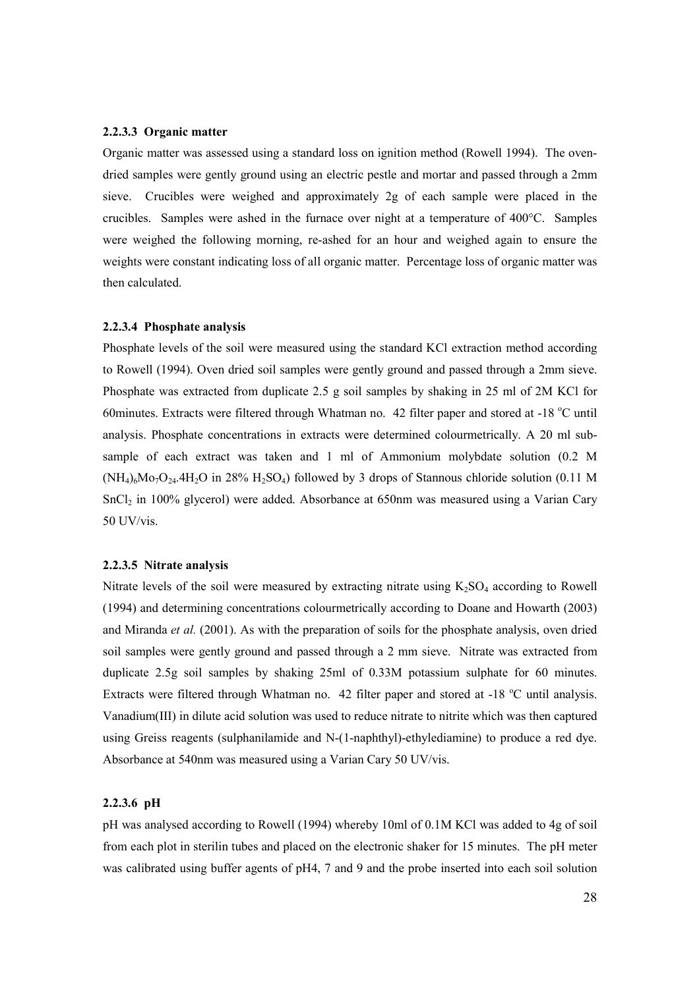#### 2.2.3.3 Organic matter

Organic matter was assessed using a standard loss on ignition method (Rowell 1994). The ovendried samples were gently ground using an electric pestle and mortar and passed through a 2mm sieve. Crucibles were weighed and approximately 2g of each sample were placed in the crucibles. Samples were ashed in the furnace over night at a temperature of 400°C. Samples were weighed the following morning, re-ashed for an hour and weighed again to ensure the weights were constant indicating loss of all organic matter. Percentage loss of organic matter was then calculated.

#### 2.2.3.4 Phosphate analysis

Phosphate levels of the soil were measured using the standard KCl extraction method according to Rowell (1994). Oven dried soil samples were gently ground and passed through a 2mm sieve. Phosphate was extracted from duplicate 2.5 g soil samples by shaking in 25 ml of 2M KCl for 60minutes. Extracts were filtered through Whatman no. 42 filter paper and stored at  $-18$  °C until analysis. Phosphate concentrations in extracts were determined colourmetrically. A 20 ml subsample of each extract was taken and 1 ml of Ammonium molybdate solution (0.2 M  $(NH_4)_6M_9O_{24}.4H_2O$  in 28%  $H_2SO_4$ ) followed by 3 drops of Stannous chloride solution (0.11 M SnCl2 in 100% glycerol) were added. Absorbance at 650nm was measured using a Varian Cary 50 UV/vis.

#### 2.2.3.5 Nitrate analysis

Nitrate levels of the soil were measured by extracting nitrate using  $K_2SO_4$  according to Rowell (1994) and determining concentrations colourmetrically according to Doane and Howarth (2003) and Miranda et al. (2001). As with the preparation of soils for the phosphate analysis, oven dried soil samples were gently ground and passed through a 2 mm sieve. Nitrate was extracted from duplicate 2.5g soil samples by shaking 25ml of 0.33M potassium sulphate for 60 minutes. Extracts were filtered through Whatman no. 42 filter paper and stored at  $-18$  °C until analysis. Vanadium(III) in dilute acid solution was used to reduce nitrate to nitrite which was then captured using Greiss reagents (sulphanilamide and N-(1-naphthyl)-ethylediamine) to produce a red dye. Absorbance at 540nm was measured using a Varian Cary 50 UV/vis.

## 2.2.3.6 pH

pH was analysed according to Rowell (1994) whereby 10ml of 0.1M KCl was added to 4g of soil from each plot in sterilin tubes and placed on the electronic shaker for 15 minutes. The pH meter was calibrated using buffer agents of pH4, 7 and 9 and the probe inserted into each soil solution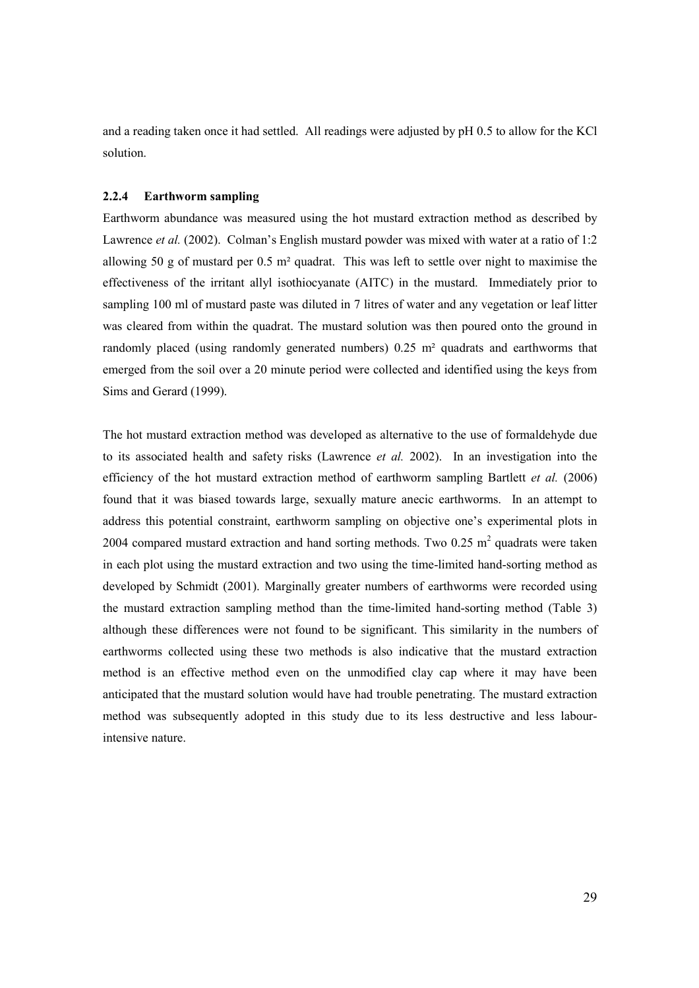and a reading taken once it had settled. All readings were adjusted by pH 0.5 to allow for the KCl solution.

#### 2.2.4 Earthworm sampling

Earthworm abundance was measured using the hot mustard extraction method as described by Lawrence *et al.* (2002). Colman's English mustard powder was mixed with water at a ratio of 1:2 allowing 50 g of mustard per 0.5 m² quadrat. This was left to settle over night to maximise the effectiveness of the irritant allyl isothiocyanate (AITC) in the mustard. Immediately prior to sampling 100 ml of mustard paste was diluted in 7 litres of water and any vegetation or leaf litter was cleared from within the quadrat. The mustard solution was then poured onto the ground in randomly placed (using randomly generated numbers) 0.25 m<sup>2</sup> quadrats and earthworms that emerged from the soil over a 20 minute period were collected and identified using the keys from Sims and Gerard (1999).

The hot mustard extraction method was developed as alternative to the use of formaldehyde due to its associated health and safety risks (Lawrence et al. 2002). In an investigation into the efficiency of the hot mustard extraction method of earthworm sampling Bartlett et al. (2006) found that it was biased towards large, sexually mature anecic earthworms. In an attempt to address this potential constraint, earthworm sampling on objective one's experimental plots in 2004 compared mustard extraction and hand sorting methods. Two  $0.25$  m<sup>2</sup> quadrats were taken in each plot using the mustard extraction and two using the time-limited hand-sorting method as developed by Schmidt (2001). Marginally greater numbers of earthworms were recorded using the mustard extraction sampling method than the time-limited hand-sorting method (Table 3) although these differences were not found to be significant. This similarity in the numbers of earthworms collected using these two methods is also indicative that the mustard extraction method is an effective method even on the unmodified clay cap where it may have been anticipated that the mustard solution would have had trouble penetrating. The mustard extraction method was subsequently adopted in this study due to its less destructive and less labourintensive nature.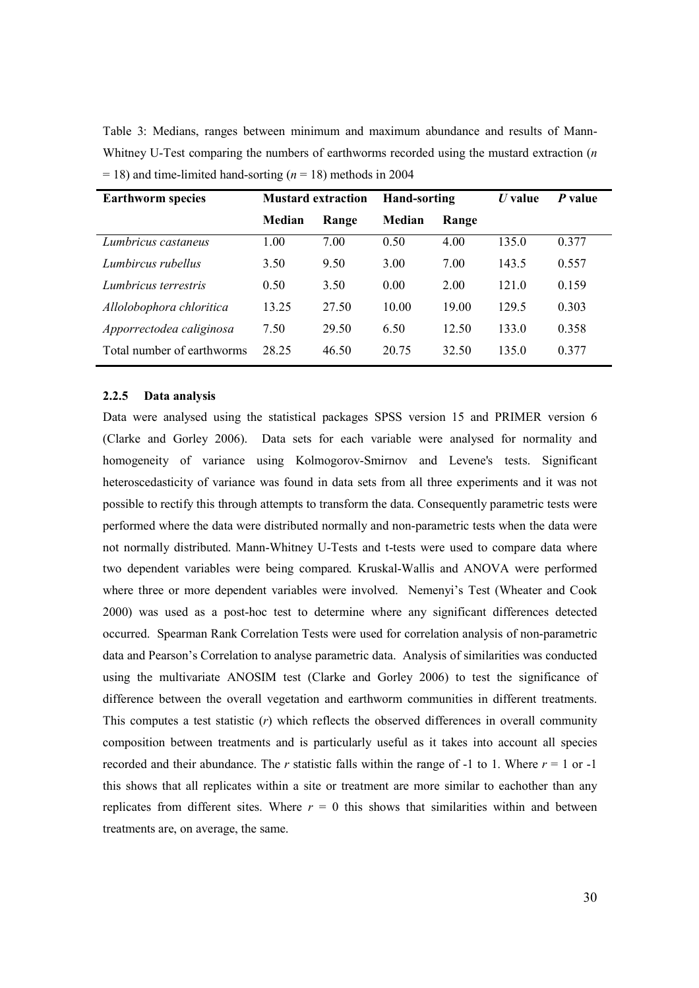Table 3: Medians, ranges between minimum and maximum abundance and results of Mann-Whitney U-Test comparing the numbers of earthworms recorded using the mustard extraction  $(n)$  $= 18$ ) and time-limited hand-sorting ( $n = 18$ ) methods in 2004

| <b>Earthworm species</b>   | <b>Mustard extraction</b> |       | <b>Hand-sorting</b> |       | $U$ value | P value |
|----------------------------|---------------------------|-------|---------------------|-------|-----------|---------|
|                            | Median                    | Range | Median              | Range |           |         |
| Lumbricus castaneus        | 1.00                      | 7.00  | 0.50                | 4.00  | 135.0     | 0.377   |
| Lumbircus rubellus         | 3.50                      | 9.50  | 3.00                | 7.00  | 143.5     | 0.557   |
| Lumbricus terrestris       | 0.50                      | 3.50  | 0.00                | 2.00  | 121.0     | 0.159   |
| Allolobophora chloritica   | 13.25                     | 27.50 | 10.00               | 19.00 | 129.5     | 0.303   |
| Apporrectodea caliginosa   | 7.50                      | 29.50 | 6.50                | 12.50 | 133.0     | 0.358   |
| Total number of earthworms | 28 25                     | 46.50 | 20.75               | 32.50 | 135.0     | 0.377   |

#### 2.2.5 Data analysis

Data were analysed using the statistical packages SPSS version 15 and PRIMER version 6 (Clarke and Gorley 2006). Data sets for each variable were analysed for normality and homogeneity of variance using Kolmogorov-Smirnov and Levene's tests. Significant heteroscedasticity of variance was found in data sets from all three experiments and it was not possible to rectify this through attempts to transform the data. Consequently parametric tests were performed where the data were distributed normally and non-parametric tests when the data were not normally distributed. Mann-Whitney U-Tests and t-tests were used to compare data where two dependent variables were being compared. Kruskal-Wallis and ANOVA were performed where three or more dependent variables were involved. Nemenyi's Test (Wheater and Cook 2000) was used as a post-hoc test to determine where any significant differences detected occurred. Spearman Rank Correlation Tests were used for correlation analysis of non-parametric data and Pearson's Correlation to analyse parametric data. Analysis of similarities was conducted using the multivariate ANOSIM test (Clarke and Gorley 2006) to test the significance of difference between the overall vegetation and earthworm communities in different treatments. This computes a test statistic  $(r)$  which reflects the observed differences in overall community composition between treatments and is particularly useful as it takes into account all species recorded and their abundance. The r statistic falls within the range of -1 to 1. Where  $r = 1$  or -1 this shows that all replicates within a site or treatment are more similar to eachother than any replicates from different sites. Where  $r = 0$  this shows that similarities within and between treatments are, on average, the same.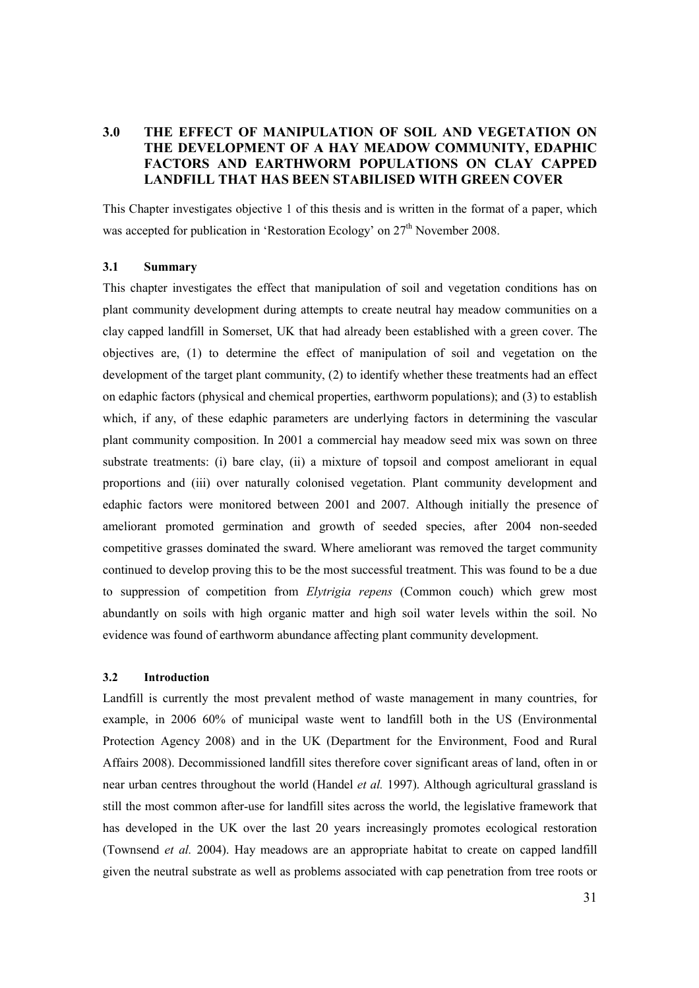## 3.0 THE EFFECT OF MANIPULATION OF SOIL AND VEGETATION ON THE DEVELOPMENT OF A HAY MEADOW COMMUNITY, EDAPHIC FACTORS AND EARTHWORM POPULATIONS ON CLAY CAPPED LANDFILL THAT HAS BEEN STABILISED WITH GREEN COVER

This Chapter investigates objective 1 of this thesis and is written in the format of a paper, which was accepted for publication in 'Restoration Ecology' on 27<sup>th</sup> November 2008.

#### 3.1 Summary

This chapter investigates the effect that manipulation of soil and vegetation conditions has on plant community development during attempts to create neutral hay meadow communities on a clay capped landfill in Somerset, UK that had already been established with a green cover. The objectives are, (1) to determine the effect of manipulation of soil and vegetation on the development of the target plant community, (2) to identify whether these treatments had an effect on edaphic factors (physical and chemical properties, earthworm populations); and (3) to establish which, if any, of these edaphic parameters are underlying factors in determining the vascular plant community composition. In 2001 a commercial hay meadow seed mix was sown on three substrate treatments: (i) bare clay, (ii) a mixture of topsoil and compost ameliorant in equal proportions and (iii) over naturally colonised vegetation. Plant community development and edaphic factors were monitored between 2001 and 2007. Although initially the presence of ameliorant promoted germination and growth of seeded species, after 2004 non-seeded competitive grasses dominated the sward. Where ameliorant was removed the target community continued to develop proving this to be the most successful treatment. This was found to be a due to suppression of competition from Elytrigia repens (Common couch) which grew most abundantly on soils with high organic matter and high soil water levels within the soil. No evidence was found of earthworm abundance affecting plant community development.

## 3.2 Introduction

Landfill is currently the most prevalent method of waste management in many countries, for example, in 2006 60% of municipal waste went to landfill both in the US (Environmental Protection Agency 2008) and in the UK (Department for the Environment, Food and Rural Affairs 2008). Decommissioned landfill sites therefore cover significant areas of land, often in or near urban centres throughout the world (Handel *et al.* 1997). Although agricultural grassland is still the most common after-use for landfill sites across the world, the legislative framework that has developed in the UK over the last 20 years increasingly promotes ecological restoration (Townsend et al. 2004). Hay meadows are an appropriate habitat to create on capped landfill given the neutral substrate as well as problems associated with cap penetration from tree roots or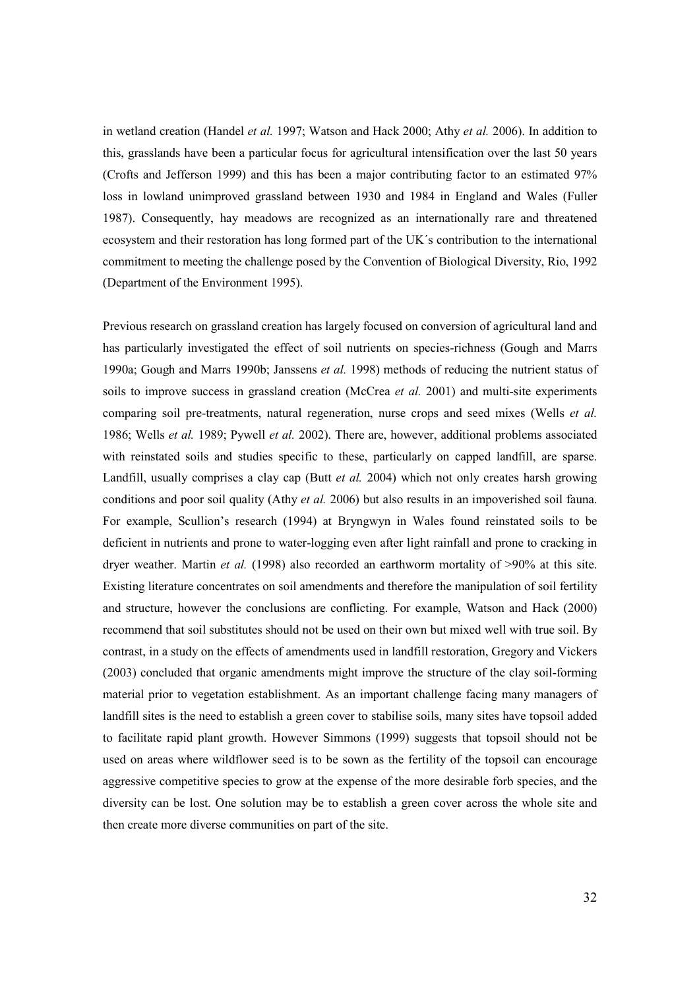in wetland creation (Handel et al. 1997; Watson and Hack 2000; Athy et al. 2006). In addition to this, grasslands have been a particular focus for agricultural intensification over the last 50 years (Crofts and Jefferson 1999) and this has been a major contributing factor to an estimated 97% loss in lowland unimproved grassland between 1930 and 1984 in England and Wales (Fuller 1987). Consequently, hay meadows are recognized as an internationally rare and threatened ecosystem and their restoration has long formed part of the UK´s contribution to the international commitment to meeting the challenge posed by the Convention of Biological Diversity, Rio, 1992 (Department of the Environment 1995).

Previous research on grassland creation has largely focused on conversion of agricultural land and has particularly investigated the effect of soil nutrients on species-richness (Gough and Marrs 1990a; Gough and Marrs 1990b; Janssens et al. 1998) methods of reducing the nutrient status of soils to improve success in grassland creation (McCrea et al. 2001) and multi-site experiments comparing soil pre-treatments, natural regeneration, nurse crops and seed mixes (Wells *et al.*) 1986; Wells et al. 1989; Pywell et al. 2002). There are, however, additional problems associated with reinstated soils and studies specific to these, particularly on capped landfill, are sparse. Landfill, usually comprises a clay cap (Butt *et al.* 2004) which not only creates harsh growing conditions and poor soil quality (Athy et al. 2006) but also results in an impoverished soil fauna. For example, Scullion's research (1994) at Bryngwyn in Wales found reinstated soils to be deficient in nutrients and prone to water-logging even after light rainfall and prone to cracking in dryer weather. Martin et al. (1998) also recorded an earthworm mortality of >90% at this site. Existing literature concentrates on soil amendments and therefore the manipulation of soil fertility and structure, however the conclusions are conflicting. For example, Watson and Hack (2000) recommend that soil substitutes should not be used on their own but mixed well with true soil. By contrast, in a study on the effects of amendments used in landfill restoration, Gregory and Vickers (2003) concluded that organic amendments might improve the structure of the clay soil-forming material prior to vegetation establishment. As an important challenge facing many managers of landfill sites is the need to establish a green cover to stabilise soils, many sites have topsoil added to facilitate rapid plant growth. However Simmons (1999) suggests that topsoil should not be used on areas where wildflower seed is to be sown as the fertility of the topsoil can encourage aggressive competitive species to grow at the expense of the more desirable forb species, and the diversity can be lost. One solution may be to establish a green cover across the whole site and then create more diverse communities on part of the site.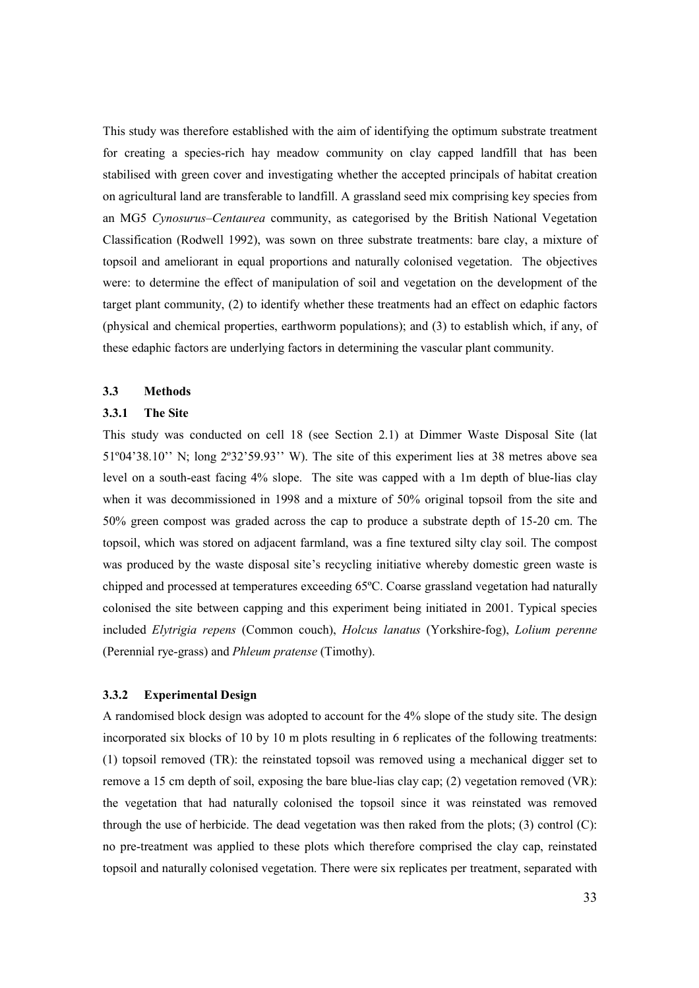This study was therefore established with the aim of identifying the optimum substrate treatment for creating a species-rich hay meadow community on clay capped landfill that has been stabilised with green cover and investigating whether the accepted principals of habitat creation on agricultural land are transferable to landfill. A grassland seed mix comprising key species from an MG5 Cynosurus–Centaurea community, as categorised by the British National Vegetation Classification (Rodwell 1992), was sown on three substrate treatments: bare clay, a mixture of topsoil and ameliorant in equal proportions and naturally colonised vegetation. The objectives were: to determine the effect of manipulation of soil and vegetation on the development of the target plant community, (2) to identify whether these treatments had an effect on edaphic factors (physical and chemical properties, earthworm populations); and (3) to establish which, if any, of these edaphic factors are underlying factors in determining the vascular plant community.

## 3.3 Methods

#### 3.3.1 The Site

This study was conducted on cell 18 (see Section 2.1) at Dimmer Waste Disposal Site (lat 51º04'38.10'' N; long 2º32'59.93'' W). The site of this experiment lies at 38 metres above sea level on a south-east facing 4% slope. The site was capped with a 1m depth of blue-lias clay when it was decommissioned in 1998 and a mixture of 50% original topsoil from the site and 50% green compost was graded across the cap to produce a substrate depth of 15-20 cm. The topsoil, which was stored on adjacent farmland, was a fine textured silty clay soil. The compost was produced by the waste disposal site's recycling initiative whereby domestic green waste is chipped and processed at temperatures exceeding 65ºC. Coarse grassland vegetation had naturally colonised the site between capping and this experiment being initiated in 2001. Typical species included Elytrigia repens (Common couch), Holcus lanatus (Yorkshire-fog), Lolium perenne (Perennial rye-grass) and Phleum pratense (Timothy).

#### 3.3.2 Experimental Design

A randomised block design was adopted to account for the 4% slope of the study site. The design incorporated six blocks of 10 by 10 m plots resulting in 6 replicates of the following treatments: (1) topsoil removed (TR): the reinstated topsoil was removed using a mechanical digger set to remove a 15 cm depth of soil, exposing the bare blue-lias clay cap; (2) vegetation removed (VR): the vegetation that had naturally colonised the topsoil since it was reinstated was removed through the use of herbicide. The dead vegetation was then raked from the plots; (3) control (C): no pre-treatment was applied to these plots which therefore comprised the clay cap, reinstated topsoil and naturally colonised vegetation. There were six replicates per treatment, separated with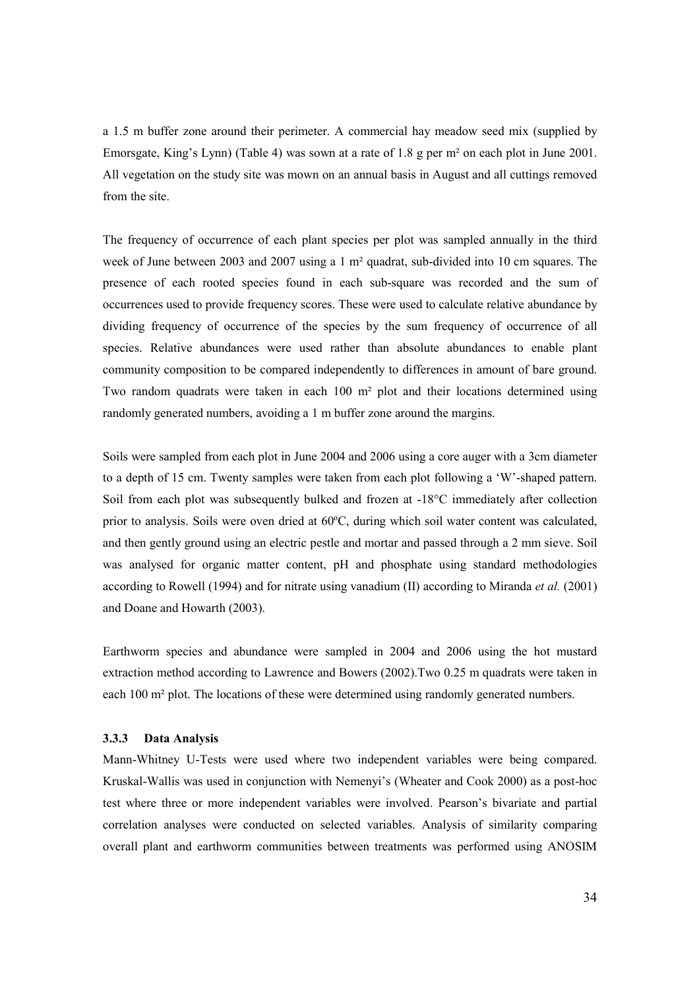a 1.5 m buffer zone around their perimeter. A commercial hay meadow seed mix (supplied by Emorsgate, King's Lynn) (Table 4) was sown at a rate of 1.8 g per m² on each plot in June 2001. All vegetation on the study site was mown on an annual basis in August and all cuttings removed from the site.

The frequency of occurrence of each plant species per plot was sampled annually in the third week of June between 2003 and 2007 using a 1 m² quadrat, sub-divided into 10 cm squares. The presence of each rooted species found in each sub-square was recorded and the sum of occurrences used to provide frequency scores. These were used to calculate relative abundance by dividing frequency of occurrence of the species by the sum frequency of occurrence of all species. Relative abundances were used rather than absolute abundances to enable plant community composition to be compared independently to differences in amount of bare ground. Two random quadrats were taken in each 100 m² plot and their locations determined using randomly generated numbers, avoiding a 1 m buffer zone around the margins.

Soils were sampled from each plot in June 2004 and 2006 using a core auger with a 3cm diameter to a depth of 15 cm. Twenty samples were taken from each plot following a 'W'-shaped pattern. Soil from each plot was subsequently bulked and frozen at -18°C immediately after collection prior to analysis. Soils were oven dried at 60ºC, during which soil water content was calculated, and then gently ground using an electric pestle and mortar and passed through a 2 mm sieve. Soil was analysed for organic matter content, pH and phosphate using standard methodologies according to Rowell (1994) and for nitrate using vanadium (II) according to Miranda *et al.* (2001) and Doane and Howarth (2003).

Earthworm species and abundance were sampled in 2004 and 2006 using the hot mustard extraction method according to Lawrence and Bowers (2002).Two 0.25 m quadrats were taken in each 100 m² plot. The locations of these were determined using randomly generated numbers.

#### 3.3.3 Data Analysis

Mann-Whitney U-Tests were used where two independent variables were being compared. Kruskal-Wallis was used in conjunction with Nemenyi's (Wheater and Cook 2000) as a post-hoc test where three or more independent variables were involved. Pearson's bivariate and partial correlation analyses were conducted on selected variables. Analysis of similarity comparing overall plant and earthworm communities between treatments was performed using ANOSIM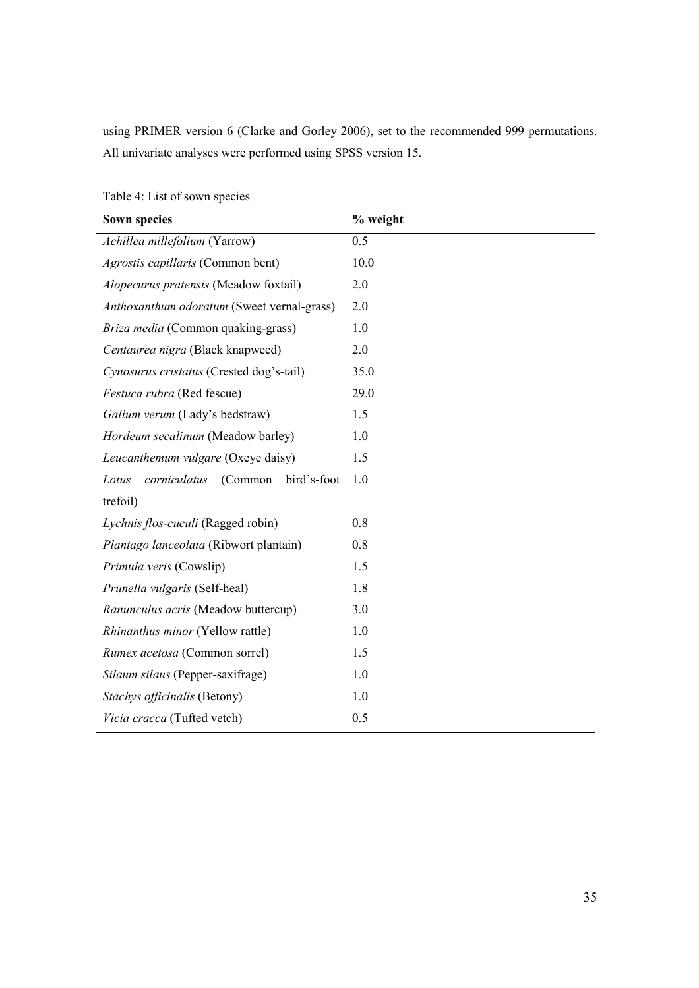using PRIMER version 6 (Clarke and Gorley 2006), set to the recommended 999 permutations. All univariate analyses were performed using SPSS version 15.

| <b>Sown species</b>                             | % weight |
|-------------------------------------------------|----------|
| Achillea millefolium (Yarrow)                   | 0.5      |
| Agrostis capillaris (Common bent)               | 10.0     |
| Alopecurus pratensis (Meadow foxtail)           | 2.0      |
| Anthoxanthum odoratum (Sweet vernal-grass)      | 2.0      |
| Briza media (Common quaking-grass)              | 1.0      |
| Centaurea nigra (Black knapweed)                | 2.0      |
| Cynosurus cristatus (Crested dog's-tail)        | 35.0     |
| Festuca rubra (Red fescue)                      | 29.0     |
| Galium verum (Lady's bedstraw)                  | 1.5      |
| Hordeum secalinum (Meadow barley)               | 1.0      |
| Leucanthemum vulgare (Oxeye daisy)              | 1.5      |
| (Common<br>corniculatus<br>bird's-foot<br>Lotus | 1.0      |
| trefoil)                                        |          |
| Lychnis flos-cuculi (Ragged robin)              | 0.8      |
| Plantago lanceolata (Ribwort plantain)          | 0.8      |
| Primula veris (Cowslip)                         | 1.5      |
| Prunella vulgaris (Self-heal)                   | 1.8      |
| Ranunculus acris (Meadow buttercup)             | 3.0      |
| Rhinanthus minor (Yellow rattle)                | 1.0      |
| Rumex acetosa (Common sorrel)                   | 1.5      |
| Silaum silaus (Pepper-saxifrage)                | 1.0      |
| Stachys officinalis (Betony)                    | 1.0      |
| Vicia cracca (Tufted vetch)                     | 0.5      |

Table 4: List of sown species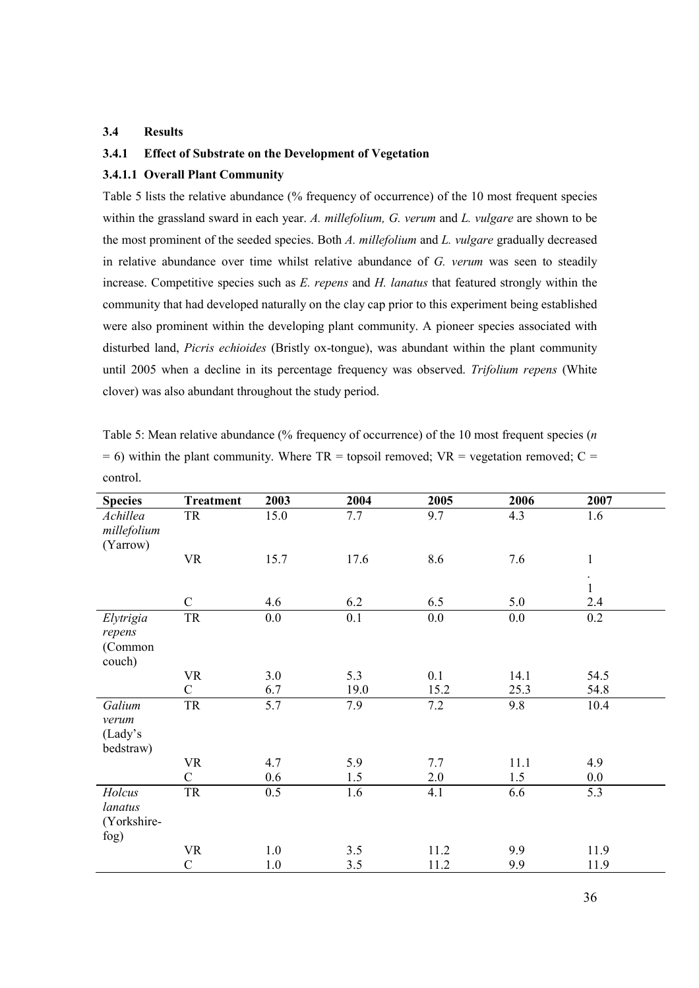#### 3.4 Results

## 3.4.1 Effect of Substrate on the Development of Vegetation

## 3.4.1.1 Overall Plant Community

Table 5 lists the relative abundance (% frequency of occurrence) of the 10 most frequent species within the grassland sward in each year. A. millefolium, G. verum and L. vulgare are shown to be the most prominent of the seeded species. Both A. millefolium and L. vulgare gradually decreased in relative abundance over time whilst relative abundance of G. verum was seen to steadily increase. Competitive species such as  $E$ . repens and  $H$ . lanatus that featured strongly within the community that had developed naturally on the clay cap prior to this experiment being established were also prominent within the developing plant community. A pioneer species associated with disturbed land, *Picris echioides* (Bristly ox-tongue), was abundant within the plant community until 2005 when a decline in its percentage frequency was observed. Trifolium repens (White clover) was also abundant throughout the study period.

| Table 5: Mean relative abundance (% frequency of occurrence) of the 10 most frequent species ( $n$ ) |
|------------------------------------------------------------------------------------------------------|
| $= 6$ ) within the plant community. Where TR = topsoil removed; VR = vegetation removed; C =         |
| control.                                                                                             |

| <b>Species</b>                           | <b>Treatment</b> | 2003 | 2004 | 2005 | 2006 | 2007                               |
|------------------------------------------|------------------|------|------|------|------|------------------------------------|
| Achillea<br>millefolium<br>(Yarrow)      | <b>TR</b>        | 15.0 | 7.7  | 9.7  | 4.3  | 1.6                                |
|                                          | <b>VR</b>        | 15.7 | 17.6 | 8.6  | 7.6  | $\,1$<br>$\bullet$<br>$\mathbf{1}$ |
|                                          | $\mathcal{C}$    | 4.6  | 6.2  | 6.5  | 5.0  | 2.4                                |
| Elytrigia<br>repens<br>(Common<br>couch) | ${\rm TR}$       | 0.0  | 0.1  | 0.0  | 0.0  | 0.2                                |
|                                          | <b>VR</b>        | 3.0  | 5.3  | 0.1  | 14.1 | 54.5                               |
|                                          | $\mathcal{C}$    | 6.7  | 19.0 | 15.2 | 25.3 | 54.8                               |
| Galium<br>verum<br>(Lady's<br>bedstraw)  | ${\rm TR}$       | 5.7  | 7.9  | 7.2  | 9.8  | 10.4                               |
|                                          | <b>VR</b>        | 4.7  | 5.9  | 7.7  | 11.1 | 4.9                                |
|                                          | $\mathcal{C}$    | 0.6  | 1.5  | 2.0  | 1.5  | $0.0\,$                            |
| Holcus<br>lanatus<br>(Yorkshire-<br>fog) | TR               | 0.5  | 1.6  | 4.1  | 6.6  | 5.3                                |
|                                          | <b>VR</b>        | 1.0  | 3.5  | 11.2 | 9.9  | 11.9                               |
|                                          | $\mathcal{C}$    | 1.0  | 3.5  | 11.2 | 9.9  | 11.9                               |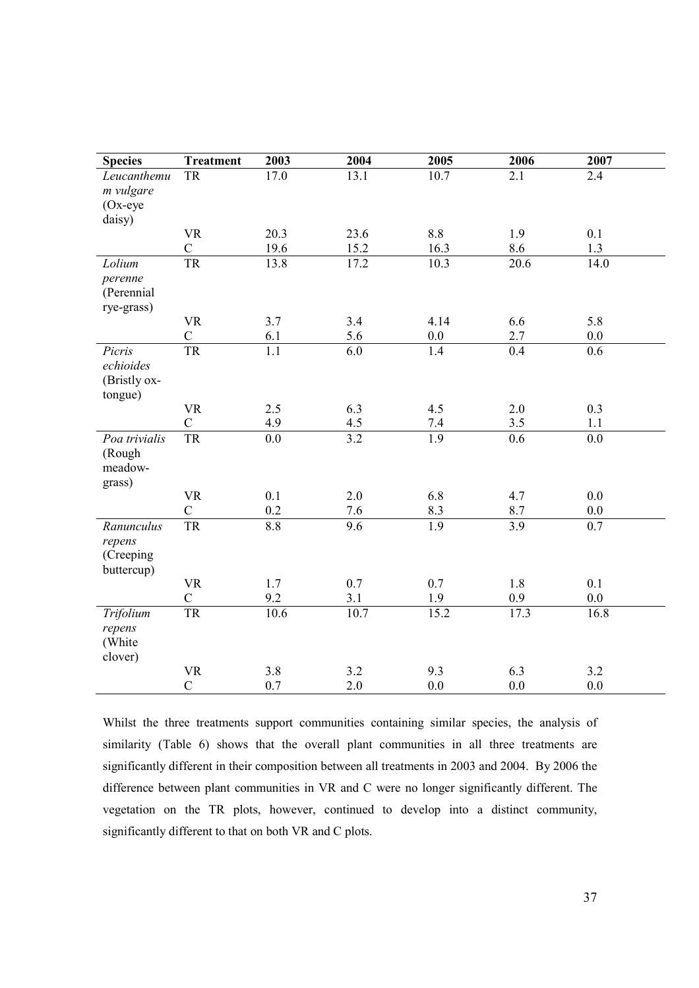| <b>Species</b>   | <b>Treatment</b>            | 2003                    | 2004             | 2005             | 2006                    | 2007             |
|------------------|-----------------------------|-------------------------|------------------|------------------|-------------------------|------------------|
| Leucanthemu      | <b>TR</b>                   | 17.0                    | 13.1             | 10.7             | 2.1                     | 2.4              |
| m vulgare        |                             |                         |                  |                  |                         |                  |
| $Ox$ -eye        |                             |                         |                  |                  |                         |                  |
| daisy)           |                             |                         |                  |                  |                         |                  |
|                  | <b>VR</b><br>$\mathcal{C}$  | 20.3<br>19.6            | 23.6<br>15.2     | 8.8<br>16.3      | 1.9<br>8.6              | 0.1<br>1.3       |
| Lolium           | <b>TR</b>                   | 13.8                    | 17.2             | 10.3             | 20.6                    | 14.0             |
| perenne          |                             |                         |                  |                  |                         |                  |
| (Perennial       |                             |                         |                  |                  |                         |                  |
| rye-grass)       |                             |                         |                  |                  |                         |                  |
|                  | <b>VR</b>                   | 3.7                     | 3.4              | 4.14             | 6.6                     | 5.8              |
|                  | $\mathcal{C}$               | 6.1                     | 5.6              | 0.0              | 2.7                     | 0.0              |
| Picris           | <b>TR</b>                   | $\overline{1.1}$        | $\overline{6.0}$ | 1.4              | 0.4                     | $\overline{0.6}$ |
| echioides        |                             |                         |                  |                  |                         |                  |
| (Bristly ox-     |                             |                         |                  |                  |                         |                  |
| tongue)          |                             |                         |                  |                  |                         |                  |
|                  | <b>VR</b><br>$\overline{C}$ | 2.5                     | 6.3              | 4.5              | 2.0                     | 0.3              |
| Poa trivialis    | <b>TR</b>                   | 4.9<br>$\overline{0.0}$ | 4.5<br>3.2       | 7.4<br>1.9       | 3.5<br>$\overline{0.6}$ | 1.1<br>0.0       |
| (Rough           |                             |                         |                  |                  |                         |                  |
| meadow-          |                             |                         |                  |                  |                         |                  |
| grass)           |                             |                         |                  |                  |                         |                  |
|                  | <b>VR</b>                   | 0.1                     | 2.0              | 6.8              | 4.7                     | 0.0              |
|                  | $\mathcal{C}$               | 0.2                     | 7.6              | 8.3              | 8.7                     | 0.0              |
| Ranunculus       | <b>TR</b>                   | 8.8                     | 9.6              | $\overline{1.9}$ | 3.9                     | 0.7              |
| repens           |                             |                         |                  |                  |                         |                  |
| (Creeping        |                             |                         |                  |                  |                         |                  |
| buttercup)       |                             |                         |                  |                  |                         |                  |
|                  | <b>VR</b>                   | 1.7                     | 0.7              | 0.7              | 1.8                     | 0.1              |
|                  | $\mathsf{C}$                | 9.2                     | 3.1              | 1.9              | 0.9                     | 0.0              |
| Trifolium        | <b>TR</b>                   | 10.6                    | 10.7             | 15.2             | 17.3                    | 16.8             |
| repens<br>(White |                             |                         |                  |                  |                         |                  |
| clover)          |                             |                         |                  |                  |                         |                  |
|                  | <b>VR</b>                   | 3.8                     | 3.2              | 9.3              | 6.3                     | 3.2              |
|                  | $\overline{C}$              | 0.7                     | 2.0              | 0.0              | 0.0                     | 0.0              |

Whilst the three treatments support communities containing similar species, the analysis of similarity (Table 6) shows that the overall plant communities in all three treatments are significantly different in their composition between all treatments in 2003 and 2004. By 2006 the difference between plant communities in VR and C were no longer significantly different. The vegetation on the TR plots, however, continued to develop into a distinct community, significantly different to that on both VR and C plots.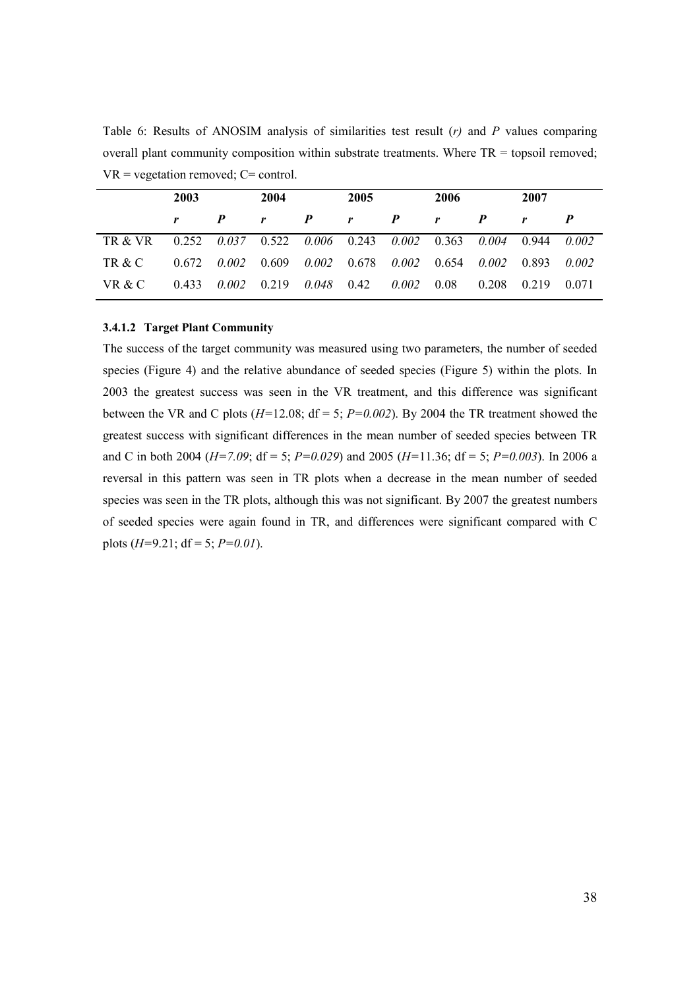Table 6: Results of ANOSIM analysis of similarities test result  $(r)$  and P values comparing overall plant community composition within substrate treatments. Where  $TR =$  topsoil removed;  $VR = vegetation$  removed;  $C = control$ .

|                                                                     | 2003 |                  | 2004                                                                            |  |              | 2005             |              | 2006             |              |  |
|---------------------------------------------------------------------|------|------------------|---------------------------------------------------------------------------------|--|--------------|------------------|--------------|------------------|--------------|--|
|                                                                     |      | $\boldsymbol{P}$ | $r$ $P$                                                                         |  | $\mathbf{r}$ | $\boldsymbol{P}$ | $\mathbf{r}$ | $\boldsymbol{P}$ | $\mathbf{r}$ |  |
| TR & VR 0.252 0.037 0.522 0.006 0.243 0.002 0.363 0.004 0.944 0.002 |      |                  |                                                                                 |  |              |                  |              |                  |              |  |
| TR & C                                                              |      |                  | $0.672$ $0.002$ $0.609$ $0.002$ $0.678$ $0.002$ $0.654$ $0.002$ $0.893$ $0.002$ |  |              |                  |              |                  |              |  |
| VR & C                                                              |      |                  | $0.433$ $0.002$ $0.219$ $0.048$ $0.42$ $0.002$ $0.08$ $0.208$                   |  |              |                  |              |                  | 0.219 0.071  |  |

# 3.4.1.2 Target Plant Community

The success of the target community was measured using two parameters, the number of seeded species (Figure 4) and the relative abundance of seeded species (Figure 5) within the plots. In 2003 the greatest success was seen in the VR treatment, and this difference was significant between the VR and C plots  $(H=12.08; df = 5; P=0.002)$ . By 2004 the TR treatment showed the greatest success with significant differences in the mean number of seeded species between TR and C in both 2004 ( $H=7.09$ ; df = 5;  $P=0.029$ ) and 2005 ( $H=11.36$ ; df = 5;  $P=0.003$ ). In 2006 a reversal in this pattern was seen in TR plots when a decrease in the mean number of seeded species was seen in the TR plots, although this was not significant. By 2007 the greatest numbers of seeded species were again found in TR, and differences were significant compared with C plots  $(H=9.21; df=5; P=0.01)$ .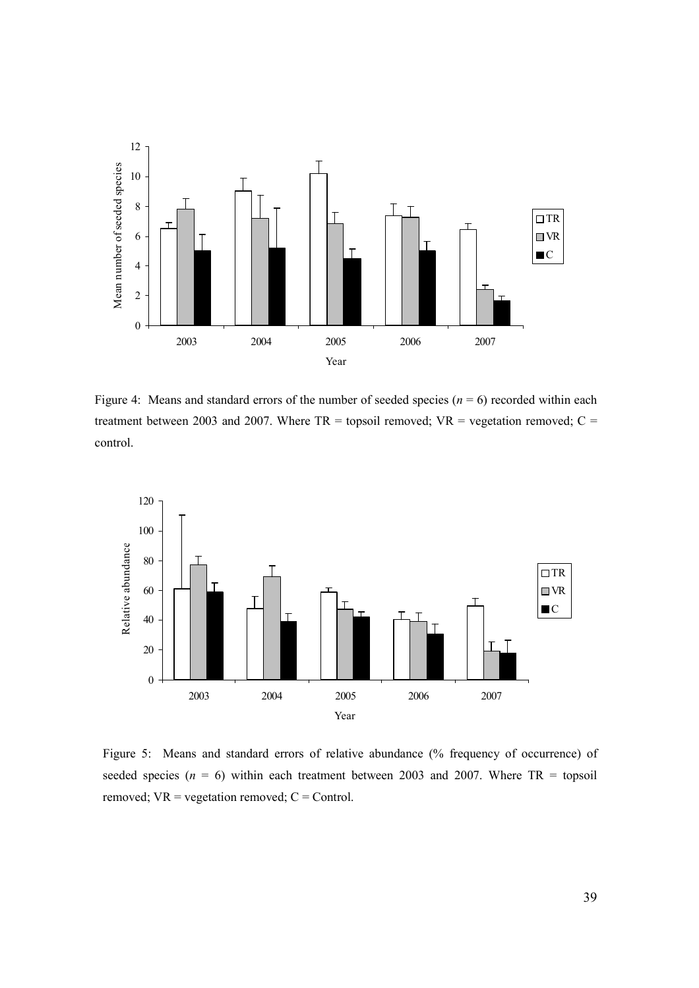

Figure 4: Means and standard errors of the number of seeded species ( $n = 6$ ) recorded within each treatment between 2003 and 2007. Where  $TR =$  topsoil removed;  $VR =$  vegetation removed;  $C =$ control.



Figure 5: Means and standard errors of relative abundance (% frequency of occurrence) of seeded species ( $n = 6$ ) within each treatment between 2003 and 2007. Where TR = topsoil removed;  $VR = vegetation$  removed;  $C = Control$ .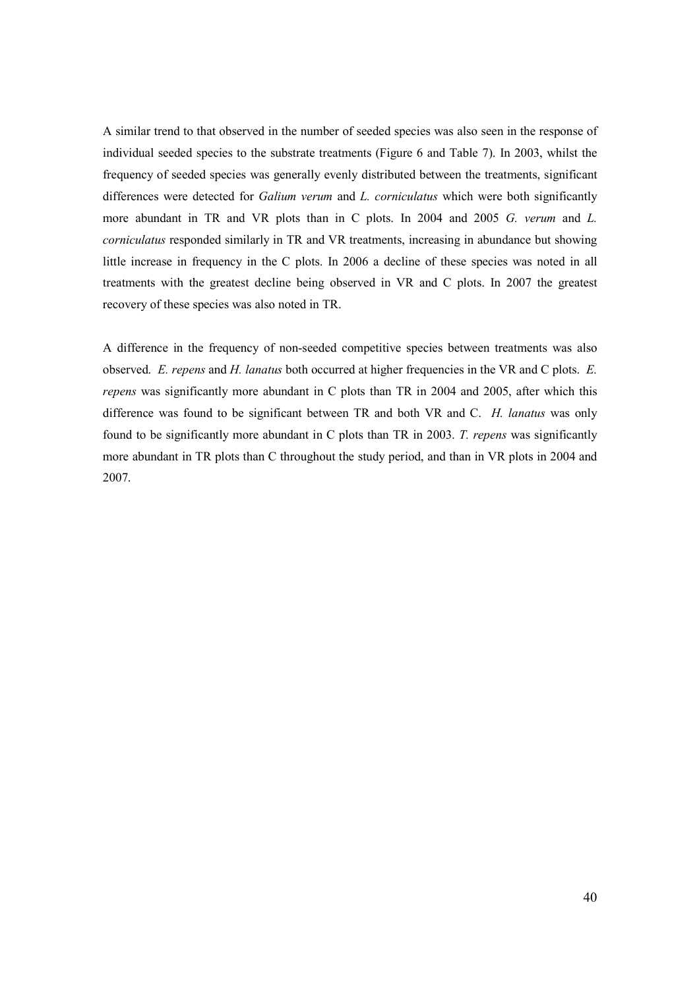A similar trend to that observed in the number of seeded species was also seen in the response of individual seeded species to the substrate treatments (Figure 6 and Table 7). In 2003, whilst the frequency of seeded species was generally evenly distributed between the treatments, significant differences were detected for *Galium verum* and *L. corniculatus* which were both significantly more abundant in TR and VR plots than in C plots. In 2004 and 2005 G. verum and L. corniculatus responded similarly in TR and VR treatments, increasing in abundance but showing little increase in frequency in the C plots. In 2006 a decline of these species was noted in all treatments with the greatest decline being observed in VR and C plots. In 2007 the greatest recovery of these species was also noted in TR.

A difference in the frequency of non-seeded competitive species between treatments was also observed. E. repens and H. lanatus both occurred at higher frequencies in the VR and C plots. E. repens was significantly more abundant in C plots than TR in 2004 and 2005, after which this difference was found to be significant between TR and both VR and C. H. lanatus was only found to be significantly more abundant in C plots than TR in 2003. T. repens was significantly more abundant in TR plots than C throughout the study period, and than in VR plots in 2004 and 2007.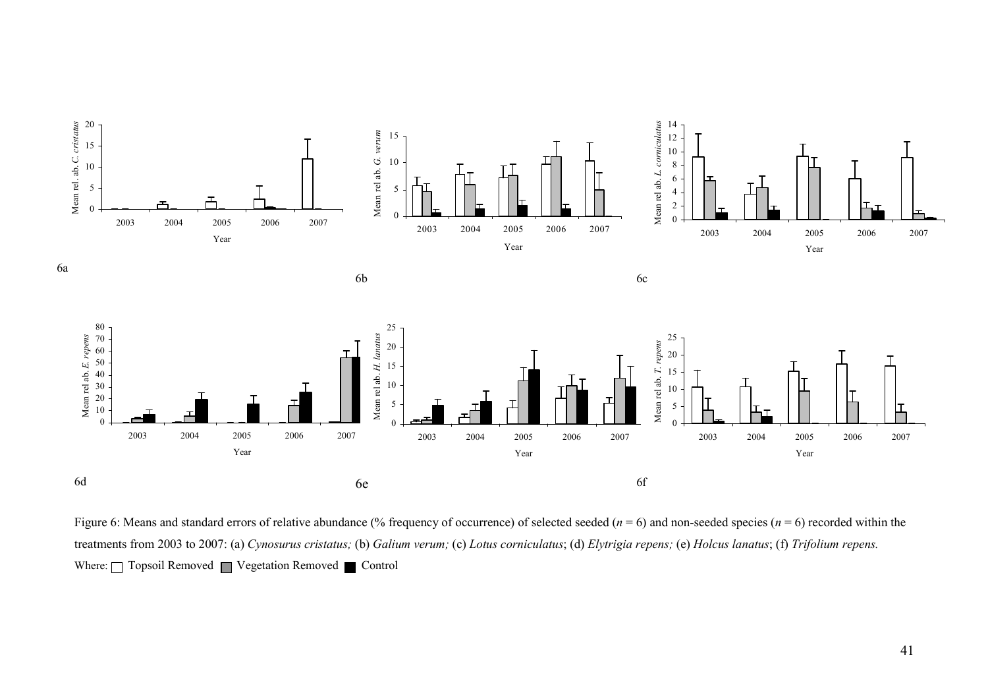

Figure 6: Means and standard errors of relative abundance (% frequency of occurrence) of selected seeded ( $n = 6$ ) and non-seeded species ( $n = 6$ ) recorded within the treatments from 2003 to 2007: (a) Cynosurus cristatus; (b) Galium verum; (c) Lotus corniculatus; (d) Elytrigia repens; (e) Holcus lanatus; (f) Trifolium repens. Where:  $\Box$  Topsoil Removed  $\Box$  Vegetation Removed  $\Box$  Control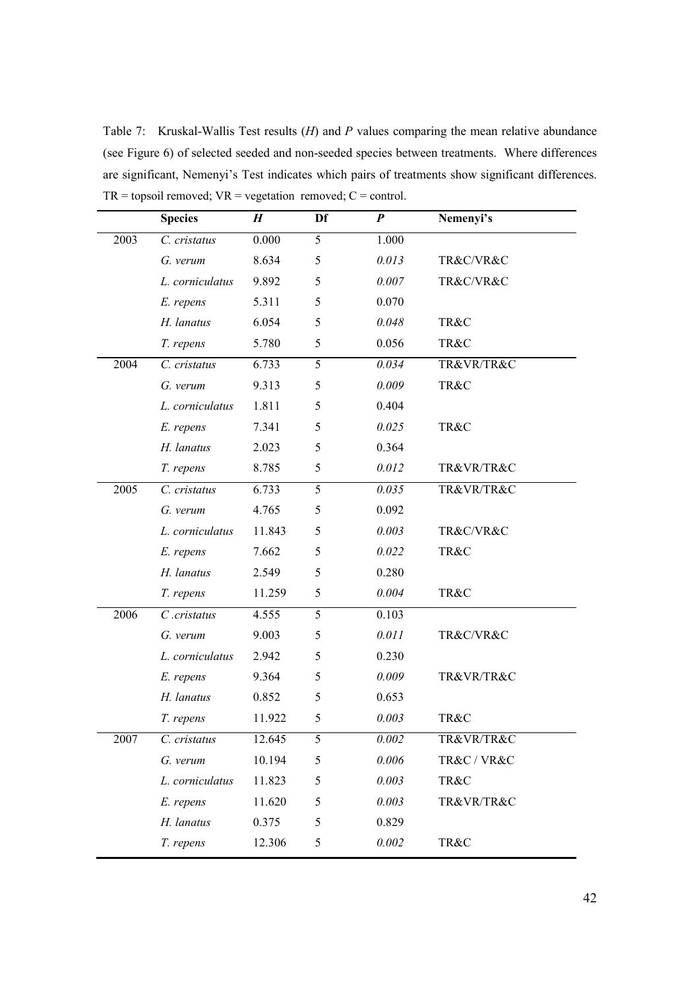Table 7: Kruskal-Wallis Test results (*H*) and *P* values comparing the mean relative abundance (see Figure 6) of selected seeded and non-seeded species between treatments. Where differences are significant, Nemenyi's Test indicates which pairs of treatments show significant differences.  $TR =$  topsoil removed;  $VR =$  vegetation removed;  $C =$  control.

|      | <b>Species</b>  | $\boldsymbol{H}$ | Df | $\boldsymbol{P}$ | Nemenyi's   |
|------|-----------------|------------------|----|------------------|-------------|
| 2003 | C. cristatus    | 0.000            | 5  | 1.000            |             |
|      | G. verum        | 8.634            | 5  | 0.013            | TR&C/VR&C   |
|      | L. corniculatus | 9.892            | 5  | 0.007            | TR&C/VR&C   |
|      | E. repens       | 5.311            | 5  | 0.070            |             |
|      | H. lanatus      | 6.054            | 5  | 0.048            | TR&C        |
|      | T. repens       | 5.780            | 5  | 0.056            | TR&C        |
| 2004 | C. cristatus    | 6.733            | 5  | 0.034            | TR&VR/TR&C  |
|      | G. verum        | 9.313            | 5  | 0.009            | TR&C        |
|      | L. corniculatus | 1.811            | 5  | 0.404            |             |
|      | E. repens       | 7.341            | 5  | 0.025            | TR&C        |
|      | H. lanatus      | 2.023            | 5  | 0.364            |             |
|      | T. repens       | 8.785            | 5  | 0.012            | TR&VR/TR&C  |
| 2005 | C. cristatus    | 6.733            | 5  | 0.035            | TR&VR/TR&C  |
|      | G. verum        | 4.765            | 5  | 0.092            |             |
|      | L. corniculatus | 11.843           | 5  | 0.003            | TR&C/VR&C   |
|      | E. repens       | 7.662            | 5  | 0.022            | TR&C        |
|      | H. lanatus      | 2.549            | 5  | 0.280            |             |
|      | T. repens       | 11.259           | 5  | 0.004            | TR&C        |
| 2006 | $C$ .cristatus  | 4.555            | 5  | 0.103            |             |
|      | G. verum        | 9.003            | 5  | 0.011            | TR&C/VR&C   |
|      | L. corniculatus | 2.942            | 5  | 0.230            |             |
|      | E. repens       | 9.364            | 5  | 0.009            | TR&VR/TR&C  |
|      | H. lanatus      | 0.852            | 5  | 0.653            |             |
|      | T. repens       | 11.922           | 5  | 0.003            | TR&C        |
| 2007 | C. cristatus    | 12.645           | 5  | 0.002            | TR&VR/TR&C  |
|      | G. verum        | 10.194           | 5  | 0.006            | TR&C / VR&C |
|      | L. corniculatus | 11.823           | 5  | 0.003            | TR&C        |
|      | E. repens       | 11.620           | 5  | 0.003            | TR&VR/TR&C  |
|      | H. lanatus      | 0.375            | 5  | 0.829            |             |
|      | T. repens       | 12.306           | 5  | 0.002            | TR&C        |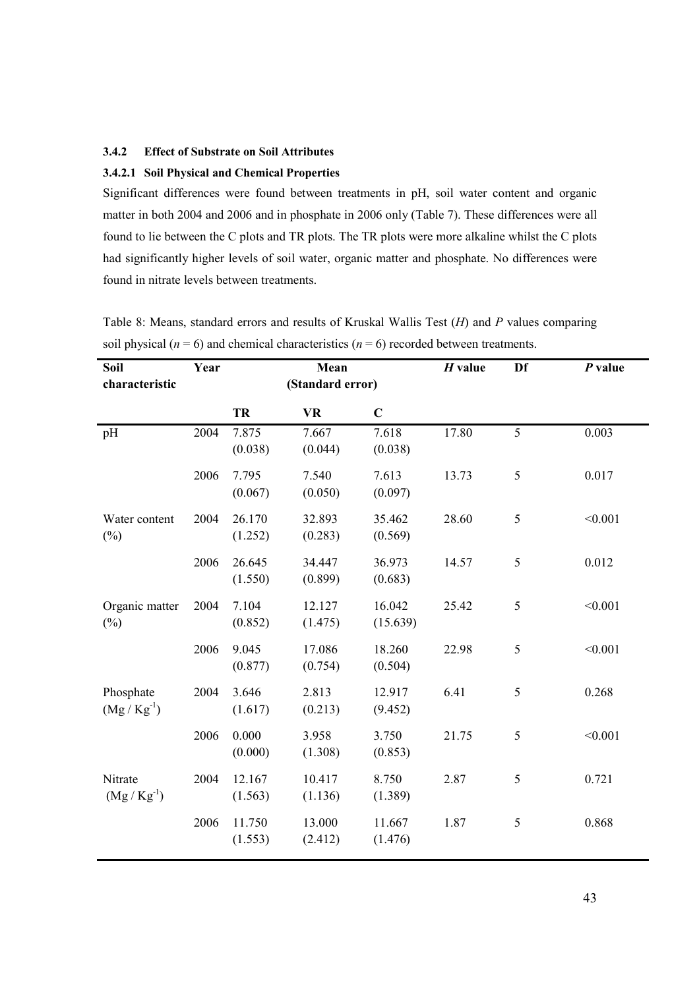# 3.4.2 Effect of Substrate on Soil Attributes

# 3.4.2.1 Soil Physical and Chemical Properties

Significant differences were found between treatments in pH, soil water content and organic matter in both 2004 and 2006 and in phosphate in 2006 only (Table 7). These differences were all found to lie between the C plots and TR plots. The TR plots were more alkaline whilst the C plots had significantly higher levels of soil water, organic matter and phosphate. No differences were found in nitrate levels between treatments.

| Soil<br>characteristic      | Year |                   | Mean<br>(Standard error) |                    | $H$ value | Df             | $P$ value |
|-----------------------------|------|-------------------|--------------------------|--------------------|-----------|----------------|-----------|
|                             |      | TR                | <b>VR</b>                | $\mathbf C$        |           |                |           |
| pH                          | 2004 | 7.875<br>(0.038)  | 7.667<br>(0.044)         | 7.618<br>(0.038)   | 17.80     | $\overline{5}$ | 0.003     |
|                             | 2006 | 7.795<br>(0.067)  | 7.540<br>(0.050)         | 7.613<br>(0.097)   | 13.73     | 5              | 0.017     |
| Water content<br>$(\%)$     | 2004 | 26.170<br>(1.252) | 32.893<br>(0.283)        | 35.462<br>(0.569)  | 28.60     | $\sqrt{5}$     | < 0.001   |
|                             | 2006 | 26.645<br>(1.550) | 34.447<br>(0.899)        | 36.973<br>(0.683)  | 14.57     | $\mathfrak s$  | 0.012     |
| Organic matter<br>$(\%)$    | 2004 | 7.104<br>(0.852)  | 12.127<br>(1.475)        | 16.042<br>(15.639) | 25.42     | 5              | < 0.001   |
|                             | 2006 | 9.045<br>(0.877)  | 17.086<br>(0.754)        | 18.260<br>(0.504)  | 22.98     | 5              | < 0.001   |
| Phosphate<br>$(Mg/Kg^{-1})$ | 2004 | 3.646<br>(1.617)  | 2.813<br>(0.213)         | 12.917<br>(9.452)  | 6.41      | 5              | 0.268     |
|                             | 2006 | 0.000<br>(0.000)  | 3.958<br>(1.308)         | 3.750<br>(0.853)   | 21.75     | 5              | < 0.001   |
| Nitrate<br>$(Mg/Kg^{-1})$   | 2004 | 12.167<br>(1.563) | 10.417<br>(1.136)        | 8.750<br>(1.389)   | 2.87      | 5              | 0.721     |
|                             | 2006 | 11.750<br>(1.553) | 13.000<br>(2.412)        | 11.667<br>(1.476)  | 1.87      | 5              | 0.868     |

Table 8: Means, standard errors and results of Kruskal Wallis Test  $(H)$  and P values comparing soil physical ( $n = 6$ ) and chemical characteristics ( $n = 6$ ) recorded between treatments.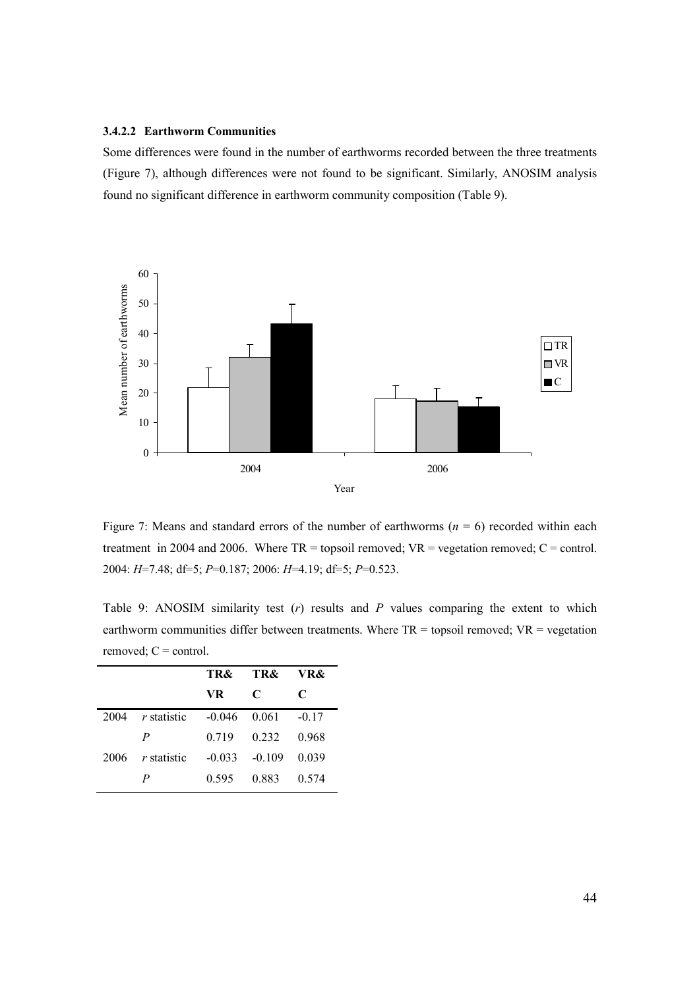#### 3.4.2.2 Earthworm Communities

Some differences were found in the number of earthworms recorded between the three treatments (Figure 7), although differences were not found to be significant. Similarly, ANOSIM analysis found no significant difference in earthworm community composition (Table 9).



Figure 7: Means and standard errors of the number of earthworms ( $n = 6$ ) recorded within each treatment in 2004 and 2006. Where  $TR =$  topsoil removed;  $VR =$  vegetation removed;  $C =$  control. 2004: H=7.48; df=5; P=0.187; 2006: H=4.19; df=5; P=0.523.

Table 9: ANOSIM similarity test  $(r)$  results and  $P$  values comparing the extent to which earthworm communities differ between treatments. Where  $TR =$  topsoil removed;  $VR =$  vegetation removed;  $C =$  control.

|      |               | TR&      | <b>TR&amp;</b> | VR&     |
|------|---------------|----------|----------------|---------|
|      |               | VR.      | C              | C       |
| 2004 | r statistic   | $-0.046$ | 0.061          | $-0.17$ |
|      | P             | 0.719    | 0 2 3 2        | 0.968   |
| 2006 | $r$ statistic | $-0.033$ | $-0.109$       | 0.039   |
|      | P             | 0.595    | 0.883          | 0.574   |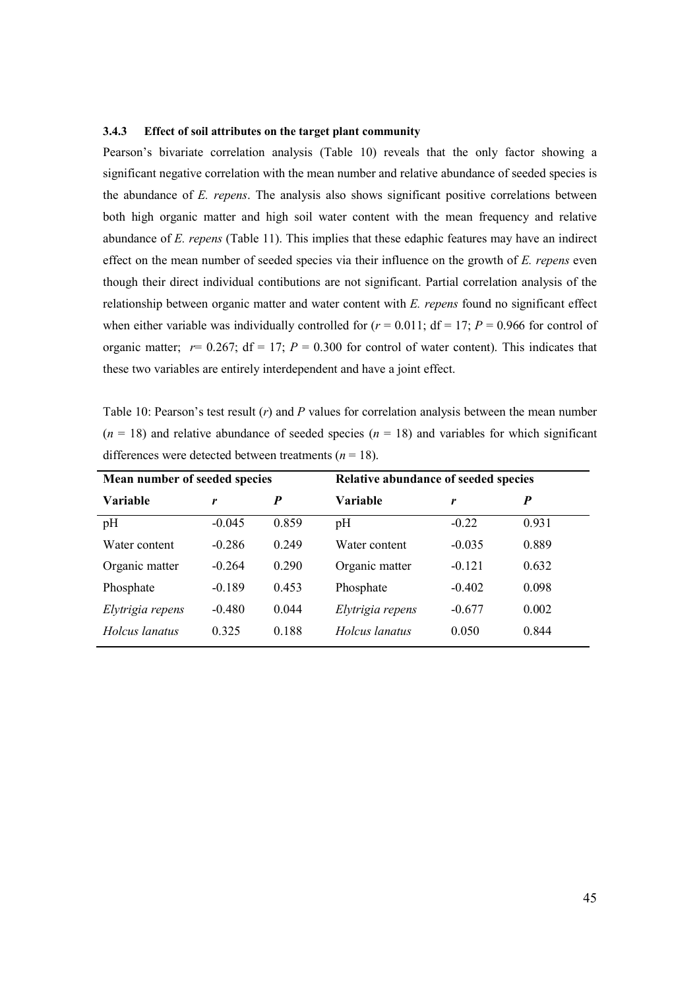#### 3.4.3 Effect of soil attributes on the target plant community

Pearson's bivariate correlation analysis (Table 10) reveals that the only factor showing a significant negative correlation with the mean number and relative abundance of seeded species is the abundance of E. repens. The analysis also shows significant positive correlations between both high organic matter and high soil water content with the mean frequency and relative abundance of E. repens (Table 11). This implies that these edaphic features may have an indirect effect on the mean number of seeded species via their influence on the growth of E. repens even though their direct individual contibutions are not significant. Partial correlation analysis of the relationship between organic matter and water content with E. repens found no significant effect when either variable was individually controlled for  $(r = 0.011$ ;  $df = 17$ ;  $P = 0.966$  for control of organic matter;  $r= 0.267$ ;  $df = 17$ ;  $P = 0.300$  for control of water content). This indicates that these two variables are entirely interdependent and have a joint effect.

Table 10: Pearson's test result  $(r)$  and P values for correlation analysis between the mean number  $(n = 18)$  and relative abundance of seeded species  $(n = 18)$  and variables for which significant differences were detected between treatments ( $n = 18$ ).

| Mean number of seeded species |          |       | Relative abundance of seeded species |          |       |  |  |  |
|-------------------------------|----------|-------|--------------------------------------|----------|-------|--|--|--|
| Variable                      | r        | P     | Variable                             | r        | P     |  |  |  |
| pH                            | $-0.045$ | 0.859 | pH                                   | $-0.22$  | 0.931 |  |  |  |
| Water content                 | $-0.286$ | 0.249 | Water content                        | $-0.035$ | 0.889 |  |  |  |
| Organic matter                | $-0.264$ | 0.290 | Organic matter                       | $-0.121$ | 0.632 |  |  |  |
| Phosphate                     | $-0.189$ | 0.453 | Phosphate                            | $-0.402$ | 0.098 |  |  |  |
| Elytrigia repens              | $-0.480$ | 0.044 | Elytrigia repens                     | $-0.677$ | 0.002 |  |  |  |
| Holcus lanatus                | 0.325    | 0.188 | Holcus lanatus                       | 0.050    | 0.844 |  |  |  |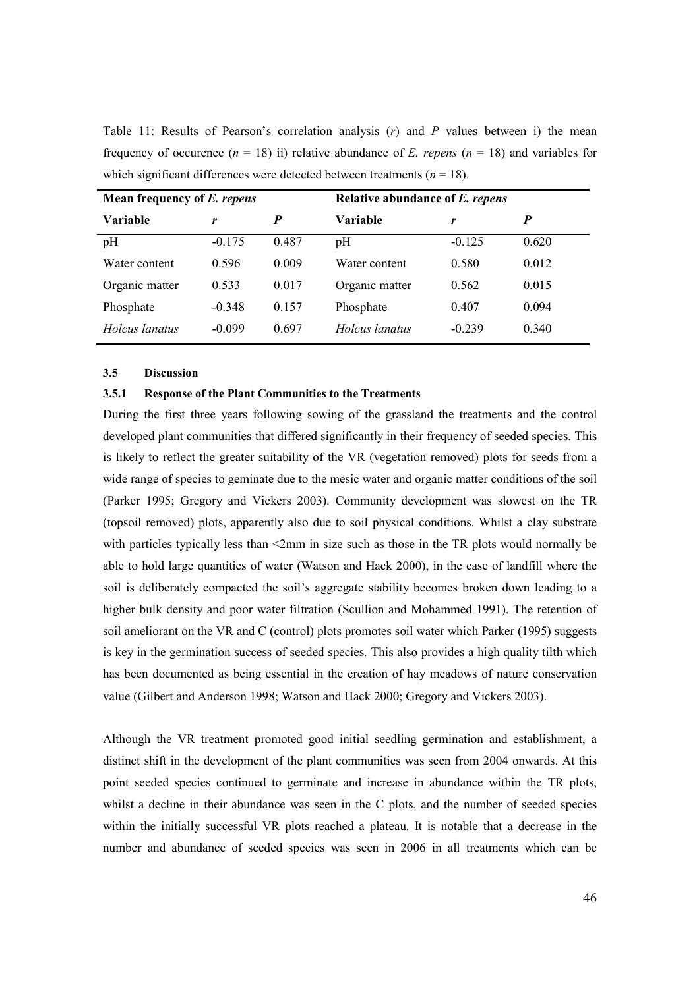Table 11: Results of Pearson's correlation analysis  $(r)$  and P values between i) the mean frequency of occurence  $(n = 18)$  ii) relative abundance of E. repens  $(n = 18)$  and variables for which significant differences were detected between treatments ( $n = 18$ ).

| Mean frequency of E. repens |          |       | Relative abundance of E. repens |          |       |  |  |  |
|-----------------------------|----------|-------|---------------------------------|----------|-------|--|--|--|
| Variable                    | r        | P     | Variable                        | r        |       |  |  |  |
| pH                          | $-0.175$ | 0.487 | pH                              | $-0.125$ | 0.620 |  |  |  |
| Water content               | 0.596    | 0.009 | Water content                   | 0.580    | 0.012 |  |  |  |
| Organic matter              | 0.533    | 0.017 | Organic matter                  | 0.562    | 0.015 |  |  |  |
| Phosphate                   | $-0.348$ | 0.157 | Phosphate                       | 0.407    | 0.094 |  |  |  |
| Holcus lanatus              | $-0.099$ | 0.697 | Holcus lanatus                  | $-0.239$ | 0.340 |  |  |  |

## 3.5 Discussion

## 3.5.1 Response of the Plant Communities to the Treatments

During the first three years following sowing of the grassland the treatments and the control developed plant communities that differed significantly in their frequency of seeded species. This is likely to reflect the greater suitability of the VR (vegetation removed) plots for seeds from a wide range of species to geminate due to the mesic water and organic matter conditions of the soil (Parker 1995; Gregory and Vickers 2003). Community development was slowest on the TR (topsoil removed) plots, apparently also due to soil physical conditions. Whilst a clay substrate with particles typically less than  $\leq 2$ mm in size such as those in the TR plots would normally be able to hold large quantities of water (Watson and Hack 2000), in the case of landfill where the soil is deliberately compacted the soil's aggregate stability becomes broken down leading to a higher bulk density and poor water filtration (Scullion and Mohammed 1991). The retention of soil ameliorant on the VR and C (control) plots promotes soil water which Parker (1995) suggests is key in the germination success of seeded species. This also provides a high quality tilth which has been documented as being essential in the creation of hay meadows of nature conservation value (Gilbert and Anderson 1998; Watson and Hack 2000; Gregory and Vickers 2003).

Although the VR treatment promoted good initial seedling germination and establishment, a distinct shift in the development of the plant communities was seen from 2004 onwards. At this point seeded species continued to germinate and increase in abundance within the TR plots, whilst a decline in their abundance was seen in the C plots, and the number of seeded species within the initially successful VR plots reached a plateau. It is notable that a decrease in the number and abundance of seeded species was seen in 2006 in all treatments which can be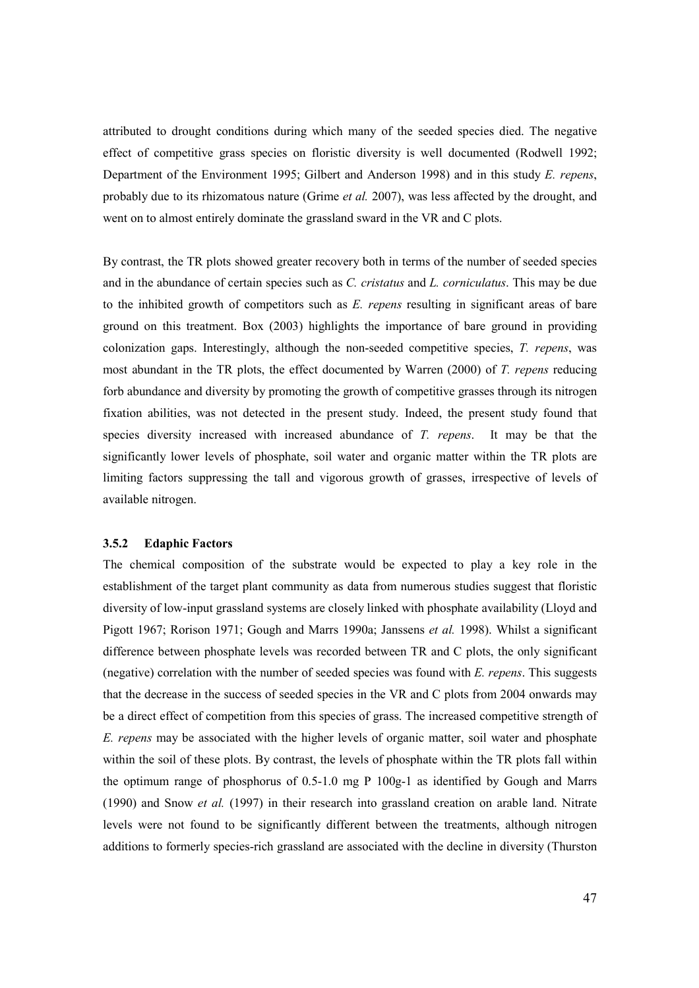attributed to drought conditions during which many of the seeded species died. The negative effect of competitive grass species on floristic diversity is well documented (Rodwell 1992; Department of the Environment 1995; Gilbert and Anderson 1998) and in this study E. repens, probably due to its rhizomatous nature (Grime et al. 2007), was less affected by the drought, and went on to almost entirely dominate the grassland sward in the VR and C plots.

By contrast, the TR plots showed greater recovery both in terms of the number of seeded species and in the abundance of certain species such as C. cristatus and L. corniculatus. This may be due to the inhibited growth of competitors such as  $E$ . repens resulting in significant areas of bare ground on this treatment. Box (2003) highlights the importance of bare ground in providing colonization gaps. Interestingly, although the non-seeded competitive species, T. repens, was most abundant in the TR plots, the effect documented by Warren (2000) of T. repens reducing forb abundance and diversity by promoting the growth of competitive grasses through its nitrogen fixation abilities, was not detected in the present study. Indeed, the present study found that species diversity increased with increased abundance of T. repens. It may be that the significantly lower levels of phosphate, soil water and organic matter within the TR plots are limiting factors suppressing the tall and vigorous growth of grasses, irrespective of levels of available nitrogen.

#### 3.5.2 Edaphic Factors

The chemical composition of the substrate would be expected to play a key role in the establishment of the target plant community as data from numerous studies suggest that floristic diversity of low-input grassland systems are closely linked with phosphate availability (Lloyd and Pigott 1967; Rorison 1971; Gough and Marrs 1990a; Janssens et al. 1998). Whilst a significant difference between phosphate levels was recorded between TR and C plots, the only significant (negative) correlation with the number of seeded species was found with  $E$ . repens. This suggests that the decrease in the success of seeded species in the VR and C plots from 2004 onwards may be a direct effect of competition from this species of grass. The increased competitive strength of E. repens may be associated with the higher levels of organic matter, soil water and phosphate within the soil of these plots. By contrast, the levels of phosphate within the TR plots fall within the optimum range of phosphorus of 0.5-1.0 mg P 100g-1 as identified by Gough and Marrs (1990) and Snow et al. (1997) in their research into grassland creation on arable land. Nitrate levels were not found to be significantly different between the treatments, although nitrogen additions to formerly species-rich grassland are associated with the decline in diversity (Thurston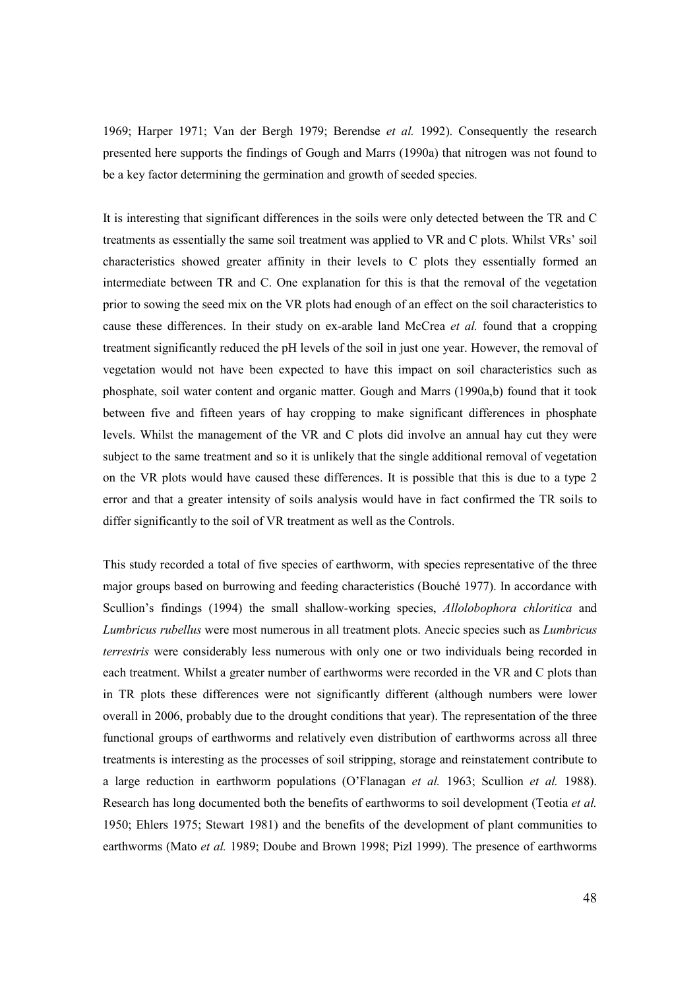1969; Harper 1971; Van der Bergh 1979; Berendse et al. 1992). Consequently the research presented here supports the findings of Gough and Marrs (1990a) that nitrogen was not found to be a key factor determining the germination and growth of seeded species.

It is interesting that significant differences in the soils were only detected between the TR and C treatments as essentially the same soil treatment was applied to VR and C plots. Whilst VRs' soil characteristics showed greater affinity in their levels to C plots they essentially formed an intermediate between TR and C. One explanation for this is that the removal of the vegetation prior to sowing the seed mix on the VR plots had enough of an effect on the soil characteristics to cause these differences. In their study on ex-arable land McCrea et al. found that a cropping treatment significantly reduced the pH levels of the soil in just one year. However, the removal of vegetation would not have been expected to have this impact on soil characteristics such as phosphate, soil water content and organic matter. Gough and Marrs (1990a,b) found that it took between five and fifteen years of hay cropping to make significant differences in phosphate levels. Whilst the management of the VR and C plots did involve an annual hay cut they were subject to the same treatment and so it is unlikely that the single additional removal of vegetation on the VR plots would have caused these differences. It is possible that this is due to a type 2 error and that a greater intensity of soils analysis would have in fact confirmed the TR soils to differ significantly to the soil of VR treatment as well as the Controls.

This study recorded a total of five species of earthworm, with species representative of the three major groups based on burrowing and feeding characteristics (Bouché 1977). In accordance with Scullion's findings (1994) the small shallow-working species, *Allolobophora chloritica* and Lumbricus rubellus were most numerous in all treatment plots. Anecic species such as Lumbricus terrestris were considerably less numerous with only one or two individuals being recorded in each treatment. Whilst a greater number of earthworms were recorded in the VR and C plots than in TR plots these differences were not significantly different (although numbers were lower overall in 2006, probably due to the drought conditions that year). The representation of the three functional groups of earthworms and relatively even distribution of earthworms across all three treatments is interesting as the processes of soil stripping, storage and reinstatement contribute to a large reduction in earthworm populations (O'Flanagan et al. 1963; Scullion et al. 1988). Research has long documented both the benefits of earthworms to soil development (Teotia *et al.*) 1950; Ehlers 1975; Stewart 1981) and the benefits of the development of plant communities to earthworms (Mato et al. 1989; Doube and Brown 1998; Pizl 1999). The presence of earthworms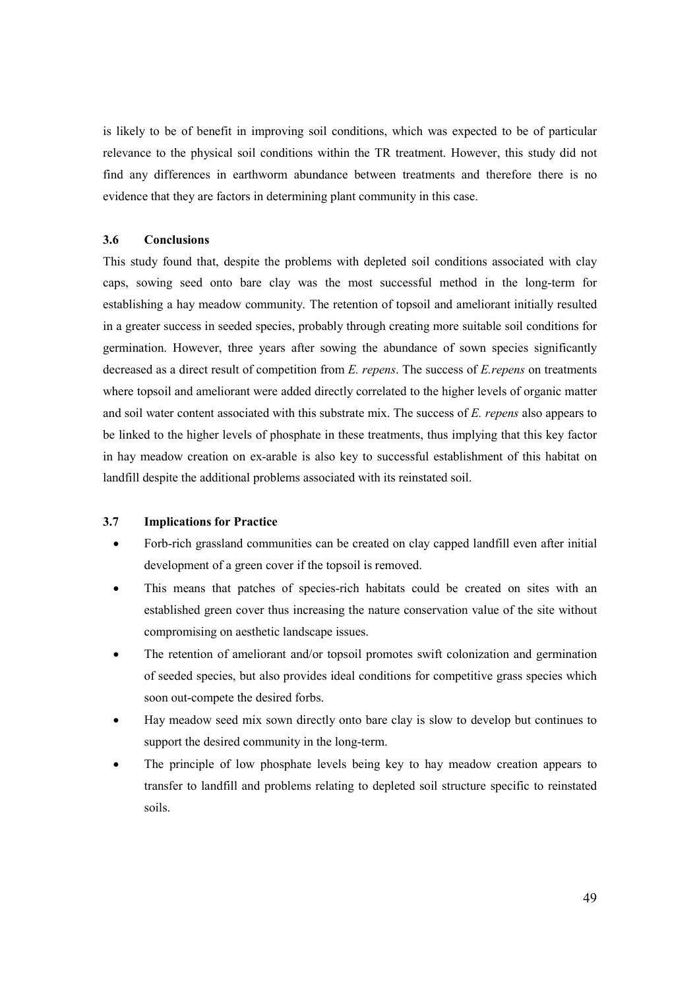is likely to be of benefit in improving soil conditions, which was expected to be of particular relevance to the physical soil conditions within the TR treatment. However, this study did not find any differences in earthworm abundance between treatments and therefore there is no evidence that they are factors in determining plant community in this case.

## 3.6 Conclusions

This study found that, despite the problems with depleted soil conditions associated with clay caps, sowing seed onto bare clay was the most successful method in the long-term for establishing a hay meadow community. The retention of topsoil and ameliorant initially resulted in a greater success in seeded species, probably through creating more suitable soil conditions for germination. However, three years after sowing the abundance of sown species significantly decreased as a direct result of competition from  $E$ . repens. The success of  $E$ . repens on treatments where topsoil and ameliorant were added directly correlated to the higher levels of organic matter and soil water content associated with this substrate mix. The success of E. repens also appears to be linked to the higher levels of phosphate in these treatments, thus implying that this key factor in hay meadow creation on ex-arable is also key to successful establishment of this habitat on landfill despite the additional problems associated with its reinstated soil.

# 3.7 Implications for Practice

- Forb-rich grassland communities can be created on clay capped landfill even after initial development of a green cover if the topsoil is removed.
- This means that patches of species-rich habitats could be created on sites with an established green cover thus increasing the nature conservation value of the site without compromising on aesthetic landscape issues.
- The retention of ameliorant and/or topsoil promotes swift colonization and germination of seeded species, but also provides ideal conditions for competitive grass species which soon out-compete the desired forbs.
- Hay meadow seed mix sown directly onto bare clay is slow to develop but continues to support the desired community in the long-term.
- The principle of low phosphate levels being key to hay meadow creation appears to transfer to landfill and problems relating to depleted soil structure specific to reinstated soils.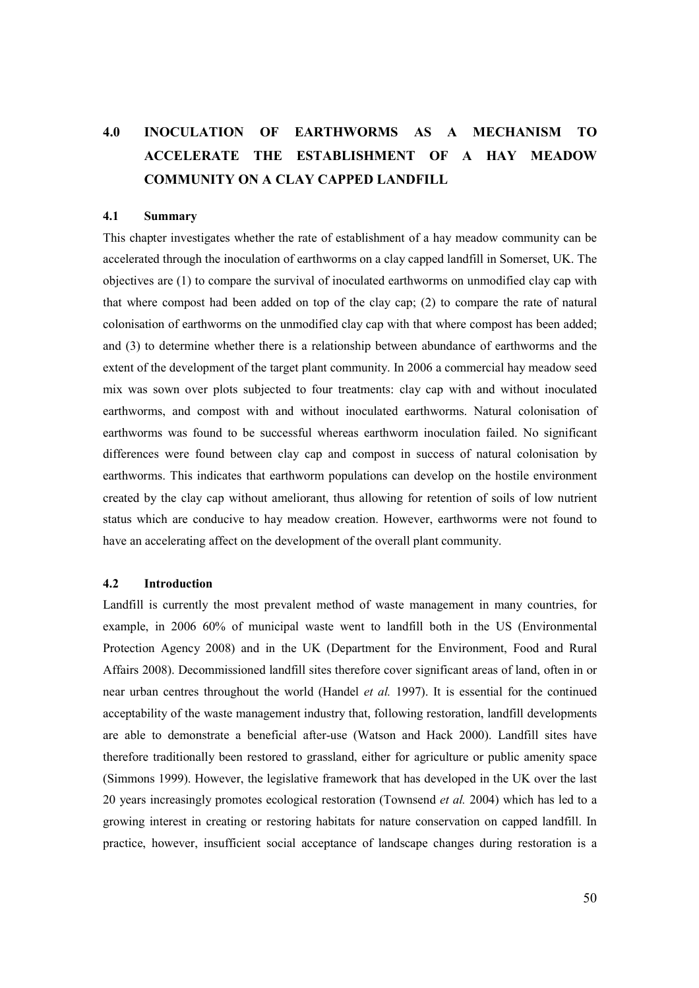# 4.0 INOCULATION OF EARTHWORMS AS A MECHANISM TO ACCELERATE THE ESTABLISHMET OF A HAY MEADOW **COMMUNITY ON A CLAY CAPPED LANDFILL**

#### 4.1 Summary

This chapter investigates whether the rate of establishment of a hay meadow community can be accelerated through the inoculation of earthworms on a clay capped landfill in Somerset, UK. The objectives are (1) to compare the survival of inoculated earthworms on unmodified clay cap with that where compost had been added on top of the clay cap; (2) to compare the rate of natural colonisation of earthworms on the unmodified clay cap with that where compost has been added; and (3) to determine whether there is a relationship between abundance of earthworms and the extent of the development of the target plant community. In 2006 a commercial hay meadow seed mix was sown over plots subjected to four treatments: clay cap with and without inoculated earthworms, and compost with and without inoculated earthworms. Natural colonisation of earthworms was found to be successful whereas earthworm inoculation failed. No significant differences were found between clay cap and compost in success of natural colonisation by earthworms. This indicates that earthworm populations can develop on the hostile environment created by the clay cap without ameliorant, thus allowing for retention of soils of low nutrient status which are conducive to hay meadow creation. However, earthworms were not found to have an accelerating affect on the development of the overall plant community.

## 4.2 Introduction

Landfill is currently the most prevalent method of waste management in many countries, for example, in 2006 60% of municipal waste went to landfill both in the US (Environmental Protection Agency 2008) and in the UK (Department for the Environment, Food and Rural Affairs 2008). Decommissioned landfill sites therefore cover significant areas of land, often in or near urban centres throughout the world (Handel *et al.* 1997). It is essential for the continued acceptability of the waste management industry that, following restoration, landfill developments are able to demonstrate a beneficial after-use (Watson and Hack 2000). Landfill sites have therefore traditionally been restored to grassland, either for agriculture or public amenity space (Simmons 1999). However, the legislative framework that has developed in the UK over the last 20 years increasingly promotes ecological restoration (Townsend *et al.* 2004) which has led to a growing interest in creating or restoring habitats for nature conservation on capped landfill. In practice, however, insufficient social acceptance of landscape changes during restoration is a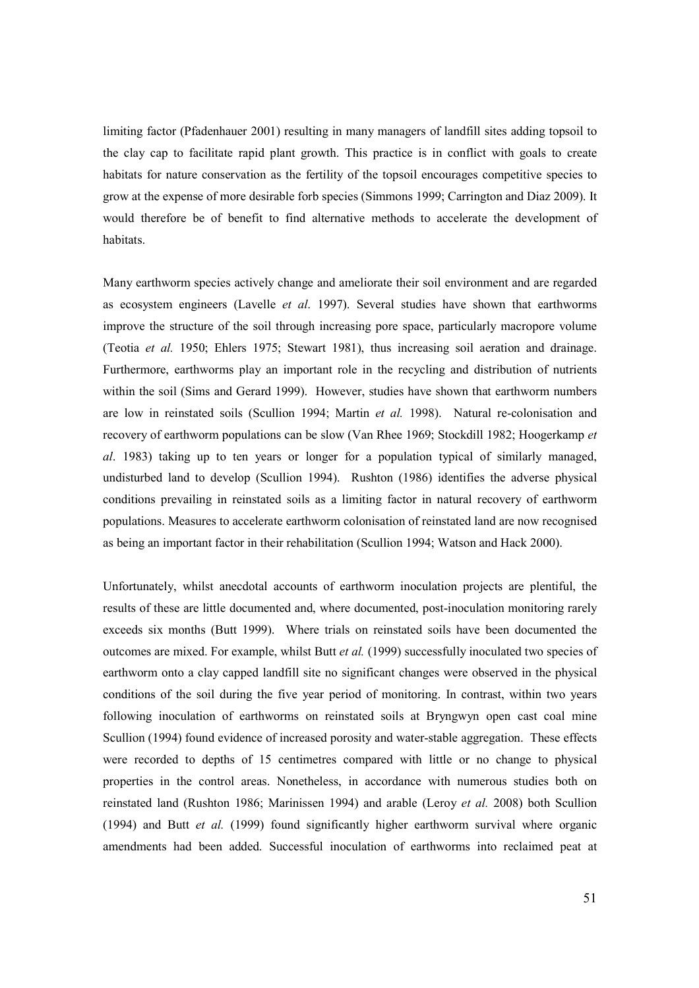limiting factor (Pfadenhauer 2001) resulting in many managers of landfill sites adding topsoil to the clay cap to facilitate rapid plant growth. This practice is in conflict with goals to create habitats for nature conservation as the fertility of the topsoil encourages competitive species to grow at the expense of more desirable forb species (Simmons 1999; Carrington and Diaz 2009). It would therefore be of benefit to find alternative methods to accelerate the development of habitats.

Many earthworm species actively change and ameliorate their soil environment and are regarded as ecosystem engineers (Lavelle et al. 1997). Several studies have shown that earthworms improve the structure of the soil through increasing pore space, particularly macropore volume (Teotia et al. 1950; Ehlers 1975; Stewart 1981), thus increasing soil aeration and drainage. Furthermore, earthworms play an important role in the recycling and distribution of nutrients within the soil (Sims and Gerard 1999). However, studies have shown that earthworm numbers are low in reinstated soils (Scullion 1994; Martin et al. 1998). Natural re-colonisation and recovery of earthworm populations can be slow (Van Rhee 1969; Stockdill 1982; Hoogerkamp et al. 1983) taking up to ten years or longer for a population typical of similarly managed, undisturbed land to develop (Scullion 1994). Rushton (1986) identifies the adverse physical conditions prevailing in reinstated soils as a limiting factor in natural recovery of earthworm populations. Measures to accelerate earthworm colonisation of reinstated land are now recognised as being an important factor in their rehabilitation (Scullion 1994; Watson and Hack 2000).

Unfortunately, whilst anecdotal accounts of earthworm inoculation projects are plentiful, the results of these are little documented and, where documented, post-inoculation monitoring rarely exceeds six months (Butt 1999). Where trials on reinstated soils have been documented the outcomes are mixed. For example, whilst Butt et al. (1999) successfully inoculated two species of earthworm onto a clay capped landfill site no significant changes were observed in the physical conditions of the soil during the five year period of monitoring. In contrast, within two years following inoculation of earthworms on reinstated soils at Bryngwyn open cast coal mine Scullion (1994) found evidence of increased porosity and water-stable aggregation. These effects were recorded to depths of 15 centimetres compared with little or no change to physical properties in the control areas. Nonetheless, in accordance with numerous studies both on reinstated land (Rushton 1986; Marinissen 1994) and arable (Leroy et al. 2008) both Scullion (1994) and Butt et al. (1999) found significantly higher earthworm survival where organic amendments had been added. Successful inoculation of earthworms into reclaimed peat at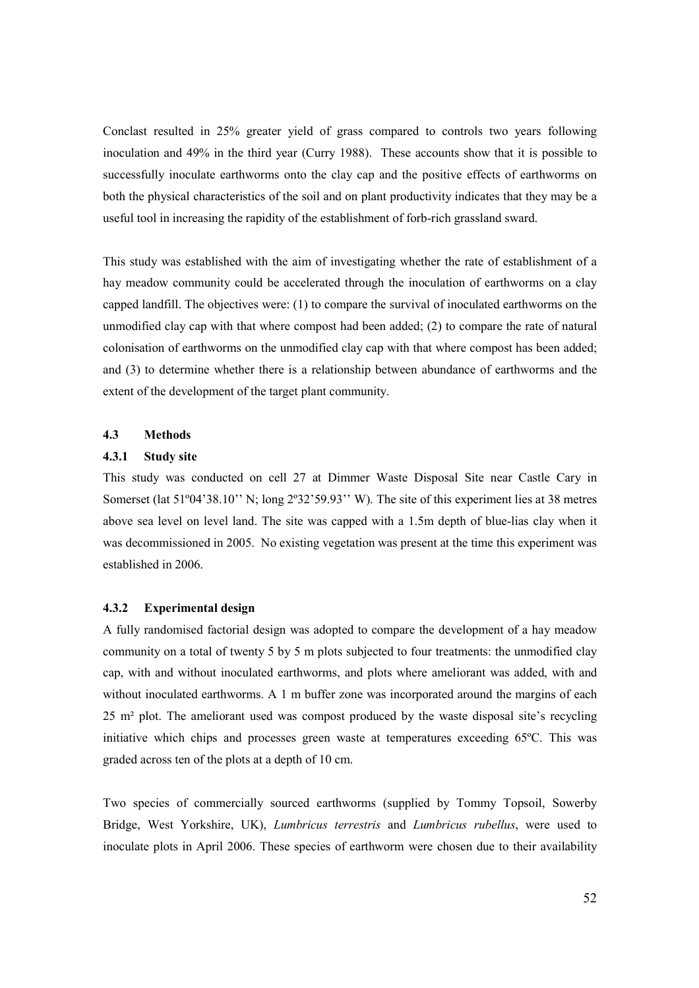Conclast resulted in 25% greater yield of grass compared to controls two years following inoculation and 49% in the third year (Curry 1988). These accounts show that it is possible to successfully inoculate earthworms onto the clay cap and the positive effects of earthworms on both the physical characteristics of the soil and on plant productivity indicates that they may be a useful tool in increasing the rapidity of the establishment of forb-rich grassland sward.

This study was established with the aim of investigating whether the rate of establishment of a hay meadow community could be accelerated through the inoculation of earthworms on a clay capped landfill. The objectives were: (1) to compare the survival of inoculated earthworms on the unmodified clay cap with that where compost had been added; (2) to compare the rate of natural colonisation of earthworms on the unmodified clay cap with that where compost has been added; and (3) to determine whether there is a relationship between abundance of earthworms and the extent of the development of the target plant community.

# 4.3 Methods

## 4.3.1 Study site

This study was conducted on cell 27 at Dimmer Waste Disposal Site near Castle Cary in Somerset (lat 51°04'38.10'' N; long 2°32'59.93'' W). The site of this experiment lies at 38 metres above sea level on level land. The site was capped with a 1.5m depth of blue-lias clay when it was decommissioned in 2005. No existing vegetation was present at the time this experiment was established in 2006.

## 4.3.2 Experimental design

A fully randomised factorial design was adopted to compare the development of a hay meadow community on a total of twenty 5 by 5 m plots subjected to four treatments: the unmodified clay cap, with and without inoculated earthworms, and plots where ameliorant was added, with and without inoculated earthworms. A 1 m buffer zone was incorporated around the margins of each 25 m² plot. The ameliorant used was compost produced by the waste disposal site's recycling initiative which chips and processes green waste at temperatures exceeding 65ºC. This was graded across ten of the plots at a depth of 10 cm.

Two species of commercially sourced earthworms (supplied by Tommy Topsoil, Sowerby Bridge, West Yorkshire, UK), Lumbricus terrestris and Lumbricus rubellus, were used to inoculate plots in April 2006. These species of earthworm were chosen due to their availability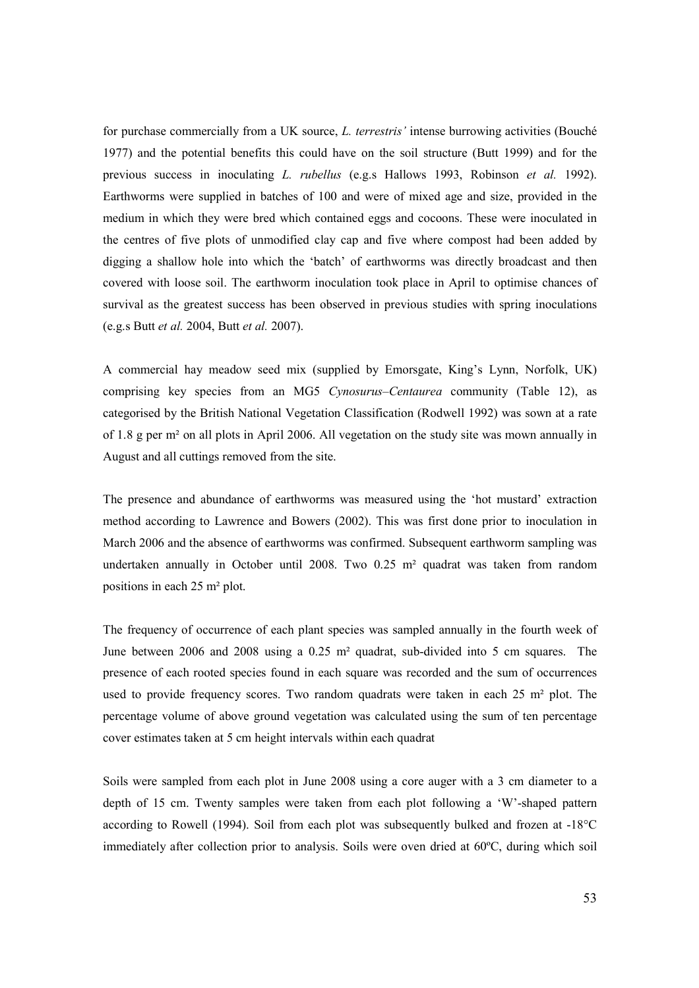for purchase commercially from a UK source, L. terrestris' intense burrowing activities (Bouché 1977) and the potential benefits this could have on the soil structure (Butt 1999) and for the previous success in inoculating L. rubellus (e.g.s Hallows 1993, Robinson et al. 1992). Earthworms were supplied in batches of 100 and were of mixed age and size, provided in the medium in which they were bred which contained eggs and cocoons. These were inoculated in the centres of five plots of unmodified clay cap and five where compost had been added by digging a shallow hole into which the 'batch' of earthworms was directly broadcast and then covered with loose soil. The earthworm inoculation took place in April to optimise chances of survival as the greatest success has been observed in previous studies with spring inoculations (e.g.s Butt et al. 2004, Butt et al. 2007).

A commercial hay meadow seed mix (supplied by Emorsgate, King's Lynn, Norfolk, UK) comprising key species from an MG5 Cynosurus–Centaurea community (Table 12), as categorised by the British National Vegetation Classification (Rodwell 1992) was sown at a rate of 1.8 g per m² on all plots in April 2006. All vegetation on the study site was mown annually in August and all cuttings removed from the site.

The presence and abundance of earthworms was measured using the 'hot mustard' extraction method according to Lawrence and Bowers (2002). This was first done prior to inoculation in March 2006 and the absence of earthworms was confirmed. Subsequent earthworm sampling was undertaken annually in October until 2008. Two  $0.25$  m<sup>2</sup> quadrat was taken from random positions in each 25 m² plot.

The frequency of occurrence of each plant species was sampled annually in the fourth week of June between 2006 and 2008 using a 0.25 m² quadrat, sub-divided into 5 cm squares. The presence of each rooted species found in each square was recorded and the sum of occurrences used to provide frequency scores. Two random quadrats were taken in each 25 m² plot. The percentage volume of above ground vegetation was calculated using the sum of ten percentage cover estimates taken at 5 cm height intervals within each quadrat

Soils were sampled from each plot in June 2008 using a core auger with a 3 cm diameter to a depth of 15 cm. Twenty samples were taken from each plot following a 'W'-shaped pattern according to Rowell (1994). Soil from each plot was subsequently bulked and frozen at -18°C immediately after collection prior to analysis. Soils were oven dried at 60ºC, during which soil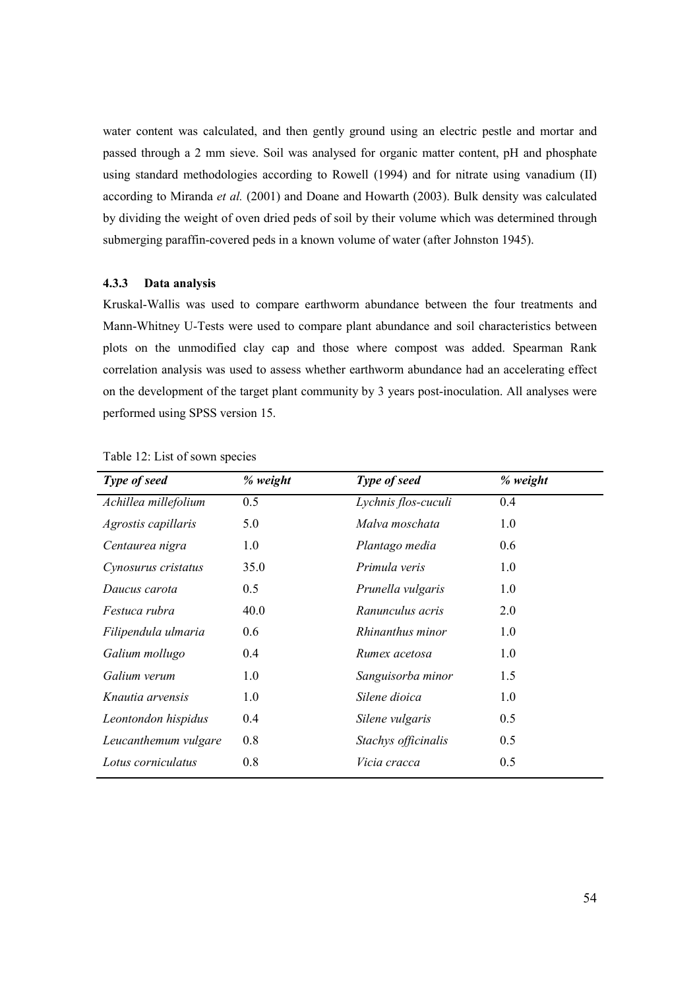water content was calculated, and then gently ground using an electric pestle and mortar and passed through a 2 mm sieve. Soil was analysed for organic matter content, pH and phosphate using standard methodologies according to Rowell (1994) and for nitrate using vanadium (II) according to Miranda et al. (2001) and Doane and Howarth (2003). Bulk density was calculated by dividing the weight of oven dried peds of soil by their volume which was determined through submerging paraffin-covered peds in a known volume of water (after Johnston 1945).

## 4.3.3 Data analysis

Kruskal-Wallis was used to compare earthworm abundance between the four treatments and Mann-Whitney U-Tests were used to compare plant abundance and soil characteristics between plots on the unmodified clay cap and those where compost was added. Spearman Rank correlation analysis was used to assess whether earthworm abundance had an accelerating effect on the development of the target plant community by 3 years post-inoculation. All analyses were performed using SPSS version 15.

| % weight | Type of seed        | % weight |
|----------|---------------------|----------|
| 0.5      | Lychnis flos-cuculi | 0.4      |
| 5.0      | Malva moschata      | 1.0      |
| 1.0      | Plantago media      | 0.6      |
| 35.0     | Primula veris       | 1.0      |
| 0.5      | Prunella vulgaris   | 1.0      |
| 40.0     | Ranunculus acris    | 2.0      |
| 0.6      | Rhinanthus minor    | 1.0      |
| 0.4      | Rumex acetosa       | 1.0      |
| 1.0      | Sanguisorba minor   | 1.5      |
| 1.0      | Silene dioica       | 1.0      |
| 0.4      | Silene vulgaris     | 0.5      |
| 0.8      | Stachys officinalis | 0.5      |
| 0.8      | Vicia cracca        | 0.5      |
|          |                     |          |

Table 12: List of sown species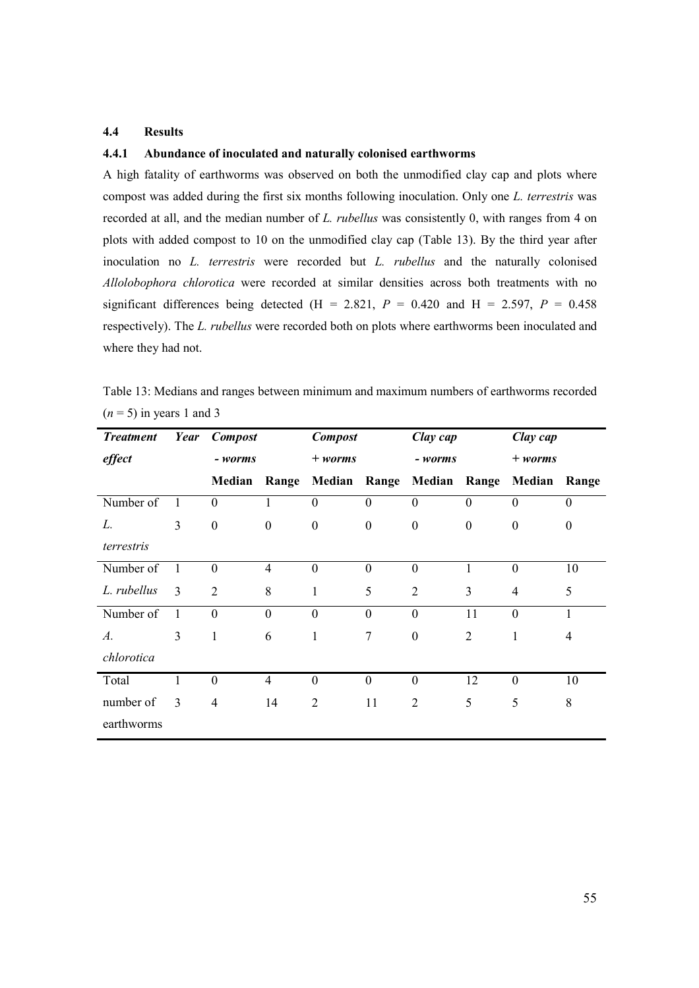## 4.4 Results

# 4.4.1 Abundance of inoculated and naturally colonised earthworms

A high fatality of earthworms was observed on both the unmodified clay cap and plots where compost was added during the first six months following inoculation. Only one L. terrestris was recorded at all, and the median number of L. rubellus was consistently 0, with ranges from 4 on plots with added compost to 10 on the unmodified clay cap (Table 13). By the third year after inoculation no L. terrestris were recorded but L. rubellus and the naturally colonised Allolobophora chlorotica were recorded at similar densities across both treatments with no significant differences being detected (H = 2.821,  $P = 0.420$  and H = 2.597,  $P = 0.458$ ) respectively). The L. rubellus were recorded both on plots where earthworms been inoculated and where they had not.

Table 13: Medians and ranges between minimum and maximum numbers of earthworms recorded  $(n = 5)$  in years 1 and 3

| <b>Treatment</b> | Year           | <b>Compost</b>   |                | <b>Compost</b>      |                  | Clay cap         |                  | Clay cap         |          |
|------------------|----------------|------------------|----------------|---------------------|------------------|------------------|------------------|------------------|----------|
| effect           |                | - worms          |                | $+ worms$           |                  | - worms          |                  | $+ worms$        |          |
|                  |                | Median           | Range          | <b>Median Range</b> |                  | Median Range     |                  | Median           | Range    |
| Number of        | 1              | $\theta$         | 1              | $\boldsymbol{0}$    | $\boldsymbol{0}$ | $\boldsymbol{0}$ | $\theta$         | $\boldsymbol{0}$ | $\theta$ |
| L.               | 3              | $\boldsymbol{0}$ | $\theta$       | $\boldsymbol{0}$    | $\boldsymbol{0}$ | $\boldsymbol{0}$ | $\boldsymbol{0}$ | $\boldsymbol{0}$ | $\theta$ |
| terrestris       |                |                  |                |                     |                  |                  |                  |                  |          |
| Number of        | $\overline{1}$ | $\boldsymbol{0}$ | $\overline{4}$ | $\boldsymbol{0}$    | $\boldsymbol{0}$ | $\boldsymbol{0}$ | 1                | $\boldsymbol{0}$ | 10       |
| L. rubellus      | $\mathcal{E}$  | $\overline{2}$   | 8              | 1                   | 5                | $\overline{2}$   | 3                | $\overline{4}$   | 5        |
| Number of        | 1              | $\mathbf{0}$     | $\mathbf{0}$   | $\mathbf{0}$        | $\mathbf{0}$     | $\overline{0}$   | 11               | $\overline{0}$   | 1        |
| A.               | 3              | 1                | 6              | 1                   | $\tau$           | $\boldsymbol{0}$ | 2                | 1                | 4        |
| chlorotica       |                |                  |                |                     |                  |                  |                  |                  |          |
| Total            | 1              | $\theta$         | $\overline{4}$ | $\boldsymbol{0}$    | $\theta$         | $\theta$         | 12               | $\boldsymbol{0}$ | 10       |
| number of        | $\mathbf{3}$   | $\overline{4}$   | 14             | $\overline{2}$      | 11               | $\overline{2}$   | 5                | 5                | 8        |
| earthworms       |                |                  |                |                     |                  |                  |                  |                  |          |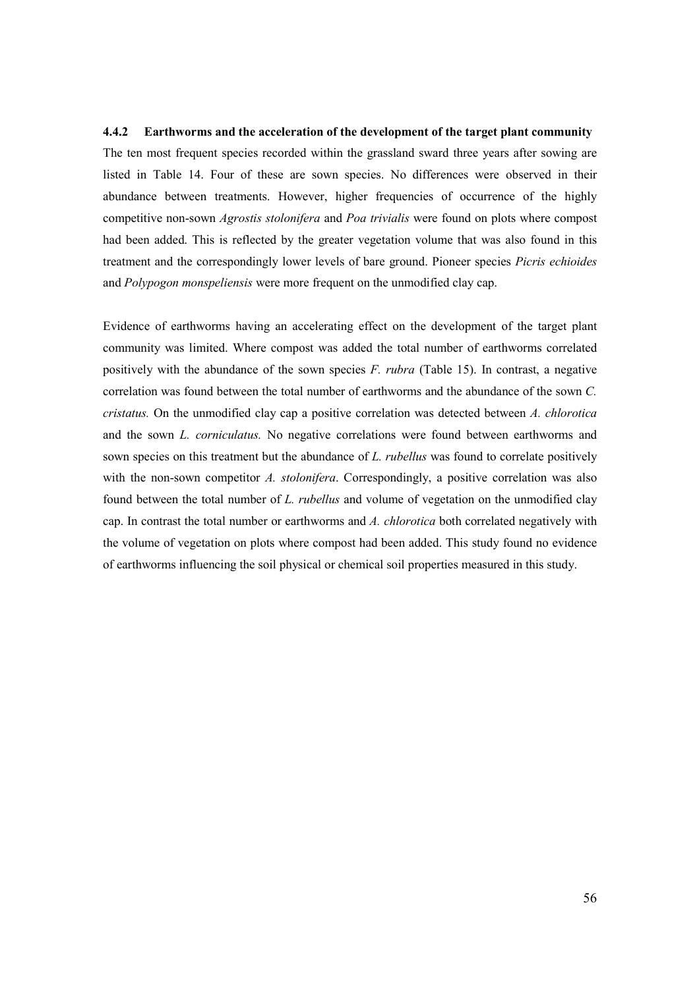#### 4.4.2 Earthworms and the acceleration of the development of the target plant community

The ten most frequent species recorded within the grassland sward three years after sowing are listed in Table 14. Four of these are sown species. No differences were observed in their abundance between treatments. However, higher frequencies of occurrence of the highly competitive non-sown Agrostis stolonifera and Poa trivialis were found on plots where compost had been added. This is reflected by the greater vegetation volume that was also found in this treatment and the correspondingly lower levels of bare ground. Pioneer species Picris echioides and Polypogon monspeliensis were more frequent on the unmodified clay cap.

Evidence of earthworms having an accelerating effect on the development of the target plant community was limited. Where compost was added the total number of earthworms correlated positively with the abundance of the sown species F. rubra (Table 15). In contrast, a negative correlation was found between the total number of earthworms and the abundance of the sown C. cristatus. On the unmodified clay cap a positive correlation was detected between  $\Lambda$ . chlorotica and the sown L. corniculatus. No negative correlations were found between earthworms and sown species on this treatment but the abundance of L. *rubellus* was found to correlate positively with the non-sown competitor  $A$ . stolonifera. Correspondingly, a positive correlation was also found between the total number of L. rubellus and volume of vegetation on the unmodified clay cap. In contrast the total number or earthworms and A. chlorotica both correlated negatively with the volume of vegetation on plots where compost had been added. This study found no evidence of earthworms influencing the soil physical or chemical soil properties measured in this study.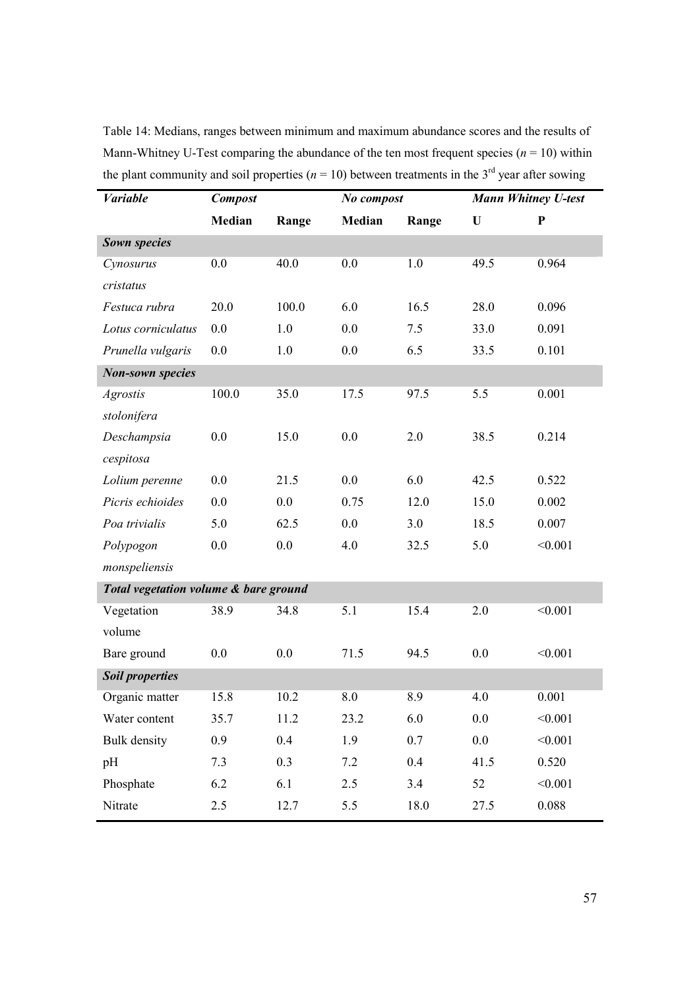Table 14: Medians, ranges between minimum and maximum abundance scores and the results of Mann-Whitney U-Test comparing the abundance of the ten most frequent species ( $n = 10$ ) within the plant community and soil properties ( $n = 10$ ) between treatments in the 3<sup>rd</sup> year after sowing

| <b>Variable</b>                       | <b>Compost</b> |       | No compost |       | <b>Mann Whitney U-test</b> |           |
|---------------------------------------|----------------|-------|------------|-------|----------------------------|-----------|
|                                       | Median         | Range | Median     | Range | U                          | ${\bf P}$ |
| <b>Sown species</b>                   |                |       |            |       |                            |           |
| Cynosurus                             | 0.0            | 40.0  | 0.0        | 1.0   | 49.5                       | 0.964     |
| cristatus                             |                |       |            |       |                            |           |
| Festuca rubra                         | 20.0           | 100.0 | 6.0        | 16.5  | 28.0                       | 0.096     |
| Lotus corniculatus                    | 0.0            | 1.0   | 0.0        | 7.5   | 33.0                       | 0.091     |
| Prunella vulgaris                     | 0.0            | 1.0   | 0.0        | 6.5   | 33.5                       | 0.101     |
| <b>Non-sown species</b>               |                |       |            |       |                            |           |
| <b>Agrostis</b>                       | 100.0          | 35.0  | 17.5       | 97.5  | 5.5                        | 0.001     |
| stolonifera                           |                |       |            |       |                            |           |
| Deschampsia                           | 0.0            | 15.0  | 0.0        | 2.0   | 38.5                       | 0.214     |
| cespitosa                             |                |       |            |       |                            |           |
| Lolium perenne                        | 0.0            | 21.5  | 0.0        | 6.0   | 42.5                       | 0.522     |
| Picris echioides                      | 0.0            | 0.0   | 0.75       | 12.0  | 15.0                       | 0.002     |
| Poa trivialis                         | 5.0            | 62.5  | 0.0        | 3.0   | 18.5                       | 0.007     |
| Polypogon                             | 0.0            | 0.0   | 4.0        | 32.5  | 5.0                        | < 0.001   |
| monspeliensis                         |                |       |            |       |                            |           |
| Total vegetation volume & bare ground |                |       |            |       |                            |           |
| Vegetation                            | 38.9           | 34.8  | 5.1        | 15.4  | 2.0                        | < 0.001   |
| volume                                |                |       |            |       |                            |           |
| Bare ground                           | 0.0            | 0.0   | 71.5       | 94.5  | 0.0                        | < 0.001   |
| <b>Soil properties</b>                |                |       |            |       |                            |           |
| Organic matter                        | 15.8           | 10.2  | 8.0        | 8.9   | 4.0                        | 0.001     |
| Water content                         | 35.7           | 11.2  | 23.2       | 6.0   | 0.0                        | < 0.001   |
| <b>Bulk</b> density                   | 0.9            | 0.4   | 1.9        | 0.7   | $0.0\,$                    | < 0.001   |
| pH                                    | 7.3            | 0.3   | 7.2        | 0.4   | 41.5                       | 0.520     |
| Phosphate                             | 6.2            | 6.1   | 2.5        | 3.4   | 52                         | < 0.001   |
| Nitrate                               | 2.5            | 12.7  | 5.5        | 18.0  | 27.5                       | 0.088     |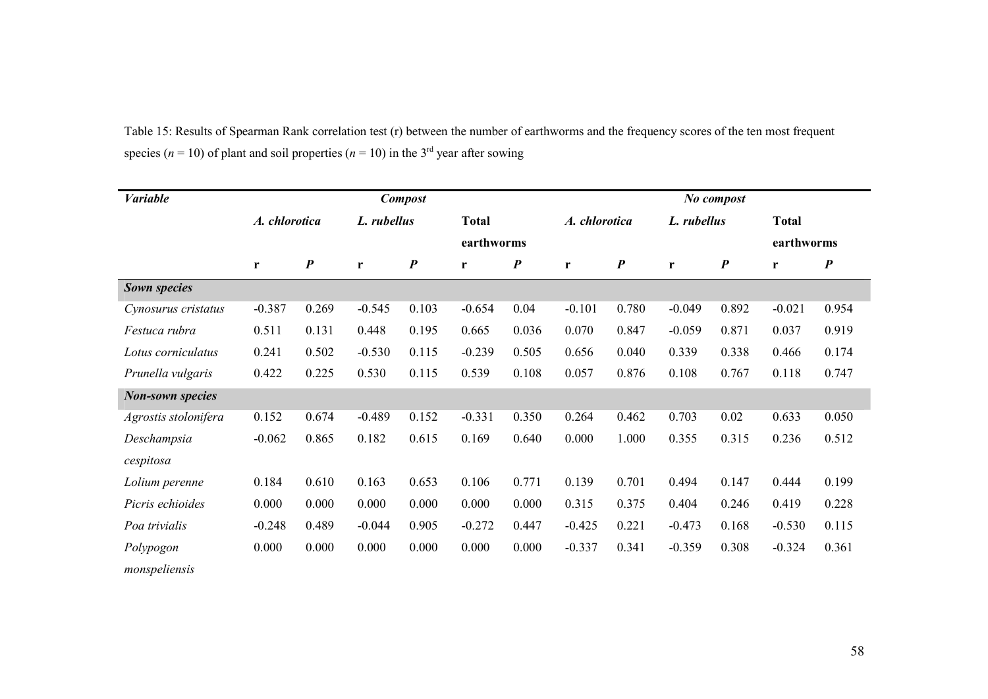| <b>Variable</b>         |               |                  |             | <b>Compost</b>   |              |                  |               |                  |             | No compost       |              |                  |
|-------------------------|---------------|------------------|-------------|------------------|--------------|------------------|---------------|------------------|-------------|------------------|--------------|------------------|
|                         | A. chlorotica |                  | L. rubellus |                  | <b>Total</b> |                  | A. chlorotica |                  | L. rubellus |                  | <b>Total</b> |                  |
|                         |               |                  |             |                  | earthworms   |                  |               |                  |             |                  | earthworms   |                  |
|                         | r             | $\boldsymbol{P}$ | r           | $\boldsymbol{P}$ | r            | $\boldsymbol{P}$ | r             | $\boldsymbol{P}$ | r           | $\boldsymbol{P}$ | r            | $\boldsymbol{P}$ |
| Sown species            |               |                  |             |                  |              |                  |               |                  |             |                  |              |                  |
| Cynosurus cristatus     | $-0.387$      | 0.269            | $-0.545$    | 0.103            | $-0.654$     | 0.04             | $-0.101$      | 0.780            | $-0.049$    | 0.892            | $-0.021$     | 0.954            |
| Festuca rubra           | 0.511         | 0.131            | 0.448       | 0.195            | 0.665        | 0.036            | 0.070         | 0.847            | $-0.059$    | 0.871            | 0.037        | 0.919            |
| Lotus corniculatus      | 0.241         | 0.502            | $-0.530$    | 0.115            | $-0.239$     | 0.505            | 0.656         | 0.040            | 0.339       | 0.338            | 0.466        | 0.174            |
| Prunella vulgaris       | 0.422         | 0.225            | 0.530       | 0.115            | 0.539        | 0.108            | 0.057         | 0.876            | 0.108       | 0.767            | 0.118        | 0.747            |
| <b>Non-sown species</b> |               |                  |             |                  |              |                  |               |                  |             |                  |              |                  |
| Agrostis stolonifera    | 0.152         | 0.674            | $-0.489$    | 0.152            | $-0.331$     | 0.350            | 0.264         | 0.462            | 0.703       | 0.02             | 0.633        | 0.050            |
| Deschampsia             | $-0.062$      | 0.865            | 0.182       | 0.615            | 0.169        | 0.640            | 0.000         | 1.000            | 0.355       | 0.315            | 0.236        | 0.512            |
| cespitosa               |               |                  |             |                  |              |                  |               |                  |             |                  |              |                  |
| Lolium perenne          | 0.184         | 0.610            | 0.163       | 0.653            | 0.106        | 0.771            | 0.139         | 0.701            | 0.494       | 0.147            | 0.444        | 0.199            |
| Picris echioides        | 0.000         | 0.000            | 0.000       | 0.000            | 0.000        | 0.000            | 0.315         | 0.375            | 0.404       | 0.246            | 0.419        | 0.228            |
| Poa trivialis           | $-0.248$      | 0.489            | $-0.044$    | 0.905            | $-0.272$     | 0.447            | $-0.425$      | 0.221            | $-0.473$    | 0.168            | $-0.530$     | 0.115            |
| Polypogon               | 0.000         | 0.000            | 0.000       | 0.000            | 0.000        | 0.000            | $-0.337$      | 0.341            | $-0.359$    | 0.308            | $-0.324$     | 0.361            |
| monspeliensis           |               |                  |             |                  |              |                  |               |                  |             |                  |              |                  |

Table 15: Results of Spearman Rank correlation test (r) between the number of earthworms and the frequency scores of the ten most frequent species ( $n = 10$ ) of plant and soil properties ( $n = 10$ ) in the 3<sup>rd</sup> year after sowing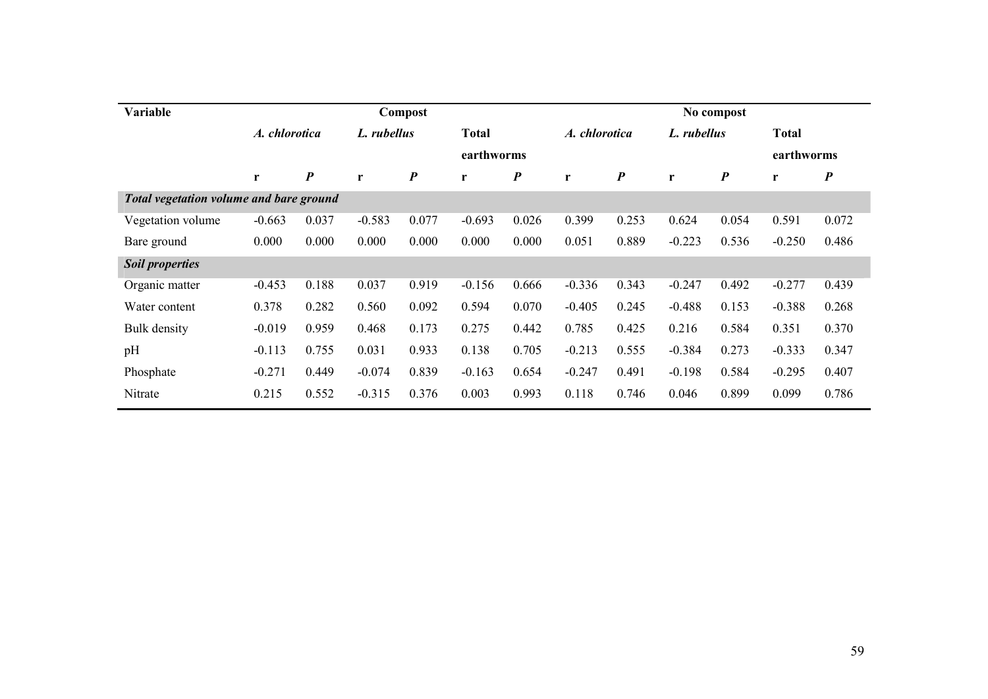| Variable                                | <b>Compost</b> |                  |             |                  |              |                  |               |                  |              | No compost       |              |                  |
|-----------------------------------------|----------------|------------------|-------------|------------------|--------------|------------------|---------------|------------------|--------------|------------------|--------------|------------------|
|                                         | A. chlorotica  |                  | L. rubellus |                  | <b>Total</b> |                  | A. chlorotica |                  | L. rubellus  |                  | <b>Total</b> |                  |
|                                         |                |                  |             |                  |              | earthworms       |               |                  |              |                  | earthworms   |                  |
|                                         | r              | $\boldsymbol{P}$ | r           | $\boldsymbol{P}$ | r            | $\boldsymbol{P}$ | r             | $\boldsymbol{P}$ | $\mathbf{r}$ | $\boldsymbol{P}$ | r            | $\boldsymbol{P}$ |
| Total vegetation volume and bare ground |                |                  |             |                  |              |                  |               |                  |              |                  |              |                  |
| Vegetation volume                       | $-0.663$       | 0.037            | $-0.583$    | 0.077            | $-0.693$     | 0.026            | 0.399         | 0.253            | 0.624        | 0.054            | 0.591        | 0.072            |
| Bare ground                             | 0.000          | 0.000            | 0.000       | 0.000            | 0.000        | 0.000            | 0.051         | 0.889            | $-0.223$     | 0.536            | $-0.250$     | 0.486            |
| <b>Soil properties</b>                  |                |                  |             |                  |              |                  |               |                  |              |                  |              |                  |
| Organic matter                          | $-0.453$       | 0.188            | 0.037       | 0.919            | $-0.156$     | 0.666            | $-0.336$      | 0.343            | $-0.247$     | 0.492            | $-0.277$     | 0.439            |
| Water content                           | 0.378          | 0.282            | 0.560       | 0.092            | 0.594        | 0.070            | $-0.405$      | 0.245            | $-0.488$     | 0.153            | $-0.388$     | 0.268            |
| Bulk density                            | $-0.019$       | 0.959            | 0.468       | 0.173            | 0.275        | 0.442            | 0.785         | 0.425            | 0.216        | 0.584            | 0.351        | 0.370            |
| pH                                      | $-0.113$       | 0.755            | 0.031       | 0.933            | 0.138        | 0.705            | $-0.213$      | 0.555            | $-0.384$     | 0.273            | $-0.333$     | 0.347            |
| Phosphate                               | $-0.271$       | 0.449            | $-0.074$    | 0.839            | $-0.163$     | 0.654            | $-0.247$      | 0.491            | $-0.198$     | 0.584            | $-0.295$     | 0.407            |
| Nitrate                                 | 0.215          | 0.552            | $-0.315$    | 0.376            | 0.003        | 0.993            | 0.118         | 0.746            | 0.046        | 0.899            | 0.099        | 0.786            |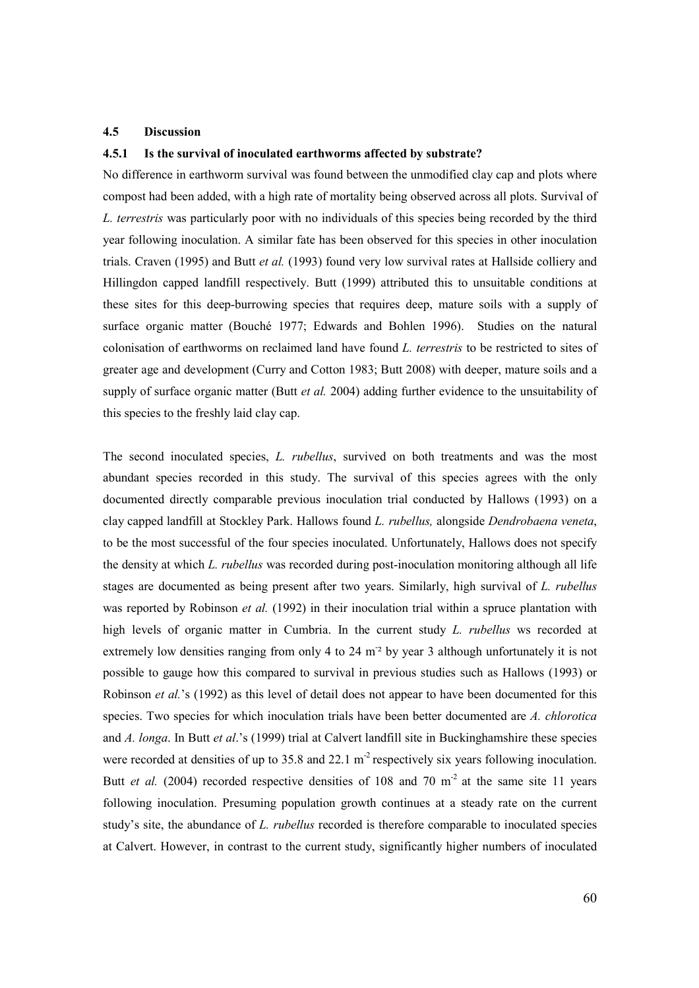## 4.5 Discussion

#### 4.5.1 Is the survival of inoculated earthworms affected by substrate?

No difference in earthworm survival was found between the unmodified clay cap and plots where compost had been added, with a high rate of mortality being observed across all plots. Survival of L. terrestris was particularly poor with no individuals of this species being recorded by the third year following inoculation. A similar fate has been observed for this species in other inoculation trials. Craven (1995) and Butt et al. (1993) found very low survival rates at Hallside colliery and Hillingdon capped landfill respectively. Butt (1999) attributed this to unsuitable conditions at these sites for this deep-burrowing species that requires deep, mature soils with a supply of surface organic matter (Bouché 1977; Edwards and Bohlen 1996). Studies on the natural colonisation of earthworms on reclaimed land have found L. terrestris to be restricted to sites of greater age and development (Curry and Cotton 1983; Butt 2008) with deeper, mature soils and a supply of surface organic matter (Butt *et al.* 2004) adding further evidence to the unsuitability of this species to the freshly laid clay cap.

The second inoculated species, L. rubellus, survived on both treatments and was the most abundant species recorded in this study. The survival of this species agrees with the only documented directly comparable previous inoculation trial conducted by Hallows (1993) on a clay capped landfill at Stockley Park. Hallows found L. rubellus, alongside Dendrobaena veneta, to be the most successful of the four species inoculated. Unfortunately, Hallows does not specify the density at which L. rubellus was recorded during post-inoculation monitoring although all life stages are documented as being present after two years. Similarly, high survival of L. rubellus was reported by Robinson *et al.* (1992) in their inoculation trial within a spruce plantation with high levels of organic matter in Cumbria. In the current study L. rubellus ws recorded at extremely low densities ranging from only 4 to 24 m<sup>-2</sup> by year 3 although unfortunately it is not possible to gauge how this compared to survival in previous studies such as Hallows (1993) or Robinson *et al.*'s (1992) as this level of detail does not appear to have been documented for this species. Two species for which inoculation trials have been better documented are A. chlorotica and A. longa. In Butt et al.'s (1999) trial at Calvert landfill site in Buckinghamshire these species were recorded at densities of up to 35.8 and 22.1 m<sup>-2</sup> respectively six years following inoculation. Butt *et al.* (2004) recorded respective densities of 108 and 70 m<sup>2</sup> at the same site 11 years following inoculation. Presuming population growth continues at a steady rate on the current study's site, the abundance of L. *rubellus* recorded is therefore comparable to inoculated species at Calvert. However, in contrast to the current study, significantly higher numbers of inoculated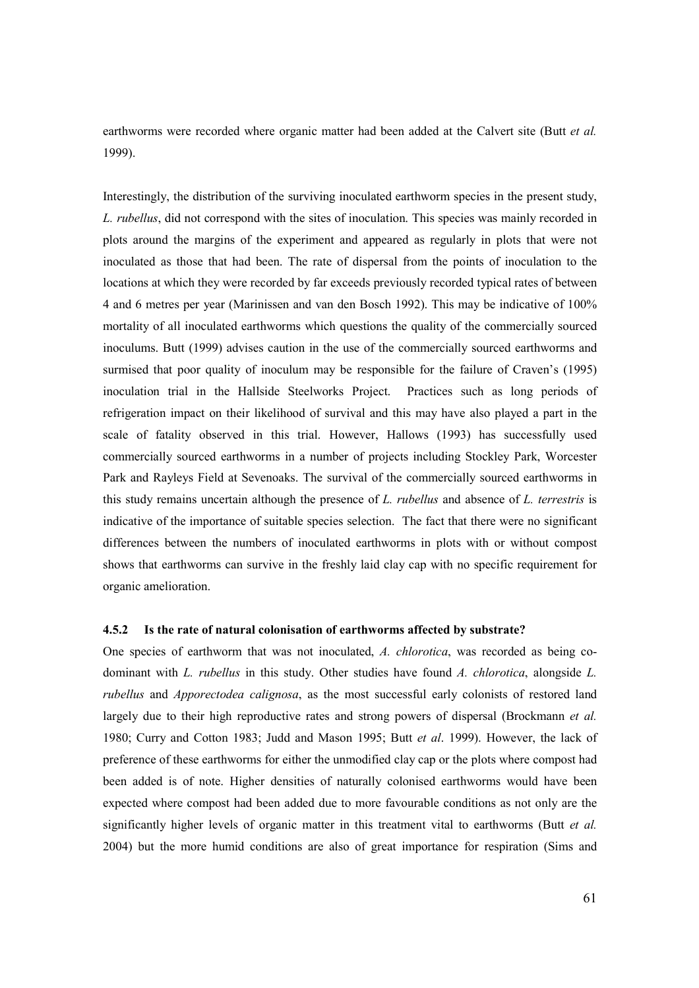earthworms were recorded where organic matter had been added at the Calvert site (Butt et al. 1999).

Interestingly, the distribution of the surviving inoculated earthworm species in the present study, L. rubellus, did not correspond with the sites of inoculation. This species was mainly recorded in plots around the margins of the experiment and appeared as regularly in plots that were not inoculated as those that had been. The rate of dispersal from the points of inoculation to the locations at which they were recorded by far exceeds previously recorded typical rates of between 4 and 6 metres per year (Marinissen and van den Bosch 1992). This may be indicative of 100% mortality of all inoculated earthworms which questions the quality of the commercially sourced inoculums. Butt (1999) advises caution in the use of the commercially sourced earthworms and surmised that poor quality of inoculum may be responsible for the failure of Craven's (1995) inoculation trial in the Hallside Steelworks Project. Practices such as long periods of refrigeration impact on their likelihood of survival and this may have also played a part in the scale of fatality observed in this trial. However, Hallows (1993) has successfully used commercially sourced earthworms in a number of projects including Stockley Park, Worcester Park and Rayleys Field at Sevenoaks. The survival of the commercially sourced earthworms in this study remains uncertain although the presence of L. rubellus and absence of L. terrestris is indicative of the importance of suitable species selection. The fact that there were no significant differences between the numbers of inoculated earthworms in plots with or without compost shows that earthworms can survive in the freshly laid clay cap with no specific requirement for organic amelioration.

## 4.5.2 Is the rate of natural colonisation of earthworms affected by substrate?

One species of earthworm that was not inoculated, A. chlorotica, was recorded as being codominant with L. rubellus in this study. Other studies have found A. chlorotica, alongside L. rubellus and Apporectodea calignosa, as the most successful early colonists of restored land largely due to their high reproductive rates and strong powers of dispersal (Brockmann *et al.*) 1980; Curry and Cotton 1983; Judd and Mason 1995; Butt et al. 1999). However, the lack of preference of these earthworms for either the unmodified clay cap or the plots where compost had been added is of note. Higher densities of naturally colonised earthworms would have been expected where compost had been added due to more favourable conditions as not only are the significantly higher levels of organic matter in this treatment vital to earthworms (Butt et al. 2004) but the more humid conditions are also of great importance for respiration (Sims and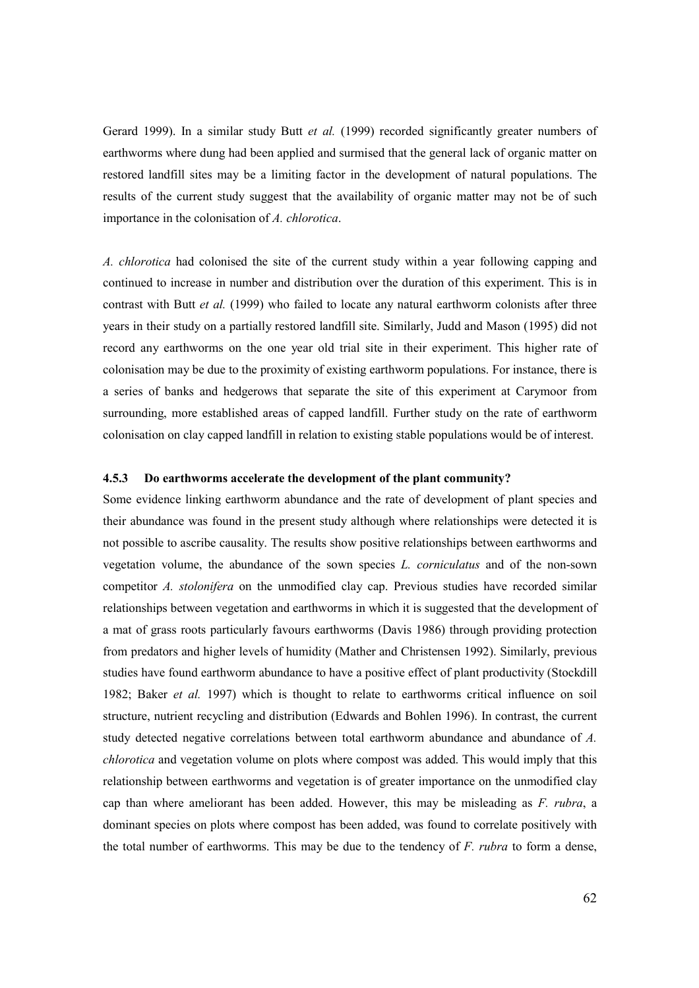Gerard 1999). In a similar study Butt et al. (1999) recorded significantly greater numbers of earthworms where dung had been applied and surmised that the general lack of organic matter on restored landfill sites may be a limiting factor in the development of natural populations. The results of the current study suggest that the availability of organic matter may not be of such importance in the colonisation of A. chlorotica.

A. chlorotica had colonised the site of the current study within a year following capping and continued to increase in number and distribution over the duration of this experiment. This is in contrast with Butt et al. (1999) who failed to locate any natural earthworm colonists after three years in their study on a partially restored landfill site. Similarly, Judd and Mason (1995) did not record any earthworms on the one year old trial site in their experiment. This higher rate of colonisation may be due to the proximity of existing earthworm populations. For instance, there is a series of banks and hedgerows that separate the site of this experiment at Carymoor from surrounding, more established areas of capped landfill. Further study on the rate of earthworm colonisation on clay capped landfill in relation to existing stable populations would be of interest.

## 4.5.3 Do earthworms accelerate the development of the plant community?

Some evidence linking earthworm abundance and the rate of development of plant species and their abundance was found in the present study although where relationships were detected it is not possible to ascribe causality. The results show positive relationships between earthworms and vegetation volume, the abundance of the sown species L. corniculatus and of the non-sown competitor A. stolonifera on the unmodified clay cap. Previous studies have recorded similar relationships between vegetation and earthworms in which it is suggested that the development of a mat of grass roots particularly favours earthworms (Davis 1986) through providing protection from predators and higher levels of humidity (Mather and Christensen 1992). Similarly, previous studies have found earthworm abundance to have a positive effect of plant productivity (Stockdill 1982; Baker et al. 1997) which is thought to relate to earthworms critical influence on soil structure, nutrient recycling and distribution (Edwards and Bohlen 1996). In contrast, the current study detected negative correlations between total earthworm abundance and abundance of A. chlorotica and vegetation volume on plots where compost was added. This would imply that this relationship between earthworms and vegetation is of greater importance on the unmodified clay cap than where ameliorant has been added. However, this may be misleading as F. rubra, a dominant species on plots where compost has been added, was found to correlate positively with the total number of earthworms. This may be due to the tendency of  $F$ , *rubra* to form a dense,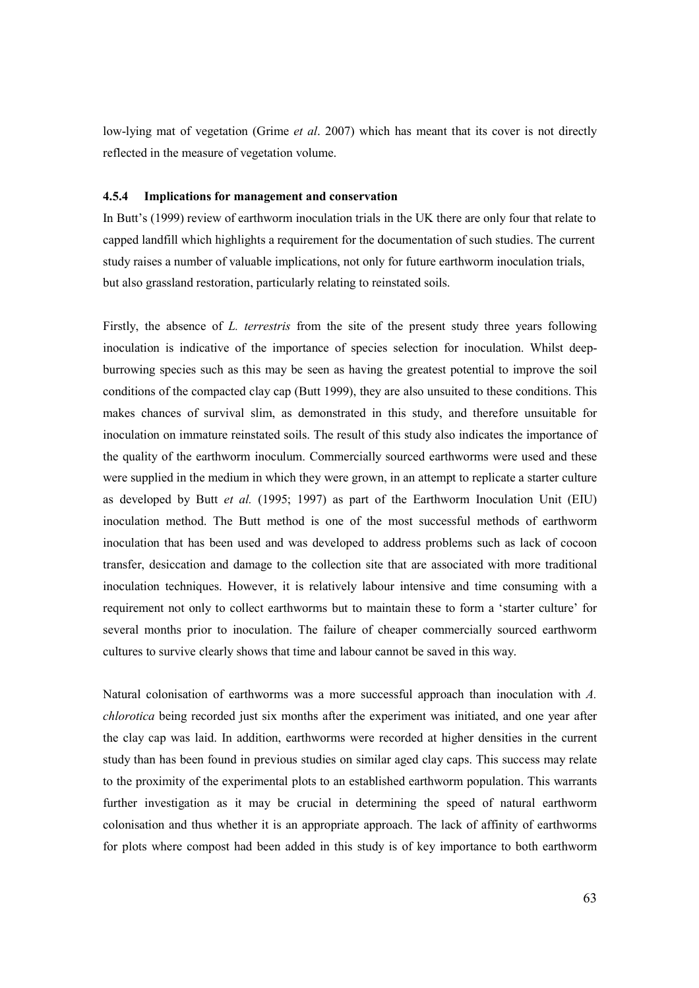low-lying mat of vegetation (Grime *et al.* 2007) which has meant that its cover is not directly reflected in the measure of vegetation volume.

## 4.5.4 Implications for management and conservation

In Butt's (1999) review of earthworm inoculation trials in the UK there are only four that relate to capped landfill which highlights a requirement for the documentation of such studies. The current study raises a number of valuable implications, not only for future earthworm inoculation trials, but also grassland restoration, particularly relating to reinstated soils.

Firstly, the absence of *L. terrestris* from the site of the present study three years following inoculation is indicative of the importance of species selection for inoculation. Whilst deepburrowing species such as this may be seen as having the greatest potential to improve the soil conditions of the compacted clay cap (Butt 1999), they are also unsuited to these conditions. This makes chances of survival slim, as demonstrated in this study, and therefore unsuitable for inoculation on immature reinstated soils. The result of this study also indicates the importance of the quality of the earthworm inoculum. Commercially sourced earthworms were used and these were supplied in the medium in which they were grown, in an attempt to replicate a starter culture as developed by Butt et al.  $(1995; 1997)$  as part of the Earthworm Inoculation Unit (EIU) inoculation method. The Butt method is one of the most successful methods of earthworm inoculation that has been used and was developed to address problems such as lack of cocoon transfer, desiccation and damage to the collection site that are associated with more traditional inoculation techniques. However, it is relatively labour intensive and time consuming with a requirement not only to collect earthworms but to maintain these to form a 'starter culture' for several months prior to inoculation. The failure of cheaper commercially sourced earthworm cultures to survive clearly shows that time and labour cannot be saved in this way.

Natural colonisation of earthworms was a more successful approach than inoculation with A. chlorotica being recorded just six months after the experiment was initiated, and one year after the clay cap was laid. In addition, earthworms were recorded at higher densities in the current study than has been found in previous studies on similar aged clay caps. This success may relate to the proximity of the experimental plots to an established earthworm population. This warrants further investigation as it may be crucial in determining the speed of natural earthworm colonisation and thus whether it is an appropriate approach. The lack of affinity of earthworms for plots where compost had been added in this study is of key importance to both earthworm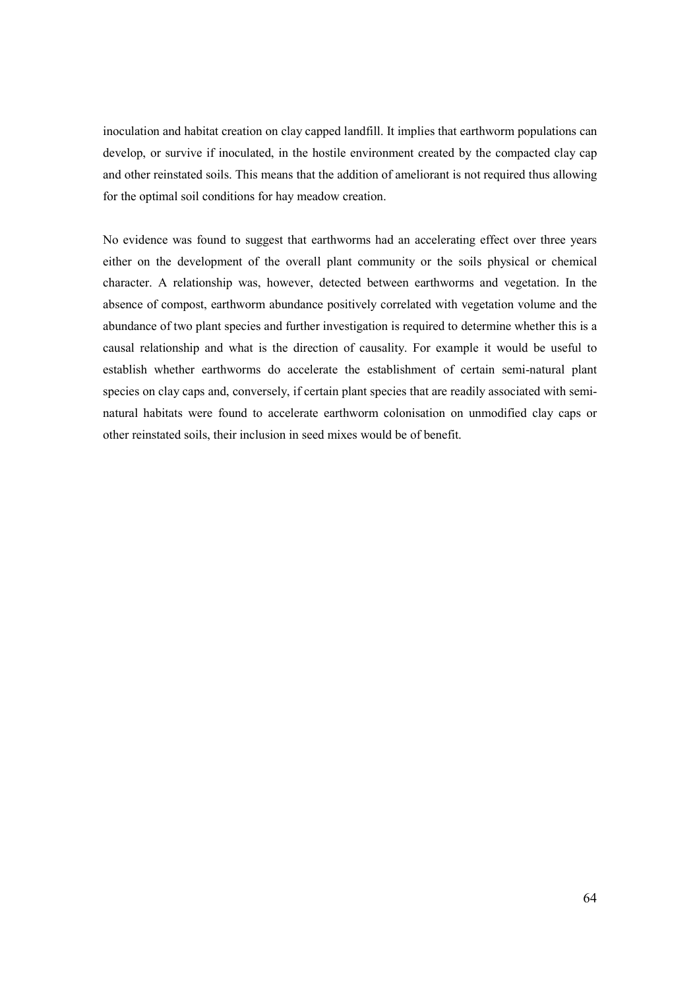inoculation and habitat creation on clay capped landfill. It implies that earthworm populations can develop, or survive if inoculated, in the hostile environment created by the compacted clay cap and other reinstated soils. This means that the addition of ameliorant is not required thus allowing for the optimal soil conditions for hay meadow creation.

No evidence was found to suggest that earthworms had an accelerating effect over three years either on the development of the overall plant community or the soils physical or chemical character. A relationship was, however, detected between earthworms and vegetation. In the absence of compost, earthworm abundance positively correlated with vegetation volume and the abundance of two plant species and further investigation is required to determine whether this is a causal relationship and what is the direction of causality. For example it would be useful to establish whether earthworms do accelerate the establishment of certain semi-natural plant species on clay caps and, conversely, if certain plant species that are readily associated with seminatural habitats were found to accelerate earthworm colonisation on unmodified clay caps or other reinstated soils, their inclusion in seed mixes would be of benefit.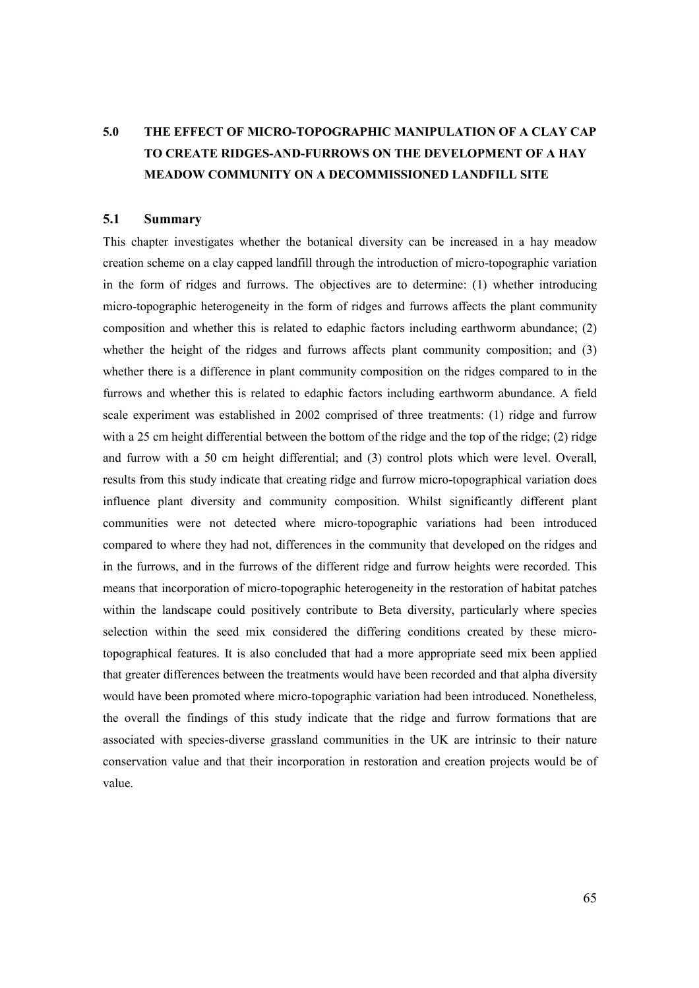# 5.0 THE EFFECT OF MICRO-TOPOGRAPHIC MANIPULATION OF A CLAY CAP TO CREATE RIDGES-AND-FURROWS ON THE DEVELOPMENT OF A HAY MEADOW COMMUNITY ON A DECOMMISSIONED LANDFILL SITE

# 5.1 Summary

This chapter investigates whether the botanical diversity can be increased in a hay meadow creation scheme on a clay capped landfill through the introduction of micro-topographic variation in the form of ridges and furrows. The objectives are to determine: (1) whether introducing micro-topographic heterogeneity in the form of ridges and furrows affects the plant community composition and whether this is related to edaphic factors including earthworm abundance; (2) whether the height of the ridges and furrows affects plant community composition; and (3) whether there is a difference in plant community composition on the ridges compared to in the furrows and whether this is related to edaphic factors including earthworm abundance. A field scale experiment was established in 2002 comprised of three treatments: (1) ridge and furrow with a 25 cm height differential between the bottom of the ridge and the top of the ridge; (2) ridge and furrow with a 50 cm height differential; and (3) control plots which were level. Overall, results from this study indicate that creating ridge and furrow micro-topographical variation does influence plant diversity and community composition. Whilst significantly different plant communities were not detected where micro-topographic variations had been introduced compared to where they had not, differences in the community that developed on the ridges and in the furrows, and in the furrows of the different ridge and furrow heights were recorded. This means that incorporation of micro-topographic heterogeneity in the restoration of habitat patches within the landscape could positively contribute to Beta diversity, particularly where species selection within the seed mix considered the differing conditions created by these microtopographical features. It is also concluded that had a more appropriate seed mix been applied that greater differences between the treatments would have been recorded and that alpha diversity would have been promoted where micro-topographic variation had been introduced. Nonetheless, the overall the findings of this study indicate that the ridge and furrow formations that are associated with species-diverse grassland communities in the UK are intrinsic to their nature conservation value and that their incorporation in restoration and creation projects would be of value.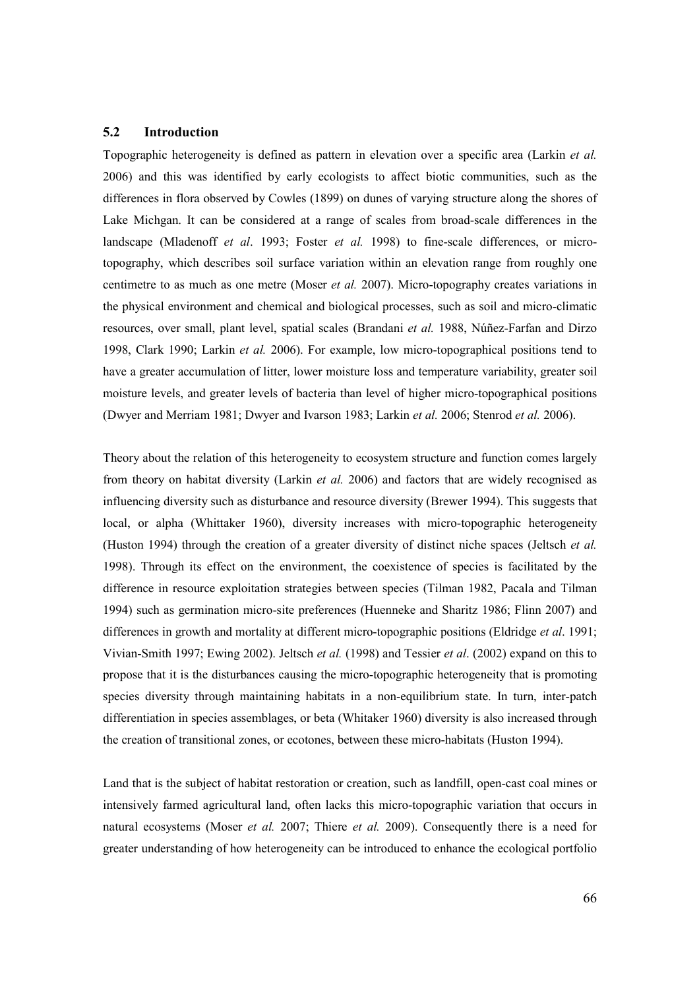# 5.2 Introduction

Topographic heterogeneity is defined as pattern in elevation over a specific area (Larkin et al. 2006) and this was identified by early ecologists to affect biotic communities, such as the differences in flora observed by Cowles (1899) on dunes of varying structure along the shores of Lake Michgan. It can be considered at a range of scales from broad-scale differences in the landscape (Mladenoff et al. 1993; Foster et al. 1998) to fine-scale differences, or microtopography, which describes soil surface variation within an elevation range from roughly one centimetre to as much as one metre (Moser *et al.* 2007). Micro-topography creates variations in the physical environment and chemical and biological processes, such as soil and micro-climatic resources, over small, plant level, spatial scales (Brandani et al. 1988, Núñez-Farfan and Dirzo 1998, Clark 1990; Larkin et al. 2006). For example, low micro-topographical positions tend to have a greater accumulation of litter, lower moisture loss and temperature variability, greater soil moisture levels, and greater levels of bacteria than level of higher micro-topographical positions (Dwyer and Merriam 1981; Dwyer and Ivarson 1983; Larkin et al. 2006; Stenrod et al. 2006).

Theory about the relation of this heterogeneity to ecosystem structure and function comes largely from theory on habitat diversity (Larkin et al. 2006) and factors that are widely recognised as influencing diversity such as disturbance and resource diversity (Brewer 1994). This suggests that local, or alpha (Whittaker 1960), diversity increases with micro-topographic heterogeneity (Huston 1994) through the creation of a greater diversity of distinct niche spaces (Jeltsch et al. 1998). Through its effect on the environment, the coexistence of species is facilitated by the difference in resource exploitation strategies between species (Tilman 1982, Pacala and Tilman 1994) such as germination micro-site preferences (Huenneke and Sharitz 1986; Flinn 2007) and differences in growth and mortality at different micro-topographic positions (Eldridge et al. 1991; Vivian-Smith 1997; Ewing 2002). Jeltsch et al. (1998) and Tessier et al. (2002) expand on this to propose that it is the disturbances causing the micro-topographic heterogeneity that is promoting species diversity through maintaining habitats in a non-equilibrium state. In turn, inter-patch differentiation in species assemblages, or beta (Whitaker 1960) diversity is also increased through the creation of transitional zones, or ecotones, between these micro-habitats (Huston 1994).

Land that is the subject of habitat restoration or creation, such as landfill, open-cast coal mines or intensively farmed agricultural land, often lacks this micro-topographic variation that occurs in natural ecosystems (Moser *et al.* 2007; Thiere *et al.* 2009). Consequently there is a need for greater understanding of how heterogeneity can be introduced to enhance the ecological portfolio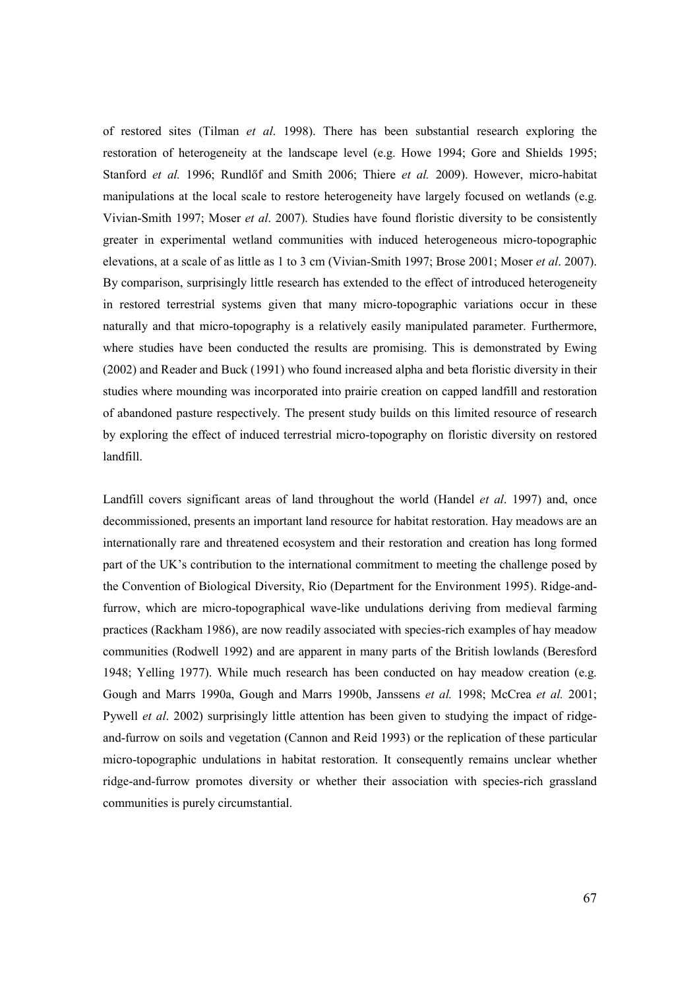of restored sites (Tilman et al. 1998). There has been substantial research exploring the restoration of heterogeneity at the landscape level (e.g. Howe 1994; Gore and Shields 1995; Stanford et al. 1996; Rundlőf and Smith 2006; Thiere et al. 2009). However, micro-habitat manipulations at the local scale to restore heterogeneity have largely focused on wetlands (e.g. Vivian-Smith 1997; Moser et al. 2007). Studies have found floristic diversity to be consistently greater in experimental wetland communities with induced heterogeneous micro-topographic elevations, at a scale of as little as 1 to 3 cm (Vivian-Smith 1997; Brose 2001; Moser et al. 2007). By comparison, surprisingly little research has extended to the effect of introduced heterogeneity in restored terrestrial systems given that many micro-topographic variations occur in these naturally and that micro-topography is a relatively easily manipulated parameter. Furthermore, where studies have been conducted the results are promising. This is demonstrated by Ewing (2002) and Reader and Buck (1991) who found increased alpha and beta floristic diversity in their studies where mounding was incorporated into prairie creation on capped landfill and restoration of abandoned pasture respectively. The present study builds on this limited resource of research by exploring the effect of induced terrestrial micro-topography on floristic diversity on restored landfill.

Landfill covers significant areas of land throughout the world (Handel *et al.* 1997) and, once decommissioned, presents an important land resource for habitat restoration. Hay meadows are an internationally rare and threatened ecosystem and their restoration and creation has long formed part of the UK's contribution to the international commitment to meeting the challenge posed by the Convention of Biological Diversity, Rio (Department for the Environment 1995). Ridge-andfurrow, which are micro-topographical wave-like undulations deriving from medieval farming practices (Rackham 1986), are now readily associated with species-rich examples of hay meadow communities (Rodwell 1992) and are apparent in many parts of the British lowlands (Beresford 1948; Yelling 1977). While much research has been conducted on hay meadow creation (e.g. Gough and Marrs 1990a, Gough and Marrs 1990b, Janssens et al. 1998; McCrea et al. 2001; Pywell et al. 2002) surprisingly little attention has been given to studying the impact of ridgeand-furrow on soils and vegetation (Cannon and Reid 1993) or the replication of these particular micro-topographic undulations in habitat restoration. It consequently remains unclear whether ridge-and-furrow promotes diversity or whether their association with species-rich grassland communities is purely circumstantial.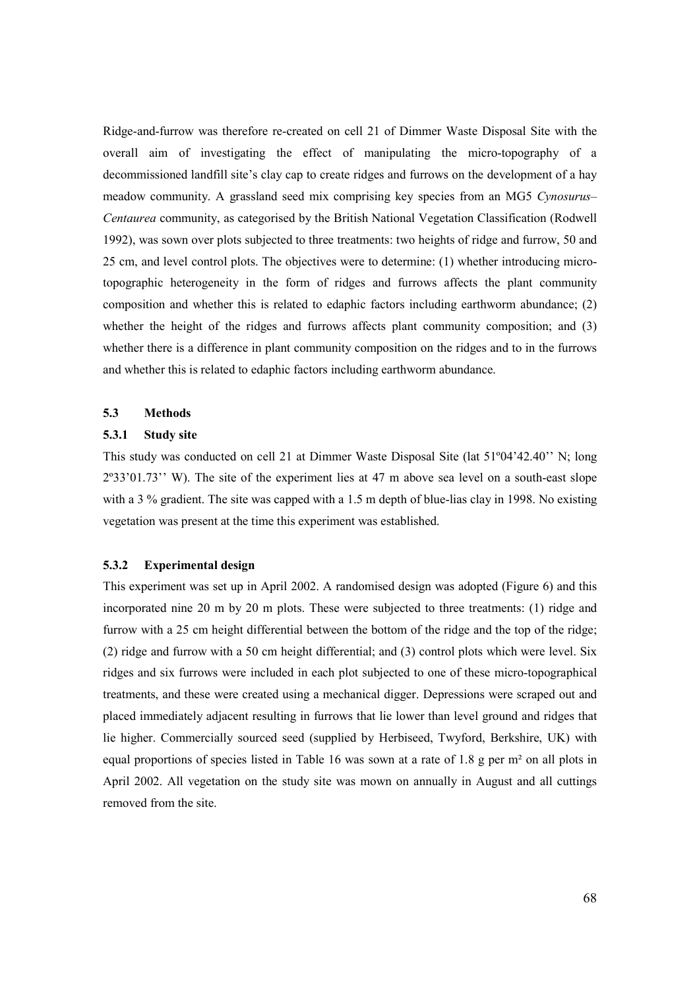Ridge-and-furrow was therefore re-created on cell 21 of Dimmer Waste Disposal Site with the overall aim of investigating the effect of manipulating the micro-topography of a decommissioned landfill site's clay cap to create ridges and furrows on the development of a hay meadow community. A grassland seed mix comprising key species from an MG5 Cynosurus– Centaurea community, as categorised by the British National Vegetation Classification (Rodwell 1992), was sown over plots subjected to three treatments: two heights of ridge and furrow, 50 and 25 cm, and level control plots. The objectives were to determine: (1) whether introducing microtopographic heterogeneity in the form of ridges and furrows affects the plant community composition and whether this is related to edaphic factors including earthworm abundance; (2) whether the height of the ridges and furrows affects plant community composition; and (3) whether there is a difference in plant community composition on the ridges and to in the furrows and whether this is related to edaphic factors including earthworm abundance.

# 5.3 Methods

## 5.3.1 Study site

This study was conducted on cell 21 at Dimmer Waste Disposal Site (lat 51º04'42.40'' N; long 2º33'01.73'' W). The site of the experiment lies at 47 m above sea level on a south-east slope with a 3 % gradient. The site was capped with a 1.5 m depth of blue-lias clay in 1998. No existing vegetation was present at the time this experiment was established.

## 5.3.2 Experimental design

This experiment was set up in April 2002. A randomised design was adopted (Figure 6) and this incorporated nine 20 m by 20 m plots. These were subjected to three treatments: (1) ridge and furrow with a 25 cm height differential between the bottom of the ridge and the top of the ridge; (2) ridge and furrow with a 50 cm height differential; and (3) control plots which were level. Six ridges and six furrows were included in each plot subjected to one of these micro-topographical treatments, and these were created using a mechanical digger. Depressions were scraped out and placed immediately adjacent resulting in furrows that lie lower than level ground and ridges that lie higher. Commercially sourced seed (supplied by Herbiseed, Twyford, Berkshire, UK) with equal proportions of species listed in Table 16 was sown at a rate of 1.8 g per m² on all plots in April 2002. All vegetation on the study site was mown on annually in August and all cuttings removed from the site.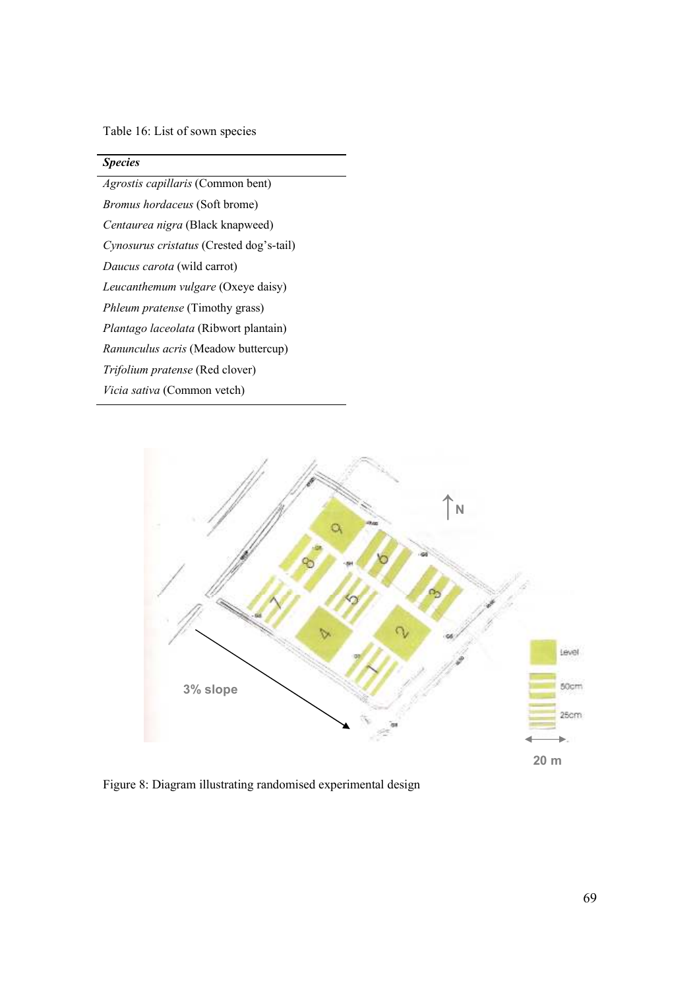Table 16: List of sown species

# **Species**

Agrostis capillaris (Common bent) Bromus hordaceus (Soft brome) Centaurea nigra (Black knapweed) Cynosurus cristatus (Crested dog's-tail) Daucus carota (wild carrot) Leucanthemum vulgare (Oxeye daisy) Phleum pratense (Timothy grass) Plantago laceolata (Ribwort plantain) Ranunculus acris (Meadow buttercup) Trifolium pratense (Red clover) Vicia sativa (Common vetch)



Figure 8: Diagram illustrating randomised experimental design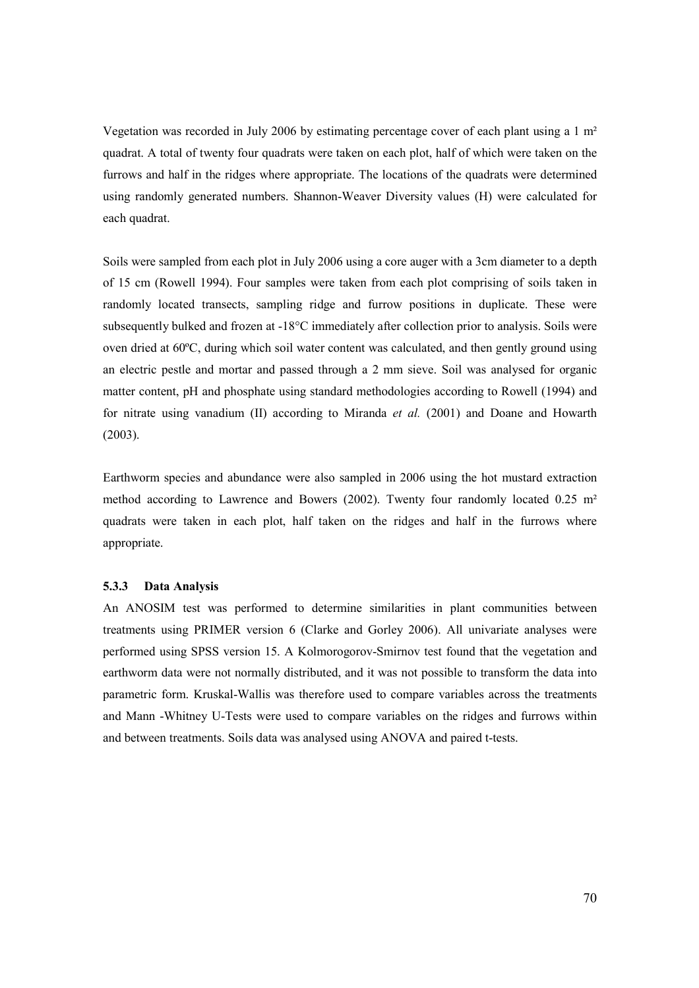Vegetation was recorded in July 2006 by estimating percentage cover of each plant using a 1 m² quadrat. A total of twenty four quadrats were taken on each plot, half of which were taken on the furrows and half in the ridges where appropriate. The locations of the quadrats were determined using randomly generated numbers. Shannon-Weaver Diversity values (H) were calculated for each quadrat.

Soils were sampled from each plot in July 2006 using a core auger with a 3cm diameter to a depth of 15 cm (Rowell 1994). Four samples were taken from each plot comprising of soils taken in randomly located transects, sampling ridge and furrow positions in duplicate. These were subsequently bulked and frozen at -18°C immediately after collection prior to analysis. Soils were oven dried at 60ºC, during which soil water content was calculated, and then gently ground using an electric pestle and mortar and passed through a 2 mm sieve. Soil was analysed for organic matter content, pH and phosphate using standard methodologies according to Rowell (1994) and for nitrate using vanadium  $(II)$  according to Miranda *et al.* (2001) and Doane and Howarth (2003).

Earthworm species and abundance were also sampled in 2006 using the hot mustard extraction method according to Lawrence and Bowers (2002). Twenty four randomly located 0.25 m² quadrats were taken in each plot, half taken on the ridges and half in the furrows where appropriate.

# 5.3.3 Data Analysis

An ANOSIM test was performed to determine similarities in plant communities between treatments using PRIMER version 6 (Clarke and Gorley 2006). All univariate analyses were performed using SPSS version 15. A Kolmorogorov-Smirnov test found that the vegetation and earthworm data were not normally distributed, and it was not possible to transform the data into parametric form. Kruskal-Wallis was therefore used to compare variables across the treatments and Mann -Whitney U-Tests were used to compare variables on the ridges and furrows within and between treatments. Soils data was analysed using ANOVA and paired t-tests.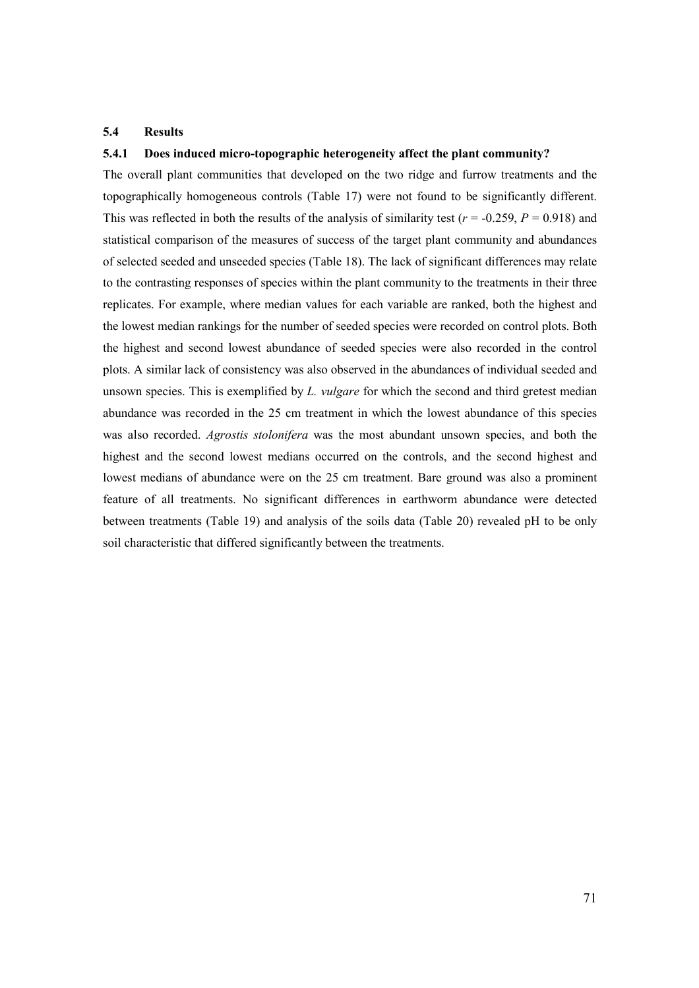## 5.4 Results

# 5.4.1 Does induced micro-topographic heterogeneity affect the plant community?

The overall plant communities that developed on the two ridge and furrow treatments and the topographically homogeneous controls (Table 17) were not found to be significantly different. This was reflected in both the results of the analysis of similarity test ( $r = -0.259$ ,  $P = 0.918$ ) and statistical comparison of the measures of success of the target plant community and abundances of selected seeded and unseeded species (Table 18). The lack of significant differences may relate to the contrasting responses of species within the plant community to the treatments in their three replicates. For example, where median values for each variable are ranked, both the highest and the lowest median rankings for the number of seeded species were recorded on control plots. Both the highest and second lowest abundance of seeded species were also recorded in the control plots. A similar lack of consistency was also observed in the abundances of individual seeded and unsown species. This is exemplified by L. vulgare for which the second and third gretest median abundance was recorded in the 25 cm treatment in which the lowest abundance of this species was also recorded. Agrostis stolonifera was the most abundant unsown species, and both the highest and the second lowest medians occurred on the controls, and the second highest and lowest medians of abundance were on the 25 cm treatment. Bare ground was also a prominent feature of all treatments. No significant differences in earthworm abundance were detected between treatments (Table 19) and analysis of the soils data (Table 20) revealed pH to be only soil characteristic that differed significantly between the treatments.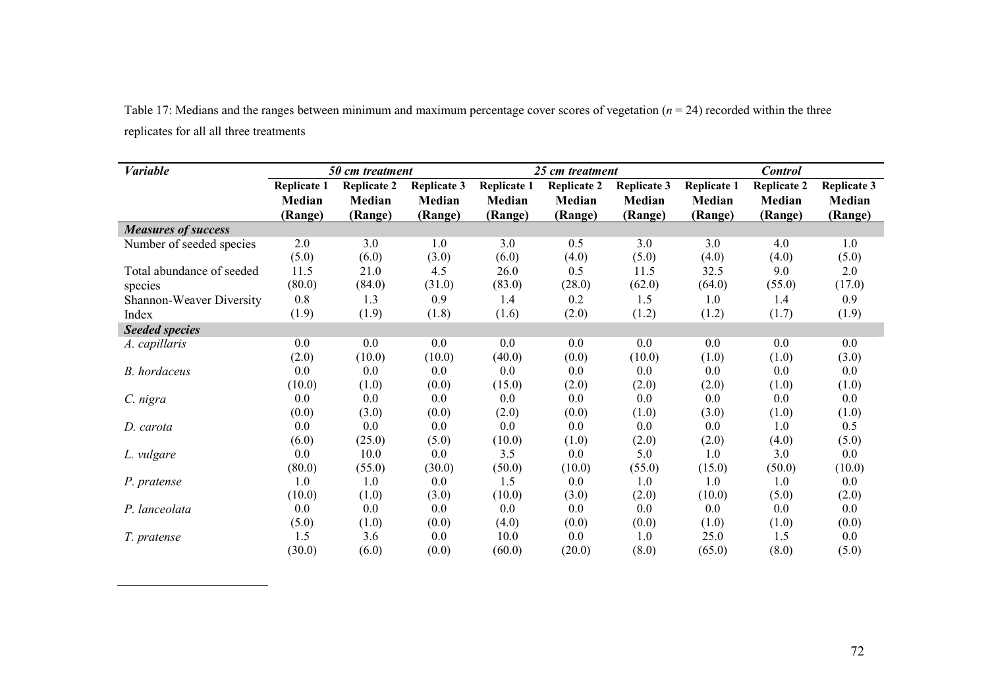Table 17: Medians and the ranges between minimum and maximum percentage cover scores of vegetation  $(n = 24)$  recorded within the three replicates for all all three treatments

| <b>Variable</b>            | 50 cm treatment    |                    |                    | 25 cm treatment    |                    |                    | <b>Control</b>     |                    |                    |
|----------------------------|--------------------|--------------------|--------------------|--------------------|--------------------|--------------------|--------------------|--------------------|--------------------|
|                            | <b>Replicate 1</b> | <b>Replicate 2</b> | <b>Replicate 3</b> | <b>Replicate 1</b> | <b>Replicate 2</b> | <b>Replicate 3</b> | <b>Replicate 1</b> | <b>Replicate 2</b> | <b>Replicate 3</b> |
|                            | Median             | Median             | Median             | Median             | Median             | Median             | Median             | Median             | Median             |
|                            | (Range)            | (Range)            | (Range)            | (Range)            | (Range)            | (Range)            | (Range)            | (Range)            | (Range)            |
| <b>Measures of success</b> |                    |                    |                    |                    |                    |                    |                    |                    |                    |
| Number of seeded species   | 2.0                | 3.0                | 1.0                | 3.0                | 0.5                | 3.0                | 3.0                | 4.0                | 1.0                |
|                            | (5.0)              | (6.0)              | (3.0)              | (6.0)              | (4.0)              | (5.0)              | (4.0)              | (4.0)              | (5.0)              |
| Total abundance of seeded  | 11.5               | 21.0               | 4.5                | 26.0               | 0.5                | 11.5               | 32.5               | 9.0                | 2.0                |
| species                    | (80.0)             | (84.0)             | (31.0)             | (83.0)             | (28.0)             | (62.0)             | (64.0)             | (55.0)             | (17.0)             |
| Shannon-Weaver Diversity   | 0.8                | 1.3                | 0.9                | 1.4                | 0.2                | 1.5                | 1.0                | 1.4                | 0.9                |
| Index                      | (1.9)              | (1.9)              | (1.8)              | (1.6)              | (2.0)              | (1.2)              | (1.2)              | (1.7)              | (1.9)              |
| <b>Seeded species</b>      |                    |                    |                    |                    |                    |                    |                    |                    |                    |
| A. capillaris              | 0.0                | 0.0                | $0.0\,$            | 0.0                | 0.0                | 0.0                | 0.0                | $0.0\,$            | 0.0                |
|                            | (2.0)              | (10.0)             | (10.0)             | (40.0)             | (0.0)              | (10.0)             | (1.0)              | (1.0)              | (3.0)              |
| B. hordaceus               | 0.0                | 0.0                | 0.0                | 0.0                | 0.0                | 0.0                | 0.0                | 0.0                | 0.0                |
|                            | (10.0)             | (1.0)              | (0.0)              | (15.0)             | (2.0)              | (2.0)              | (2.0)              | (1.0)              | (1.0)              |
| C. nigra                   | 0.0                | 0.0                | 0.0                | 0.0                | 0.0                | $0.0\,$            | 0.0                | 0.0                | $0.0\,$            |
|                            | (0.0)              | (3.0)              | (0.0)              | (2.0)              | (0.0)              | (1.0)              | (3.0)              | (1.0)              | (1.0)              |
| D. carota                  | 0.0                | 0.0                | $0.0\,$            | 0.0                | 0.0                | $0.0\,$            | 0.0                | 1.0                | 0.5                |
|                            | (6.0)              | (25.0)             | (5.0)              | (10.0)             | (1.0)              | (2.0)              | (2.0)              | (4.0)              | (5.0)              |
| L. vulgare                 | 0.0                | 10.0               | 0.0                | 3.5                | $0.0\,$            | 5.0                | 1.0                | 3.0                | $0.0\,$            |
|                            | (80.0)             | (55.0)             | (30.0)             | (50.0)             | (10.0)             | (55.0)             | (15.0)             | (50.0)             | (10.0)             |
| P. pratense                | 1.0                | 1.0                | 0.0                | 1.5                | 0.0                | 1.0                | 1.0                | 1.0                | 0.0                |
|                            | (10.0)             | (1.0)              | (3.0)              | (10.0)             | (3.0)              | (2.0)              | (10.0)             | (5.0)              | (2.0)              |
| P. lanceolata              | 0.0                | 0.0                | 0.0                | 0.0                | 0.0                | 0.0                | 0.0                | 0.0                | 0.0                |
|                            | (5.0)              | (1.0)              | (0.0)              | (4.0)              | (0.0)              | (0.0)              | (1.0)              | (1.0)              | (0.0)              |
| T. pratense                | 1.5                | 3.6                | 0.0                | 10.0               | 0.0                | 1.0                | 25.0               | 1.5                | 0.0                |
|                            | (30.0)             | (6.0)              | (0.0)              | (60.0)             | (20.0)             | (8.0)              | (65.0)             | (8.0)              | (5.0)              |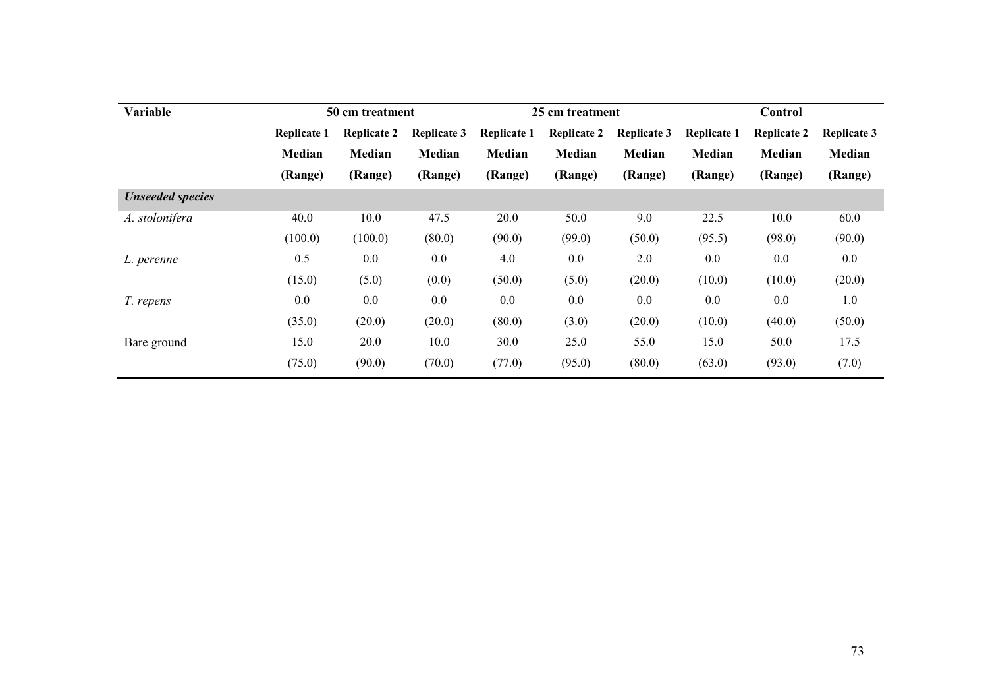| Variable                |                    | 50 cm treatment    |                    |                    | 25 cm treatment    |                    | Control            |                    |                    |  |
|-------------------------|--------------------|--------------------|--------------------|--------------------|--------------------|--------------------|--------------------|--------------------|--------------------|--|
|                         | <b>Replicate 1</b> | <b>Replicate 2</b> | <b>Replicate 3</b> | <b>Replicate 1</b> | <b>Replicate 2</b> | <b>Replicate 3</b> | <b>Replicate 1</b> | <b>Replicate 2</b> | <b>Replicate 3</b> |  |
|                         | <b>Median</b>      | Median             | Median             | Median             | Median             | Median             | Median             | Median             | Median             |  |
|                         | (Range)            | (Range)            | (Range)            | (Range)            | (Range)            | (Range)            | (Range)            | (Range)            | (Range)            |  |
| <b>Unseeded species</b> |                    |                    |                    |                    |                    |                    |                    |                    |                    |  |
| A. stolonifera          | 40.0               | 10.0               | 47.5               | 20.0               | 50.0               | 9.0                | 22.5               | 10.0               | 60.0               |  |
|                         | (100.0)            | (100.0)            | (80.0)             | (90.0)             | (99.0)             | (50.0)             | (95.5)             | (98.0)             | (90.0)             |  |
| L. perenne              | 0.5                | 0.0                | $0.0\,$            | 4.0                | 0.0                | 2.0                | $0.0\,$            | $0.0\,$            | $0.0\,$            |  |
|                         | (15.0)             | (5.0)              | (0.0)              | (50.0)             | (5.0)              | (20.0)             | (10.0)             | (10.0)             | (20.0)             |  |
| T. repens               | 0.0                | $0.0\,$            | $0.0\,$            | 0.0                | $0.0\,$            | $0.0\,$            | 0.0                | $0.0\,$            | 1.0                |  |
|                         | (35.0)             | (20.0)             | (20.0)             | (80.0)             | (3.0)              | (20.0)             | (10.0)             | (40.0)             | (50.0)             |  |
| Bare ground             | 15.0               | 20.0               | 10.0               | 30.0               | 25.0               | 55.0               | 15.0               | 50.0               | 17.5               |  |
|                         | (75.0)             | (90.0)             | (70.0)             | (77.0)             | (95.0)             | (80.0)             | (63.0)             | (93.0)             | (7.0)              |  |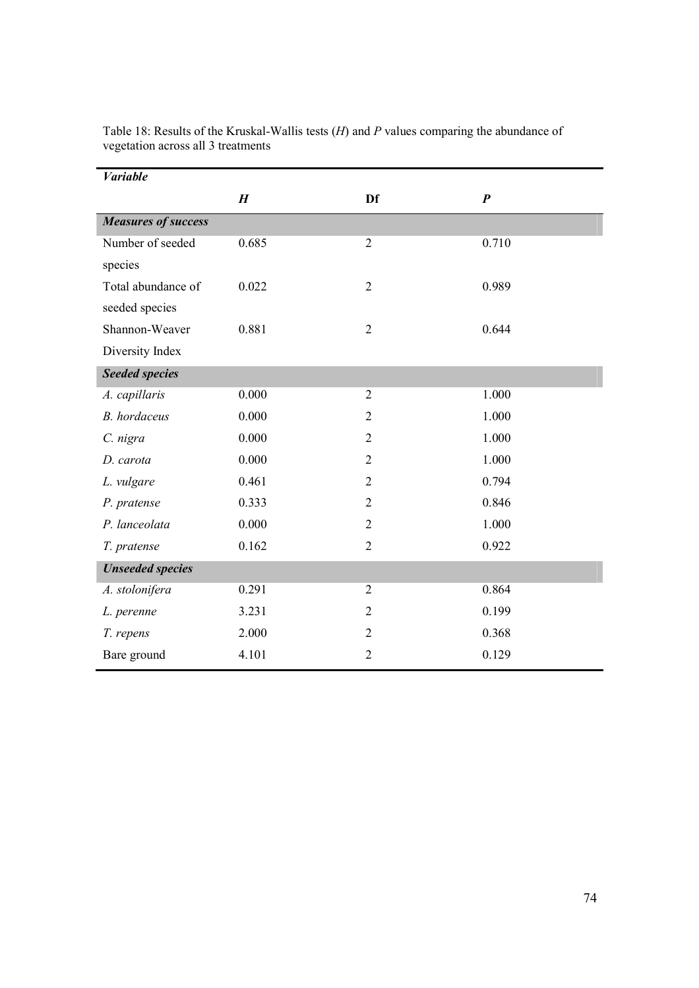| <b>Variable</b>            |                  |                |                  |
|----------------------------|------------------|----------------|------------------|
|                            | $\boldsymbol{H}$ | Df             | $\boldsymbol{P}$ |
| <b>Measures of success</b> |                  |                |                  |
| Number of seeded           | 0.685            | $\overline{2}$ | 0.710            |
| species                    |                  |                |                  |
| Total abundance of         | 0.022            | $\overline{2}$ | 0.989            |
| seeded species             |                  |                |                  |
| Shannon-Weaver             | 0.881            | $\overline{2}$ | 0.644            |
| Diversity Index            |                  |                |                  |
| <b>Seeded species</b>      |                  |                |                  |
| A. capillaris              | 0.000            | $\overline{2}$ | 1.000            |
| <b>B.</b> hordaceus        | 0.000            | $\overline{2}$ | 1.000            |
| C. nigra                   | 0.000            | $\overline{2}$ | 1.000            |
| D. carota                  | 0.000            | $\overline{2}$ | 1.000            |
| L. vulgare                 | 0.461            | $\overline{2}$ | 0.794            |
| P. pratense                | 0.333            | $\overline{2}$ | 0.846            |
| P. lanceolata              | 0.000            | $\overline{2}$ | 1.000            |
| T. pratense                | 0.162            | $\overline{2}$ | 0.922            |
| <b>Unseeded species</b>    |                  |                |                  |
| A. stolonifera             | 0.291            | $\overline{2}$ | 0.864            |
| L. perenne                 | 3.231            | $\overline{2}$ | 0.199            |
| T. repens                  | 2.000            | $\overline{2}$ | 0.368            |
| Bare ground                | 4.101            | $\overline{2}$ | 0.129            |

Table 18: Results of the Kruskal-Wallis tests  $(H)$  and P values comparing the abundance of vegetation across all 3 treatments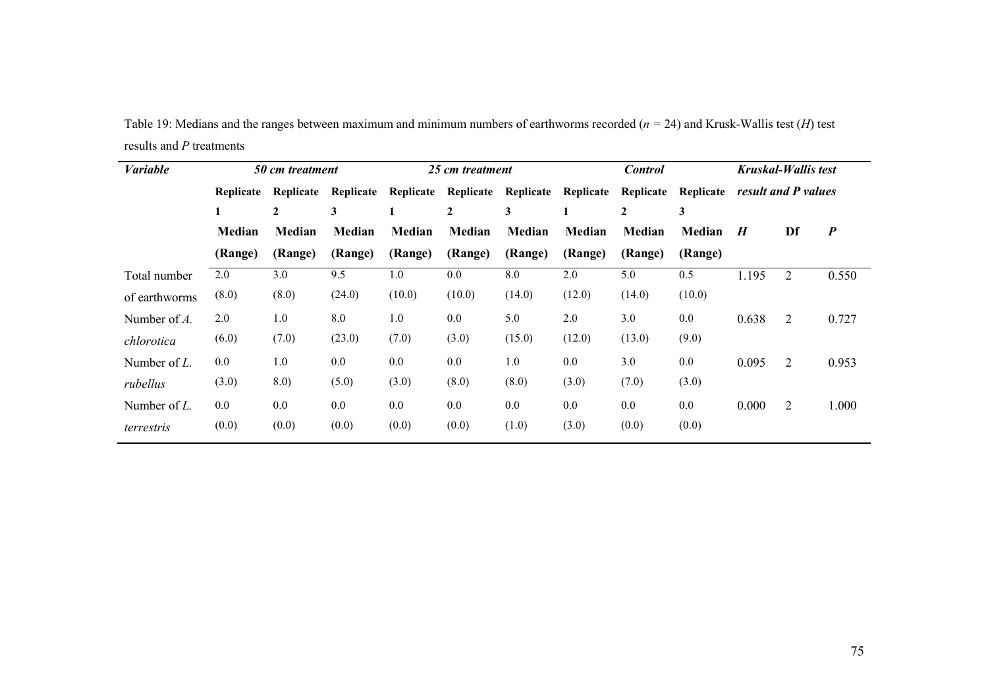Table 19: Medians and the ranges between maximum and minimum numbers of earthworms recorded ( $n = 24$ ) and Krusk-Wallis test (H) test results and P treatments

| <b>Variable</b> |           | 50 cm treatment |           | 25 cm treatment |              |         |                               | <b>Control</b> |           |                     | Kruskal-Wallis test |                  |
|-----------------|-----------|-----------------|-----------|-----------------|--------------|---------|-------------------------------|----------------|-----------|---------------------|---------------------|------------------|
|                 | Replicate | Replicate       | Replicate | Replicate       |              |         | Replicate Replicate Replicate | Replicate      | Replicate | result and P values |                     |                  |
|                 |           | $\mathbf{2}$    | 3         |                 | $\mathbf{2}$ | 3       | $\bf{I}$                      | 2              | 3         |                     |                     |                  |
|                 | Median    | <b>Median</b>   | Median    | Median          | Median       | Median  | <b>Median</b>                 | <b>Median</b>  | Median    | $\boldsymbol{H}$    | Df                  | $\boldsymbol{P}$ |
|                 | (Range)   | (Range)         | (Range)   | (Range)         | (Range)      | (Range) | (Range)                       | (Range)        | (Range)   |                     |                     |                  |
| Total number    | 2.0       | 3.0             | 9.5       | 1.0             | 0.0          | 8.0     | 2.0                           | 5.0            | 0.5       | 1.195               | 2                   | 0.550            |
| of earthworms   | (8.0)     | (8.0)           | (24.0)    | (10.0)          | (10.0)       | (14.0)  | (12.0)                        | (14.0)         | (10.0)    |                     |                     |                  |
| Number of $A$ . | 2.0       | 1.0             | 8.0       | 1.0             | $0.0\,$      | 5.0     | 2.0                           | 3.0            | $0.0\,$   | 0.638               | 2                   | 0.727            |
| chlorotica      | (6.0)     | (7.0)           | (23.0)    | (7.0)           | (3.0)        | (15.0)  | (12.0)                        | (13.0)         | (9.0)     |                     |                     |                  |
| Number of $L$ . | $0.0\,$   | 1.0             | 0.0       | $0.0\,$         | 0.0          | 1.0     | $0.0\,$                       | 3.0            | 0.0       | 0.095               | 2                   | 0.953            |
| rubellus        | (3.0)     | 8.0)            | (5.0)     | (3.0)           | (8.0)        | (8.0)   | (3.0)                         | (7.0)          | (3.0)     |                     |                     |                  |
| Number of $L$ . | $0.0\,$   | $0.0\,$         | 0.0       | $0.0\,$         | $0.0\,$      | 0.0     | $0.0\,$                       | 0.0            | $0.0\,$   | 0.000               | 2                   | 1.000            |
| terrestris      | (0.0)     | (0.0)           | (0.0)     | (0.0)           | (0.0)        | (1.0)   | (3.0)                         | (0.0)          | (0.0)     |                     |                     |                  |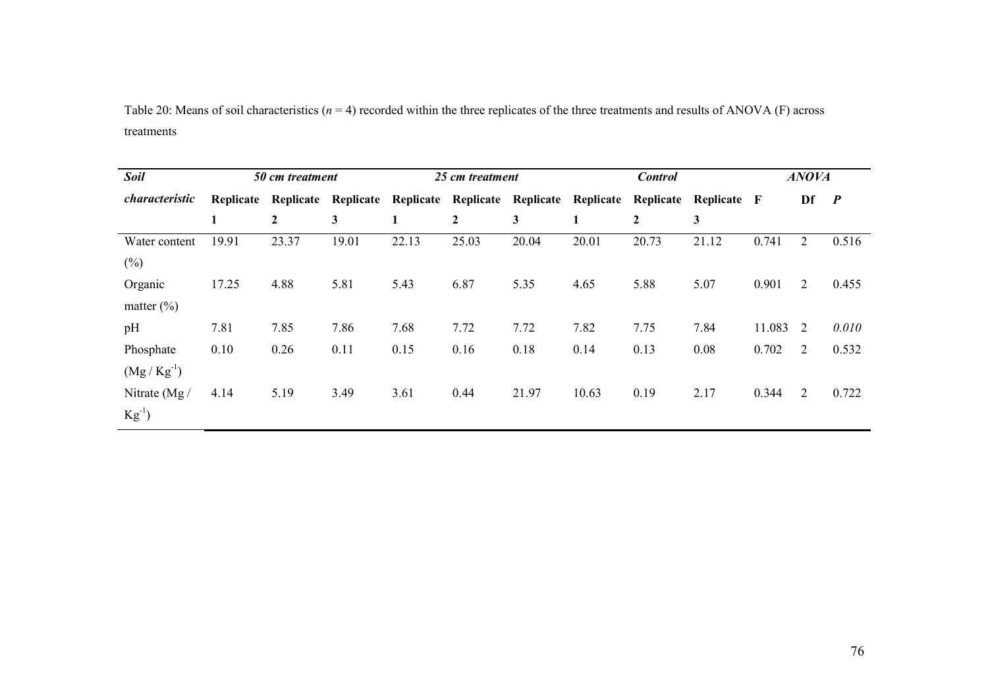Table 20: Means of soil characteristics ( $n = 4$ ) recorded within the three replicates of the three treatments and results of ANOVA (F) across treatments

| <b>Soil</b>           |           | 50 cm treatment  |           |           | 25 cm treatment |           |           | <b>Control</b> |             | <b>ANOVA</b> |                |                  |  |
|-----------------------|-----------|------------------|-----------|-----------|-----------------|-----------|-----------|----------------|-------------|--------------|----------------|------------------|--|
| <i>characteristic</i> | Replicate | Replicate        | Replicate | Replicate | Replicate       | Replicate | Replicate | Replicate      | Replicate F |              | Df             | $\boldsymbol{P}$ |  |
|                       | 1         | $\boldsymbol{2}$ | 3         | 1         | $\mathbf{2}$    | 3         | 1         | $\mathbf{2}$   | 3           |              |                |                  |  |
| Water content         | 19.91     | 23.37            | 19.01     | 22.13     | 25.03           | 20.04     | 20.01     | 20.73          | 21.12       | 0.741        | $\overline{2}$ | 0.516            |  |
| $(\%)$                |           |                  |           |           |                 |           |           |                |             |              |                |                  |  |
| Organic               | 17.25     | 4.88             | 5.81      | 5.43      | 6.87            | 5.35      | 4.65      | 5.88           | 5.07        | 0.901        | 2              | 0.455            |  |
| matter $(\% )$        |           |                  |           |           |                 |           |           |                |             |              |                |                  |  |
| pH                    | 7.81      | 7.85             | 7.86      | 7.68      | 7.72            | 7.72      | 7.82      | 7.75           | 7.84        | 11.083       | 2              | 0.010            |  |
| Phosphate             | 0.10      | 0.26             | 0.11      | 0.15      | 0.16            | 0.18      | 0.14      | 0.13           | 0.08        | 0.702        | $\overline{2}$ | 0.532            |  |
| $(Mg/Kg^{-1})$        |           |                  |           |           |                 |           |           |                |             |              |                |                  |  |
| Nitrate $(Mg)$        | 4.14      | 5.19             | 3.49      | 3.61      | 0.44            | 21.97     | 10.63     | 0.19           | 2.17        | 0.344        | 2              | 0.722            |  |
| $Kg^{-1}$             |           |                  |           |           |                 |           |           |                |             |              |                |                  |  |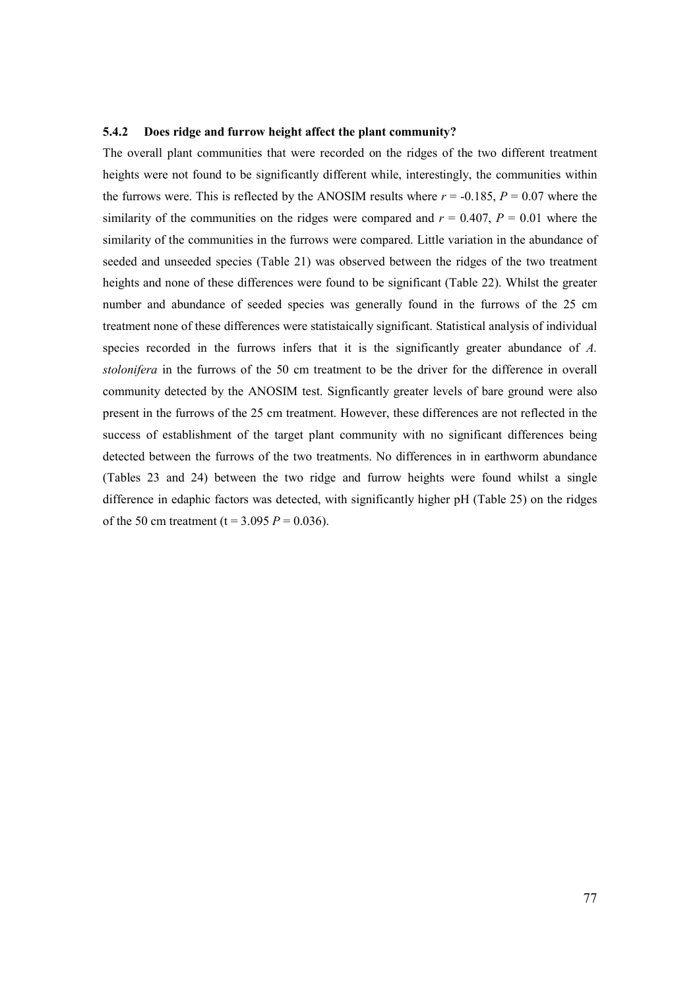#### 5.4.2 Does ridge and furrow height affect the plant community?

The overall plant communities that were recorded on the ridges of the two different treatment heights were not found to be significantly different while, interestingly, the communities within the furrows were. This is reflected by the ANOSIM results where  $r = -0.185$ ,  $P = 0.07$  where the similarity of the communities on the ridges were compared and  $r = 0.407$ ,  $P = 0.01$  where the similarity of the communities in the furrows were compared. Little variation in the abundance of seeded and unseeded species (Table 21) was observed between the ridges of the two treatment heights and none of these differences were found to be significant (Table 22). Whilst the greater number and abundance of seeded species was generally found in the furrows of the 25 cm treatment none of these differences were statistaically significant. Statistical analysis of individual species recorded in the furrows infers that it is the significantly greater abundance of A. stolonifera in the furrows of the 50 cm treatment to be the driver for the difference in overall community detected by the ANOSIM test. Signficantly greater levels of bare ground were also present in the furrows of the 25 cm treatment. However, these differences are not reflected in the success of establishment of the target plant community with no significant differences being detected between the furrows of the two treatments. No differences in in earthworm abundance (Tables 23 and 24) between the two ridge and furrow heights were found whilst a single difference in edaphic factors was detected, with significantly higher pH (Table 25) on the ridges of the 50 cm treatment (t =  $3.095 P = 0.036$ ).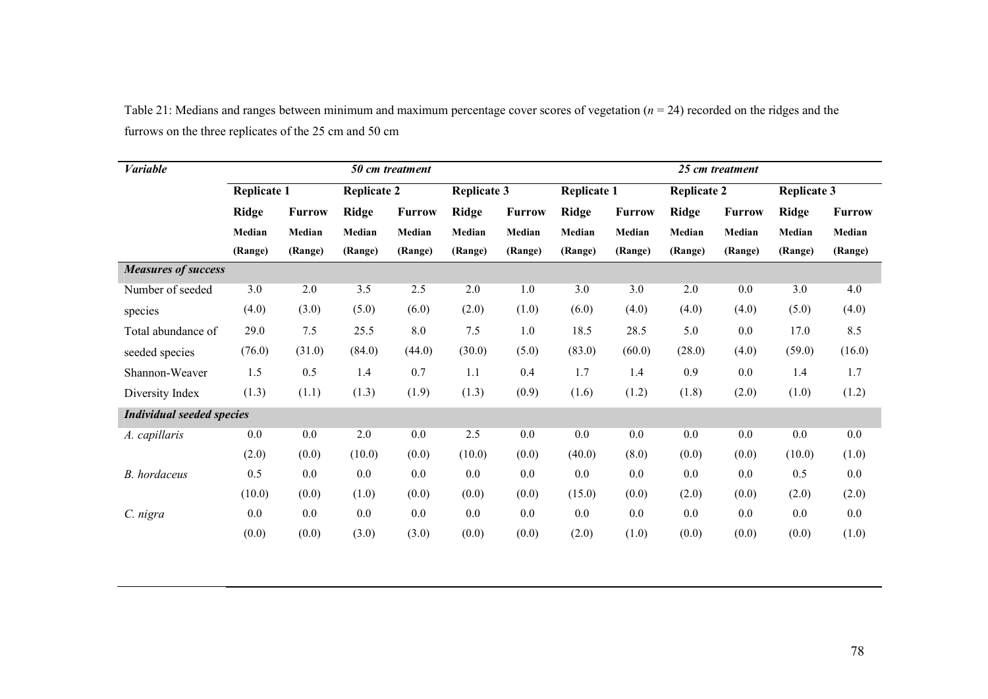Table 21: Medians and ranges between minimum and maximum percentage cover scores of vegetation ( $n = 24$ ) recorded on the ridges and the furrows on the three replicates of the 25 cm and 50 cm

| <b>Variable</b>                  |                    |               | 50 cm treatment    |               |                    |               | 25 cm treatment    |               |                    |               |                    |               |
|----------------------------------|--------------------|---------------|--------------------|---------------|--------------------|---------------|--------------------|---------------|--------------------|---------------|--------------------|---------------|
|                                  | <b>Replicate 1</b> |               | <b>Replicate 2</b> |               | <b>Replicate 3</b> |               | <b>Replicate 1</b> |               | <b>Replicate 2</b> |               | <b>Replicate 3</b> |               |
|                                  | <b>Ridge</b>       | <b>Furrow</b> | <b>Ridge</b>       | <b>Furrow</b> | <b>Ridge</b>       | <b>Furrow</b> | <b>Ridge</b>       | <b>Furrow</b> | <b>Ridge</b>       | <b>Furrow</b> | <b>Ridge</b>       | <b>Furrow</b> |
|                                  | Median             | Median        | Median             | Median        | Median             | Median        | Median             | Median        | Median             | Median        | Median             | Median        |
|                                  | (Range)            | (Range)       | (Range)            | (Range)       | (Range)            | (Range)       | (Range)            | (Range)       | (Range)            | (Range)       | (Range)            | (Range)       |
| <b>Measures of success</b>       |                    |               |                    |               |                    |               |                    |               |                    |               |                    |               |
| Number of seeded                 | 3.0                | 2.0           | 3.5                | 2.5           | 2.0                | 1.0           | 3.0                | 3.0           | 2.0                | 0.0           | 3.0                | 4.0           |
| species                          | (4.0)              | (3.0)         | (5.0)              | (6.0)         | (2.0)              | (1.0)         | (6.0)              | (4.0)         | (4.0)              | (4.0)         | (5.0)              | (4.0)         |
| Total abundance of               | 29.0               | 7.5           | 25.5               | 8.0           | 7.5                | 1.0           | 18.5               | 28.5          | 5.0                | 0.0           | 17.0               | 8.5           |
| seeded species                   | (76.0)             | (31.0)        | (84.0)             | (44.0)        | (30.0)             | (5.0)         | (83.0)             | (60.0)        | (28.0)             | (4.0)         | (59.0)             | (16.0)        |
| Shannon-Weaver                   | 1.5                | 0.5           | 1.4                | 0.7           | 1.1                | 0.4           | 1.7                | 1.4           | 0.9                | 0.0           | 1.4                | 1.7           |
| Diversity Index                  | (1.3)              | (1.1)         | (1.3)              | (1.9)         | (1.3)              | (0.9)         | (1.6)              | (1.2)         | (1.8)              | (2.0)         | (1.0)              | (1.2)         |
| <b>Individual seeded species</b> |                    |               |                    |               |                    |               |                    |               |                    |               |                    |               |
| A. capillaris                    | 0.0                | 0.0           | 2.0                | 0.0           | 2.5                | 0.0           | 0.0                | 0.0           | 0.0                | 0.0           | 0.0                | 0.0           |
|                                  | (2.0)              | (0.0)         | (10.0)             | (0.0)         | (10.0)             | (0.0)         | (40.0)             | (8.0)         | (0.0)              | (0.0)         | (10.0)             | (1.0)         |
| B. hordaceus                     | 0.5                | 0.0           | 0.0                | 0.0           | 0.0                | 0.0           | 0.0                | 0.0           | 0.0                | 0.0           | 0.5                | 0.0           |
|                                  | (10.0)             | (0.0)         | (1.0)              | (0.0)         | (0.0)              | (0.0)         | (15.0)             | (0.0)         | (2.0)              | (0.0)         | (2.0)              | (2.0)         |
| C. nigra                         | 0.0                | 0.0           | 0.0                | 0.0           | 0.0                | 0.0           | 0.0                | 0.0           | 0.0                | 0.0           | 0.0                | 0.0           |
|                                  | (0.0)              | (0.0)         | (3.0)              | (3.0)         | (0.0)              | (0.0)         | (2.0)              | (1.0)         | (0.0)              | (0.0)         | (0.0)              | (1.0)         |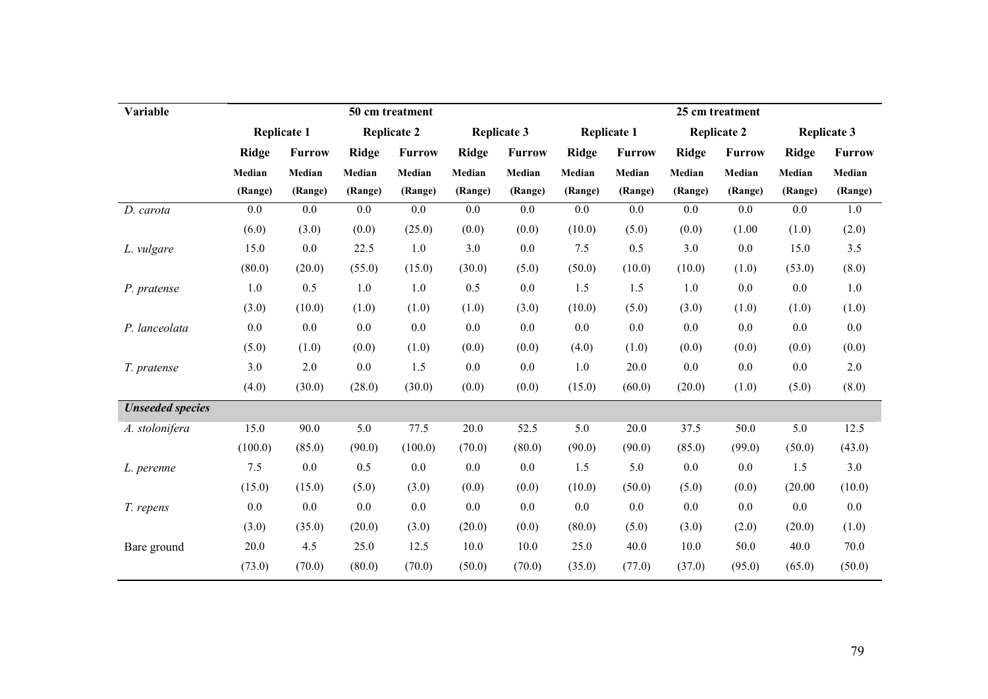| Variable                |              |                    |              | 50 cm treatment    |              |                    | 25 cm treatment |                    |              |                    |              |                    |  |
|-------------------------|--------------|--------------------|--------------|--------------------|--------------|--------------------|-----------------|--------------------|--------------|--------------------|--------------|--------------------|--|
|                         |              | <b>Replicate 1</b> |              | <b>Replicate 2</b> |              | <b>Replicate 3</b> |                 | <b>Replicate 1</b> |              | <b>Replicate 2</b> |              | <b>Replicate 3</b> |  |
|                         | <b>Ridge</b> | <b>Furrow</b>      | <b>Ridge</b> | <b>Furrow</b>      | <b>Ridge</b> | <b>Furrow</b>      | <b>Ridge</b>    | <b>Furrow</b>      | <b>Ridge</b> | <b>Furrow</b>      | <b>Ridge</b> | <b>Furrow</b>      |  |
|                         | Median       | Median             | Median       | Median             | Median       | Median             | Median          | Median             | Median       | Median             | Median       | Median             |  |
|                         | (Range)      | (Range)            | (Range)      | (Range)            | (Range)      | (Range)            | (Range)         | (Range)            | (Range)      | (Range)            | (Range)      | (Range)            |  |
| D. carota               | 0.0          | 0.0                | 0.0          | 0.0                | 0.0          | 0.0                | 0.0             | 0.0                | 0.0          | $0.0\,$            | 0.0          | 1.0                |  |
|                         | (6.0)        | (3.0)              | (0.0)        | (25.0)             | (0.0)        | (0.0)              | (10.0)          | (5.0)              | (0.0)        | (1.00)             | (1.0)        | (2.0)              |  |
| L. vulgare              | 15.0         | 0.0                | 22.5         | 1.0                | 3.0          | 0.0                | 7.5             | 0.5                | 3.0          | 0.0                | 15.0         | 3.5                |  |
|                         | (80.0)       | (20.0)             | (55.0)       | (15.0)             | (30.0)       | (5.0)              | (50.0)          | (10.0)             | (10.0)       | (1.0)              | (53.0)       | (8.0)              |  |
| P. pratense             | 1.0          | 0.5                | 1.0          | 1.0                | 0.5          | 0.0                | 1.5             | 1.5                | 1.0          | 0.0                | 0.0          | 1.0                |  |
|                         | (3.0)        | (10.0)             | (1.0)        | (1.0)              | (1.0)        | (3.0)              | (10.0)          | (5.0)              | (3.0)        | (1.0)              | (1.0)        | (1.0)              |  |
| P. lanceolata           | 0.0          | 0.0                | 0.0          | 0.0                | 0.0          | 0.0                | 0.0             | 0.0                | 0.0          | 0.0                | 0.0          | 0.0                |  |
|                         | (5.0)        | (1.0)              | (0.0)        | (1.0)              | (0.0)        | (0.0)              | (4.0)           | (1.0)              | (0.0)        | (0.0)              | (0.0)        | (0.0)              |  |
| T. pratense             | 3.0          | $2.0$              | 0.0          | 1.5                | $0.0\,$      | 0.0                | 1.0             | 20.0               | 0.0          | 0.0                | 0.0          | $2.0$              |  |
|                         | (4.0)        | (30.0)             | (28.0)       | (30.0)             | (0.0)        | (0.0)              | (15.0)          | (60.0)             | (20.0)       | (1.0)              | (5.0)        | (8.0)              |  |
| <b>Unseeded species</b> |              |                    |              |                    |              |                    |                 |                    |              |                    |              |                    |  |
| A. stolonifera          | 15.0         | 90.0               | 5.0          | 77.5               | 20.0         | 52.5               | 5.0             | 20.0               | 37.5         | 50.0               | 5.0          | 12.5               |  |
|                         | (100.0)      | (85.0)             | (90.0)       | (100.0)            | (70.0)       | (80.0)             | (90.0)          | (90.0)             | (85.0)       | (99.0)             | (50.0)       | (43.0)             |  |
| L. perenne              | 7.5          | 0.0                | 0.5          | 0.0                | 0.0          | 0.0                | 1.5             | 5.0                | 0.0          | 0.0                | 1.5          | 3.0                |  |
|                         | (15.0)       | (15.0)             | (5.0)        | (3.0)              | (0.0)        | (0.0)              | (10.0)          | (50.0)             | (5.0)        | (0.0)              | (20.00)      | (10.0)             |  |
| T. repens               | 0.0          | 0.0                | 0.0          | 0.0                | 0.0          | 0.0                | 0.0             | 0.0                | 0.0          | 0.0                | 0.0          | 0.0                |  |
|                         | (3.0)        | (35.0)             | (20.0)       | (3.0)              | (20.0)       | (0.0)              | (80.0)          | (5.0)              | (3.0)        | (2.0)              | (20.0)       | (1.0)              |  |
| Bare ground             | 20.0         | 4.5                | 25.0         | 12.5               | 10.0         | 10.0               | 25.0            | 40.0               | 10.0         | 50.0               | 40.0         | 70.0               |  |
|                         | (73.0)       | (70.0)             | (80.0)       | (70.0)             | (50.0)       | (70.0)             | (35.0)          | (77.0)             | (37.0)       | (95.0)             | (65.0)       | (50.0)             |  |
|                         |              |                    |              |                    |              |                    |                 |                    |              |                    |              |                    |  |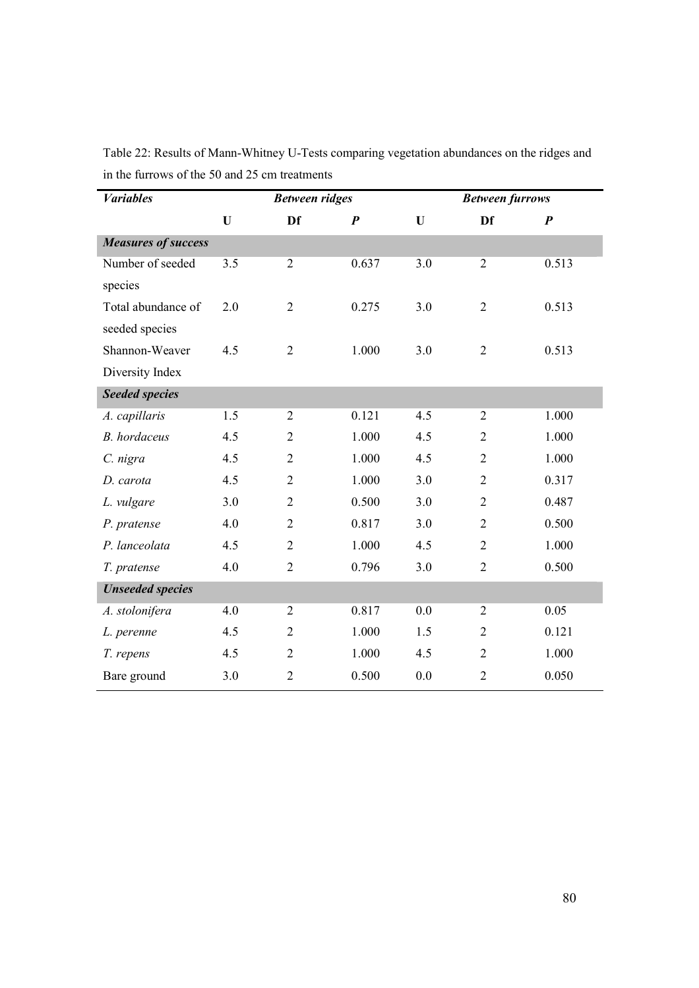| <b>Variables</b>           |     | <b>Between ridges</b> |                  |     | <b>Between furrows</b> |                  |
|----------------------------|-----|-----------------------|------------------|-----|------------------------|------------------|
|                            | U   | Df                    | $\boldsymbol{P}$ | U   | Df                     | $\boldsymbol{P}$ |
| <b>Measures of success</b> |     |                       |                  |     |                        |                  |
| Number of seeded           | 3.5 | $\overline{2}$        | 0.637            | 3.0 | $\overline{2}$         | 0.513            |
| species                    |     |                       |                  |     |                        |                  |
| Total abundance of         | 2.0 | $\overline{2}$        | 0.275            | 3.0 | $\overline{2}$         | 0.513            |
| seeded species             |     |                       |                  |     |                        |                  |
| Shannon-Weaver             | 4.5 | $\overline{2}$        | 1.000            | 3.0 | $\overline{2}$         | 0.513            |
| Diversity Index            |     |                       |                  |     |                        |                  |
| <b>Seeded species</b>      |     |                       |                  |     |                        |                  |
| A. capillaris              | 1.5 | $\overline{2}$        | 0.121            | 4.5 | $\overline{2}$         | 1.000            |
| <b>B.</b> hordaceus        | 4.5 | $\overline{2}$        | 1.000            | 4.5 | $\overline{2}$         | 1.000            |
| C. nigra                   | 4.5 | $\overline{2}$        | 1.000            | 4.5 | $\overline{2}$         | 1.000            |
| D. carota                  | 4.5 | $\overline{2}$        | 1.000            | 3.0 | $\overline{2}$         | 0.317            |
| L. vulgare                 | 3.0 | $\overline{2}$        | 0.500            | 3.0 | $\overline{2}$         | 0.487            |
| P. pratense                | 4.0 | $\overline{2}$        | 0.817            | 3.0 | $\overline{2}$         | 0.500            |
| P. lanceolata              | 4.5 | $\overline{2}$        | 1.000            | 4.5 | $\overline{2}$         | 1.000            |
| T. pratense                | 4.0 | $\overline{2}$        | 0.796            | 3.0 | $\overline{2}$         | 0.500            |
| <b>Unseeded species</b>    |     |                       |                  |     |                        |                  |
| A. stolonifera             | 4.0 | $\overline{2}$        | 0.817            | 0.0 | $\overline{2}$         | 0.05             |
| L. perenne                 | 4.5 | $\overline{2}$        | 1.000            | 1.5 | $\overline{2}$         | 0.121            |
| T. repens                  | 4.5 | $\overline{2}$        | 1.000            | 4.5 | $\overline{2}$         | 1.000            |
| Bare ground                | 3.0 | $\overline{2}$        | 0.500            | 0.0 | $\overline{2}$         | 0.050            |

Table 22: Results of Mann-Whitney U-Tests comparing vegetation abundances on the ridges and in the furrows of the 50 and 25 cm treatments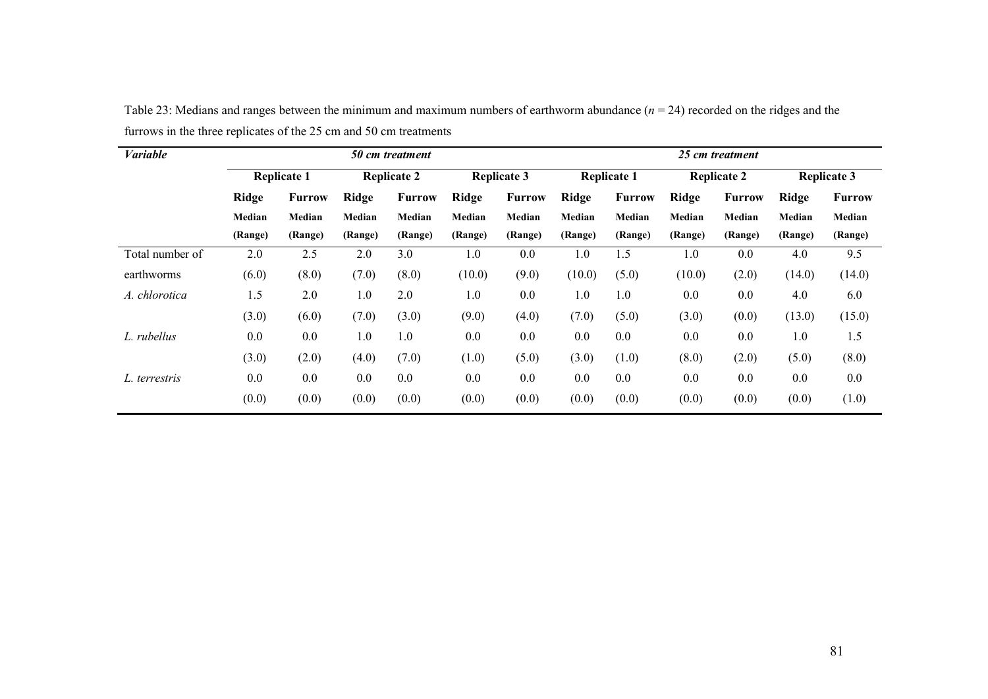| <b>Variable</b> |              |                    |         | 50 cm treatment    |              |                    | 25 cm treatment |                    |         |                    |              |                    |  |
|-----------------|--------------|--------------------|---------|--------------------|--------------|--------------------|-----------------|--------------------|---------|--------------------|--------------|--------------------|--|
|                 |              | <b>Replicate 1</b> |         | <b>Replicate 2</b> |              | <b>Replicate 3</b> |                 | <b>Replicate 1</b> |         | <b>Replicate 2</b> |              | <b>Replicate 3</b> |  |
|                 | <b>Ridge</b> | <b>Furrow</b>      | Ridge   | <b>Furrow</b>      | <b>Ridge</b> | <b>Furrow</b>      | Ridge           | <b>Furrow</b>      | Ridge   | <b>Furrow</b>      | <b>Ridge</b> | <b>Furrow</b>      |  |
|                 | Median       | Median             | Median  | Median             | Median       | Median             | Median          | Median             | Median  | Median             | Median       | Median             |  |
|                 | (Range)      | (Range)            | (Range) | (Range)            | (Range)      | (Range)            | (Range)         | (Range)            | (Range) | (Range)            | (Range)      | (Range)            |  |
| Total number of | 2.0          | 2.5                | 2.0     | 3.0                | 1.0          | 0.0                | 1.0             | 1.5                | 1.0     | 0.0                | 4.0          | 9.5                |  |
| earthworms      | (6.0)        | (8.0)              | (7.0)   | (8.0)              | (10.0)       | (9.0)              | (10.0)          | (5.0)              | (10.0)  | (2.0)              | (14.0)       | (14.0)             |  |
| A. chlorotica   | 1.5          | 2.0                | 1.0     | 2.0                | 1.0          | 0.0                | 1.0             | 1.0                | 0.0     | 0.0                | 4.0          | 6.0                |  |
|                 | (3.0)        | (6.0)              | (7.0)   | (3.0)              | (9.0)        | (4.0)              | (7.0)           | (5.0)              | (3.0)   | (0.0)              | (13.0)       | (15.0)             |  |
| L. rubellus     | 0.0          | 0.0                | 1.0     | 1.0                | 0.0          | 0.0                | 0.0             | 0.0                | 0.0     | 0.0                | 1.0          | 1.5                |  |
|                 | (3.0)        | (2.0)              | (4.0)   | (7.0)              | (1.0)        | (5.0)              | (3.0)           | (1.0)              | (8.0)   | (2.0)              | (5.0)        | (8.0)              |  |
| L. terrestris   | 0.0          | 0.0                | 0.0     | 0.0                | 0.0          | 0.0                | 0.0             | 0.0                | 0.0     | 0.0                | 0.0          | $0.0\,$            |  |
|                 | (0.0)        | (0.0)              | (0.0)   | (0.0)              | (0.0)        | (0.0)              | (0.0)           | (0.0)              | (0.0)   | (0.0)              | (0.0)        | (1.0)              |  |

Table 23: Medians and ranges between the minimum and maximum numbers of earthworm abundance  $(n = 24)$  recorded on the ridges and the furrows in the three replicates of the 25 cm and 50 cm treatments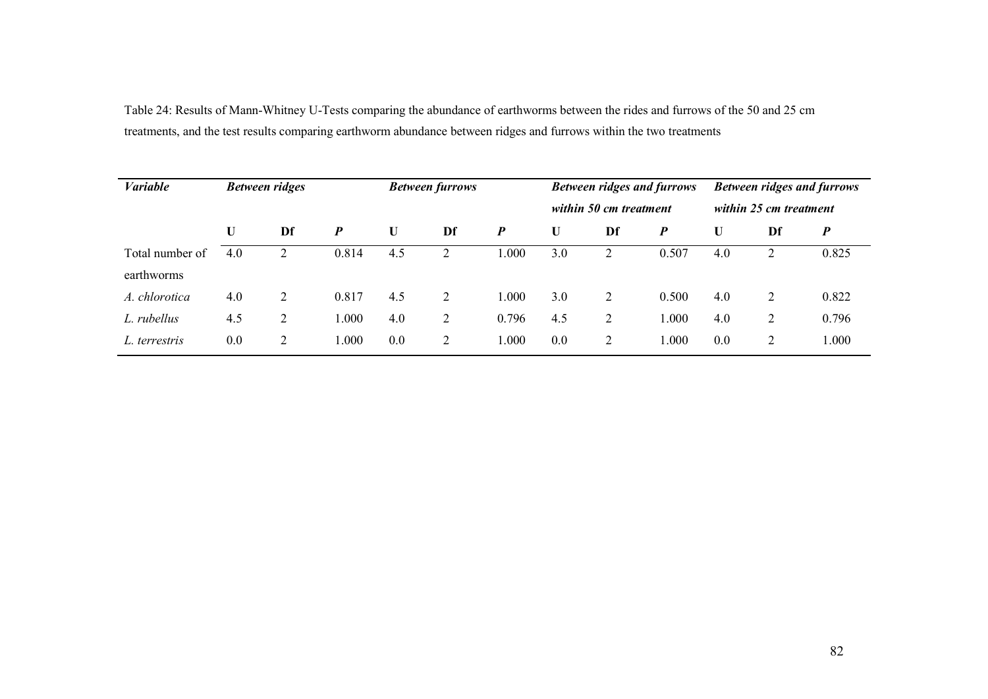Table 24: Results of Mann-Whitney U-Tests comparing the abundance of earthworms between the rides and furrows of the 50 and 25 cm treatments, and the test results comparing earthworm abundance between ridges and furrows within the two treatments

| <b>Variable</b> |     | <b>Between ridges</b> |                  |     | <b>Between furrows</b> |        |     | <b>Between ridges and furrows</b><br>within 50 cm treatment |       |                        | <b>Between ridges and furrows</b> |        |  |
|-----------------|-----|-----------------------|------------------|-----|------------------------|--------|-----|-------------------------------------------------------------|-------|------------------------|-----------------------------------|--------|--|
|                 |     |                       |                  |     |                        |        |     |                                                             |       | within 25 cm treatment |                                   |        |  |
|                 | U   | Df                    | $\boldsymbol{P}$ | U   | Df                     | P      | U   | Df                                                          | P     | U                      | Df                                | P      |  |
| Total number of | 4.0 | 2                     | 0.814            | 4.5 | $\overline{2}$         | 0.0001 | 3.0 | 2                                                           | 0.507 | 4.0                    |                                   | 0.825  |  |
| earthworms      |     |                       |                  |     |                        |        |     |                                                             |       |                        |                                   |        |  |
| A. chlorotica   | 4.0 | 2                     | 0.817            | 4.5 | 2                      | 1.000  | 3.0 | 2                                                           | 0.500 | 4.0                    | 2                                 | 0.822  |  |
| L. rubellus     | 4.5 | 2                     | .000             | 4.0 | $\overline{2}$         | 0.796  | 4.5 | $\overline{2}$                                              | 1.000 | 4.0                    | C                                 | 0.796  |  |
| L. terrestris   | 0.0 | 2                     | .000             | 0.0 | $\overline{2}$         | 1.000  | 0.0 | 2                                                           | 1.000 | 0.0                    | 2                                 | 0.0001 |  |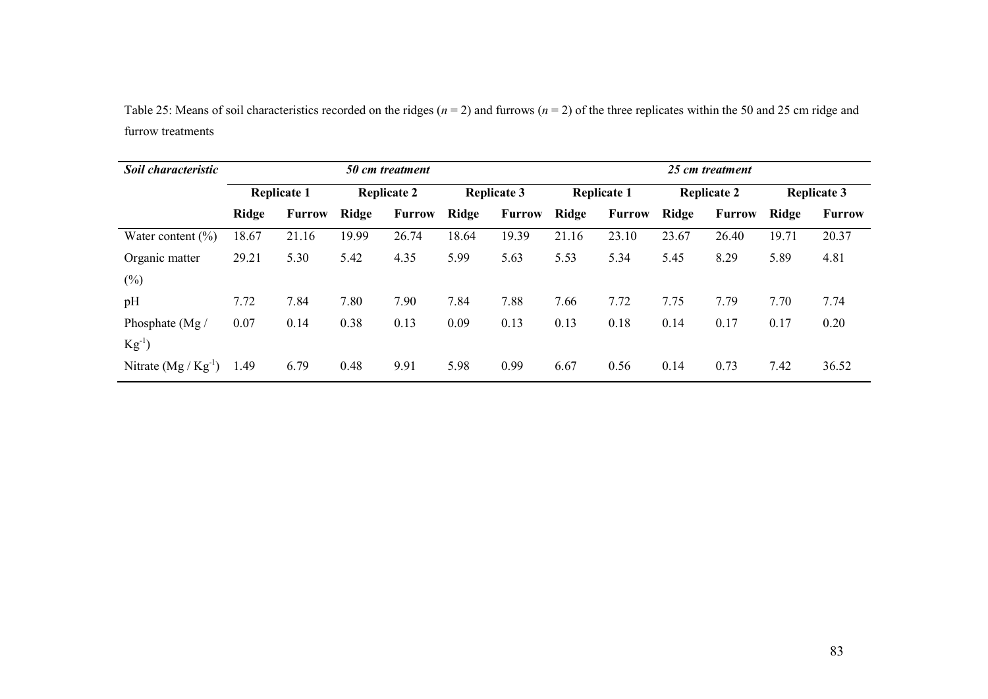Table 25: Means of soil characteristics recorded on the ridges ( $n = 2$ ) and furrows ( $n = 2$ ) of the three replicates within the 50 and 25 cm ridge and furrow treatments

| Soil characteristic    |              |                    |                    | 50 cm treatment |       |                    | 25 cm treatment |                    |       |                    |                    |               |  |
|------------------------|--------------|--------------------|--------------------|-----------------|-------|--------------------|-----------------|--------------------|-------|--------------------|--------------------|---------------|--|
|                        |              | <b>Replicate 1</b> | <b>Replicate 2</b> |                 |       | <b>Replicate 3</b> |                 | <b>Replicate 1</b> |       | <b>Replicate 2</b> | <b>Replicate 3</b> |               |  |
|                        | <b>Ridge</b> | <b>Furrow</b>      | Ridge              | <b>Furrow</b>   | Ridge | <b>Furrow</b>      | Ridge           | <b>Furrow</b>      | Ridge | <b>Furrow</b>      | Ridge              | <b>Furrow</b> |  |
| Water content $(\% )$  | 18.67        | 21.16              | 19.99              | 26.74           | 18.64 | 19.39              | 21.16           | 23.10              | 23.67 | 26.40              | 19.71              | 20.37         |  |
| Organic matter         | 29.21        | 5.30               | 5.42               | 4.35            | 5.99  | 5.63               | 5.53            | 5.34               | 5.45  | 8.29               | 5.89               | 4.81          |  |
| $(\%)$                 |              |                    |                    |                 |       |                    |                 |                    |       |                    |                    |               |  |
| pH                     | 7.72         | 7.84               | 7.80               | 7.90            | 7.84  | 7.88               | 7.66            | 7.72               | 7.75  | 7.79               | 7.70               | 7.74          |  |
| Phosphate (Mg /        | 0.07         | 0.14               | 0.38               | 0.13            | 0.09  | 0.13               | 0.13            | 0.18               | 0.14  | 0.17               | 0.17               | 0.20          |  |
| $Kg^{-1}$              |              |                    |                    |                 |       |                    |                 |                    |       |                    |                    |               |  |
| Nitrate $(Mg/Kg^{-1})$ | 1.49         | 6.79               | 0.48               | 9.91            | 5.98  | 0.99               | 6.67            | 0.56               | 0.14  | 0.73               | 7.42               | 36.52         |  |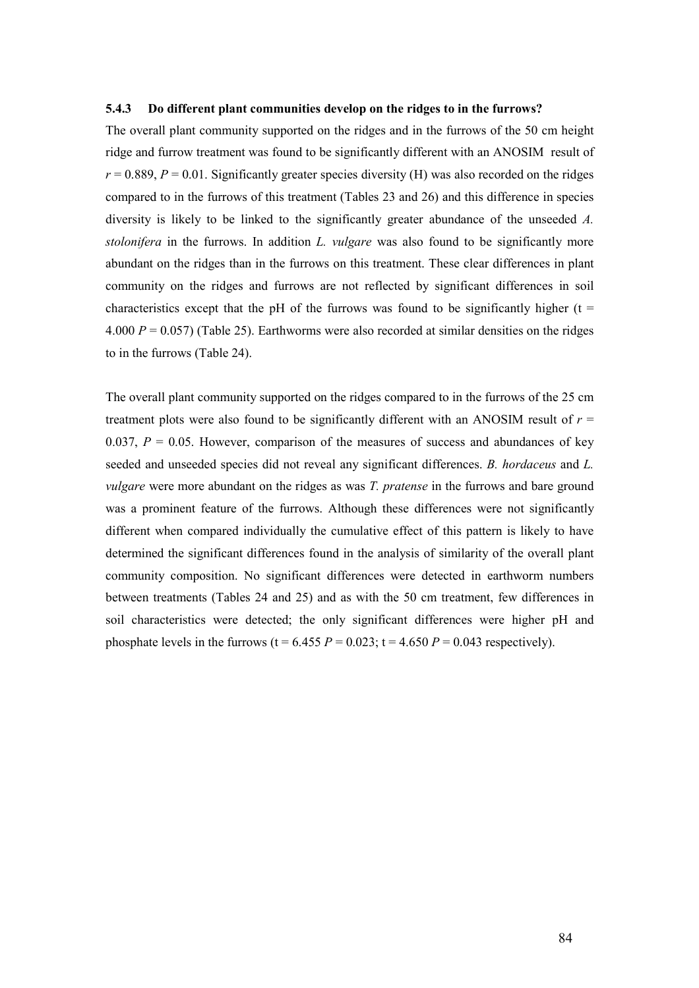#### 5.4.3 Do different plant communities develop on the ridges to in the furrows?

The overall plant community supported on the ridges and in the furrows of the 50 cm height ridge and furrow treatment was found to be significantly different with an ANOSIM result of  $r = 0.889$ ,  $P = 0.01$ . Significantly greater species diversity (H) was also recorded on the ridges compared to in the furrows of this treatment (Tables 23 and 26) and this difference in species diversity is likely to be linked to the significantly greater abundance of the unseeded A. stolonifera in the furrows. In addition L. vulgare was also found to be significantly more abundant on the ridges than in the furrows on this treatment. These clear differences in plant community on the ridges and furrows are not reflected by significant differences in soil characteristics except that the pH of the furrows was found to be significantly higher ( $t =$ 4.000  $P = 0.057$ ) (Table 25). Earthworms were also recorded at similar densities on the ridges to in the furrows (Table 24).

The overall plant community supported on the ridges compared to in the furrows of the 25 cm treatment plots were also found to be significantly different with an ANOSIM result of  $r =$ 0.037,  $P = 0.05$ . However, comparison of the measures of success and abundances of key seeded and unseeded species did not reveal any significant differences. B. hordaceus and L. vulgare were more abundant on the ridges as was T. pratense in the furrows and bare ground was a prominent feature of the furrows. Although these differences were not significantly different when compared individually the cumulative effect of this pattern is likely to have determined the significant differences found in the analysis of similarity of the overall plant community composition. No significant differences were detected in earthworm numbers between treatments (Tables 24 and 25) and as with the 50 cm treatment, few differences in soil characteristics were detected; the only significant differences were higher pH and phosphate levels in the furrows (t = 6.455  $P = 0.023$ ; t = 4.650  $P = 0.043$  respectively).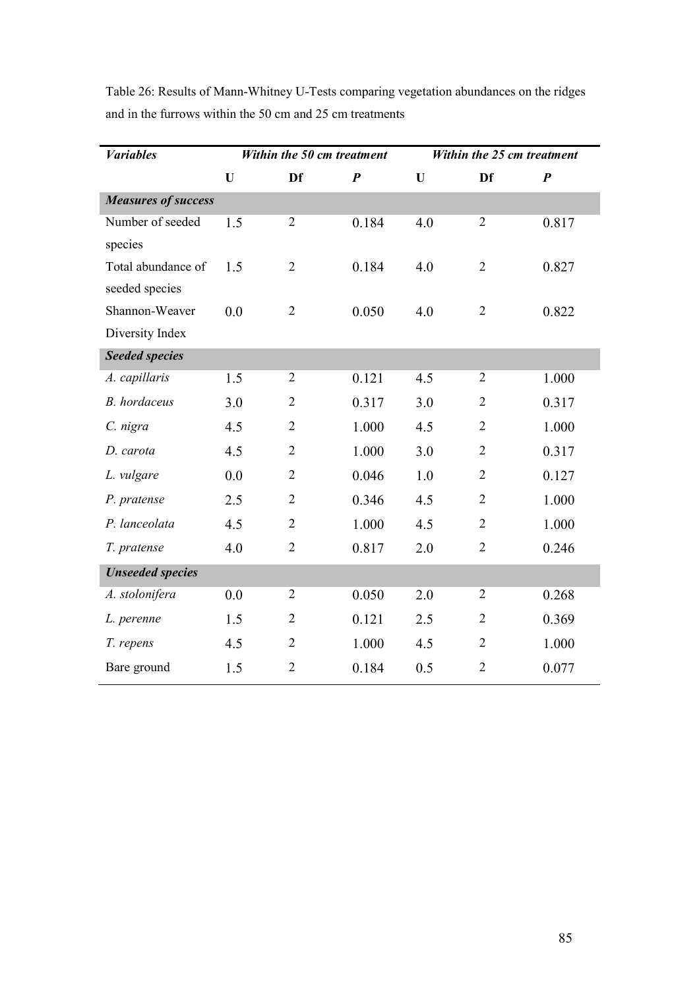| <b><i>Variables</i></b>    |     | Within the 50 cm treatment |                  |     | Within the 25 cm treatment |                  |
|----------------------------|-----|----------------------------|------------------|-----|----------------------------|------------------|
|                            | U   | Df                         | $\boldsymbol{P}$ | U   | Df                         | $\boldsymbol{P}$ |
| <b>Measures of success</b> |     |                            |                  |     |                            |                  |
| Number of seeded           | 1.5 | $\overline{2}$             | 0.184            | 4.0 | $\overline{2}$             | 0.817            |
| species                    |     |                            |                  |     |                            |                  |
| Total abundance of         | 1.5 | $\overline{2}$             | 0.184            | 4.0 | $\overline{2}$             | 0.827            |
| seeded species             |     |                            |                  |     |                            |                  |
| Shannon-Weaver             | 0.0 | $\overline{2}$             | 0.050            | 4.0 | $\overline{2}$             | 0.822            |
| Diversity Index            |     |                            |                  |     |                            |                  |
| <b>Seeded species</b>      |     |                            |                  |     |                            |                  |
| A. capillaris              | 1.5 | $\overline{2}$             | 0.121            | 4.5 | $\overline{2}$             | 1.000            |
| <b>B.</b> hordaceus        | 3.0 | $\overline{2}$             | 0.317            | 3.0 | $\overline{2}$             | 0.317            |
| C. nigra                   | 4.5 | $\overline{2}$             | 1.000            | 4.5 | $\overline{2}$             | 1.000            |
| D. carota                  | 4.5 | $\overline{2}$             | 1.000            | 3.0 | $\overline{2}$             | 0.317            |
| L. vulgare                 | 0.0 | $\overline{2}$             | 0.046            | 1.0 | $\overline{2}$             | 0.127            |
| P. pratense                | 2.5 | $\overline{2}$             | 0.346            | 4.5 | $\overline{2}$             | 1.000            |
| P. lanceolata              | 4.5 | $\overline{2}$             | 1.000            | 4.5 | $\overline{2}$             | 1.000            |
| T. pratense                | 4.0 | $\overline{2}$             | 0.817            | 2.0 | $\overline{2}$             | 0.246            |
| <b>Unseeded species</b>    |     |                            |                  |     |                            |                  |
| A. stolonifera             | 0.0 | $\overline{2}$             | 0.050            | 2.0 | $\overline{2}$             | 0.268            |
| L. perenne                 | 1.5 | $\overline{2}$             | 0.121            | 2.5 | $\overline{2}$             | 0.369            |
| T. repens                  | 4.5 | $\overline{2}$             | 1.000            | 4.5 | $\overline{2}$             | 1.000            |
| Bare ground                | 1.5 | $\overline{2}$             | 0.184            | 0.5 | $\overline{2}$             | 0.077            |

Table 26: Results of Mann-Whitney U-Tests comparing vegetation abundances on the ridges and in the furrows within the 50 cm and 25 cm treatments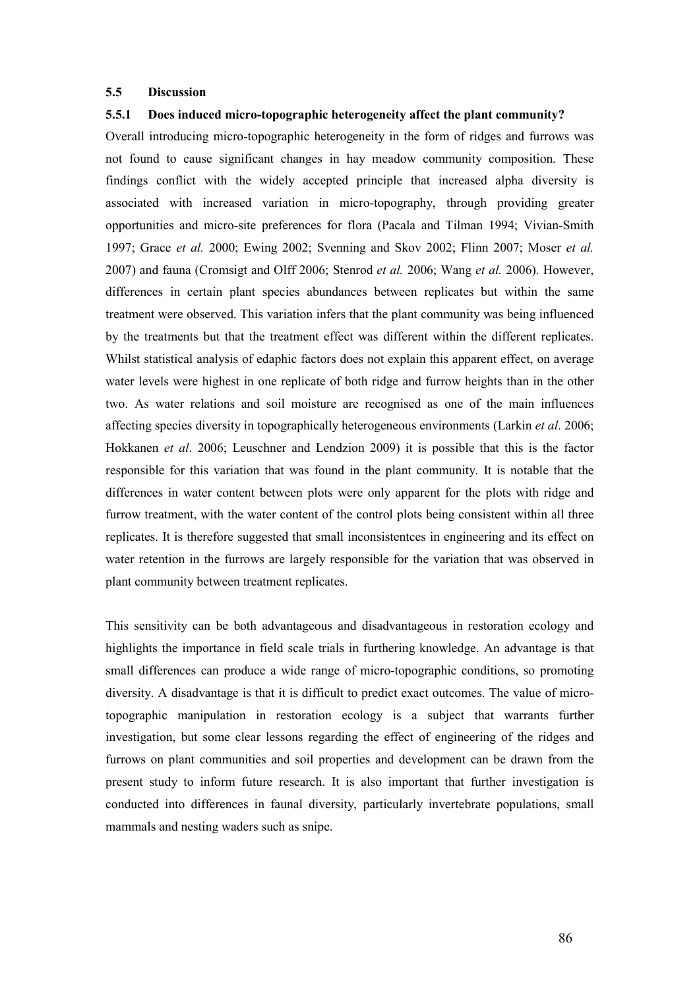#### 5.5 Discussion

## 5.5.1 Does induced micro-topographic heterogeneity affect the plant community?

Overall introducing micro-topographic heterogeneity in the form of ridges and furrows was not found to cause significant changes in hay meadow community composition. These findings conflict with the widely accepted principle that increased alpha diversity is associated with increased variation in micro-topography, through providing greater opportunities and micro-site preferences for flora (Pacala and Tilman 1994; Vivian-Smith 1997; Grace et al. 2000; Ewing 2002; Svenning and Skov 2002; Flinn 2007; Moser et al. 2007) and fauna (Cromsigt and Olff 2006; Stenrod et al. 2006; Wang et al. 2006). However, differences in certain plant species abundances between replicates but within the same treatment were observed. This variation infers that the plant community was being influenced by the treatments but that the treatment effect was different within the different replicates. Whilst statistical analysis of edaphic factors does not explain this apparent effect, on average water levels were highest in one replicate of both ridge and furrow heights than in the other two. As water relations and soil moisture are recognised as one of the main influences affecting species diversity in topographically heterogeneous environments (Larkin et al. 2006; Hokkanen et al. 2006; Leuschner and Lendzion 2009) it is possible that this is the factor responsible for this variation that was found in the plant community. It is notable that the differences in water content between plots were only apparent for the plots with ridge and furrow treatment, with the water content of the control plots being consistent within all three replicates. It is therefore suggested that small inconsistentces in engineering and its effect on water retention in the furrows are largely responsible for the variation that was observed in plant community between treatment replicates.

This sensitivity can be both advantageous and disadvantageous in restoration ecology and highlights the importance in field scale trials in furthering knowledge. An advantage is that small differences can produce a wide range of micro-topographic conditions, so promoting diversity. A disadvantage is that it is difficult to predict exact outcomes. The value of microtopographic manipulation in restoration ecology is a subject that warrants further investigation, but some clear lessons regarding the effect of engineering of the ridges and furrows on plant communities and soil properties and development can be drawn from the present study to inform future research. It is also important that further investigation is conducted into differences in faunal diversity, particularly invertebrate populations, small mammals and nesting waders such as snipe.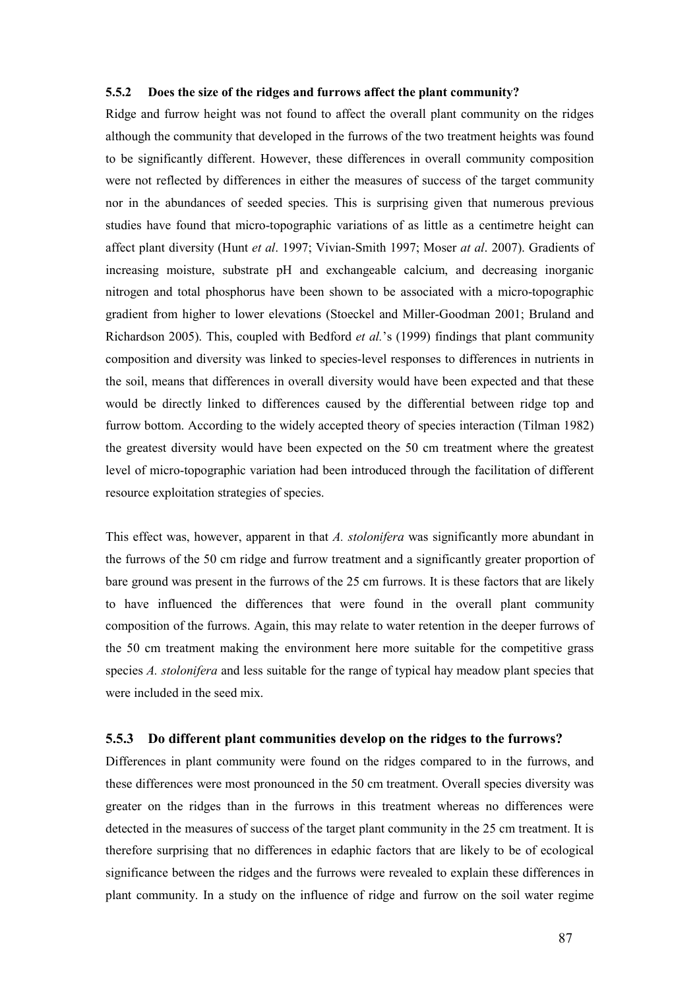#### 5.5.2 Does the size of the ridges and furrows affect the plant community?

Ridge and furrow height was not found to affect the overall plant community on the ridges although the community that developed in the furrows of the two treatment heights was found to be significantly different. However, these differences in overall community composition were not reflected by differences in either the measures of success of the target community nor in the abundances of seeded species. This is surprising given that numerous previous studies have found that micro-topographic variations of as little as a centimetre height can affect plant diversity (Hunt et al. 1997; Vivian-Smith 1997; Moser at al. 2007). Gradients of increasing moisture, substrate pH and exchangeable calcium, and decreasing inorganic nitrogen and total phosphorus have been shown to be associated with a micro-topographic gradient from higher to lower elevations (Stoeckel and Miller-Goodman 2001; Bruland and Richardson 2005). This, coupled with Bedford et al.'s (1999) findings that plant community composition and diversity was linked to species-level responses to differences in nutrients in the soil, means that differences in overall diversity would have been expected and that these would be directly linked to differences caused by the differential between ridge top and furrow bottom. According to the widely accepted theory of species interaction (Tilman 1982) the greatest diversity would have been expected on the 50 cm treatment where the greatest level of micro-topographic variation had been introduced through the facilitation of different resource exploitation strategies of species.

This effect was, however, apparent in that A. stolonifera was significantly more abundant in the furrows of the 50 cm ridge and furrow treatment and a significantly greater proportion of bare ground was present in the furrows of the 25 cm furrows. It is these factors that are likely to have influenced the differences that were found in the overall plant community composition of the furrows. Again, this may relate to water retention in the deeper furrows of the 50 cm treatment making the environment here more suitable for the competitive grass species A. *stolonifera* and less suitable for the range of typical hay meadow plant species that were included in the seed mix.

#### 5.5.3 Do different plant communities develop on the ridges to the furrows?

Differences in plant community were found on the ridges compared to in the furrows, and these differences were most pronounced in the 50 cm treatment. Overall species diversity was greater on the ridges than in the furrows in this treatment whereas no differences were detected in the measures of success of the target plant community in the 25 cm treatment. It is therefore surprising that no differences in edaphic factors that are likely to be of ecological significance between the ridges and the furrows were revealed to explain these differences in plant community. In a study on the influence of ridge and furrow on the soil water regime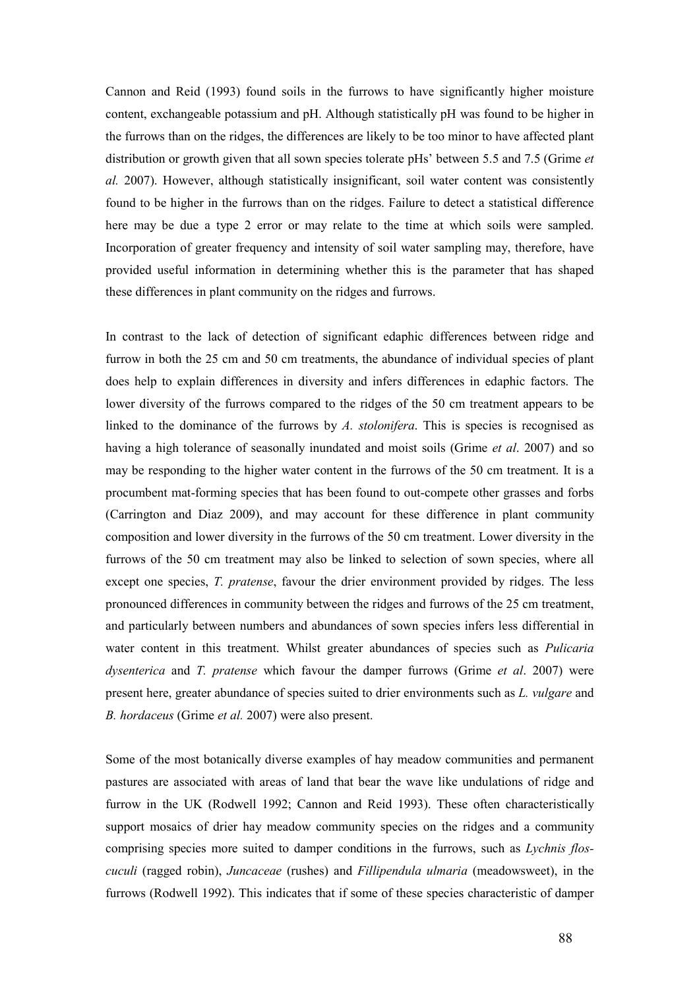Cannon and Reid (1993) found soils in the furrows to have significantly higher moisture content, exchangeable potassium and pH. Although statistically pH was found to be higher in the furrows than on the ridges, the differences are likely to be too minor to have affected plant distribution or growth given that all sown species tolerate pHs' between 5.5 and 7.5 (Grime *et*) al. 2007). However, although statistically insignificant, soil water content was consistently found to be higher in the furrows than on the ridges. Failure to detect a statistical difference here may be due a type 2 error or may relate to the time at which soils were sampled. Incorporation of greater frequency and intensity of soil water sampling may, therefore, have provided useful information in determining whether this is the parameter that has shaped these differences in plant community on the ridges and furrows.

In contrast to the lack of detection of significant edaphic differences between ridge and furrow in both the 25 cm and 50 cm treatments, the abundance of individual species of plant does help to explain differences in diversity and infers differences in edaphic factors. The lower diversity of the furrows compared to the ridges of the 50 cm treatment appears to be linked to the dominance of the furrows by A. stolonifera. This is species is recognised as having a high tolerance of seasonally inundated and moist soils (Grime *et al.* 2007) and so may be responding to the higher water content in the furrows of the 50 cm treatment. It is a procumbent mat-forming species that has been found to out-compete other grasses and forbs (Carrington and Diaz 2009), and may account for these difference in plant community composition and lower diversity in the furrows of the 50 cm treatment. Lower diversity in the furrows of the 50 cm treatment may also be linked to selection of sown species, where all except one species, T. pratense, favour the drier environment provided by ridges. The less pronounced differences in community between the ridges and furrows of the 25 cm treatment, and particularly between numbers and abundances of sown species infers less differential in water content in this treatment. Whilst greater abundances of species such as *Pulicaria* dysenterica and T. pratense which favour the damper furrows (Grime et al. 2007) were present here, greater abundance of species suited to drier environments such as L. vulgare and B. hordaceus (Grime et al. 2007) were also present.

Some of the most botanically diverse examples of hay meadow communities and permanent pastures are associated with areas of land that bear the wave like undulations of ridge and furrow in the UK (Rodwell 1992; Cannon and Reid 1993). These often characteristically support mosaics of drier hay meadow community species on the ridges and a community comprising species more suited to damper conditions in the furrows, such as Lychnis floscuculi (ragged robin), Juncaceae (rushes) and Fillipendula ulmaria (meadowsweet), in the furrows (Rodwell 1992). This indicates that if some of these species characteristic of damper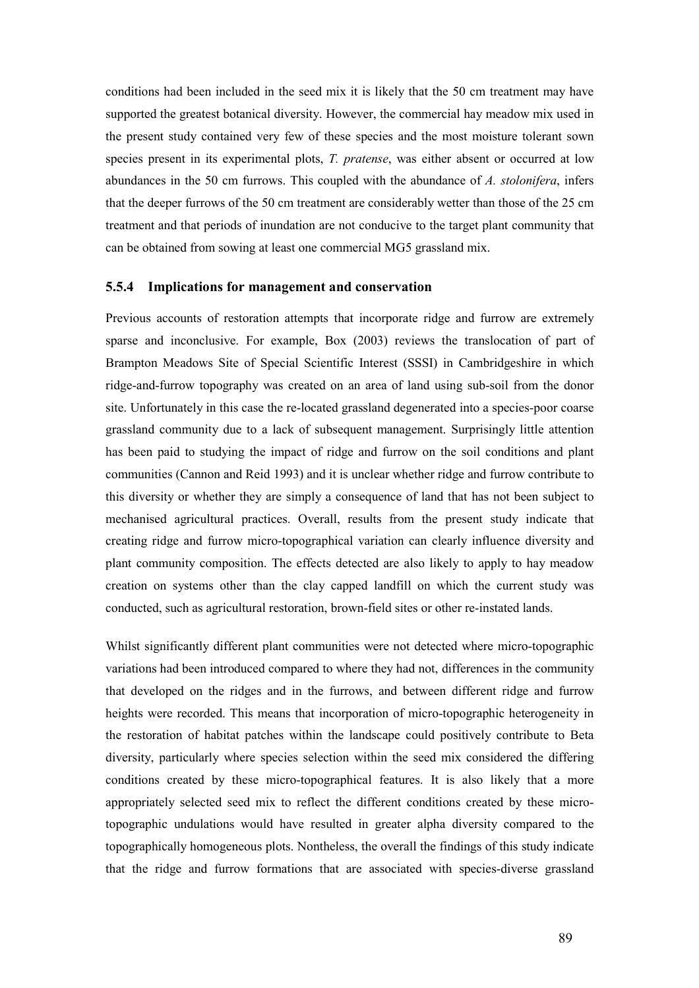conditions had been included in the seed mix it is likely that the 50 cm treatment may have supported the greatest botanical diversity. However, the commercial hay meadow mix used in the present study contained very few of these species and the most moisture tolerant sown species present in its experimental plots, T. pratense, was either absent or occurred at low abundances in the 50 cm furrows. This coupled with the abundance of A. stolonifera, infers that the deeper furrows of the 50 cm treatment are considerably wetter than those of the 25 cm treatment and that periods of inundation are not conducive to the target plant community that can be obtained from sowing at least one commercial MG5 grassland mix.

#### 5.5.4 Implications for management and conservation

Previous accounts of restoration attempts that incorporate ridge and furrow are extremely sparse and inconclusive. For example, Box (2003) reviews the translocation of part of Brampton Meadows Site of Special Scientific Interest (SSSI) in Cambridgeshire in which ridge-and-furrow topography was created on an area of land using sub-soil from the donor site. Unfortunately in this case the re-located grassland degenerated into a species-poor coarse grassland community due to a lack of subsequent management. Surprisingly little attention has been paid to studying the impact of ridge and furrow on the soil conditions and plant communities (Cannon and Reid 1993) and it is unclear whether ridge and furrow contribute to this diversity or whether they are simply a consequence of land that has not been subject to mechanised agricultural practices. Overall, results from the present study indicate that creating ridge and furrow micro-topographical variation can clearly influence diversity and plant community composition. The effects detected are also likely to apply to hay meadow creation on systems other than the clay capped landfill on which the current study was conducted, such as agricultural restoration, brown-field sites or other re-instated lands.

Whilst significantly different plant communities were not detected where micro-topographic variations had been introduced compared to where they had not, differences in the community that developed on the ridges and in the furrows, and between different ridge and furrow heights were recorded. This means that incorporation of micro-topographic heterogeneity in the restoration of habitat patches within the landscape could positively contribute to Beta diversity, particularly where species selection within the seed mix considered the differing conditions created by these micro-topographical features. It is also likely that a more appropriately selected seed mix to reflect the different conditions created by these microtopographic undulations would have resulted in greater alpha diversity compared to the topographically homogeneous plots. Nontheless, the overall the findings of this study indicate that the ridge and furrow formations that are associated with species-diverse grassland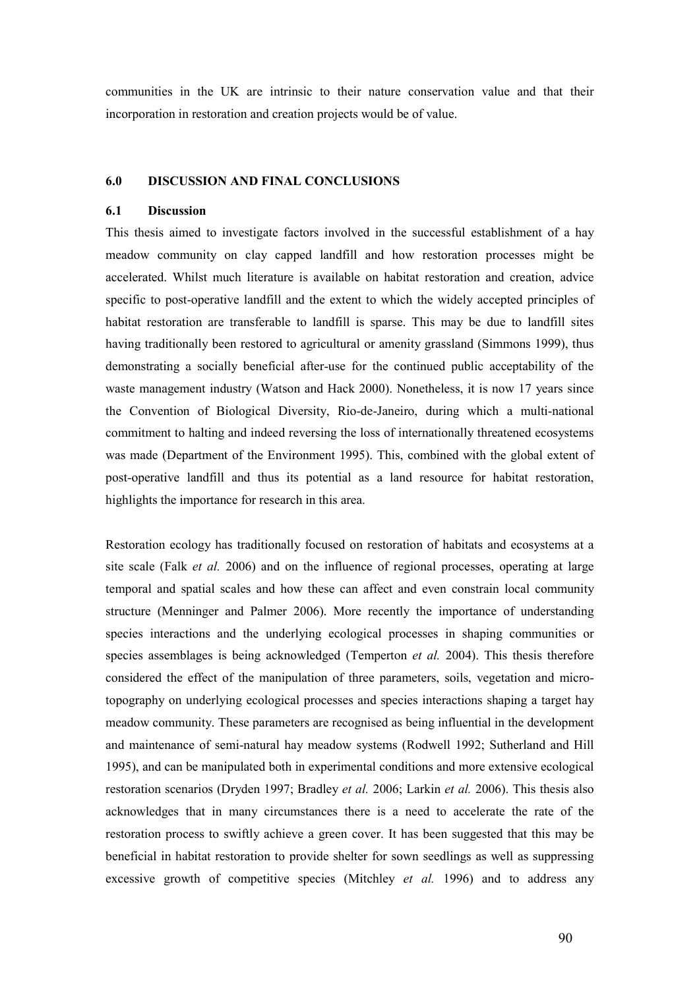communities in the UK are intrinsic to their nature conservation value and that their incorporation in restoration and creation projects would be of value.

## 6.0 DISCUSSION AND FINAL CONCLUSIONS

## 6.1 Discussion

This thesis aimed to investigate factors involved in the successful establishment of a hay meadow community on clay capped landfill and how restoration processes might be accelerated. Whilst much literature is available on habitat restoration and creation, advice specific to post-operative landfill and the extent to which the widely accepted principles of habitat restoration are transferable to landfill is sparse. This may be due to landfill sites having traditionally been restored to agricultural or amenity grassland (Simmons 1999), thus demonstrating a socially beneficial after-use for the continued public acceptability of the waste management industry (Watson and Hack 2000). Nonetheless, it is now 17 years since the Convention of Biological Diversity, Rio-de-Janeiro, during which a multi-national commitment to halting and indeed reversing the loss of internationally threatened ecosystems was made (Department of the Environment 1995). This, combined with the global extent of post-operative landfill and thus its potential as a land resource for habitat restoration, highlights the importance for research in this area.

Restoration ecology has traditionally focused on restoration of habitats and ecosystems at a site scale (Falk *et al.* 2006) and on the influence of regional processes, operating at large temporal and spatial scales and how these can affect and even constrain local community structure (Menninger and Palmer 2006). More recently the importance of understanding species interactions and the underlying ecological processes in shaping communities or species assemblages is being acknowledged (Temperton *et al.* 2004). This thesis therefore considered the effect of the manipulation of three parameters, soils, vegetation and microtopography on underlying ecological processes and species interactions shaping a target hay meadow community. These parameters are recognised as being influential in the development and maintenance of semi-natural hay meadow systems (Rodwell 1992; Sutherland and Hill 1995), and can be manipulated both in experimental conditions and more extensive ecological restoration scenarios (Dryden 1997; Bradley et al. 2006; Larkin et al. 2006). This thesis also acknowledges that in many circumstances there is a need to accelerate the rate of the restoration process to swiftly achieve a green cover. It has been suggested that this may be beneficial in habitat restoration to provide shelter for sown seedlings as well as suppressing excessive growth of competitive species (Mitchley *et al.* 1996) and to address any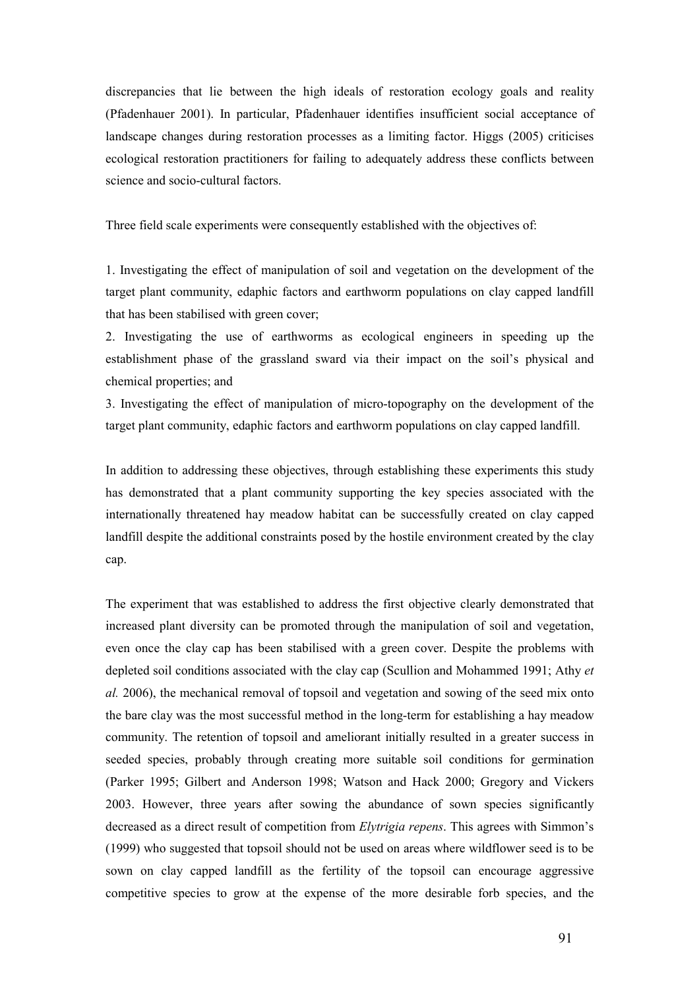discrepancies that lie between the high ideals of restoration ecology goals and reality (Pfadenhauer 2001). In particular, Pfadenhauer identifies insufficient social acceptance of landscape changes during restoration processes as a limiting factor. Higgs (2005) criticises ecological restoration practitioners for failing to adequately address these conflicts between science and socio-cultural factors.

Three field scale experiments were consequently established with the objectives of:

1. Investigating the effect of manipulation of soil and vegetation on the development of the target plant community, edaphic factors and earthworm populations on clay capped landfill that has been stabilised with green cover;

2. Investigating the use of earthworms as ecological engineers in speeding up the establishment phase of the grassland sward via their impact on the soil's physical and chemical properties; and

3. Investigating the effect of manipulation of micro-topography on the development of the target plant community, edaphic factors and earthworm populations on clay capped landfill.

In addition to addressing these objectives, through establishing these experiments this study has demonstrated that a plant community supporting the key species associated with the internationally threatened hay meadow habitat can be successfully created on clay capped landfill despite the additional constraints posed by the hostile environment created by the clay cap.

The experiment that was established to address the first objective clearly demonstrated that increased plant diversity can be promoted through the manipulation of soil and vegetation, even once the clay cap has been stabilised with a green cover. Despite the problems with depleted soil conditions associated with the clay cap (Scullion and Mohammed 1991; Athy et al. 2006), the mechanical removal of topsoil and vegetation and sowing of the seed mix onto the bare clay was the most successful method in the long-term for establishing a hay meadow community. The retention of topsoil and ameliorant initially resulted in a greater success in seeded species, probably through creating more suitable soil conditions for germination (Parker 1995; Gilbert and Anderson 1998; Watson and Hack 2000; Gregory and Vickers 2003. However, three years after sowing the abundance of sown species significantly decreased as a direct result of competition from *Elytrigia repens*. This agrees with Simmon's (1999) who suggested that topsoil should not be used on areas where wildflower seed is to be sown on clay capped landfill as the fertility of the topsoil can encourage aggressive competitive species to grow at the expense of the more desirable forb species, and the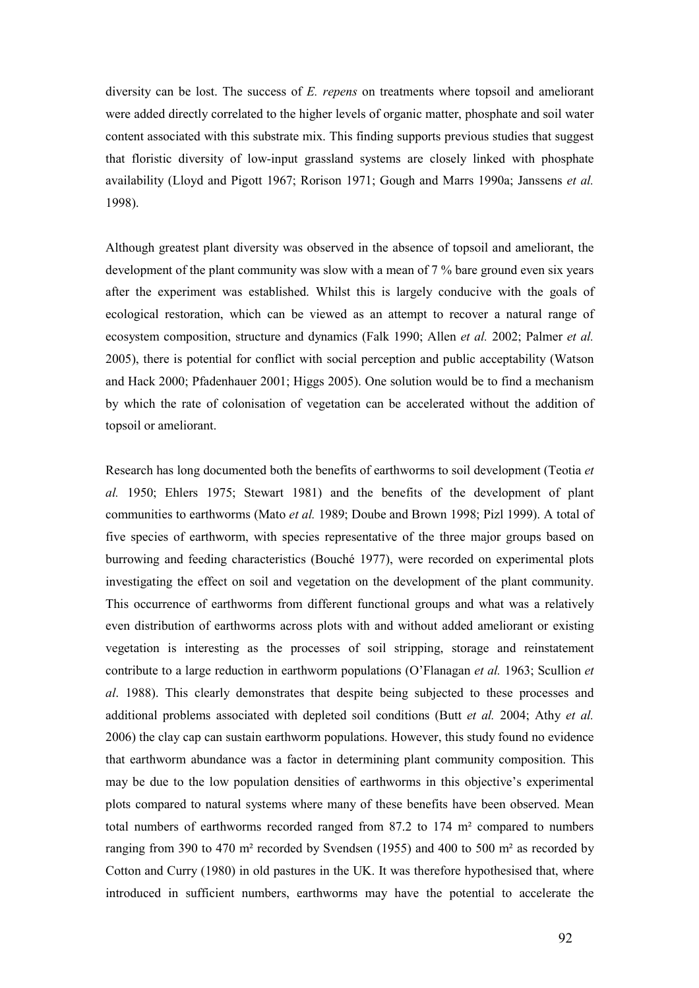diversity can be lost. The success of E. repens on treatments where topsoil and ameliorant were added directly correlated to the higher levels of organic matter, phosphate and soil water content associated with this substrate mix. This finding supports previous studies that suggest that floristic diversity of low-input grassland systems are closely linked with phosphate availability (Lloyd and Pigott 1967; Rorison 1971; Gough and Marrs 1990a; Janssens et al. 1998).

Although greatest plant diversity was observed in the absence of topsoil and ameliorant, the development of the plant community was slow with a mean of 7 % bare ground even six years after the experiment was established. Whilst this is largely conducive with the goals of ecological restoration, which can be viewed as an attempt to recover a natural range of ecosystem composition, structure and dynamics (Falk 1990; Allen et al. 2002; Palmer et al. 2005), there is potential for conflict with social perception and public acceptability (Watson and Hack 2000; Pfadenhauer 2001; Higgs 2005). One solution would be to find a mechanism by which the rate of colonisation of vegetation can be accelerated without the addition of topsoil or ameliorant.

Research has long documented both the benefits of earthworms to soil development (Teotia et al. 1950; Ehlers 1975; Stewart 1981) and the benefits of the development of plant communities to earthworms (Mato et al. 1989; Doube and Brown 1998; Pizl 1999). A total of five species of earthworm, with species representative of the three major groups based on burrowing and feeding characteristics (Bouché 1977), were recorded on experimental plots investigating the effect on soil and vegetation on the development of the plant community. This occurrence of earthworms from different functional groups and what was a relatively even distribution of earthworms across plots with and without added ameliorant or existing vegetation is interesting as the processes of soil stripping, storage and reinstatement contribute to a large reduction in earthworm populations (O'Flanagan *et al.* 1963; Scullion *et* al. 1988). This clearly demonstrates that despite being subjected to these processes and additional problems associated with depleted soil conditions (Butt et al. 2004; Athy et al. 2006) the clay cap can sustain earthworm populations. However, this study found no evidence that earthworm abundance was a factor in determining plant community composition. This may be due to the low population densities of earthworms in this objective's experimental plots compared to natural systems where many of these benefits have been observed. Mean total numbers of earthworms recorded ranged from 87.2 to 174 m² compared to numbers ranging from 390 to 470 m² recorded by Svendsen (1955) and 400 to 500 m² as recorded by Cotton and Curry (1980) in old pastures in the UK. It was therefore hypothesised that, where introduced in sufficient numbers, earthworms may have the potential to accelerate the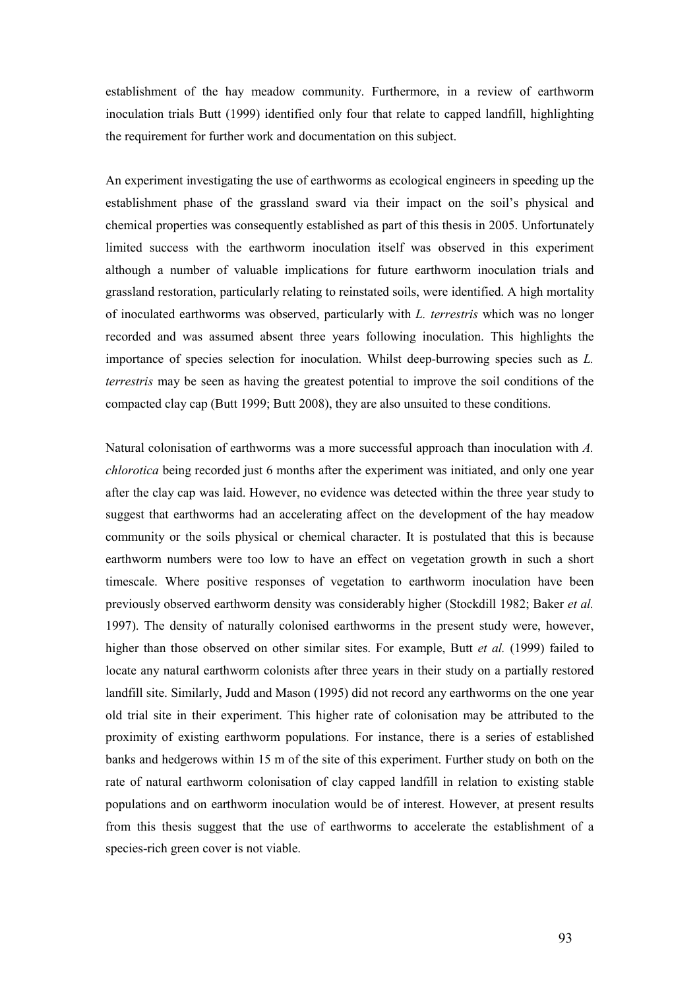establishment of the hay meadow community. Furthermore, in a review of earthworm inoculation trials Butt (1999) identified only four that relate to capped landfill, highlighting the requirement for further work and documentation on this subject.

An experiment investigating the use of earthworms as ecological engineers in speeding up the establishment phase of the grassland sward via their impact on the soil's physical and chemical properties was consequently established as part of this thesis in 2005. Unfortunately limited success with the earthworm inoculation itself was observed in this experiment although a number of valuable implications for future earthworm inoculation trials and grassland restoration, particularly relating to reinstated soils, were identified. A high mortality of inoculated earthworms was observed, particularly with L. terrestris which was no longer recorded and was assumed absent three years following inoculation. This highlights the importance of species selection for inoculation. Whilst deep-burrowing species such as L. terrestris may be seen as having the greatest potential to improve the soil conditions of the compacted clay cap (Butt 1999; Butt 2008), they are also unsuited to these conditions.

Natural colonisation of earthworms was a more successful approach than inoculation with A. chlorotica being recorded just 6 months after the experiment was initiated, and only one year after the clay cap was laid. However, no evidence was detected within the three year study to suggest that earthworms had an accelerating affect on the development of the hay meadow community or the soils physical or chemical character. It is postulated that this is because earthworm numbers were too low to have an effect on vegetation growth in such a short timescale. Where positive responses of vegetation to earthworm inoculation have been previously observed earthworm density was considerably higher (Stockdill 1982; Baker et al. 1997). The density of naturally colonised earthworms in the present study were, however, higher than those observed on other similar sites. For example, Butt *et al.* (1999) failed to locate any natural earthworm colonists after three years in their study on a partially restored landfill site. Similarly, Judd and Mason (1995) did not record any earthworms on the one year old trial site in their experiment. This higher rate of colonisation may be attributed to the proximity of existing earthworm populations. For instance, there is a series of established banks and hedgerows within 15 m of the site of this experiment. Further study on both on the rate of natural earthworm colonisation of clay capped landfill in relation to existing stable populations and on earthworm inoculation would be of interest. However, at present results from this thesis suggest that the use of earthworms to accelerate the establishment of a species-rich green cover is not viable.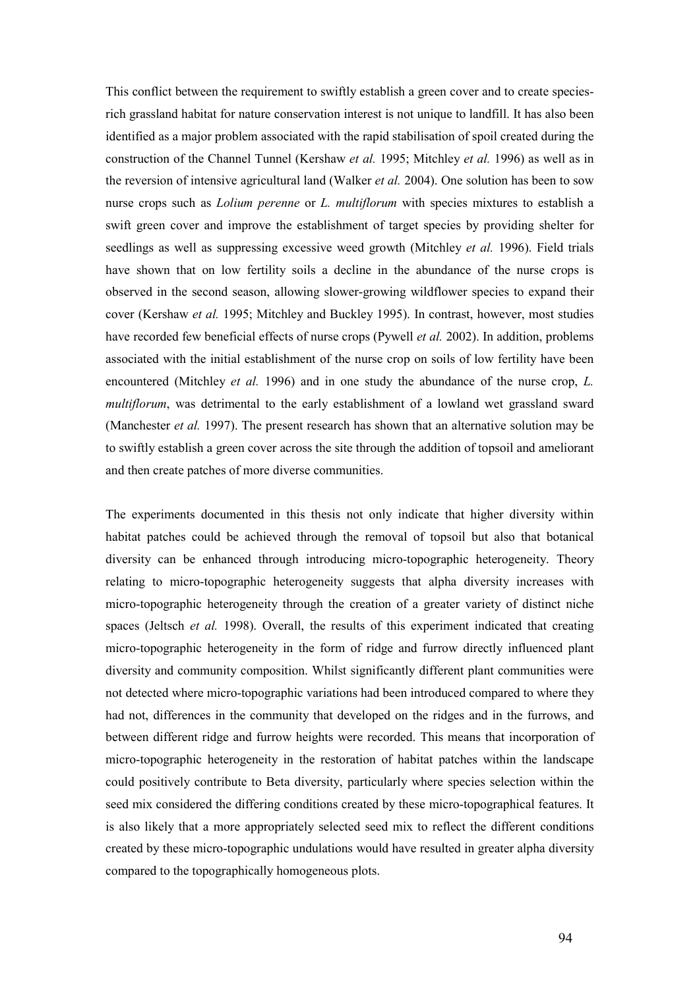This conflict between the requirement to swiftly establish a green cover and to create speciesrich grassland habitat for nature conservation interest is not unique to landfill. It has also been identified as a major problem associated with the rapid stabilisation of spoil created during the construction of the Channel Tunnel (Kershaw et al. 1995; Mitchley et al. 1996) as well as in the reversion of intensive agricultural land (Walker *et al.* 2004). One solution has been to sow nurse crops such as *Lolium perenne* or *L. multiflorum* with species mixtures to establish a swift green cover and improve the establishment of target species by providing shelter for seedlings as well as suppressing excessive weed growth (Mitchley *et al.* 1996). Field trials have shown that on low fertility soils a decline in the abundance of the nurse crops is observed in the second season, allowing slower-growing wildflower species to expand their cover (Kershaw et al. 1995; Mitchley and Buckley 1995). In contrast, however, most studies have recorded few beneficial effects of nurse crops (Pywell *et al.* 2002). In addition, problems associated with the initial establishment of the nurse crop on soils of low fertility have been encountered (Mitchley *et al.* 1996) and in one study the abundance of the nurse crop, L. multiflorum, was detrimental to the early establishment of a lowland wet grassland sward (Manchester *et al.* 1997). The present research has shown that an alternative solution may be to swiftly establish a green cover across the site through the addition of topsoil and ameliorant and then create patches of more diverse communities.

The experiments documented in this thesis not only indicate that higher diversity within habitat patches could be achieved through the removal of topsoil but also that botanical diversity can be enhanced through introducing micro-topographic heterogeneity. Theory relating to micro-topographic heterogeneity suggests that alpha diversity increases with micro-topographic heterogeneity through the creation of a greater variety of distinct niche spaces (Jeltsch *et al.* 1998). Overall, the results of this experiment indicated that creating micro-topographic heterogeneity in the form of ridge and furrow directly influenced plant diversity and community composition. Whilst significantly different plant communities were not detected where micro-topographic variations had been introduced compared to where they had not, differences in the community that developed on the ridges and in the furrows, and between different ridge and furrow heights were recorded. This means that incorporation of micro-topographic heterogeneity in the restoration of habitat patches within the landscape could positively contribute to Beta diversity, particularly where species selection within the seed mix considered the differing conditions created by these micro-topographical features. It is also likely that a more appropriately selected seed mix to reflect the different conditions created by these micro-topographic undulations would have resulted in greater alpha diversity compared to the topographically homogeneous plots.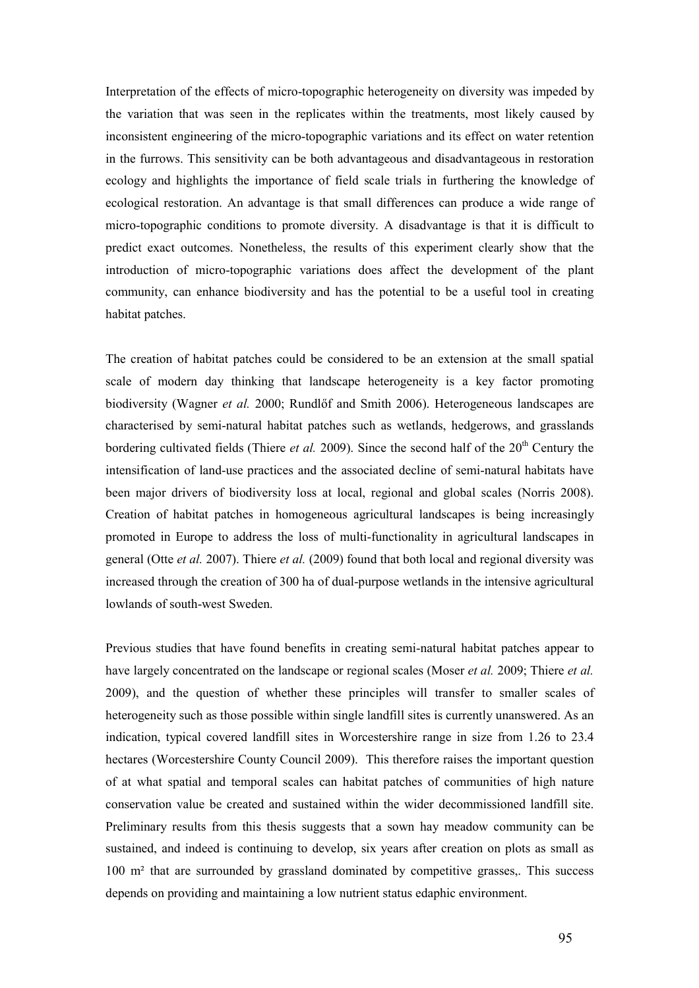Interpretation of the effects of micro-topographic heterogeneity on diversity was impeded by the variation that was seen in the replicates within the treatments, most likely caused by inconsistent engineering of the micro-topographic variations and its effect on water retention in the furrows. This sensitivity can be both advantageous and disadvantageous in restoration ecology and highlights the importance of field scale trials in furthering the knowledge of ecological restoration. An advantage is that small differences can produce a wide range of micro-topographic conditions to promote diversity. A disadvantage is that it is difficult to predict exact outcomes. Nonetheless, the results of this experiment clearly show that the introduction of micro-topographic variations does affect the development of the plant community, can enhance biodiversity and has the potential to be a useful tool in creating habitat patches.

The creation of habitat patches could be considered to be an extension at the small spatial scale of modern day thinking that landscape heterogeneity is a key factor promoting biodiversity (Wagner et al. 2000; Rundlőf and Smith 2006). Heterogeneous landscapes are characterised by semi-natural habitat patches such as wetlands, hedgerows, and grasslands bordering cultivated fields (Thiere *et al.* 2009). Since the second half of the  $20<sup>th</sup>$  Century the intensification of land-use practices and the associated decline of semi-natural habitats have been major drivers of biodiversity loss at local, regional and global scales (Norris 2008). Creation of habitat patches in homogeneous agricultural landscapes is being increasingly promoted in Europe to address the loss of multi-functionality in agricultural landscapes in general (Otte et al. 2007). Thiere et al. (2009) found that both local and regional diversity was increased through the creation of 300 ha of dual-purpose wetlands in the intensive agricultural lowlands of south-west Sweden.

Previous studies that have found benefits in creating semi-natural habitat patches appear to have largely concentrated on the landscape or regional scales (Moser *et al.* 2009; Thiere *et al.* 2009), and the question of whether these principles will transfer to smaller scales of heterogeneity such as those possible within single landfill sites is currently unanswered. As an indication, typical covered landfill sites in Worcestershire range in size from 1.26 to 23.4 hectares (Worcestershire County Council 2009). This therefore raises the important question of at what spatial and temporal scales can habitat patches of communities of high nature conservation value be created and sustained within the wider decommissioned landfill site. Preliminary results from this thesis suggests that a sown hay meadow community can be sustained, and indeed is continuing to develop, six years after creation on plots as small as 100 m² that are surrounded by grassland dominated by competitive grasses,. This success depends on providing and maintaining a low nutrient status edaphic environment.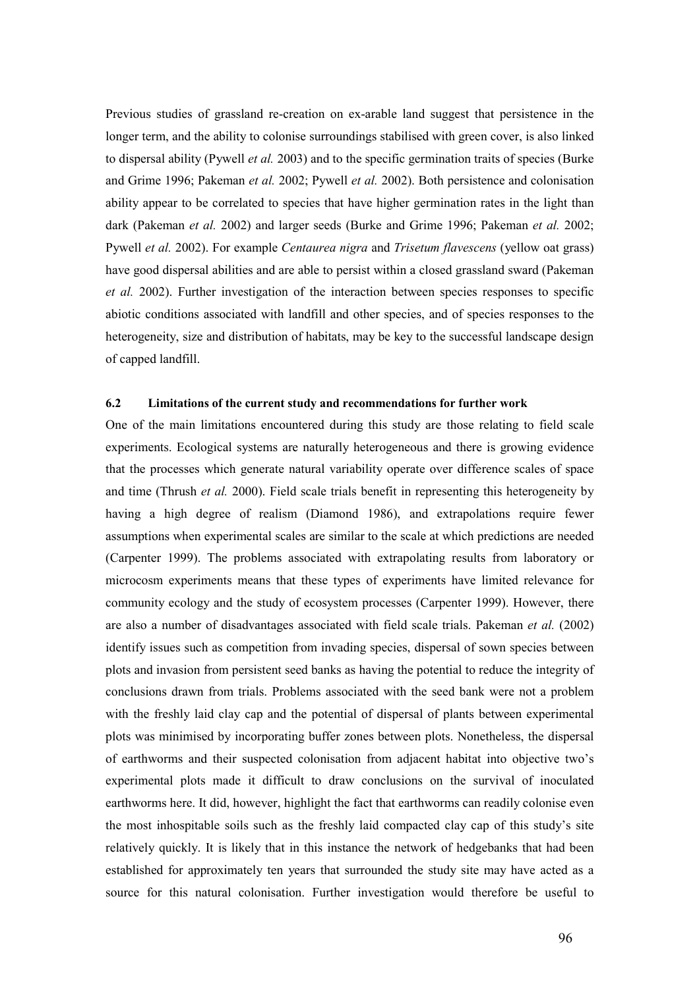Previous studies of grassland re-creation on ex-arable land suggest that persistence in the longer term, and the ability to colonise surroundings stabilised with green cover, is also linked to dispersal ability (Pywell *et al.* 2003) and to the specific germination traits of species (Burke and Grime 1996; Pakeman et al. 2002; Pywell et al. 2002). Both persistence and colonisation ability appear to be correlated to species that have higher germination rates in the light than dark (Pakeman *et al.* 2002) and larger seeds (Burke and Grime 1996; Pakeman *et al.* 2002; Pywell et al. 2002). For example Centaurea nigra and Trisetum flavescens (yellow oat grass) have good dispersal abilities and are able to persist within a closed grassland sward (Pakeman et al. 2002). Further investigation of the interaction between species responses to specific abiotic conditions associated with landfill and other species, and of species responses to the heterogeneity, size and distribution of habitats, may be key to the successful landscape design of capped landfill.

#### 6.2 Limitations of the current study and recommendations for further work

One of the main limitations encountered during this study are those relating to field scale experiments. Ecological systems are naturally heterogeneous and there is growing evidence that the processes which generate natural variability operate over difference scales of space and time (Thrush et al. 2000). Field scale trials benefit in representing this heterogeneity by having a high degree of realism (Diamond 1986), and extrapolations require fewer assumptions when experimental scales are similar to the scale at which predictions are needed (Carpenter 1999). The problems associated with extrapolating results from laboratory or microcosm experiments means that these types of experiments have limited relevance for community ecology and the study of ecosystem processes (Carpenter 1999). However, there are also a number of disadvantages associated with field scale trials. Pakeman et al. (2002) identify issues such as competition from invading species, dispersal of sown species between plots and invasion from persistent seed banks as having the potential to reduce the integrity of conclusions drawn from trials. Problems associated with the seed bank were not a problem with the freshly laid clay cap and the potential of dispersal of plants between experimental plots was minimised by incorporating buffer zones between plots. Nonetheless, the dispersal of earthworms and their suspected colonisation from adjacent habitat into objective two's experimental plots made it difficult to draw conclusions on the survival of inoculated earthworms here. It did, however, highlight the fact that earthworms can readily colonise even the most inhospitable soils such as the freshly laid compacted clay cap of this study's site relatively quickly. It is likely that in this instance the network of hedgebanks that had been established for approximately ten years that surrounded the study site may have acted as a source for this natural colonisation. Further investigation would therefore be useful to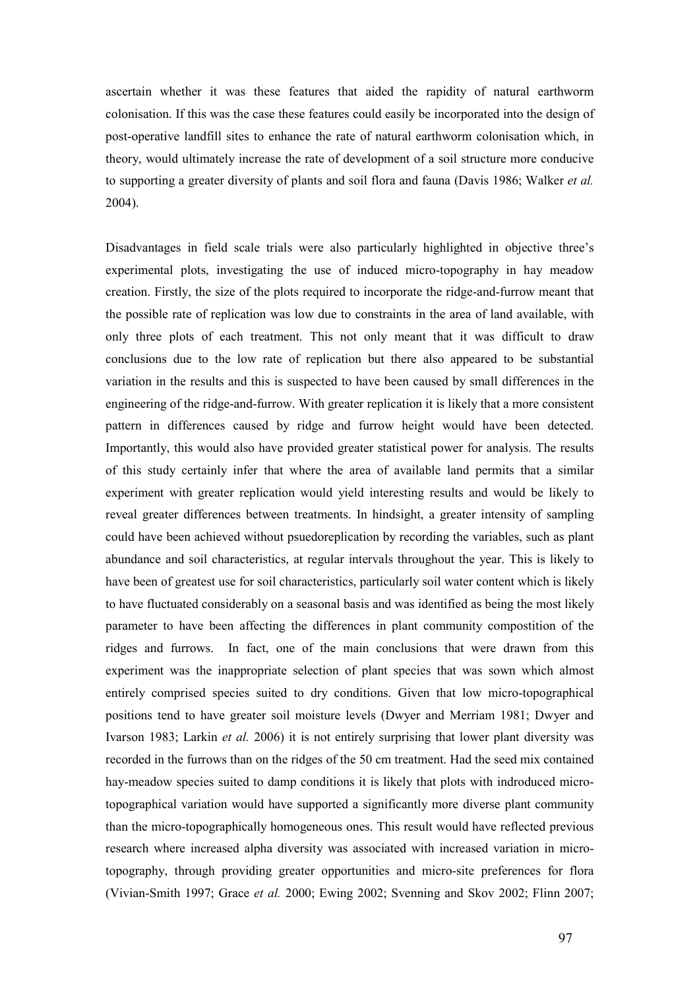ascertain whether it was these features that aided the rapidity of natural earthworm colonisation. If this was the case these features could easily be incorporated into the design of post-operative landfill sites to enhance the rate of natural earthworm colonisation which, in theory, would ultimately increase the rate of development of a soil structure more conducive to supporting a greater diversity of plants and soil flora and fauna (Davis 1986; Walker *et al.*) 2004).

Disadvantages in field scale trials were also particularly highlighted in objective three's experimental plots, investigating the use of induced micro-topography in hay meadow creation. Firstly, the size of the plots required to incorporate the ridge-and-furrow meant that the possible rate of replication was low due to constraints in the area of land available, with only three plots of each treatment. This not only meant that it was difficult to draw conclusions due to the low rate of replication but there also appeared to be substantial variation in the results and this is suspected to have been caused by small differences in the engineering of the ridge-and-furrow. With greater replication it is likely that a more consistent pattern in differences caused by ridge and furrow height would have been detected. Importantly, this would also have provided greater statistical power for analysis. The results of this study certainly infer that where the area of available land permits that a similar experiment with greater replication would yield interesting results and would be likely to reveal greater differences between treatments. In hindsight, a greater intensity of sampling could have been achieved without psuedoreplication by recording the variables, such as plant abundance and soil characteristics, at regular intervals throughout the year. This is likely to have been of greatest use for soil characteristics, particularly soil water content which is likely to have fluctuated considerably on a seasonal basis and was identified as being the most likely parameter to have been affecting the differences in plant community compostition of the ridges and furrows. In fact, one of the main conclusions that were drawn from this experiment was the inappropriate selection of plant species that was sown which almost entirely comprised species suited to dry conditions. Given that low micro-topographical positions tend to have greater soil moisture levels (Dwyer and Merriam 1981; Dwyer and Ivarson 1983; Larkin et al. 2006) it is not entirely surprising that lower plant diversity was recorded in the furrows than on the ridges of the 50 cm treatment. Had the seed mix contained hay-meadow species suited to damp conditions it is likely that plots with indroduced microtopographical variation would have supported a significantly more diverse plant community than the micro-topographically homogeneous ones. This result would have reflected previous research where increased alpha diversity was associated with increased variation in microtopography, through providing greater opportunities and micro-site preferences for flora (Vivian-Smith 1997; Grace et al. 2000; Ewing 2002; Svenning and Skov 2002; Flinn 2007;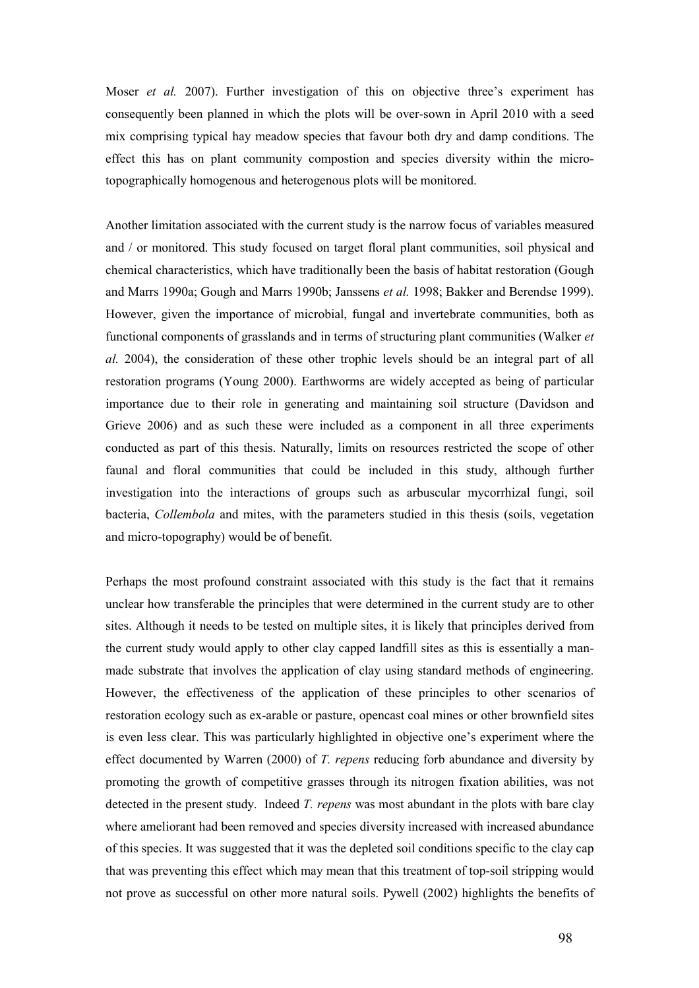Moser *et al.* 2007). Further investigation of this on objective three's experiment has consequently been planned in which the plots will be over-sown in April 2010 with a seed mix comprising typical hay meadow species that favour both dry and damp conditions. The effect this has on plant community compostion and species diversity within the microtopographically homogenous and heterogenous plots will be monitored.

Another limitation associated with the current study is the narrow focus of variables measured and / or monitored. This study focused on target floral plant communities, soil physical and chemical characteristics, which have traditionally been the basis of habitat restoration (Gough and Marrs 1990a; Gough and Marrs 1990b; Janssens et al. 1998; Bakker and Berendse 1999). However, given the importance of microbial, fungal and invertebrate communities, both as functional components of grasslands and in terms of structuring plant communities (Walker et al. 2004), the consideration of these other trophic levels should be an integral part of all restoration programs (Young 2000). Earthworms are widely accepted as being of particular importance due to their role in generating and maintaining soil structure (Davidson and Grieve 2006) and as such these were included as a component in all three experiments conducted as part of this thesis. Naturally, limits on resources restricted the scope of other faunal and floral communities that could be included in this study, although further investigation into the interactions of groups such as arbuscular mycorrhizal fungi, soil bacteria, Collembola and mites, with the parameters studied in this thesis (soils, vegetation and micro-topography) would be of benefit.

Perhaps the most profound constraint associated with this study is the fact that it remains unclear how transferable the principles that were determined in the current study are to other sites. Although it needs to be tested on multiple sites, it is likely that principles derived from the current study would apply to other clay capped landfill sites as this is essentially a manmade substrate that involves the application of clay using standard methods of engineering. However, the effectiveness of the application of these principles to other scenarios of restoration ecology such as ex-arable or pasture, opencast coal mines or other brownfield sites is even less clear. This was particularly highlighted in objective one's experiment where the effect documented by Warren (2000) of T. repens reducing forb abundance and diversity by promoting the growth of competitive grasses through its nitrogen fixation abilities, was not detected in the present study. Indeed T. repens was most abundant in the plots with bare clay where ameliorant had been removed and species diversity increased with increased abundance of this species. It was suggested that it was the depleted soil conditions specific to the clay cap that was preventing this effect which may mean that this treatment of top-soil stripping would not prove as successful on other more natural soils. Pywell (2002) highlights the benefits of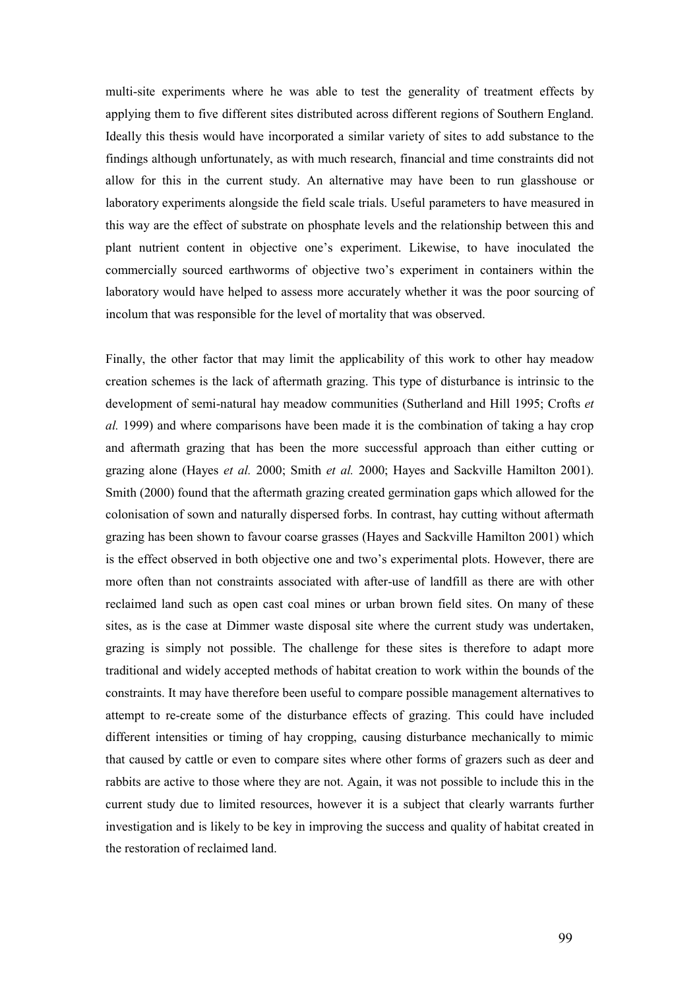multi-site experiments where he was able to test the generality of treatment effects by applying them to five different sites distributed across different regions of Southern England. Ideally this thesis would have incorporated a similar variety of sites to add substance to the findings although unfortunately, as with much research, financial and time constraints did not allow for this in the current study. An alternative may have been to run glasshouse or laboratory experiments alongside the field scale trials. Useful parameters to have measured in this way are the effect of substrate on phosphate levels and the relationship between this and plant nutrient content in objective one's experiment. Likewise, to have inoculated the commercially sourced earthworms of objective two's experiment in containers within the laboratory would have helped to assess more accurately whether it was the poor sourcing of incolum that was responsible for the level of mortality that was observed.

Finally, the other factor that may limit the applicability of this work to other hay meadow creation schemes is the lack of aftermath grazing. This type of disturbance is intrinsic to the development of semi-natural hay meadow communities (Sutherland and Hill 1995; Crofts et al. 1999) and where comparisons have been made it is the combination of taking a hay crop and aftermath grazing that has been the more successful approach than either cutting or grazing alone (Hayes et al. 2000; Smith et al. 2000; Hayes and Sackville Hamilton 2001). Smith (2000) found that the aftermath grazing created germination gaps which allowed for the colonisation of sown and naturally dispersed forbs. In contrast, hay cutting without aftermath grazing has been shown to favour coarse grasses (Hayes and Sackville Hamilton 2001) which is the effect observed in both objective one and two's experimental plots. However, there are more often than not constraints associated with after-use of landfill as there are with other reclaimed land such as open cast coal mines or urban brown field sites. On many of these sites, as is the case at Dimmer waste disposal site where the current study was undertaken, grazing is simply not possible. The challenge for these sites is therefore to adapt more traditional and widely accepted methods of habitat creation to work within the bounds of the constraints. It may have therefore been useful to compare possible management alternatives to attempt to re-create some of the disturbance effects of grazing. This could have included different intensities or timing of hay cropping, causing disturbance mechanically to mimic that caused by cattle or even to compare sites where other forms of grazers such as deer and rabbits are active to those where they are not. Again, it was not possible to include this in the current study due to limited resources, however it is a subject that clearly warrants further investigation and is likely to be key in improving the success and quality of habitat created in the restoration of reclaimed land.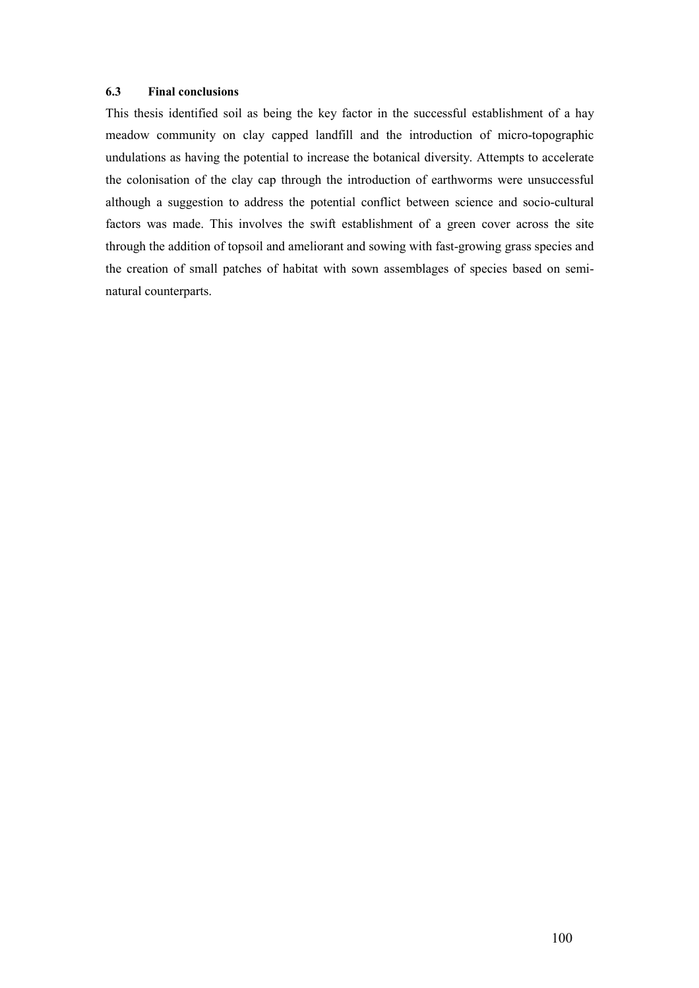# 6.3 Final conclusions

This thesis identified soil as being the key factor in the successful establishment of a hay meadow community on clay capped landfill and the introduction of micro-topographic undulations as having the potential to increase the botanical diversity. Attempts to accelerate the colonisation of the clay cap through the introduction of earthworms were unsuccessful although a suggestion to address the potential conflict between science and socio-cultural factors was made. This involves the swift establishment of a green cover across the site through the addition of topsoil and ameliorant and sowing with fast-growing grass species and the creation of small patches of habitat with sown assemblages of species based on seminatural counterparts.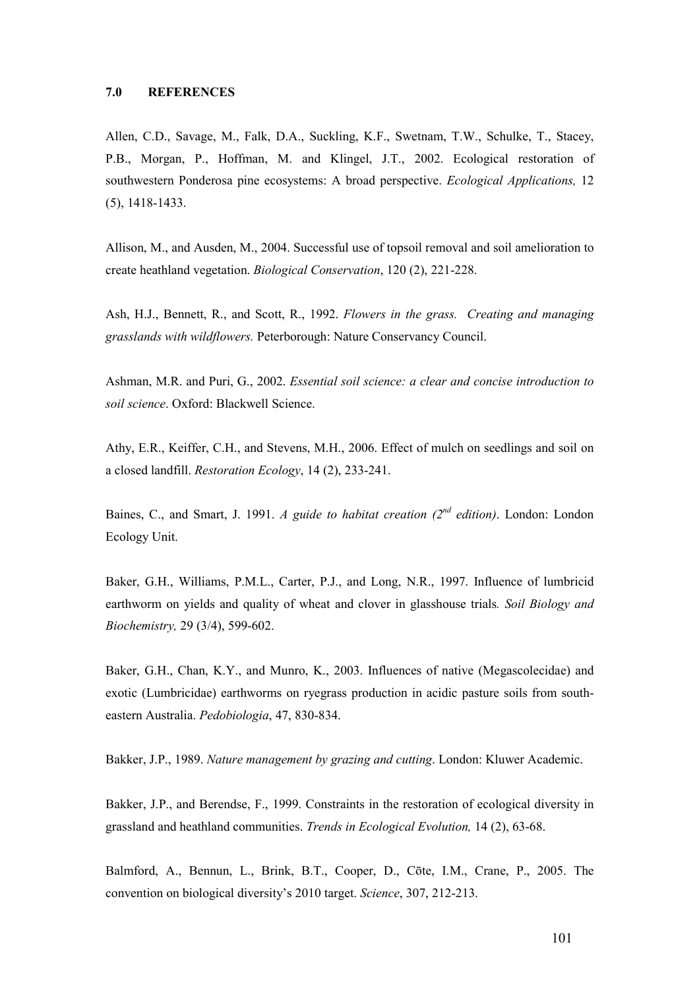Allen, C.D., Savage, M., Falk, D.A., Suckling, K.F., Swetnam, T.W., Schulke, T., Stacey, P.B., Morgan, P., Hoffman, M. and Klingel, J.T., 2002. Ecological restoration of southwestern Ponderosa pine ecosystems: A broad perspective. *Ecological Applications*, 12 (5), 1418-1433.

Allison, M., and Ausden, M., 2004. Successful use of topsoil removal and soil amelioration to create heathland vegetation. Biological Conservation, 120 (2), 221-228.

Ash, H.J., Bennett, R., and Scott, R., 1992. Flowers in the grass. Creating and managing grasslands with wildflowers. Peterborough: Nature Conservancy Council.

Ashman, M.R. and Puri, G., 2002. Essential soil science: a clear and concise introduction to soil science. Oxford: Blackwell Science.

Athy, E.R., Keiffer, C.H., and Stevens, M.H., 2006. Effect of mulch on seedlings and soil on a closed landfill. Restoration Ecology, 14 (2), 233-241.

Baines, C., and Smart, J. 1991. A guide to habitat creation ( $2^{nd}$  edition). London: London Ecology Unit.

Baker, G.H., Williams, P.M.L., Carter, P.J., and Long, N.R., 1997. Influence of lumbricid earthworm on yields and quality of wheat and clover in glasshouse trials. Soil Biology and Biochemistry, 29 (3/4), 599-602.

Baker, G.H., Chan, K.Y., and Munro, K., 2003. Influences of native (Megascolecidae) and exotic (Lumbricidae) earthworms on ryegrass production in acidic pasture soils from southeastern Australia. Pedobiologia, 47, 830-834.

Bakker, J.P., 1989. Nature management by grazing and cutting. London: Kluwer Academic.

Bakker, J.P., and Berendse, F., 1999. Constraints in the restoration of ecological diversity in grassland and heathland communities. Trends in Ecological Evolution, 14 (2), 63-68.

Balmford, A., Bennun, L., Brink, B.T., Cooper, D., Cōte, I.M., Crane, P., 2005. The convention on biological diversity's 2010 target. Science, 307, 212-213.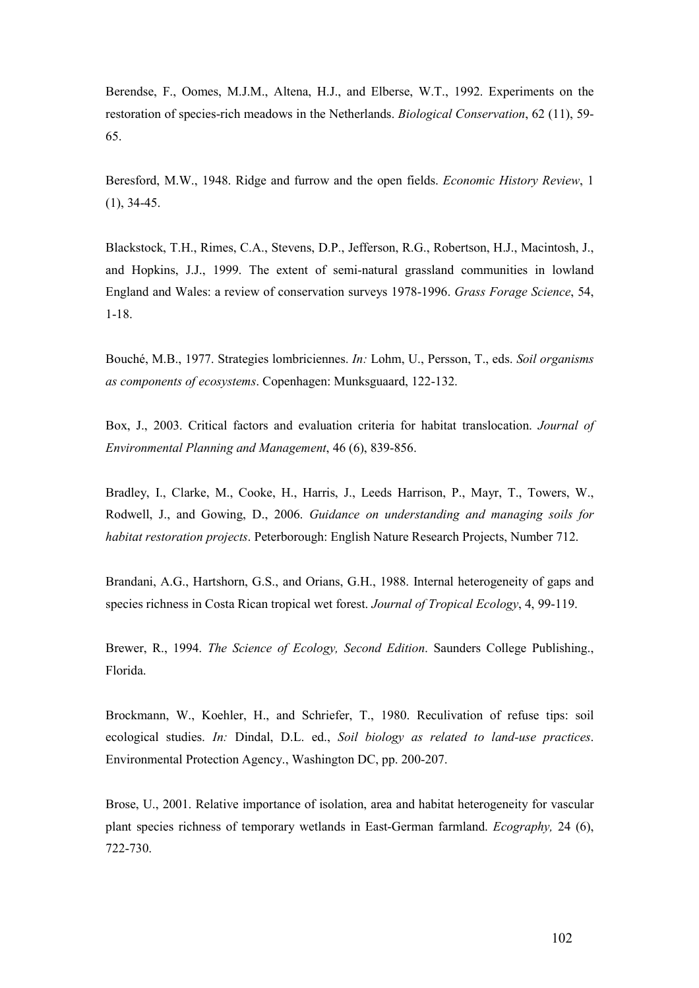Berendse, F., Oomes, M.J.M., Altena, H.J., and Elberse, W.T., 1992. Experiments on the restoration of species-rich meadows in the Netherlands. Biological Conservation, 62 (11), 59- 65.

Beresford, M.W., 1948. Ridge and furrow and the open fields. Economic History Review, 1 (1), 34-45.

Blackstock, T.H., Rimes, C.A., Stevens, D.P., Jefferson, R.G., Robertson, H.J., Macintosh, J., and Hopkins, J.J., 1999. The extent of semi-natural grassland communities in lowland England and Wales: a review of conservation surveys 1978-1996. Grass Forage Science, 54, 1-18.

Bouché, M.B., 1977. Strategies lombriciennes. In: Lohm, U., Persson, T., eds. Soil organisms as components of ecosystems. Copenhagen: Munksguaard, 122-132.

Box, J., 2003. Critical factors and evaluation criteria for habitat translocation. Journal of Environmental Planning and Management, 46 (6), 839-856.

Bradley, I., Clarke, M., Cooke, H., Harris, J., Leeds Harrison, P., Mayr, T., Towers, W., Rodwell, J., and Gowing, D., 2006. Guidance on understanding and managing soils for habitat restoration projects. Peterborough: English Nature Research Projects, Number 712.

Brandani, A.G., Hartshorn, G.S., and Orians, G.H., 1988. Internal heterogeneity of gaps and species richness in Costa Rican tropical wet forest. Journal of Tropical Ecology, 4, 99-119.

Brewer, R., 1994. The Science of Ecology, Second Edition. Saunders College Publishing., Florida.

Brockmann, W., Koehler, H., and Schriefer, T., 1980. Reculivation of refuse tips: soil ecological studies. In: Dindal, D.L. ed., Soil biology as related to land-use practices. Environmental Protection Agency., Washington DC, pp. 200-207.

Brose, U., 2001. Relative importance of isolation, area and habitat heterogeneity for vascular plant species richness of temporary wetlands in East-German farmland. Ecography, 24 (6), 722-730.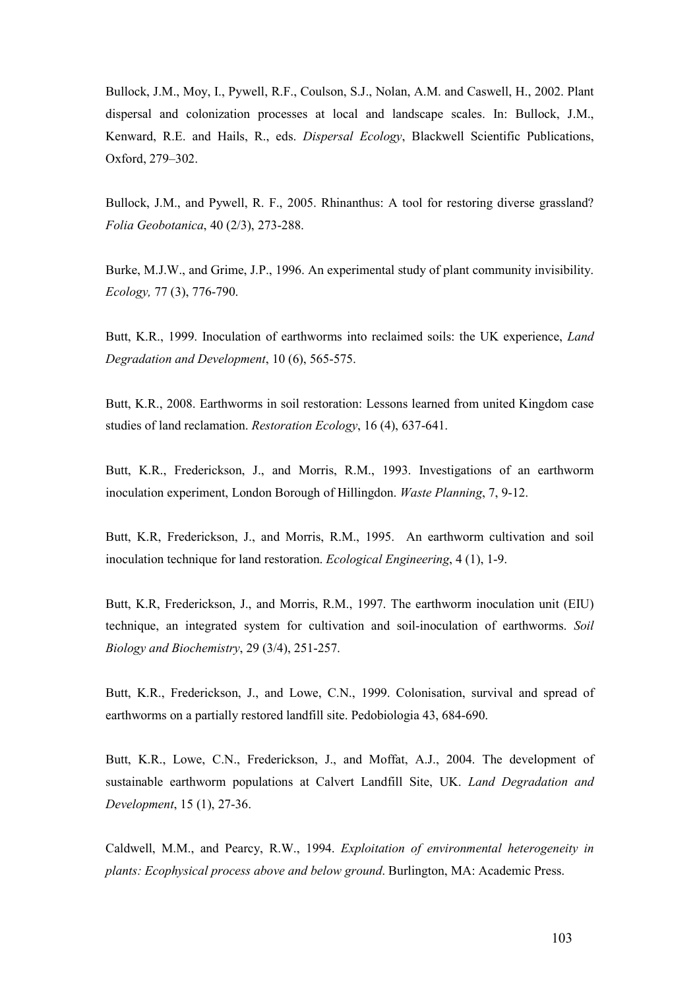Bullock, J.M., Moy, I., Pywell, R.F., Coulson, S.J., Nolan, A.M. and Caswell, H., 2002. Plant dispersal and colonization processes at local and landscape scales. In: Bullock, J.M., Kenward, R.E. and Hails, R., eds. Dispersal Ecology, Blackwell Scientific Publications, Oxford, 279–302.

Bullock, J.M., and Pywell, R. F., 2005. Rhinanthus: A tool for restoring diverse grassland? Folia Geobotanica, 40 (2/3), 273-288.

Burke, M.J.W., and Grime, J.P., 1996. An experimental study of plant community invisibility. Ecology, 77 (3), 776-790.

Butt, K.R., 1999. Inoculation of earthworms into reclaimed soils: the UK experience, Land Degradation and Development, 10 (6), 565-575.

Butt, K.R., 2008. Earthworms in soil restoration: Lessons learned from united Kingdom case studies of land reclamation. Restoration Ecology, 16 (4), 637-641.

Butt, K.R., Frederickson, J., and Morris, R.M., 1993. Investigations of an earthworm inoculation experiment, London Borough of Hillingdon. Waste Planning, 7, 9-12.

Butt, K.R, Frederickson, J., and Morris, R.M., 1995. An earthworm cultivation and soil inoculation technique for land restoration. *Ecological Engineering*, 4 (1), 1-9.

Butt, K.R, Frederickson, J., and Morris, R.M., 1997. The earthworm inoculation unit (EIU) technique, an integrated system for cultivation and soil-inoculation of earthworms. Soil Biology and Biochemistry, 29 (3/4), 251-257.

Butt, K.R., Frederickson, J., and Lowe, C.N., 1999. Colonisation, survival and spread of earthworms on a partially restored landfill site. Pedobiologia 43, 684-690.

Butt, K.R., Lowe, C.N., Frederickson, J., and Moffat, A.J., 2004. The development of sustainable earthworm populations at Calvert Landfill Site, UK. Land Degradation and Development, 15 (1), 27-36.

Caldwell, M.M., and Pearcy, R.W., 1994. Exploitation of environmental heterogeneity in plants: Ecophysical process above and below ground. Burlington, MA: Academic Press.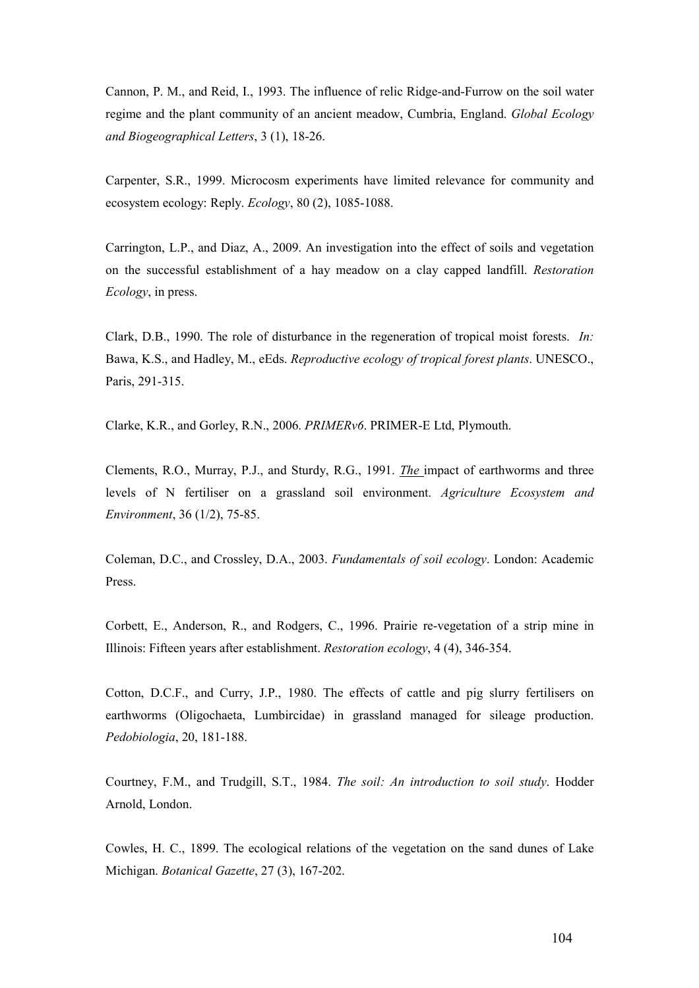Cannon, P. M., and Reid, I., 1993. The influence of relic Ridge-and-Furrow on the soil water regime and the plant community of an ancient meadow, Cumbria, England. Global Ecology and Biogeographical Letters, 3 (1), 18-26.

Carpenter, S.R., 1999. Microcosm experiments have limited relevance for community and ecosystem ecology: Reply. Ecology, 80 (2), 1085-1088.

Carrington, L.P., and Diaz, A., 2009. An investigation into the effect of soils and vegetation on the successful establishment of a hay meadow on a clay capped landfill. Restoration Ecology, in press.

Clark, D.B., 1990. The role of disturbance in the regeneration of tropical moist forests. In: Bawa, K.S., and Hadley, M., eEds. Reproductive ecology of tropical forest plants. UNESCO., Paris, 291-315.

Clarke, K.R., and Gorley, R.N., 2006. PRIMERv6. PRIMER-E Ltd, Plymouth.

Clements, R.O., Murray, P.J., and Sturdy, R.G., 1991. The impact of earthworms and three levels of N fertiliser on a grassland soil environment. Agriculture Ecosystem and Environment, 36 (1/2), 75-85.

Coleman, D.C., and Crossley, D.A., 2003. Fundamentals of soil ecology. London: Academic Press.

Corbett, E., Anderson, R., and Rodgers, C., 1996. Prairie re-vegetation of a strip mine in Illinois: Fifteen years after establishment. Restoration ecology, 4 (4), 346-354.

Cotton, D.C.F., and Curry, J.P., 1980. The effects of cattle and pig slurry fertilisers on earthworms (Oligochaeta, Lumbircidae) in grassland managed for sileage production. Pedobiologia, 20, 181-188.

Courtney, F.M., and Trudgill, S.T., 1984. The soil: An introduction to soil study. Hodder Arnold, London.

Cowles, H. C., 1899. The ecological relations of the vegetation on the sand dunes of Lake Michigan. Botanical Gazette, 27 (3), 167-202.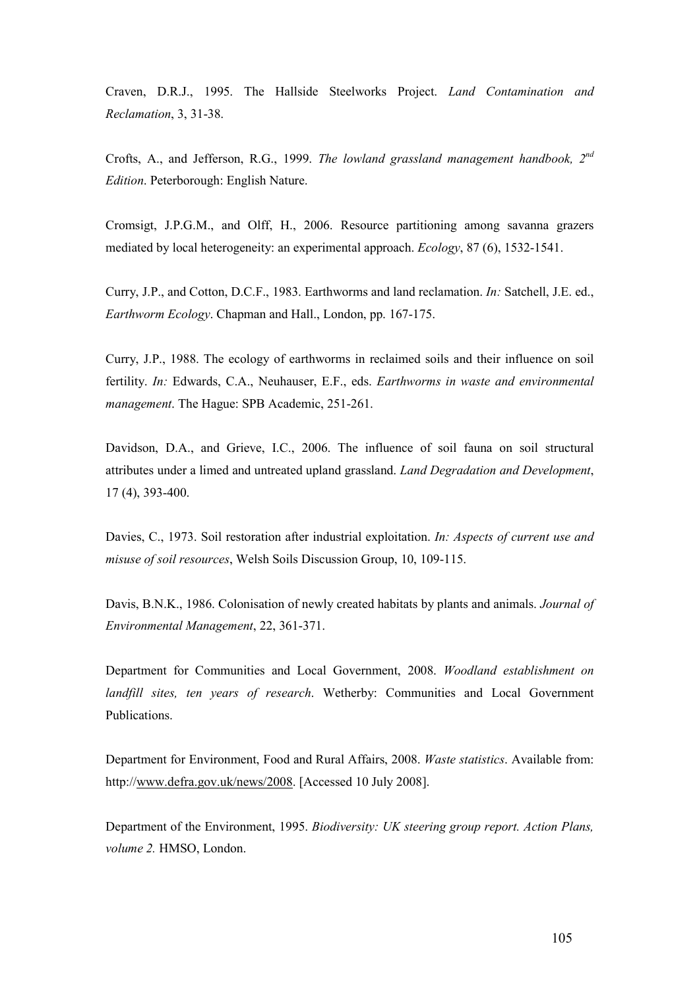Craven, D.R.J., 1995. The Hallside Steelworks Project. Land Contamination and Reclamation, 3, 31-38.

Crofts, A., and Jefferson, R.G., 1999. The lowland grassland management handbook, 2<sup>nd</sup> Edition. Peterborough: English Nature.

Cromsigt, J.P.G.M., and Olff, H., 2006. Resource partitioning among savanna grazers mediated by local heterogeneity: an experimental approach. Ecology, 87 (6), 1532-1541.

Curry, J.P., and Cotton, D.C.F., 1983. Earthworms and land reclamation. In: Satchell, J.E. ed., Earthworm Ecology. Chapman and Hall., London, pp. 167-175.

Curry, J.P., 1988. The ecology of earthworms in reclaimed soils and their influence on soil fertility. In: Edwards, C.A., Neuhauser, E.F., eds. Earthworms in waste and environmental management. The Hague: SPB Academic, 251-261.

Davidson, D.A., and Grieve, I.C., 2006. The influence of soil fauna on soil structural attributes under a limed and untreated upland grassland. Land Degradation and Development, 17 (4), 393-400.

Davies, C., 1973. Soil restoration after industrial exploitation. In: Aspects of current use and misuse of soil resources, Welsh Soils Discussion Group, 10, 109-115.

Davis, B.N.K., 1986. Colonisation of newly created habitats by plants and animals. Journal of Environmental Management, 22, 361-371.

Department for Communities and Local Government, 2008. Woodland establishment on landfill sites, ten years of research. Wetherby: Communities and Local Government Publications.

Department for Environment, Food and Rural Affairs, 2008. Waste statistics. Available from: http://www.defra.gov.uk/news/2008. [Accessed 10 July 2008].

Department of the Environment, 1995. Biodiversity: UK steering group report. Action Plans, volume 2. HMSO, London.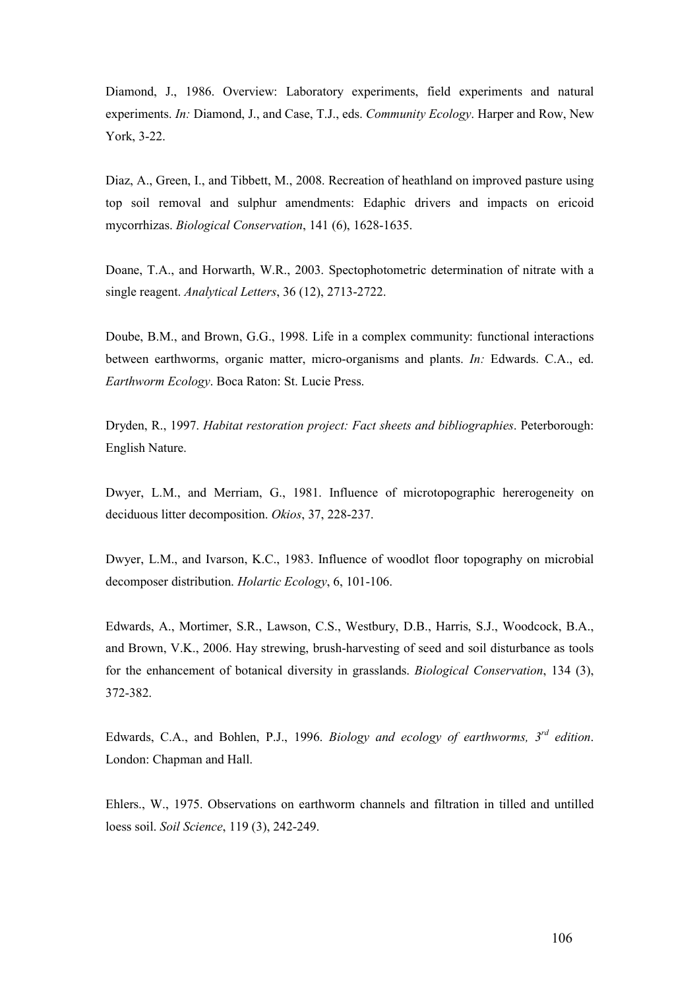Diamond, J., 1986. Overview: Laboratory experiments, field experiments and natural experiments. In: Diamond, J., and Case, T.J., eds. Community Ecology. Harper and Row, New York, 3-22.

Diaz, A., Green, I., and Tibbett, M., 2008. Recreation of heathland on improved pasture using top soil removal and sulphur amendments: Edaphic drivers and impacts on ericoid mycorrhizas. Biological Conservation, 141 (6), 1628-1635.

Doane, T.A., and Horwarth, W.R., 2003. Spectophotometric determination of nitrate with a single reagent. Analytical Letters, 36 (12), 2713-2722.

Doube, B.M., and Brown, G.G., 1998. Life in a complex community: functional interactions between earthworms, organic matter, micro-organisms and plants. In: Edwards. C.A., ed. Earthworm Ecology. Boca Raton: St. Lucie Press.

Dryden, R., 1997. Habitat restoration project: Fact sheets and bibliographies. Peterborough: English Nature.

Dwyer, L.M., and Merriam, G., 1981. Influence of microtopographic hererogeneity on deciduous litter decomposition. Okios, 37, 228-237.

Dwyer, L.M., and Ivarson, K.C., 1983. Influence of woodlot floor topography on microbial decomposer distribution. Holartic Ecology, 6, 101-106.

Edwards, A., Mortimer, S.R., Lawson, C.S., Westbury, D.B., Harris, S.J., Woodcock, B.A., and Brown, V.K., 2006. Hay strewing, brush-harvesting of seed and soil disturbance as tools for the enhancement of botanical diversity in grasslands. Biological Conservation, 134 (3), 372-382.

Edwards, C.A., and Bohlen, P.J., 1996. Biology and ecology of earthworms,  $3^{rd}$  edition. London: Chapman and Hall.

Ehlers., W., 1975. Observations on earthworm channels and filtration in tilled and untilled loess soil. Soil Science, 119 (3), 242-249.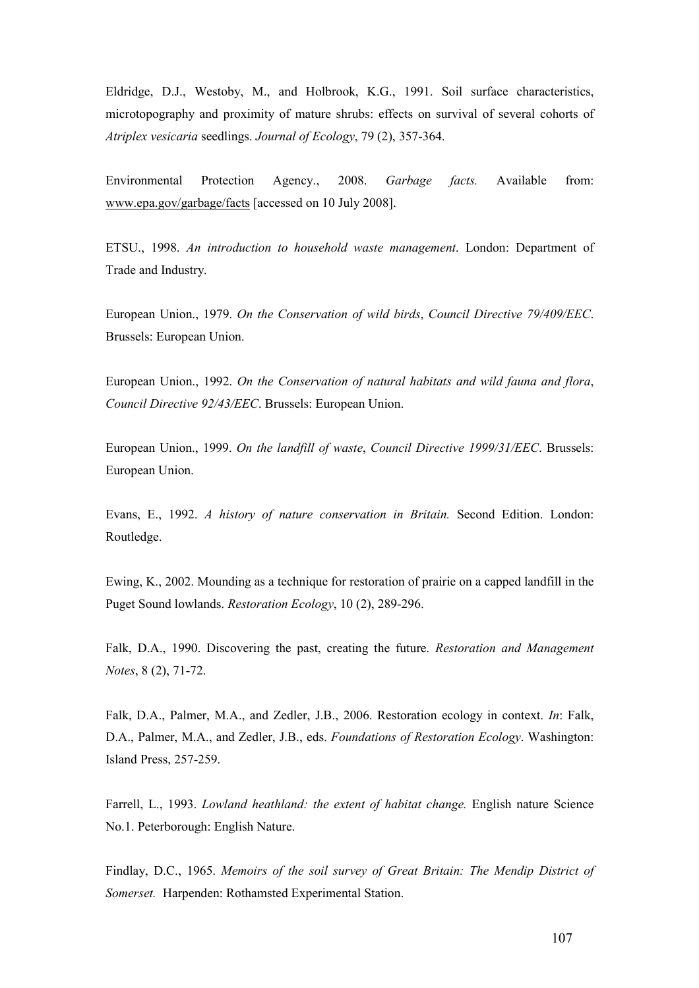Eldridge, D.J., Westoby, M., and Holbrook, K.G., 1991. Soil surface characteristics, microtopography and proximity of mature shrubs: effects on survival of several cohorts of Atriplex vesicaria seedlings. Journal of Ecology, 79 (2), 357-364.

Environmental Protection Agency., 2008. Garbage facts. Available from: www.epa.gov/garbage/facts [accessed on 10 July 2008].

ETSU., 1998. An introduction to household waste management. London: Department of Trade and Industry.

European Union., 1979. On the Conservation of wild birds, Council Directive 79/409/EEC. Brussels: European Union.

European Union., 1992. On the Conservation of natural habitats and wild fauna and flora, Council Directive 92/43/EEC. Brussels: European Union.

European Union., 1999. On the landfill of waste, Council Directive 1999/31/EEC. Brussels: European Union.

Evans, E., 1992. A history of nature conservation in Britain. Second Edition. London: Routledge.

Ewing, K., 2002. Mounding as a technique for restoration of prairie on a capped landfill in the Puget Sound lowlands. Restoration Ecology, 10 (2), 289-296.

Falk, D.A., 1990. Discovering the past, creating the future. Restoration and Management Notes, 8 (2), 71-72.

Falk, D.A., Palmer, M.A., and Zedler, J.B., 2006. Restoration ecology in context. In: Falk, D.A., Palmer, M.A., and Zedler, J.B., eds. Foundations of Restoration Ecology. Washington: Island Press, 257-259.

Farrell, L., 1993. *Lowland heathland: the extent of habitat change*. English nature Science No.1. Peterborough: English Nature.

Findlay, D.C., 1965. Memoirs of the soil survey of Great Britain: The Mendip District of Somerset. Harpenden: Rothamsted Experimental Station.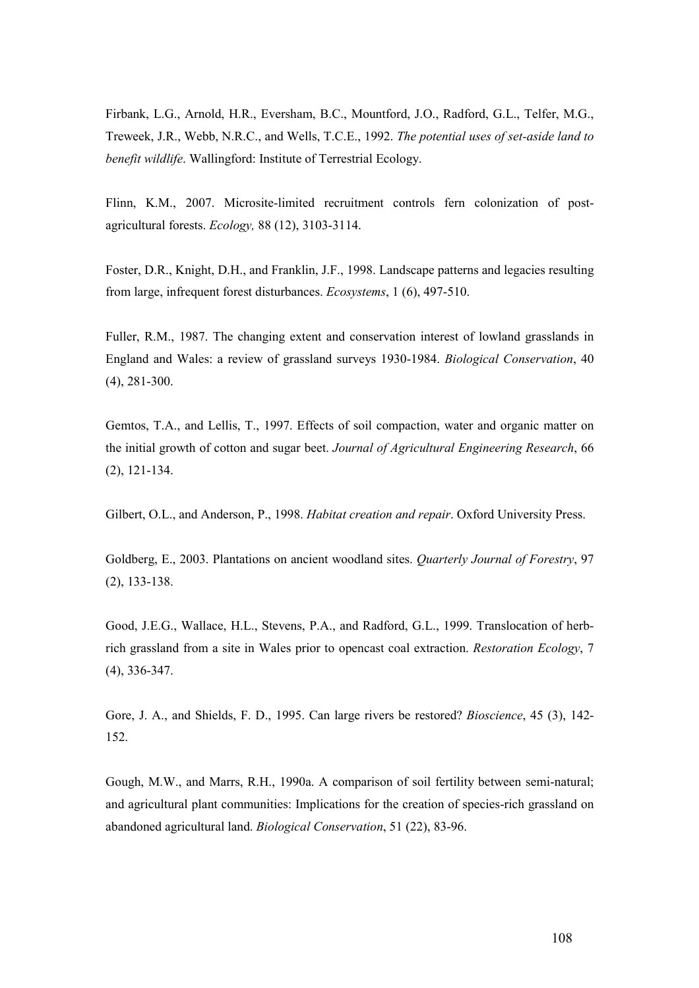Firbank, L.G., Arnold, H.R., Eversham, B.C., Mountford, J.O., Radford, G.L., Telfer, M.G., Treweek, J.R., Webb, N.R.C., and Wells, T.C.E., 1992. The potential uses of set-aside land to benefit wildlife. Wallingford: Institute of Terrestrial Ecology.

Flinn, K.M., 2007. Microsite-limited recruitment controls fern colonization of postagricultural forests. Ecology, 88 (12), 3103-3114.

Foster, D.R., Knight, D.H., and Franklin, J.F., 1998. Landscape patterns and legacies resulting from large, infrequent forest disturbances. Ecosystems, 1 (6), 497-510.

Fuller, R.M., 1987. The changing extent and conservation interest of lowland grasslands in England and Wales: a review of grassland surveys 1930-1984. Biological Conservation, 40 (4), 281-300.

Gemtos, T.A., and Lellis, T., 1997. Effects of soil compaction, water and organic matter on the initial growth of cotton and sugar beet. Journal of Agricultural Engineering Research, 66 (2), 121-134.

Gilbert, O.L., and Anderson, P., 1998. Habitat creation and repair. Oxford University Press.

Goldberg, E., 2003. Plantations on ancient woodland sites. Quarterly Journal of Forestry, 97 (2), 133-138.

Good, J.E.G., Wallace, H.L., Stevens, P.A., and Radford, G.L., 1999. Translocation of herbrich grassland from a site in Wales prior to opencast coal extraction. Restoration Ecology, 7 (4), 336-347.

Gore, J. A., and Shields, F. D., 1995. Can large rivers be restored? Bioscience, 45 (3), 142- 152.

Gough, M.W., and Marrs, R.H., 1990a. A comparison of soil fertility between semi-natural; and agricultural plant communities: Implications for the creation of species-rich grassland on abandoned agricultural land. Biological Conservation, 51 (22), 83-96.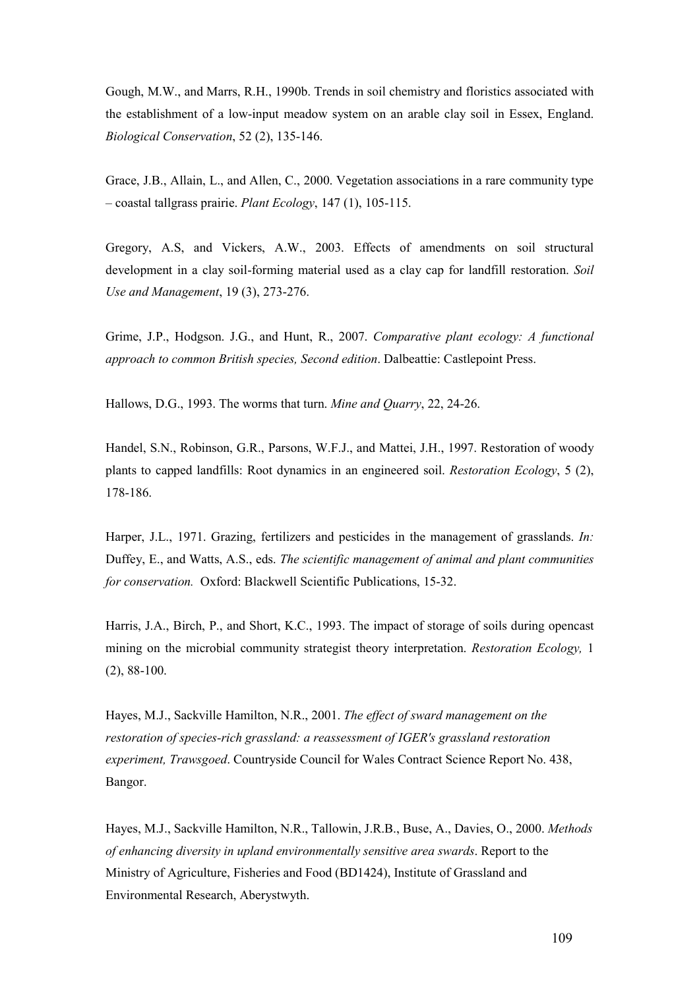Gough, M.W., and Marrs, R.H., 1990b. Trends in soil chemistry and floristics associated with the establishment of a low-input meadow system on an arable clay soil in Essex, England. Biological Conservation, 52 (2), 135-146.

Grace, J.B., Allain, L., and Allen, C., 2000. Vegetation associations in a rare community type – coastal tallgrass prairie. Plant Ecology, 147 (1), 105-115.

Gregory, A.S, and Vickers, A.W., 2003. Effects of amendments on soil structural development in a clay soil-forming material used as a clay cap for landfill restoration. Soil Use and Management, 19 (3), 273-276.

Grime, J.P., Hodgson. J.G., and Hunt, R., 2007. Comparative plant ecology: A functional approach to common British species, Second edition. Dalbeattie: Castlepoint Press.

Hallows, D.G., 1993. The worms that turn. Mine and Quarry, 22, 24-26.

Handel, S.N., Robinson, G.R., Parsons, W.F.J., and Mattei, J.H., 1997. Restoration of woody plants to capped landfills: Root dynamics in an engineered soil. Restoration Ecology, 5 (2), 178-186.

Harper, J.L., 1971. Grazing, fertilizers and pesticides in the management of grasslands. In: Duffey, E., and Watts, A.S., eds. The scientific management of animal and plant communities for conservation. Oxford: Blackwell Scientific Publications, 15-32.

Harris, J.A., Birch, P., and Short, K.C., 1993. The impact of storage of soils during opencast mining on the microbial community strategist theory interpretation. Restoration Ecology, 1 (2), 88-100.

Hayes, M.J., Sackville Hamilton, N.R., 2001. The effect of sward management on the restoration of species-rich grassland: a reassessment of IGER's grassland restoration experiment, Trawsgoed. Countryside Council for Wales Contract Science Report No. 438, Bangor.

Hayes, M.J., Sackville Hamilton, N.R., Tallowin, J.R.B., Buse, A., Davies, O., 2000. Methods of enhancing diversity in upland environmentally sensitive area swards. Report to the Ministry of Agriculture, Fisheries and Food (BD1424), Institute of Grassland and Environmental Research, Aberystwyth.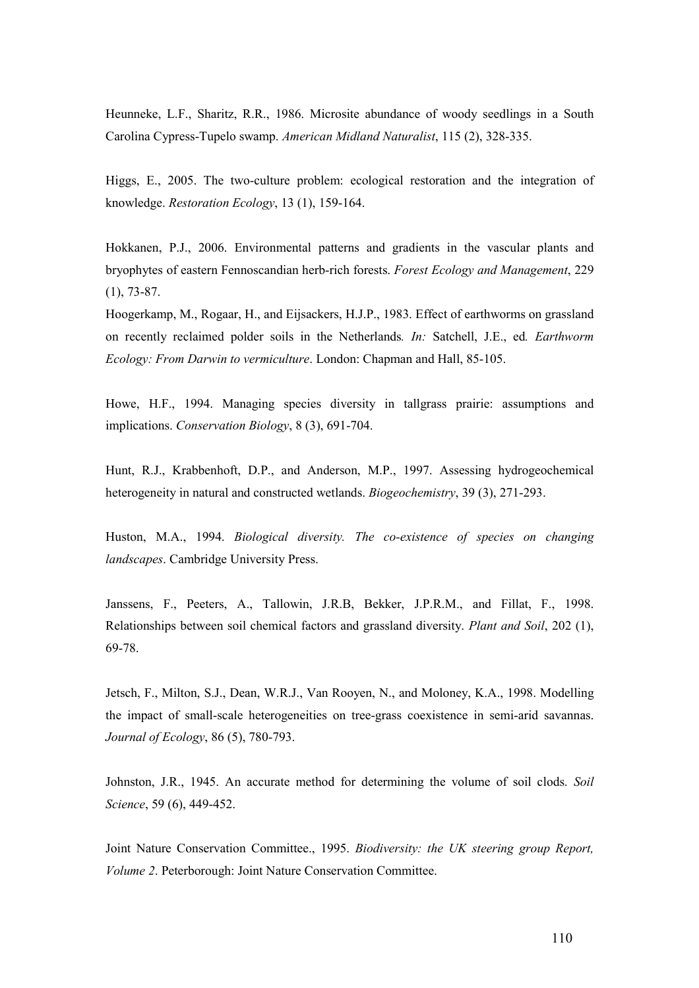Heunneke, L.F., Sharitz, R.R., 1986. Microsite abundance of woody seedlings in a South Carolina Cypress-Tupelo swamp. American Midland Naturalist, 115 (2), 328-335.

Higgs, E., 2005. The two-culture problem: ecological restoration and the integration of knowledge. Restoration Ecology, 13 (1), 159-164.

Hokkanen, P.J., 2006. Environmental patterns and gradients in the vascular plants and bryophytes of eastern Fennoscandian herb-rich forests. Forest Ecology and Management, 229 (1), 73-87.

Hoogerkamp, M., Rogaar, H., and Eijsackers, H.J.P., 1983. Effect of earthworms on grassland on recently reclaimed polder soils in the Netherlands. In: Satchell, J.E., ed. Earthworm Ecology: From Darwin to vermiculture. London: Chapman and Hall, 85-105.

Howe, H.F., 1994. Managing species diversity in tallgrass prairie: assumptions and implications. Conservation Biology, 8 (3), 691-704.

Hunt, R.J., Krabbenhoft, D.P., and Anderson, M.P., 1997. Assessing hydrogeochemical heterogeneity in natural and constructed wetlands. *Biogeochemistry*, 39 (3), 271-293.

Huston, M.A., 1994. Biological diversity. The co-existence of species on changing landscapes. Cambridge University Press.

Janssens, F., Peeters, A., Tallowin, J.R.B, Bekker, J.P.R.M., and Fillat, F., 1998. Relationships between soil chemical factors and grassland diversity. Plant and Soil, 202 (1), 69-78.

Jetsch, F., Milton, S.J., Dean, W.R.J., Van Rooyen, N., and Moloney, K.A., 1998. Modelling the impact of small-scale heterogeneities on tree-grass coexistence in semi-arid savannas. Journal of Ecology, 86 (5), 780-793.

Johnston, J.R., 1945. An accurate method for determining the volume of soil clods. Soil Science, 59 (6), 449-452.

Joint Nature Conservation Committee., 1995. Biodiversity: the UK steering group Report, Volume 2. Peterborough: Joint Nature Conservation Committee.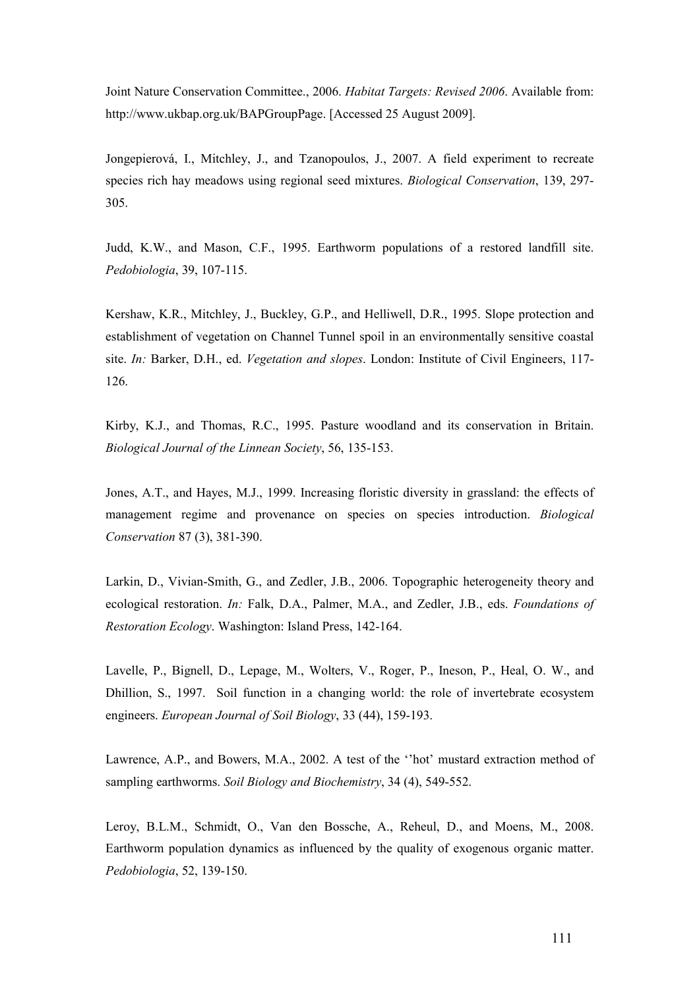Joint Nature Conservation Committee., 2006. Habitat Targets: Revised 2006. Available from: http://www.ukbap.org.uk/BAPGroupPage. [Accessed 25 August 2009].

Jongepierová, I., Mitchley, J., and Tzanopoulos, J., 2007. A field experiment to recreate species rich hay meadows using regional seed mixtures. Biological Conservation, 139, 297- 305.

Judd, K.W., and Mason, C.F., 1995. Earthworm populations of a restored landfill site. Pedobiologia, 39, 107-115.

Kershaw, K.R., Mitchley, J., Buckley, G.P., and Helliwell, D.R., 1995. Slope protection and establishment of vegetation on Channel Tunnel spoil in an environmentally sensitive coastal site. In: Barker, D.H., ed. Vegetation and slopes. London: Institute of Civil Engineers, 117- 126.

Kirby, K.J., and Thomas, R.C., 1995. Pasture woodland and its conservation in Britain. Biological Journal of the Linnean Society, 56, 135-153.

Jones, A.T., and Hayes, M.J., 1999. Increasing floristic diversity in grassland: the effects of management regime and provenance on species on species introduction. Biological Conservation 87 (3), 381-390.

Larkin, D., Vivian-Smith, G., and Zedler, J.B., 2006. Topographic heterogeneity theory and ecological restoration. In: Falk, D.A., Palmer, M.A., and Zedler, J.B., eds. Foundations of Restoration Ecology. Washington: Island Press, 142-164.

Lavelle, P., Bignell, D., Lepage, M., Wolters, V., Roger, P., Ineson, P., Heal, O. W., and Dhillion, S., 1997. Soil function in a changing world: the role of invertebrate ecosystem engineers. European Journal of Soil Biology, 33 (44), 159-193.

Lawrence, A.P., and Bowers, M.A., 2002. A test of the ''hot' mustard extraction method of sampling earthworms. Soil Biology and Biochemistry, 34 (4), 549-552.

Leroy, B.L.M., Schmidt, O., Van den Bossche, A., Reheul, D., and Moens, M., 2008. Earthworm population dynamics as influenced by the quality of exogenous organic matter. Pedobiologia, 52, 139-150.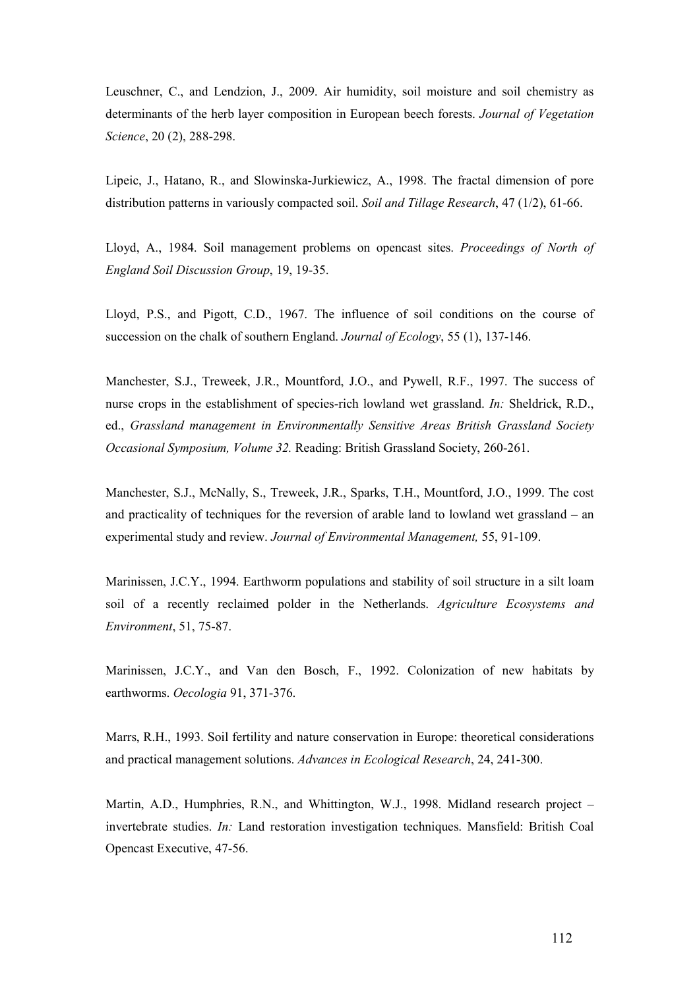Leuschner, C., and Lendzion, J., 2009. Air humidity, soil moisture and soil chemistry as determinants of the herb layer composition in European beech forests. Journal of Vegetation Science, 20 (2), 288-298.

Lipeic, J., Hatano, R., and Slowinska-Jurkiewicz, A., 1998. The fractal dimension of pore distribution patterns in variously compacted soil. Soil and Tillage Research, 47 (1/2), 61-66.

Lloyd, A., 1984. Soil management problems on opencast sites. Proceedings of North of England Soil Discussion Group, 19, 19-35.

Lloyd, P.S., and Pigott, C.D., 1967. The influence of soil conditions on the course of succession on the chalk of southern England. Journal of Ecology, 55 (1), 137-146.

Manchester, S.J., Treweek, J.R., Mountford, J.O., and Pywell, R.F., 1997. The success of nurse crops in the establishment of species-rich lowland wet grassland. In: Sheldrick, R.D., ed., Grassland management in Environmentally Sensitive Areas British Grassland Society Occasional Symposium, Volume 32. Reading: British Grassland Society, 260-261.

Manchester, S.J., McNally, S., Treweek, J.R., Sparks, T.H., Mountford, J.O., 1999. The cost and practicality of techniques for the reversion of arable land to lowland wet grassland – an experimental study and review. Journal of Environmental Management, 55, 91-109.

Marinissen, J.C.Y., 1994. Earthworm populations and stability of soil structure in a silt loam soil of a recently reclaimed polder in the Netherlands. Agriculture Ecosystems and Environment, 51, 75-87.

Marinissen, J.C.Y., and Van den Bosch, F., 1992. Colonization of new habitats by earthworms. Oecologia 91, 371-376.

Marrs, R.H., 1993. Soil fertility and nature conservation in Europe: theoretical considerations and practical management solutions. Advances in Ecological Research, 24, 241-300.

Martin, A.D., Humphries, R.N., and Whittington, W.J., 1998. Midland research project – invertebrate studies. In: Land restoration investigation techniques. Mansfield: British Coal Opencast Executive, 47-56.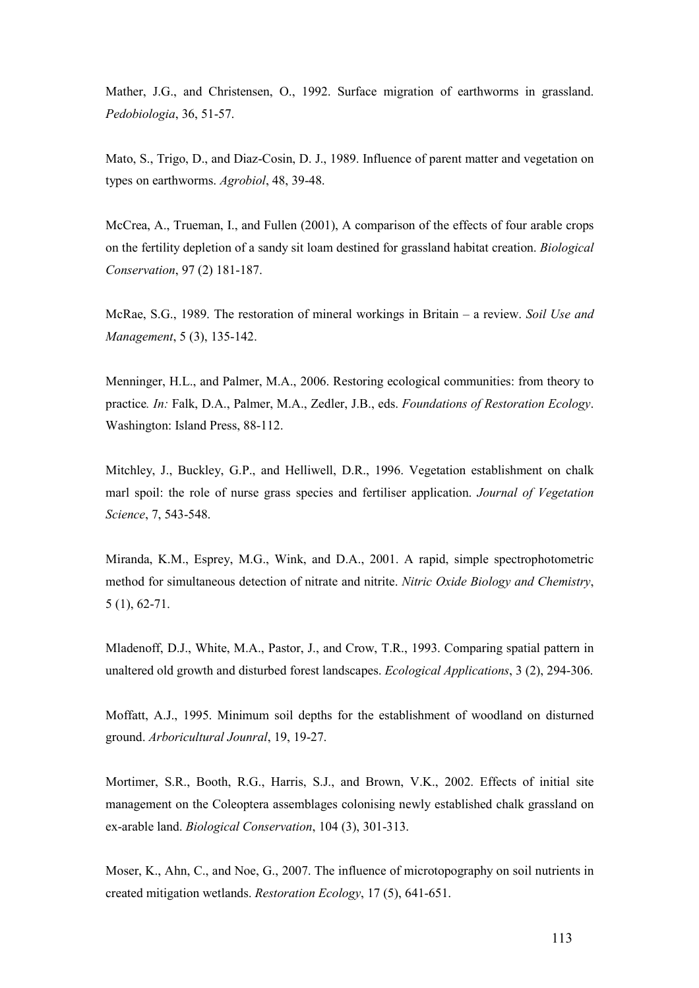Mather, J.G., and Christensen, O., 1992. Surface migration of earthworms in grassland. Pedobiologia, 36, 51-57.

Mato, S., Trigo, D., and Diaz-Cosin, D. J., 1989. Influence of parent matter and vegetation on types on earthworms. Agrobiol, 48, 39-48.

McCrea, A., Trueman, I., and Fullen (2001), A comparison of the effects of four arable crops on the fertility depletion of a sandy sit loam destined for grassland habitat creation. Biological Conservation, 97 (2) 181-187.

McRae, S.G., 1989. The restoration of mineral workings in Britain – a review. Soil Use and Management, 5 (3), 135-142.

Menninger, H.L., and Palmer, M.A., 2006. Restoring ecological communities: from theory to practice. In: Falk, D.A., Palmer, M.A., Zedler, J.B., eds. Foundations of Restoration Ecology. Washington: Island Press, 88-112.

Mitchley, J., Buckley, G.P., and Helliwell, D.R., 1996. Vegetation establishment on chalk marl spoil: the role of nurse grass species and fertiliser application. Journal of Vegetation Science, 7, 543-548.

Miranda, K.M., Esprey, M.G., Wink, and D.A., 2001. A rapid, simple spectrophotometric method for simultaneous detection of nitrate and nitrite. Nitric Oxide Biology and Chemistry, 5 (1), 62-71.

Mladenoff, D.J., White, M.A., Pastor, J., and Crow, T.R., 1993. Comparing spatial pattern in unaltered old growth and disturbed forest landscapes. Ecological Applications, 3 (2), 294-306.

Moffatt, A.J., 1995. Minimum soil depths for the establishment of woodland on disturned ground. Arboricultural Jounral, 19, 19-27.

Mortimer, S.R., Booth, R.G., Harris, S.J., and Brown, V.K., 2002. Effects of initial site management on the Coleoptera assemblages colonising newly established chalk grassland on ex-arable land. Biological Conservation, 104 (3), 301-313.

Moser, K., Ahn, C., and Noe, G., 2007. The influence of microtopography on soil nutrients in created mitigation wetlands. Restoration Ecology, 17 (5), 641-651.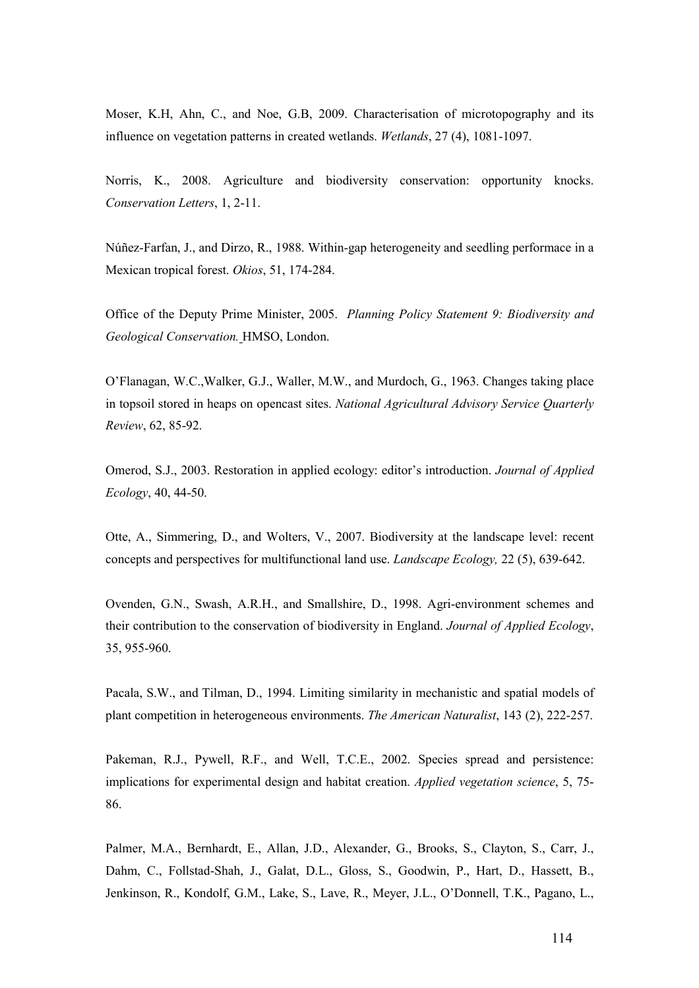Moser, K.H, Ahn, C., and Noe, G.B, 2009. Characterisation of microtopography and its influence on vegetation patterns in created wetlands. Wetlands, 27 (4), 1081-1097.

Norris, K., 2008. Agriculture and biodiversity conservation: opportunity knocks. Conservation Letters, 1, 2-11.

Núñez-Farfan, J., and Dirzo, R., 1988. Within-gap heterogeneity and seedling performace in a Mexican tropical forest. Okios, 51, 174-284.

Office of the Deputy Prime Minister, 2005. Planning Policy Statement 9: Biodiversity and Geological Conservation. HMSO, London.

O'Flanagan, W.C.,Walker, G.J., Waller, M.W., and Murdoch, G., 1963. Changes taking place in topsoil stored in heaps on opencast sites. National Agricultural Advisory Service Quarterly Review, 62, 85-92.

Omerod, S.J., 2003. Restoration in applied ecology: editor's introduction. Journal of Applied Ecology, 40, 44-50.

Otte, A., Simmering, D., and Wolters, V., 2007. Biodiversity at the landscape level: recent concepts and perspectives for multifunctional land use. Landscape Ecology, 22 (5), 639-642.

Ovenden, G.N., Swash, A.R.H., and Smallshire, D., 1998. Agri-environment schemes and their contribution to the conservation of biodiversity in England. Journal of Applied Ecology, 35, 955-960.

Pacala, S.W., and Tilman, D., 1994. Limiting similarity in mechanistic and spatial models of plant competition in heterogeneous environments. The American Naturalist, 143 (2), 222-257.

Pakeman, R.J., Pywell, R.F., and Well, T.C.E., 2002. Species spread and persistence: implications for experimental design and habitat creation. Applied vegetation science, 5, 75- 86.

Palmer, M.A., Bernhardt, E., Allan, J.D., Alexander, G., Brooks, S., Clayton, S., Carr, J., Dahm, C., Follstad-Shah, J., Galat, D.L., Gloss, S., Goodwin, P., Hart, D., Hassett, B., Jenkinson, R., Kondolf, G.M., Lake, S., Lave, R., Meyer, J.L., O'Donnell, T.K., Pagano, L.,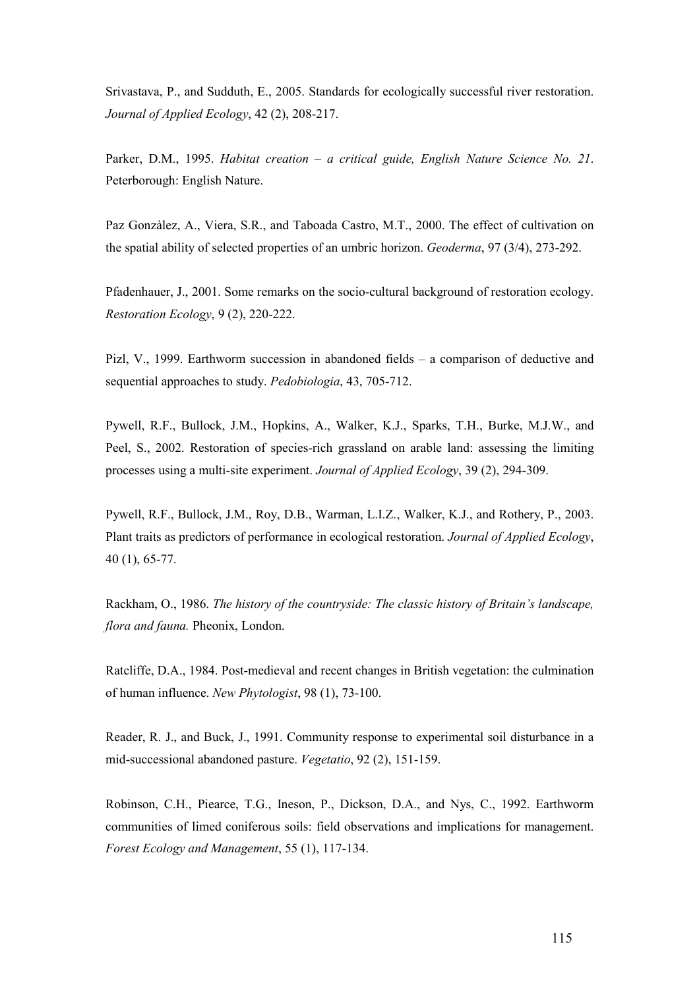Srivastava, P., and Sudduth, E., 2005. Standards for ecologically successful river restoration. Journal of Applied Ecology, 42 (2), 208-217.

Parker, D.M., 1995. Habitat creation – a critical guide, English Nature Science No. 21. Peterborough: English Nature.

Paz Gonzàlez, A., Viera, S.R., and Taboada Castro, M.T., 2000. The effect of cultivation on the spatial ability of selected properties of an umbric horizon. Geoderma, 97 (3/4), 273-292.

Pfadenhauer, J., 2001. Some remarks on the socio-cultural background of restoration ecology. Restoration Ecology, 9 (2), 220-222.

Pizl, V., 1999. Earthworm succession in abandoned fields – a comparison of deductive and sequential approaches to study. Pedobiologia, 43, 705-712.

Pywell, R.F., Bullock, J.M., Hopkins, A., Walker, K.J., Sparks, T.H., Burke, M.J.W., and Peel, S., 2002. Restoration of species-rich grassland on arable land: assessing the limiting processes using a multi-site experiment. Journal of Applied Ecology, 39 (2), 294-309.

Pywell, R.F., Bullock, J.M., Roy, D.B., Warman, L.I.Z., Walker, K.J., and Rothery, P., 2003. Plant traits as predictors of performance in ecological restoration. Journal of Applied Ecology, 40 (1), 65-77.

Rackham, O., 1986. The history of the countryside: The classic history of Britain's landscape, flora and fauna. Pheonix, London.

Ratcliffe, D.A., 1984. Post-medieval and recent changes in British vegetation: the culmination of human influence. New Phytologist,  $98$  (1),  $73-100$ .

Reader, R. J., and Buck, J., 1991. Community response to experimental soil disturbance in a mid-successional abandoned pasture. Vegetatio, 92 (2), 151-159.

Robinson, C.H., Piearce, T.G., Ineson, P., Dickson, D.A., and Nys, C., 1992. Earthworm communities of limed coniferous soils: field observations and implications for management. Forest Ecology and Management, 55 (1), 117-134.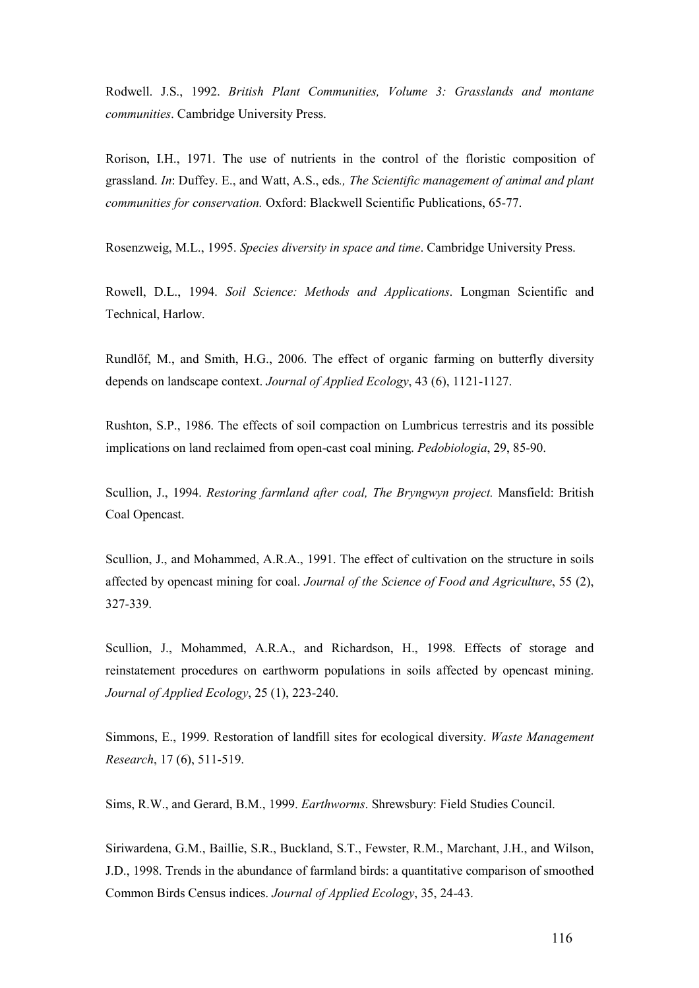Rodwell. J.S., 1992. British Plant Communities, Volume 3: Grasslands and montane communities. Cambridge University Press.

Rorison, I.H., 1971. The use of nutrients in the control of the floristic composition of grassland. In: Duffey. E., and Watt, A.S., eds., The Scientific management of animal and plant communities for conservation. Oxford: Blackwell Scientific Publications, 65-77.

Rosenzweig, M.L., 1995. Species diversity in space and time. Cambridge University Press.

Rowell, D.L., 1994. Soil Science: Methods and Applications. Longman Scientific and Technical, Harlow.

Rundlőf, M., and Smith, H.G., 2006. The effect of organic farming on butterfly diversity depends on landscape context. Journal of Applied Ecology, 43 (6), 1121-1127.

Rushton, S.P., 1986. The effects of soil compaction on Lumbricus terrestris and its possible implications on land reclaimed from open-cast coal mining. Pedobiologia, 29, 85-90.

Scullion, J., 1994. Restoring farmland after coal, The Bryngwyn project. Mansfield: British Coal Opencast.

Scullion, J., and Mohammed, A.R.A., 1991. The effect of cultivation on the structure in soils affected by opencast mining for coal. Journal of the Science of Food and Agriculture, 55 (2), 327-339.

Scullion, J., Mohammed, A.R.A., and Richardson, H., 1998. Effects of storage and reinstatement procedures on earthworm populations in soils affected by opencast mining. Journal of Applied Ecology, 25 (1), 223-240.

Simmons, E., 1999. Restoration of landfill sites for ecological diversity. Waste Management Research, 17 (6), 511-519.

Sims, R.W., and Gerard, B.M., 1999. Earthworms. Shrewsbury: Field Studies Council.

Siriwardena, G.M., Baillie, S.R., Buckland, S.T., Fewster, R.M., Marchant, J.H., and Wilson, J.D., 1998. Trends in the abundance of farmland birds: a quantitative comparison of smoothed Common Birds Census indices. Journal of Applied Ecology, 35, 24-43.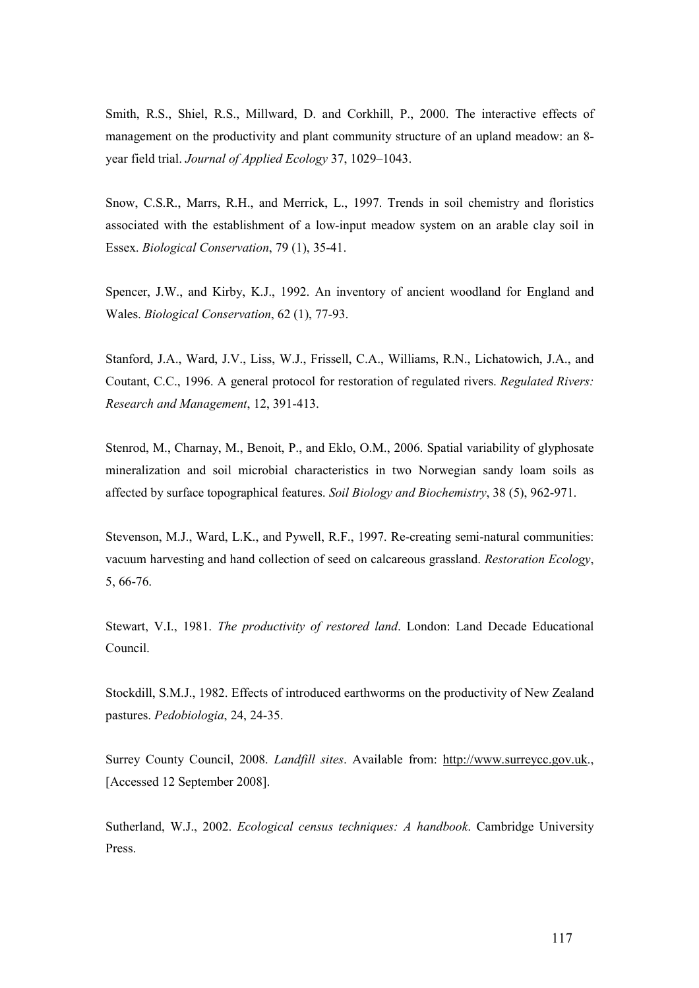Smith, R.S., Shiel, R.S., Millward, D. and Corkhill, P., 2000. The interactive effects of management on the productivity and plant community structure of an upland meadow: an 8 year field trial. Journal of Applied Ecology 37, 1029–1043.

Snow, C.S.R., Marrs, R.H., and Merrick, L., 1997. Trends in soil chemistry and floristics associated with the establishment of a low-input meadow system on an arable clay soil in Essex. Biological Conservation, 79 (1), 35-41.

Spencer, J.W., and Kirby, K.J., 1992. An inventory of ancient woodland for England and Wales. Biological Conservation, 62 (1), 77-93.

Stanford, J.A., Ward, J.V., Liss, W.J., Frissell, C.A., Williams, R.N., Lichatowich, J.A., and Coutant, C.C., 1996. A general protocol for restoration of regulated rivers. Regulated Rivers: Research and Management, 12, 391-413.

Stenrod, M., Charnay, M., Benoit, P., and Eklo, O.M., 2006. Spatial variability of glyphosate mineralization and soil microbial characteristics in two Norwegian sandy loam soils as affected by surface topographical features. Soil Biology and Biochemistry, 38 (5), 962-971.

Stevenson, M.J., Ward, L.K., and Pywell, R.F., 1997. Re-creating semi-natural communities: vacuum harvesting and hand collection of seed on calcareous grassland. Restoration Ecology, 5, 66-76.

Stewart, V.I., 1981. The productivity of restored land. London: Land Decade Educational Council.

Stockdill, S.M.J., 1982. Effects of introduced earthworms on the productivity of New Zealand pastures. Pedobiologia, 24, 24-35.

Surrey County Council, 2008. Landfill sites. Available from: http://www.surreycc.gov.uk., [Accessed 12 September 2008].

Sutherland, W.J., 2002. Ecological census techniques: A handbook. Cambridge University Press.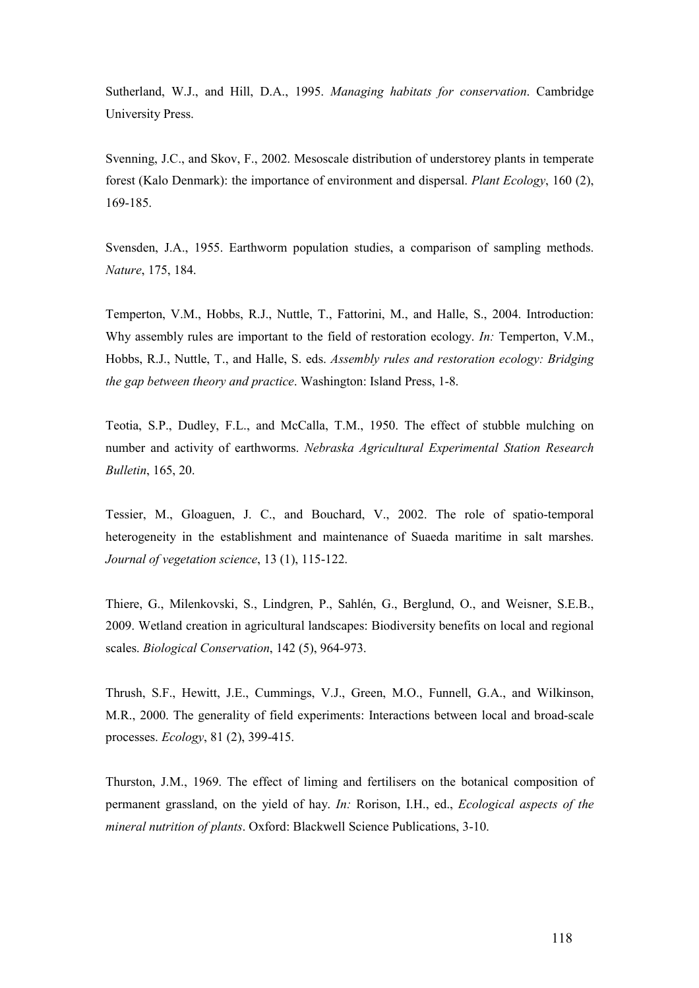Sutherland, W.J., and Hill, D.A., 1995. Managing habitats for conservation. Cambridge University Press.

Svenning, J.C., and Skov, F., 2002. Mesoscale distribution of understorey plants in temperate forest (Kalo Denmark): the importance of environment and dispersal. Plant Ecology, 160 (2), 169-185.

Svensden, J.A., 1955. Earthworm population studies, a comparison of sampling methods. Nature, 175, 184.

Temperton, V.M., Hobbs, R.J., Nuttle, T., Fattorini, M., and Halle, S., 2004. Introduction: Why assembly rules are important to the field of restoration ecology. In: Temperton, V.M., Hobbs, R.J., Nuttle, T., and Halle, S. eds. Assembly rules and restoration ecology: Bridging the gap between theory and practice. Washington: Island Press, 1-8.

Teotia, S.P., Dudley, F.L., and McCalla, T.M., 1950. The effect of stubble mulching on number and activity of earthworms. Nebraska Agricultural Experimental Station Research Bulletin, 165, 20.

Tessier, M., Gloaguen, J. C., and Bouchard, V., 2002. The role of spatio-temporal heterogeneity in the establishment and maintenance of Suaeda maritime in salt marshes. Journal of vegetation science, 13 (1), 115-122.

Thiere, G., Milenkovski, S., Lindgren, P., Sahlén, G., Berglund, O., and Weisner, S.E.B., 2009. Wetland creation in agricultural landscapes: Biodiversity benefits on local and regional scales. Biological Conservation, 142 (5), 964-973.

Thrush, S.F., Hewitt, J.E., Cummings, V.J., Green, M.O., Funnell, G.A., and Wilkinson, M.R., 2000. The generality of field experiments: Interactions between local and broad-scale processes. Ecology, 81 (2), 399-415.

Thurston, J.M., 1969. The effect of liming and fertilisers on the botanical composition of permanent grassland, on the yield of hay. In: Rorison, I.H., ed., Ecological aspects of the mineral nutrition of plants. Oxford: Blackwell Science Publications, 3-10.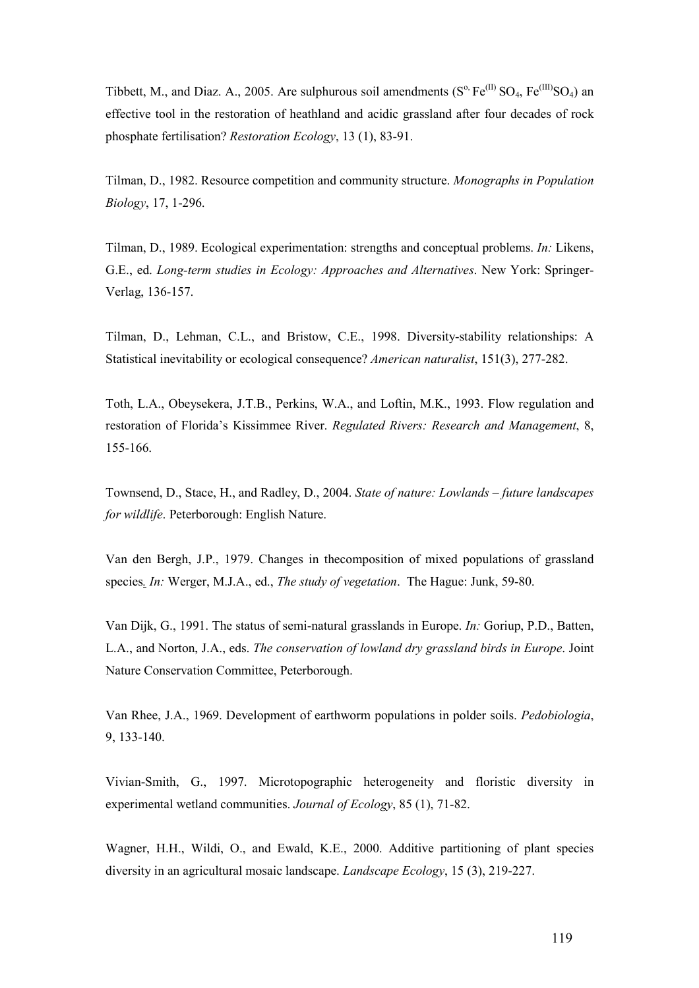Tibbett, M., and Diaz. A., 2005. Are sulphurous soil amendments  $(S^{\circ}, Fe^{(II)}SO_4, Fe^{(III)}SO_4)$  an effective tool in the restoration of heathland and acidic grassland after four decades of rock phosphate fertilisation? Restoration Ecology, 13 (1), 83-91.

Tilman, D., 1982. Resource competition and community structure. Monographs in Population Biology, 17, 1-296.

Tilman, D., 1989. Ecological experimentation: strengths and conceptual problems. In: Likens, G.E., ed. Long-term studies in Ecology: Approaches and Alternatives. New York: Springer-Verlag, 136-157.

Tilman, D., Lehman, C.L., and Bristow, C.E., 1998. Diversity-stability relationships: A Statistical inevitability or ecological consequence? American naturalist, 151(3), 277-282.

Toth, L.A., Obeysekera, J.T.B., Perkins, W.A., and Loftin, M.K., 1993. Flow regulation and restoration of Florida's Kissimmee River. Regulated Rivers: Research and Management, 8, 155-166.

Townsend, D., Stace, H., and Radley, D., 2004. State of nature: Lowlands – future landscapes for wildlife. Peterborough: English Nature.

Van den Bergh, J.P., 1979. Changes in thecomposition of mixed populations of grassland species. In: Werger, M.J.A., ed., The study of vegetation. The Hague: Junk, 59-80.

Van Dijk, G., 1991. The status of semi-natural grasslands in Europe. In: Goriup, P.D., Batten, L.A., and Norton, J.A., eds. The conservation of lowland dry grassland birds in Europe. Joint Nature Conservation Committee, Peterborough.

Van Rhee, J.A., 1969. Development of earthworm populations in polder soils. Pedobiologia, 9, 133-140.

Vivian-Smith, G., 1997. Microtopographic heterogeneity and floristic diversity in experimental wetland communities. Journal of Ecology, 85 (1), 71-82.

Wagner, H.H., Wildi, O., and Ewald, K.E., 2000. Additive partitioning of plant species diversity in an agricultural mosaic landscape. Landscape Ecology, 15 (3), 219-227.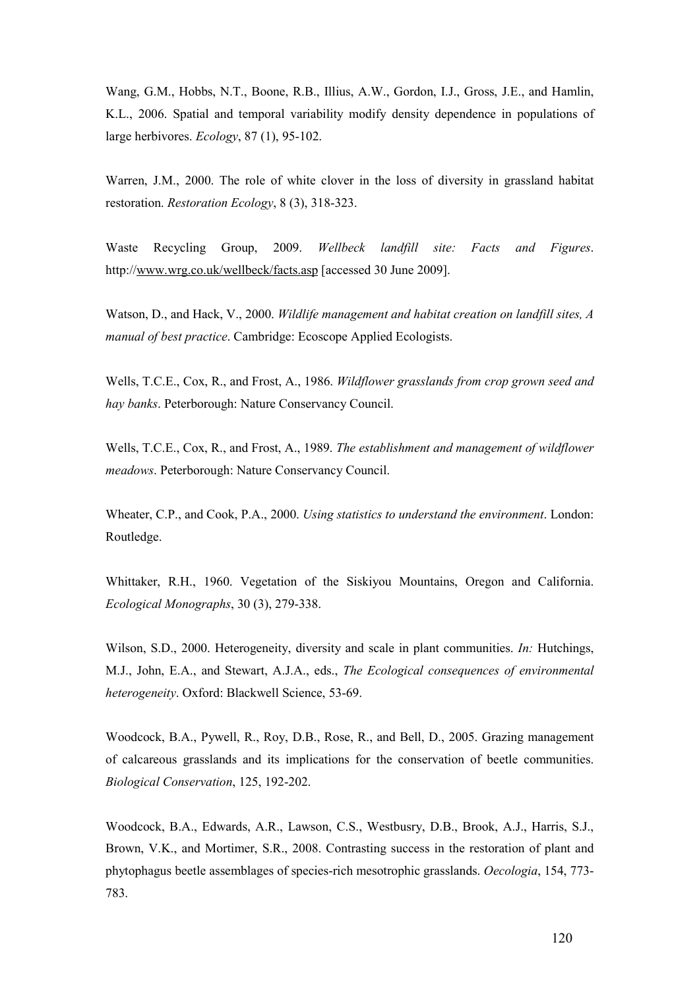Wang, G.M., Hobbs, N.T., Boone, R.B., Illius, A.W., Gordon, I.J., Gross, J.E., and Hamlin, K.L., 2006. Spatial and temporal variability modify density dependence in populations of large herbivores. Ecology, 87 (1), 95-102.

Warren, J.M., 2000. The role of white clover in the loss of diversity in grassland habitat restoration. Restoration Ecology, 8 (3), 318-323.

Waste Recycling Group, 2009. Wellbeck landfill site: Facts and Figures. http://www.wrg.co.uk/wellbeck/facts.asp [accessed 30 June 2009].

Watson, D., and Hack, V., 2000. Wildlife management and habitat creation on landfill sites, A manual of best practice. Cambridge: Ecoscope Applied Ecologists.

Wells, T.C.E., Cox, R., and Frost, A., 1986. Wildflower grasslands from crop grown seed and hay banks. Peterborough: Nature Conservancy Council.

Wells, T.C.E., Cox, R., and Frost, A., 1989. The establishment and management of wildflower meadows. Peterborough: Nature Conservancy Council.

Wheater, C.P., and Cook, P.A., 2000. Using statistics to understand the environment. London: Routledge.

Whittaker, R.H., 1960. Vegetation of the Siskiyou Mountains, Oregon and California. Ecological Monographs, 30 (3), 279-338.

Wilson, S.D., 2000. Heterogeneity, diversity and scale in plant communities. *In:* Hutchings, M.J., John, E.A., and Stewart, A.J.A., eds., The Ecological consequences of environmental heterogeneity. Oxford: Blackwell Science, 53-69.

Woodcock, B.A., Pywell, R., Roy, D.B., Rose, R., and Bell, D., 2005. Grazing management of calcareous grasslands and its implications for the conservation of beetle communities. Biological Conservation, 125, 192-202.

Woodcock, B.A., Edwards, A.R., Lawson, C.S., Westbusry, D.B., Brook, A.J., Harris, S.J., Brown, V.K., and Mortimer, S.R., 2008. Contrasting success in the restoration of plant and phytophagus beetle assemblages of species-rich mesotrophic grasslands. Oecologia, 154, 773- 783.